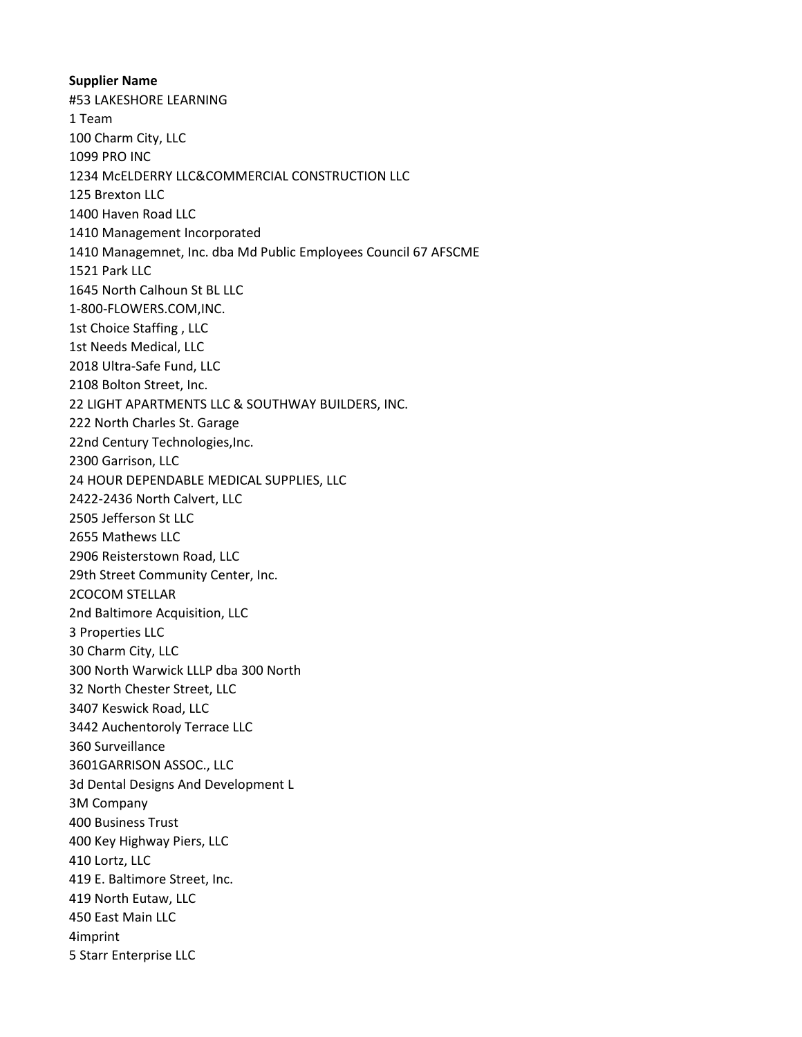**Supplier Name** #53 LAKESHORE LEARNING 1 Team 100 Charm City, LLC 1099 PRO INC 1234 McELDERRY LLC&COMMERCIAL CONSTRUCTION LLC 125 Brexton LLC 1400 Haven Road LLC 1410 Management Incorporated 1410 Managemnet, Inc. dba Md Public Employees Council 67 AFSCME 1521 Park LLC 1645 North Calhoun St BL LLC 1-800-FLOWERS.COM,INC. 1st Choice Staffing , LLC 1st Needs Medical, LLC 2018 Ultra-Safe Fund, LLC 2108 Bolton Street, Inc. 22 LIGHT APARTMENTS LLC & SOUTHWAY BUILDERS, INC. 222 North Charles St. Garage 22nd Century Technologies,Inc. 2300 Garrison, LLC 24 HOUR DEPENDABLE MEDICAL SUPPLIES, LLC 2422-2436 North Calvert, LLC 2505 Jefferson St LLC 2655 Mathews LLC 2906 Reisterstown Road, LLC 29th Street Community Center, Inc. 2COCOM STELLAR 2nd Baltimore Acquisition, LLC 3 Properties LLC 30 Charm City, LLC 300 North Warwick LLLP dba 300 North 32 North Chester Street, LLC 3407 Keswick Road, LLC 3442 Auchentoroly Terrace LLC 360 Surveillance 3601GARRISON ASSOC., LLC 3d Dental Designs And Development L 3M Company 400 Business Trust 400 Key Highway Piers, LLC 410 Lortz, LLC 419 E. Baltimore Street, Inc. 419 North Eutaw, LLC 450 East Main LLC 4imprint 5 Starr Enterprise LLC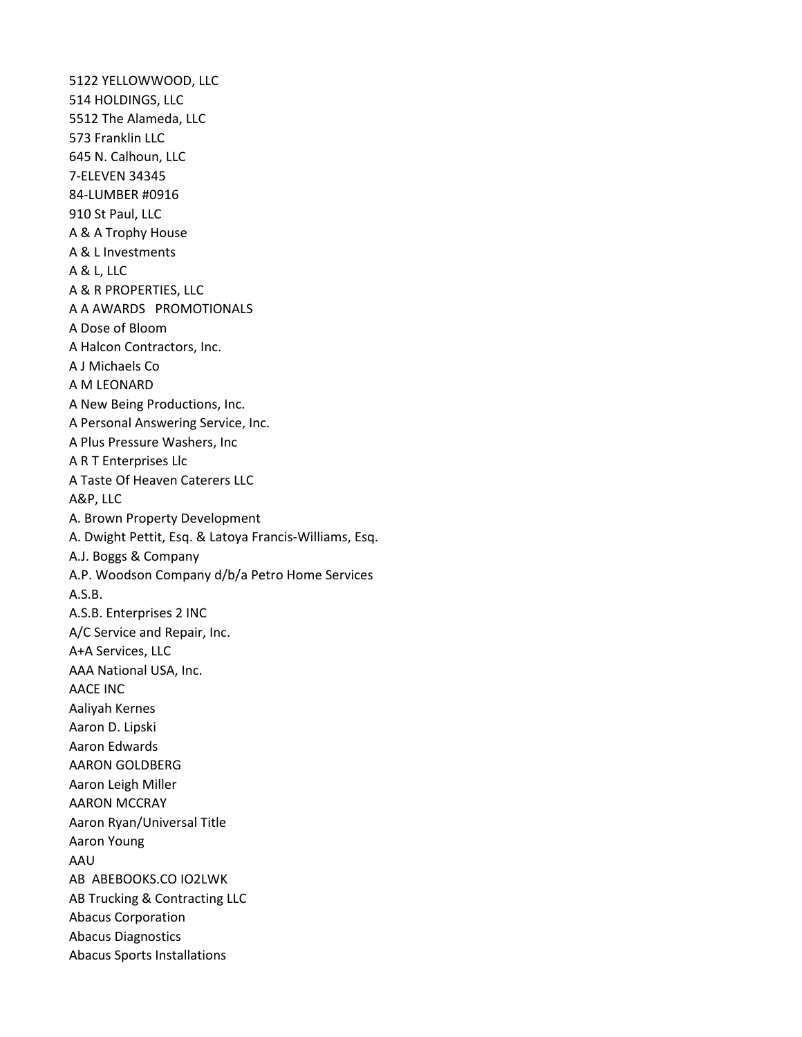5122 YELLOWWOOD, LLC 514 HOLDINGS, LLC 5512 The Alameda, LLC 573 Franklin LLC 645 N. Calhoun, LLC 7-ELEVEN 34345 84-LUMBER #0916 910 St Paul, LLC A & A Trophy House A & L Investments A & L, LLC A & R PROPERTIES, LLC A A AWARDS PROMOTIONALS A Dose of Bloom A Halcon Contractors, Inc. A J Michaels Co A M LEONARD A New Being Productions, Inc. A Personal Answering Service, Inc. A Plus Pressure Washers, Inc A R T Enterprises Llc A Taste Of Heaven Caterers LLC A&P, LLC A. Brown Property Development A. Dwight Pettit, Esq. & Latoya Francis-Williams, Esq. A.J. Boggs & Company A.P. Woodson Company d/b/a Petro Home Services A.S.B. A.S.B. Enterprises 2 INC A/C Service and Repair, Inc. A+A Services, LLC AAA National USA, Inc. AACE INC Aaliyah Kernes Aaron D. Lipski Aaron Edwards AARON GOLDBERG Aaron Leigh Miller AARON MCCRAY Aaron Ryan/Universal Title Aaron Young AAU AB ABEBOOKS.CO IO2LWK AB Trucking & Contracting LLC Abacus Corporation Abacus Diagnostics Abacus Sports Installations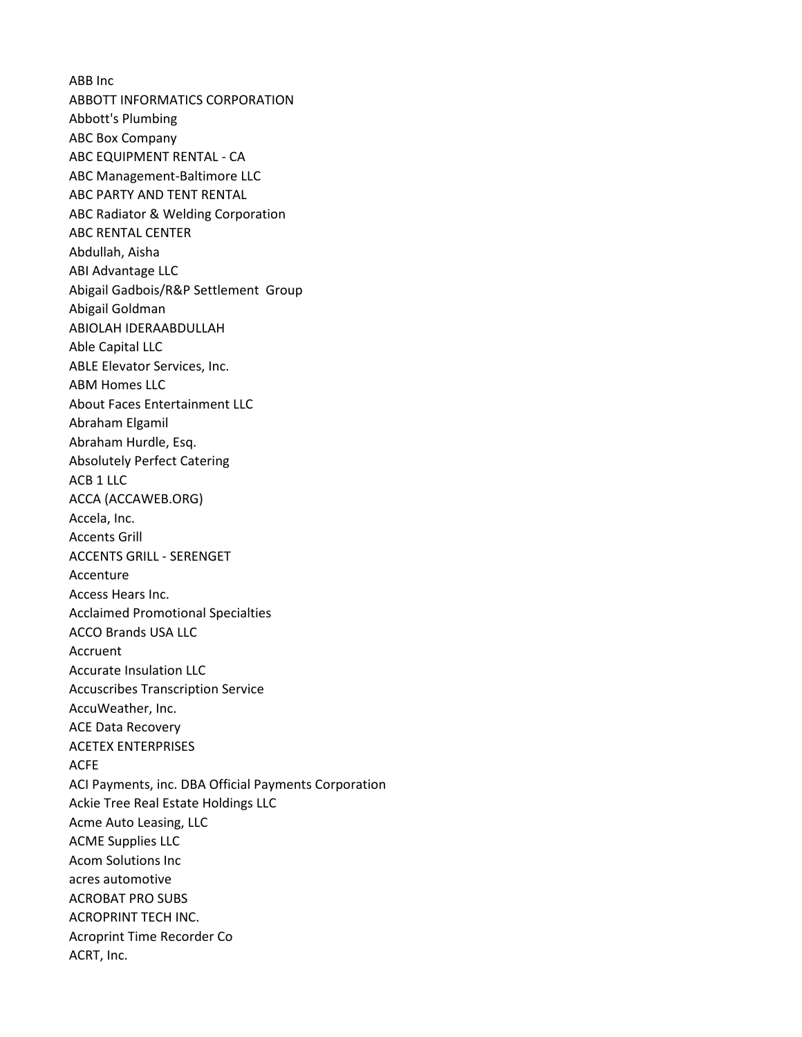ABB Inc ABBOTT INFORMATICS CORPORATION Abbott's Plumbing ABC Box Company ABC EQUIPMENT RENTAL - CA ABC Management-Baltimore LLC ABC PARTY AND TENT RENTAL ABC Radiator & Welding Corporation ABC RENTAL CENTER Abdullah, Aisha ABI Advantage LLC Abigail Gadbois/R&P Settlement Group Abigail Goldman ABIOLAH IDERAABDULLAH Able Capital LLC ABLE Elevator Services, Inc. ABM Homes LLC About Faces Entertainment LLC Abraham Elgamil Abraham Hurdle, Esq. Absolutely Perfect Catering ACB 1 LLC ACCA (ACCAWEB.ORG) Accela, Inc. Accents Grill ACCENTS GRILL - SERENGET Accenture Access Hears Inc. Acclaimed Promotional Specialties ACCO Brands USA LLC Accruent Accurate Insulation LLC Accuscribes Transcription Service AccuWeather, Inc. ACE Data Recovery ACETEX ENTERPRISES ACFE ACI Payments, inc. DBA Official Payments Corporation Ackie Tree Real Estate Holdings LLC Acme Auto Leasing, LLC ACME Supplies LLC Acom Solutions Inc acres automotive ACROBAT PRO SUBS ACROPRINT TECH INC. Acroprint Time Recorder Co ACRT, Inc.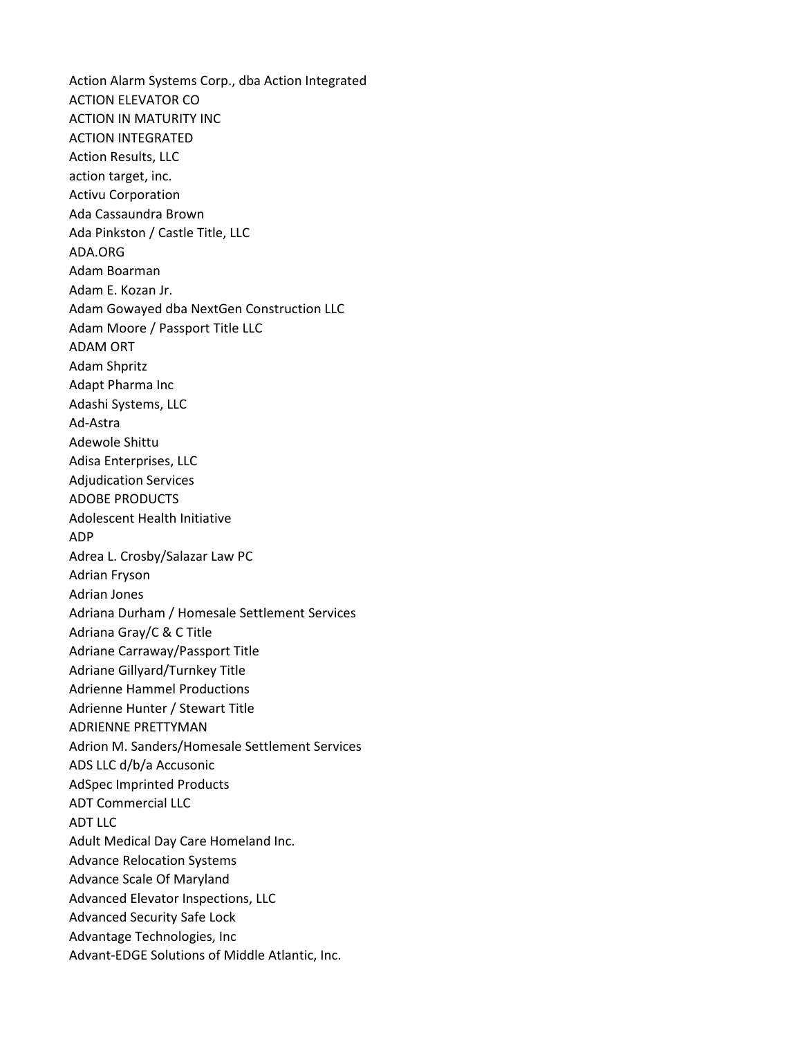Action Alarm Systems Corp., dba Action Integrated ACTION ELEVATOR CO ACTION IN MATURITY INC ACTION INTEGRATED Action Results, LLC action target, inc. Activu Corporation Ada Cassaundra Brown Ada Pinkston / Castle Title, LLC ADA.ORG Adam Boarman Adam E. Kozan Jr. Adam Gowayed dba NextGen Construction LLC Adam Moore / Passport Title LLC ADAM ORT Adam Shpritz Adapt Pharma Inc Adashi Systems, LLC Ad-Astra Adewole Shittu Adisa Enterprises, LLC Adjudication Services ADOBE PRODUCTS Adolescent Health Initiative ADP Adrea L. Crosby/Salazar Law PC Adrian Fryson Adrian Jones Adriana Durham / Homesale Settlement Services Adriana Gray/C & C Title Adriane Carraway/Passport Title Adriane Gillyard/Turnkey Title Adrienne Hammel Productions Adrienne Hunter / Stewart Title ADRIENNE PRETTYMAN Adrion M. Sanders/Homesale Settlement Services ADS LLC d/b/a Accusonic AdSpec Imprinted Products ADT Commercial LLC ADT LLC Adult Medical Day Care Homeland Inc. Advance Relocation Systems Advance Scale Of Maryland Advanced Elevator Inspections, LLC Advanced Security Safe Lock Advantage Technologies, Inc Advant-EDGE Solutions of Middle Atlantic, Inc.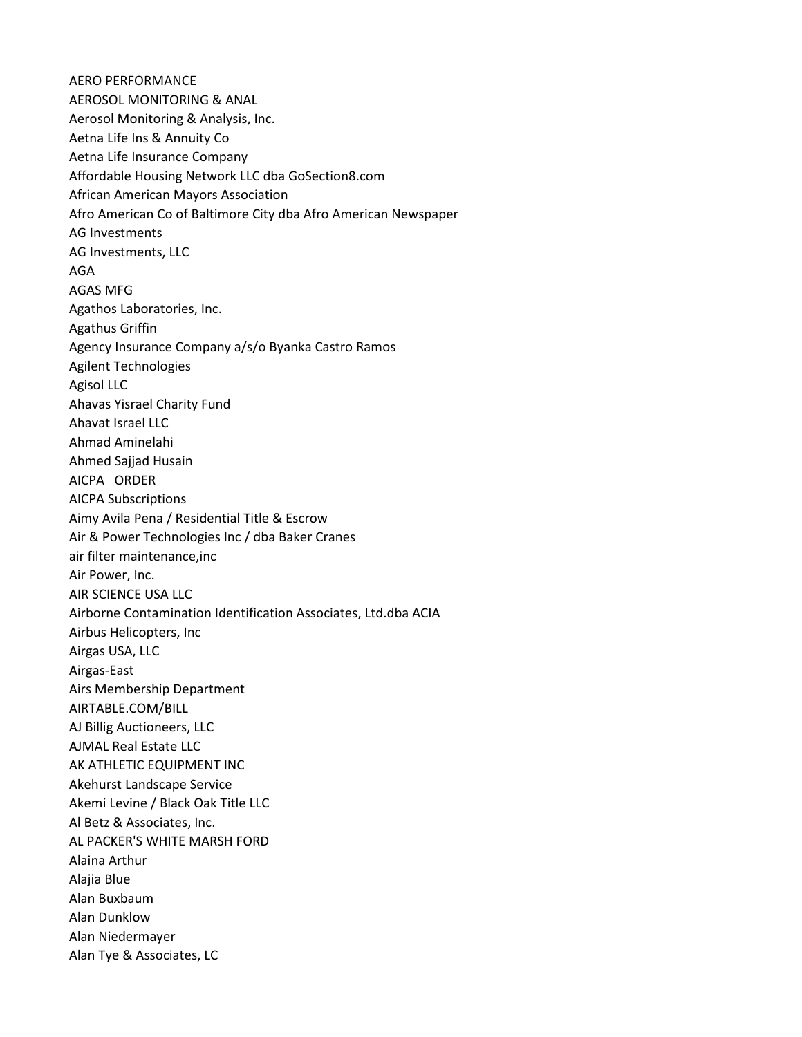AERO PERFORMANCE AEROSOL MONITORING & ANAL Aerosol Monitoring & Analysis, Inc. Aetna Life Ins & Annuity Co Aetna Life Insurance Company Affordable Housing Network LLC dba GoSection8.com African American Mayors Association Afro American Co of Baltimore City dba Afro American Newspaper AG Investments AG Investments, LLC AGA AGAS MFG Agathos Laboratories, Inc. Agathus Griffin Agency Insurance Company a/s/o Byanka Castro Ramos Agilent Technologies Agisol LLC Ahavas Yisrael Charity Fund Ahavat Israel LLC Ahmad Aminelahi Ahmed Sajjad Husain AICPA ORDER AICPA Subscriptions Aimy Avila Pena / Residential Title & Escrow Air & Power Technologies Inc / dba Baker Cranes air filter maintenance,inc Air Power, Inc. AIR SCIENCE USA LLC Airborne Contamination Identification Associates, Ltd.dba ACIA Airbus Helicopters, Inc Airgas USA, LLC Airgas-East Airs Membership Department AIRTABLE.COM/BILL AJ Billig Auctioneers, LLC AJMAL Real Estate LLC AK ATHLETIC EQUIPMENT INC Akehurst Landscape Service Akemi Levine / Black Oak Title LLC Al Betz & Associates, Inc. AL PACKER'S WHITE MARSH FORD Alaina Arthur Alajia Blue Alan Buxbaum Alan Dunklow Alan Niedermayer Alan Tye & Associates, LC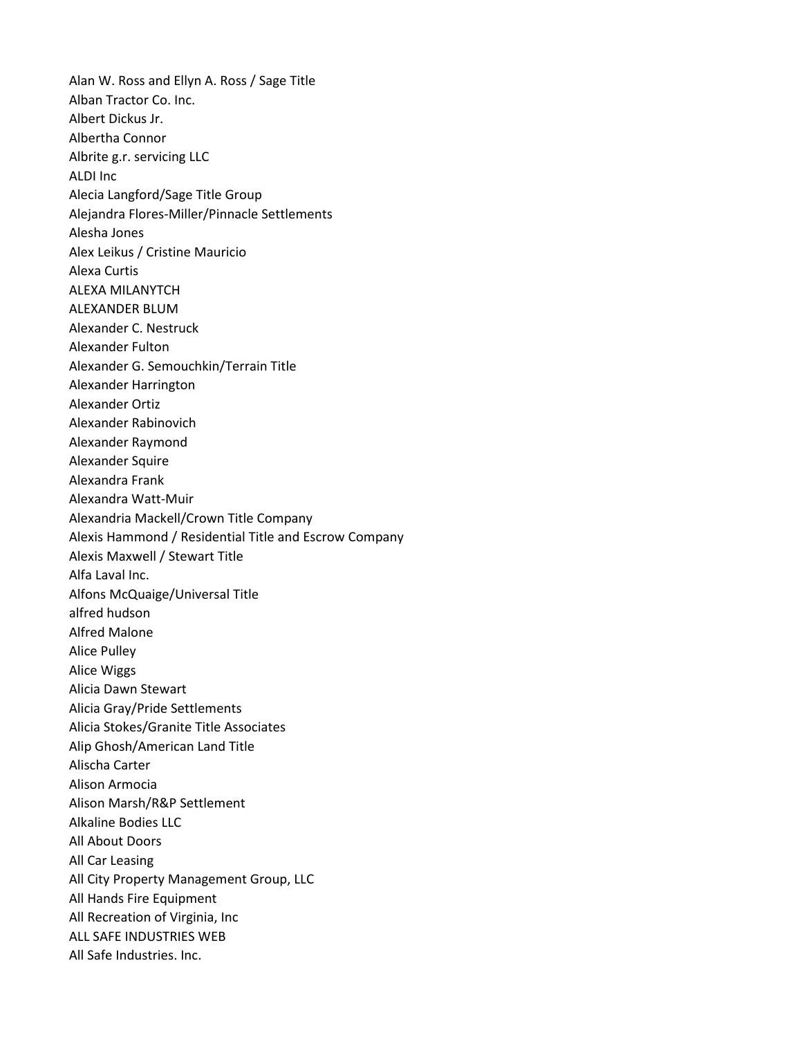Alan W. Ross and Ellyn A. Ross / Sage Title Alban Tractor Co. Inc. Albert Dickus Jr. Albertha Connor Albrite g.r. servicing LLC ALDI Inc Alecia Langford/Sage Title Group Alejandra Flores-Miller/Pinnacle Settlements Alesha Jones Alex Leikus / Cristine Mauricio Alexa Curtis ALEXA MILANYTCH ALEXANDER BLUM Alexander C. Nestruck Alexander Fulton Alexander G. Semouchkin/Terrain Title Alexander Harrington Alexander Ortiz Alexander Rabinovich Alexander Raymond Alexander Squire Alexandra Frank Alexandra Watt-Muir Alexandria Mackell/Crown Title Company Alexis Hammond / Residential Title and Escrow Company Alexis Maxwell / Stewart Title Alfa Laval Inc. Alfons McQuaige/Universal Title alfred hudson Alfred Malone Alice Pulley Alice Wiggs Alicia Dawn Stewart Alicia Gray/Pride Settlements Alicia Stokes/Granite Title Associates Alip Ghosh/American Land Title Alischa Carter Alison Armocia Alison Marsh/R&P Settlement Alkaline Bodies LLC All About Doors All Car Leasing All City Property Management Group, LLC All Hands Fire Equipment All Recreation of Virginia, Inc ALL SAFE INDUSTRIES WEB All Safe Industries. Inc.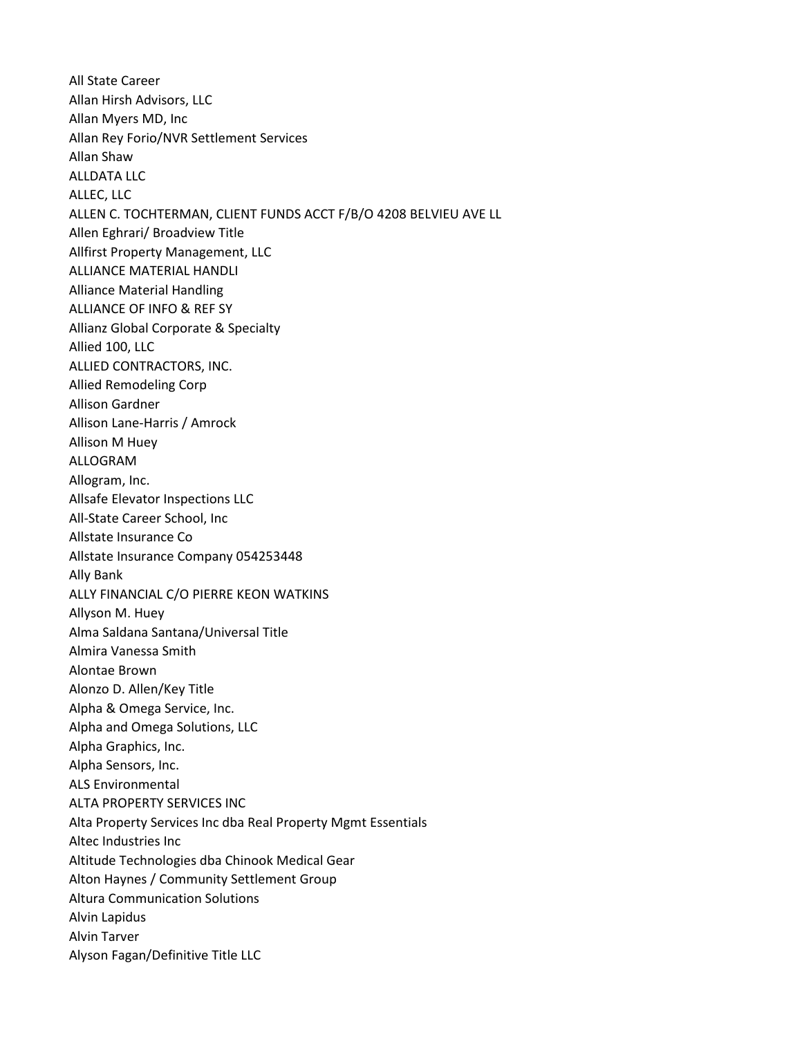All State Career Allan Hirsh Advisors, LLC Allan Myers MD, Inc Allan Rey Forio/NVR Settlement Services Allan Shaw ALLDATA LLC ALLEC, LLC ALLEN C. TOCHTERMAN, CLIENT FUNDS ACCT F/B/O 4208 BELVIEU AVE LL Allen Eghrari/ Broadview Title Allfirst Property Management, LLC ALLIANCE MATERIAL HANDLI Alliance Material Handling ALLIANCE OF INFO & REF SY Allianz Global Corporate & Specialty Allied 100, LLC ALLIED CONTRACTORS, INC. Allied Remodeling Corp Allison Gardner Allison Lane-Harris / Amrock Allison M Huey ALLOGRAM Allogram, Inc. Allsafe Elevator Inspections LLC All-State Career School, Inc Allstate Insurance Co Allstate Insurance Company 054253448 Ally Bank ALLY FINANCIAL C/O PIERRE KEON WATKINS Allyson M. Huey Alma Saldana Santana/Universal Title Almira Vanessa Smith Alontae Brown Alonzo D. Allen/Key Title Alpha & Omega Service, Inc. Alpha and Omega Solutions, LLC Alpha Graphics, Inc. Alpha Sensors, Inc. ALS Environmental ALTA PROPERTY SERVICES INC Alta Property Services Inc dba Real Property Mgmt Essentials Altec Industries Inc Altitude Technologies dba Chinook Medical Gear Alton Haynes / Community Settlement Group Altura Communication Solutions Alvin Lapidus Alvin Tarver Alyson Fagan/Definitive Title LLC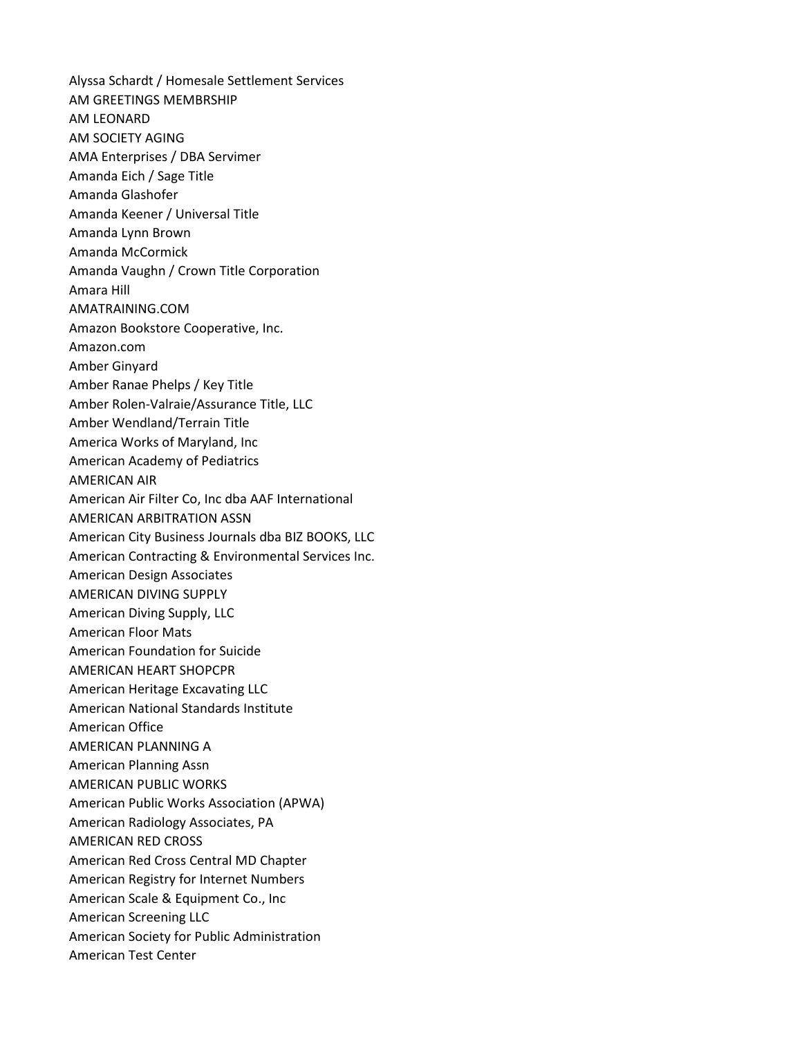Alyssa Schardt / Homesale Settlement Services AM GREETINGS MEMBRSHIP AM LEONARD AM SOCIETY AGING AMA Enterprises / DBA Servimer Amanda Eich / Sage Title Amanda Glashofer Amanda Keener / Universal Title Amanda Lynn Brown Amanda McCormick Amanda Vaughn / Crown Title Corporation Amara Hill AMATRAINING.COM Amazon Bookstore Cooperative, Inc. Amazon.com Amber Ginyard Amber Ranae Phelps / Key Title Amber Rolen-Valraie/Assurance Title, LLC Amber Wendland/Terrain Title America Works of Maryland, Inc American Academy of Pediatrics AMERICAN AIR American Air Filter Co, Inc dba AAF International AMERICAN ARBITRATION ASSN American City Business Journals dba BIZ BOOKS, LLC American Contracting & Environmental Services Inc. American Design Associates AMERICAN DIVING SUPPLY American Diving Supply, LLC American Floor Mats American Foundation for Suicide AMERICAN HEART SHOPCPR American Heritage Excavating LLC American National Standards Institute American Office AMERICAN PLANNING A American Planning Assn AMERICAN PUBLIC WORKS American Public Works Association (APWA) American Radiology Associates, PA AMERICAN RED CROSS American Red Cross Central MD Chapter American Registry for Internet Numbers American Scale & Equipment Co., Inc American Screening LLC American Society for Public Administration American Test Center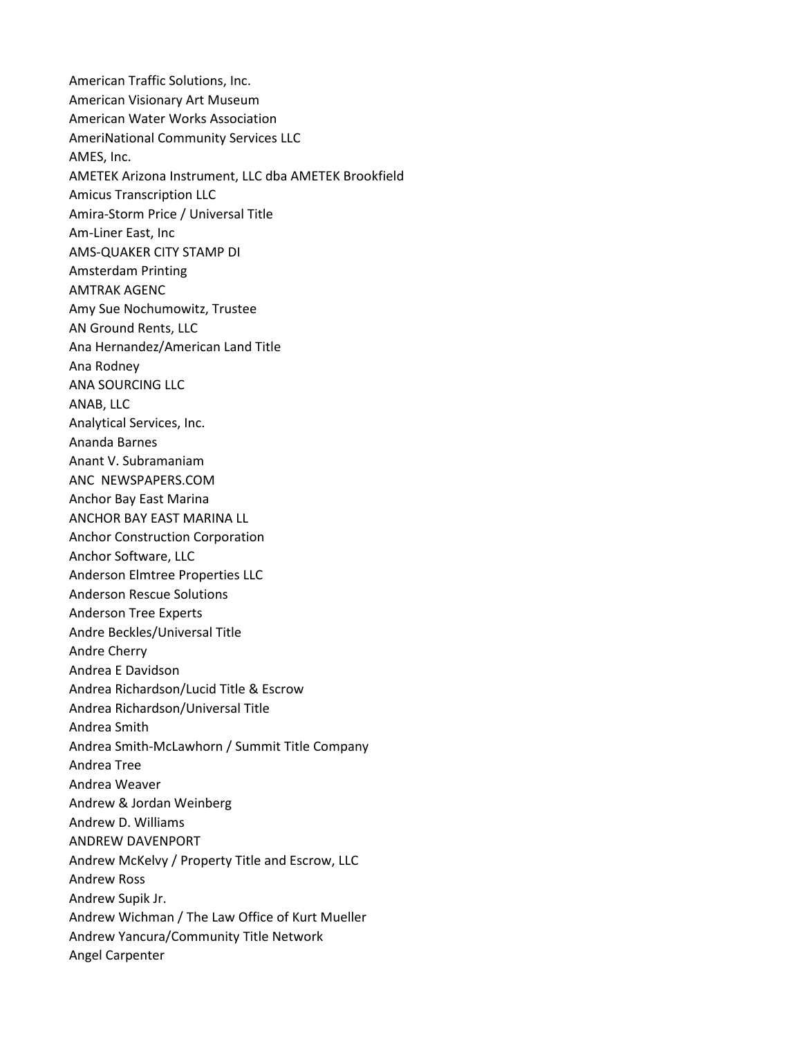American Traffic Solutions, Inc. American Visionary Art Museum American Water Works Association AmeriNational Community Services LLC AMES, Inc. AMETEK Arizona Instrument, LLC dba AMETEK Brookfield Amicus Transcription LLC Amira-Storm Price / Universal Title Am-Liner East, Inc AMS-QUAKER CITY STAMP DI Amsterdam Printing AMTRAK AGENC Amy Sue Nochumowitz, Trustee AN Ground Rents, LLC Ana Hernandez/American Land Title Ana Rodney ANA SOURCING LLC ANAB, LLC Analytical Services, Inc. Ananda Barnes Anant V. Subramaniam ANC NEWSPAPERS.COM Anchor Bay East Marina ANCHOR BAY EAST MARINA LL Anchor Construction Corporation Anchor Software, LLC Anderson Elmtree Properties LLC Anderson Rescue Solutions Anderson Tree Experts Andre Beckles/Universal Title Andre Cherry Andrea E Davidson Andrea Richardson/Lucid Title & Escrow Andrea Richardson/Universal Title Andrea Smith Andrea Smith-McLawhorn / Summit Title Company Andrea Tree Andrea Weaver Andrew & Jordan Weinberg Andrew D. Williams ANDREW DAVENPORT Andrew McKelvy / Property Title and Escrow, LLC Andrew Ross Andrew Supik Jr. Andrew Wichman / The Law Office of Kurt Mueller Andrew Yancura/Community Title Network Angel Carpenter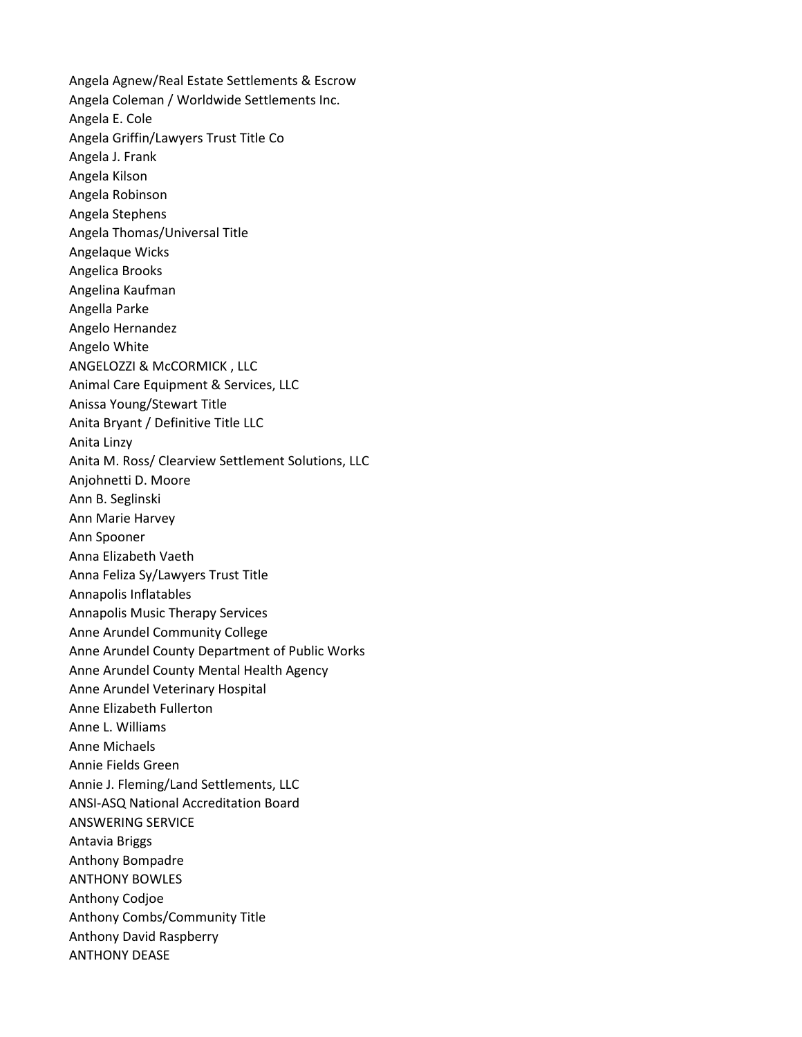Angela Agnew/Real Estate Settlements & Escrow Angela Coleman / Worldwide Settlements Inc. Angela E. Cole Angela Griffin/Lawyers Trust Title Co Angela J. Frank Angela Kilson Angela Robinson Angela Stephens Angela Thomas/Universal Title Angelaque Wicks Angelica Brooks Angelina Kaufman Angella Parke Angelo Hernandez Angelo White ANGELOZZI & McCORMICK , LLC Animal Care Equipment & Services, LLC Anissa Young/Stewart Title Anita Bryant / Definitive Title LLC Anita Linzy Anita M. Ross/ Clearview Settlement Solutions, LLC Anjohnetti D. Moore Ann B. Seglinski Ann Marie Harvey Ann Spooner Anna Elizabeth Vaeth Anna Feliza Sy/Lawyers Trust Title Annapolis Inflatables Annapolis Music Therapy Services Anne Arundel Community College Anne Arundel County Department of Public Works Anne Arundel County Mental Health Agency Anne Arundel Veterinary Hospital Anne Elizabeth Fullerton Anne L. Williams Anne Michaels Annie Fields Green Annie J. Fleming/Land Settlements, LLC ANSI-ASQ National Accreditation Board ANSWERING SERVICE Antavia Briggs Anthony Bompadre ANTHONY BOWLES Anthony Codjoe Anthony Combs/Community Title Anthony David Raspberry ANTHONY DEASE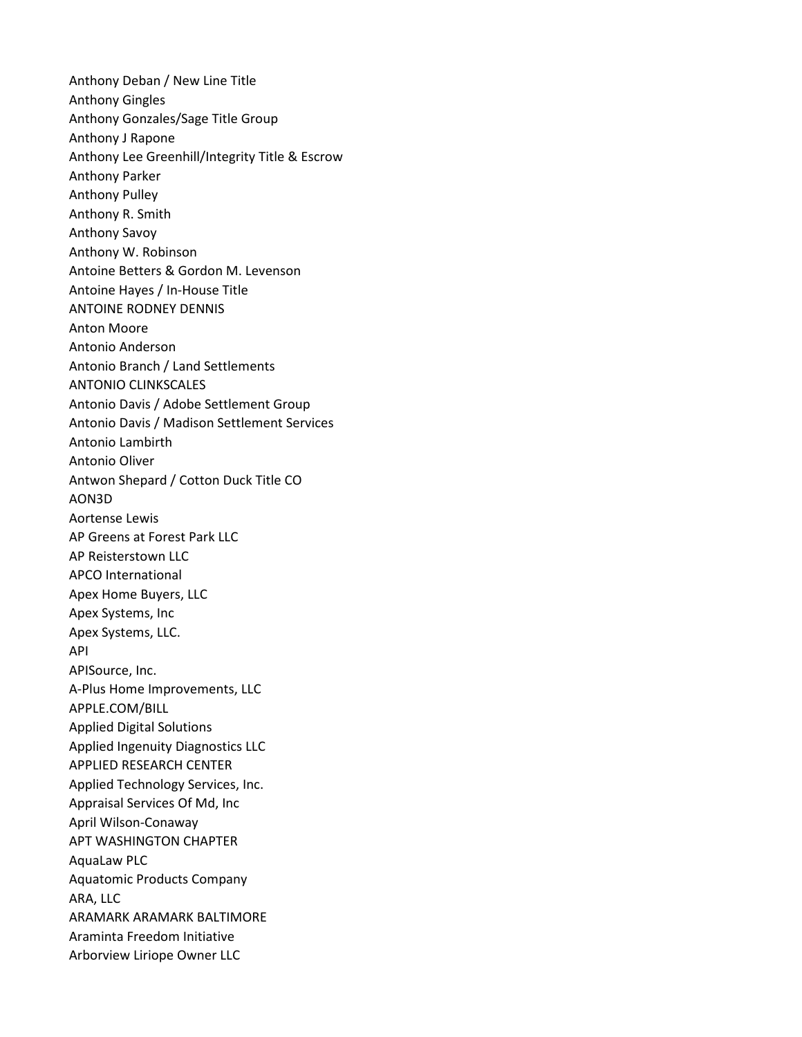Anthony Deban / New Line Title Anthony Gingles Anthony Gonzales/Sage Title Group Anthony J Rapone Anthony Lee Greenhill/Integrity Title & Escrow Anthony Parker Anthony Pulley Anthony R. Smith Anthony Savoy Anthony W. Robinson Antoine Betters & Gordon M. Levenson Antoine Hayes / In-House Title ANTOINE RODNEY DENNIS Anton Moore Antonio Anderson Antonio Branch / Land Settlements ANTONIO CLINKSCALES Antonio Davis / Adobe Settlement Group Antonio Davis / Madison Settlement Services Antonio Lambirth Antonio Oliver Antwon Shepard / Cotton Duck Title CO AON3D Aortense Lewis AP Greens at Forest Park LLC AP Reisterstown LLC APCO International Apex Home Buyers, LLC Apex Systems, Inc Apex Systems, LLC. API APISource, Inc. A-Plus Home Improvements, LLC APPLE.COM/BILL Applied Digital Solutions Applied Ingenuity Diagnostics LLC APPLIED RESEARCH CENTER Applied Technology Services, Inc. Appraisal Services Of Md, Inc April Wilson-Conaway APT WASHINGTON CHAPTER AquaLaw PLC Aquatomic Products Company ARA, LLC ARAMARK ARAMARK BALTIMORE Araminta Freedom Initiative Arborview Liriope Owner LLC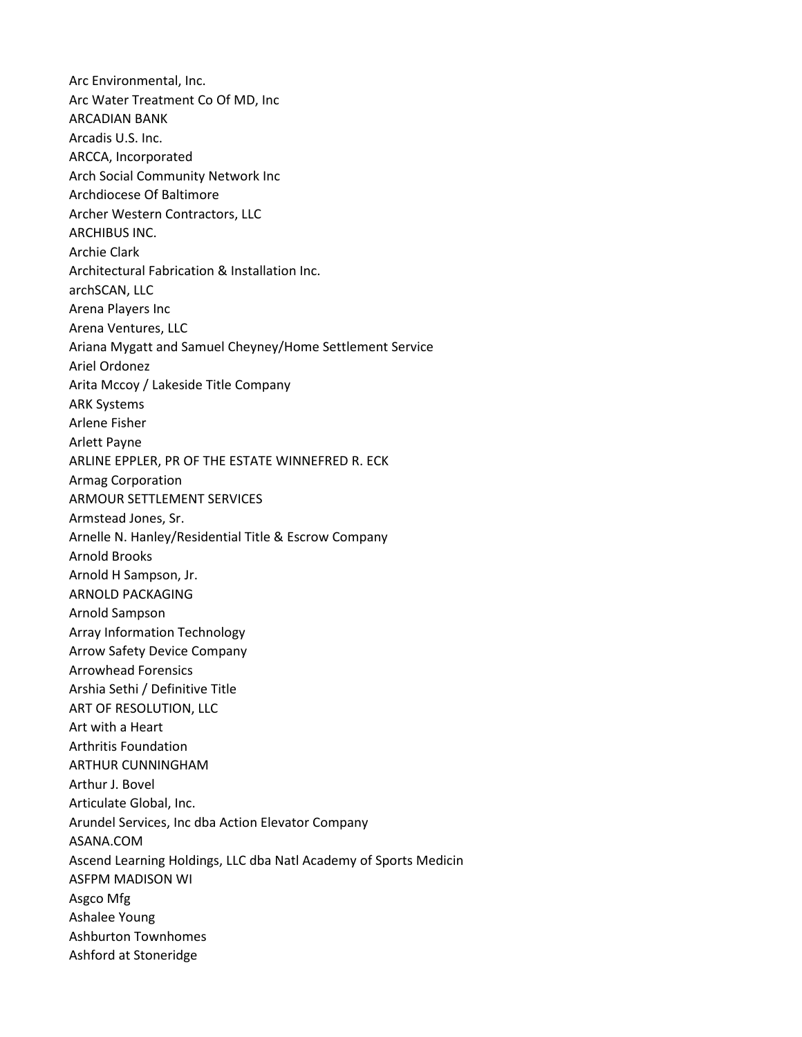Arc Environmental, Inc. Arc Water Treatment Co Of MD, Inc ARCADIAN BANK Arcadis U.S. Inc. ARCCA, Incorporated Arch Social Community Network Inc Archdiocese Of Baltimore Archer Western Contractors, LLC ARCHIBUS INC. Archie Clark Architectural Fabrication & Installation Inc. archSCAN, LLC Arena Players Inc Arena Ventures, LLC Ariana Mygatt and Samuel Cheyney/Home Settlement Service Ariel Ordonez Arita Mccoy / Lakeside Title Company ARK Systems Arlene Fisher Arlett Payne ARLINE EPPLER, PR OF THE ESTATE WINNEFRED R. ECK Armag Corporation ARMOUR SETTLEMENT SERVICES Armstead Jones, Sr. Arnelle N. Hanley/Residential Title & Escrow Company Arnold Brooks Arnold H Sampson, Jr. ARNOLD PACKAGING Arnold Sampson Array Information Technology Arrow Safety Device Company Arrowhead Forensics Arshia Sethi / Definitive Title ART OF RESOLUTION, LLC Art with a Heart Arthritis Foundation ARTHUR CUNNINGHAM Arthur J. Bovel Articulate Global, Inc. Arundel Services, Inc dba Action Elevator Company ASANA.COM Ascend Learning Holdings, LLC dba Natl Academy of Sports Medicin ASFPM MADISON WI Asgco Mfg Ashalee Young Ashburton Townhomes Ashford at Stoneridge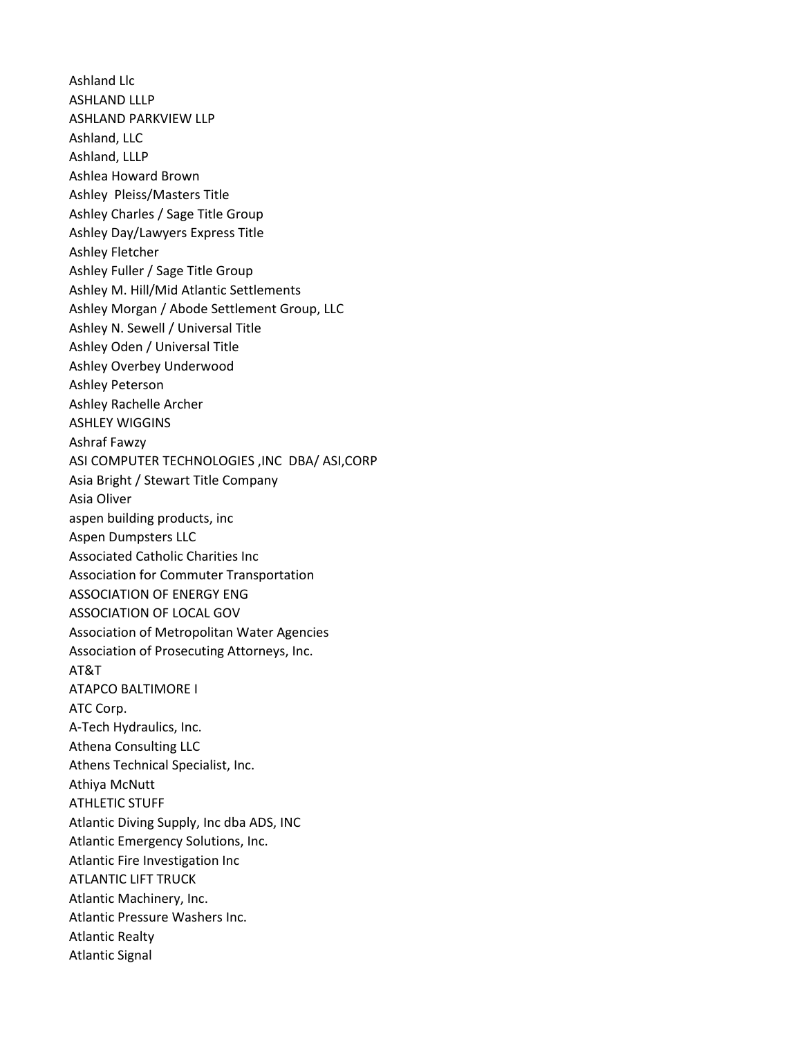Ashland Llc ASHLAND LLLP ASHLAND PARKVIEW LLP Ashland, LLC Ashland, LLLP Ashlea Howard Brown Ashley Pleiss/Masters Title Ashley Charles / Sage Title Group Ashley Day/Lawyers Express Title Ashley Fletcher Ashley Fuller / Sage Title Group Ashley M. Hill/Mid Atlantic Settlements Ashley Morgan / Abode Settlement Group, LLC Ashley N. Sewell / Universal Title Ashley Oden / Universal Title Ashley Overbey Underwood Ashley Peterson Ashley Rachelle Archer ASHLEY WIGGINS Ashraf Fawzy ASI COMPUTER TECHNOLOGIES ,INC DBA/ ASI,CORP Asia Bright / Stewart Title Company Asia Oliver aspen building products, inc Aspen Dumpsters LLC Associated Catholic Charities Inc Association for Commuter Transportation ASSOCIATION OF ENERGY ENG ASSOCIATION OF LOCAL GOV Association of Metropolitan Water Agencies Association of Prosecuting Attorneys, Inc. AT&T ATAPCO BALTIMORE I ATC Corp. A-Tech Hydraulics, Inc. Athena Consulting LLC Athens Technical Specialist, Inc. Athiya McNutt ATHLETIC STUFF Atlantic Diving Supply, Inc dba ADS, INC Atlantic Emergency Solutions, Inc. Atlantic Fire Investigation Inc ATLANTIC LIFT TRUCK Atlantic Machinery, Inc. Atlantic Pressure Washers Inc. Atlantic Realty Atlantic Signal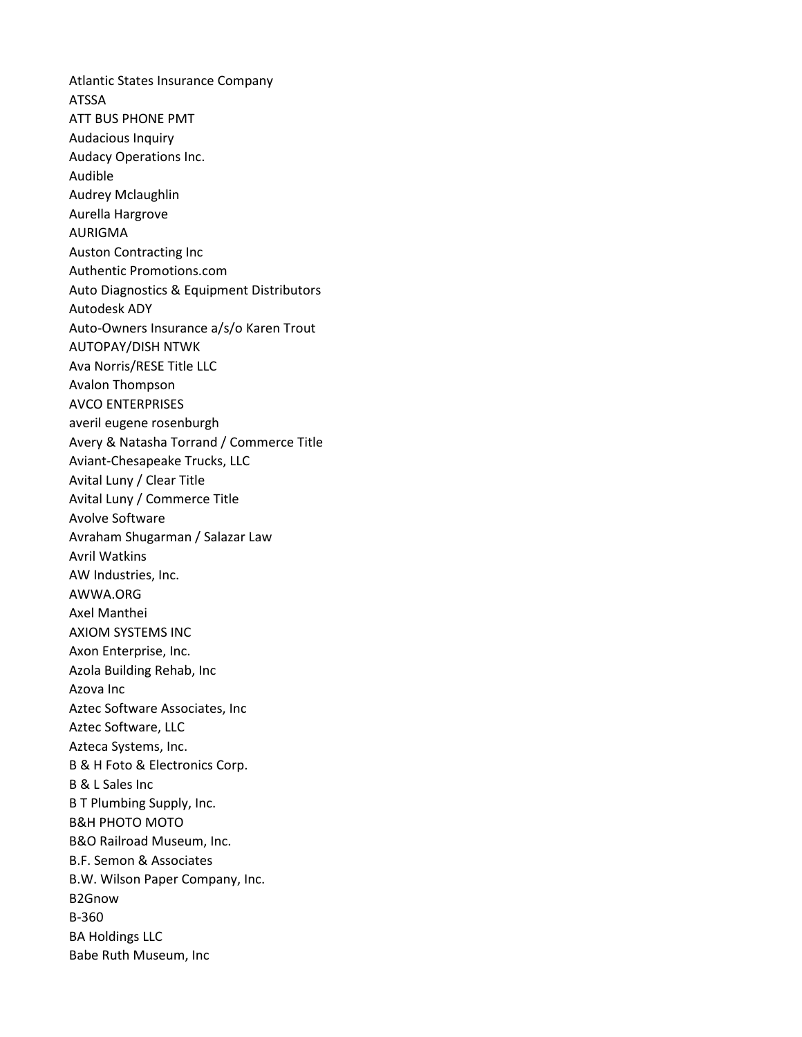Atlantic States Insurance Company ATSSA ATT BUS PHONE PMT Audacious Inquiry Audacy Operations Inc. Audible Audrey Mclaughlin Aurella Hargrove AURIGMA Auston Contracting Inc Authentic Promotions.com Auto Diagnostics & Equipment Distributors Autodesk ADY Auto-Owners Insurance a/s/o Karen Trout AUTOPAY/DISH NTWK Ava Norris/RESE Title LLC Avalon Thompson AVCO ENTERPRISES averil eugene rosenburgh Avery & Natasha Torrand / Commerce Title Aviant-Chesapeake Trucks, LLC Avital Luny / Clear Title Avital Luny / Commerce Title Avolve Software Avraham Shugarman / Salazar Law Avril Watkins AW Industries, Inc. AWWA.ORG Axel Manthei AXIOM SYSTEMS INC Axon Enterprise, Inc. Azola Building Rehab, Inc Azova Inc Aztec Software Associates, Inc Aztec Software, LLC Azteca Systems, Inc. B & H Foto & Electronics Corp. B & L Sales Inc B T Plumbing Supply, Inc. B&H PHOTO MOTO B&O Railroad Museum, Inc. B.F. Semon & Associates B.W. Wilson Paper Company, Inc. B2Gnow B-360 BA Holdings LLC Babe Ruth Museum, Inc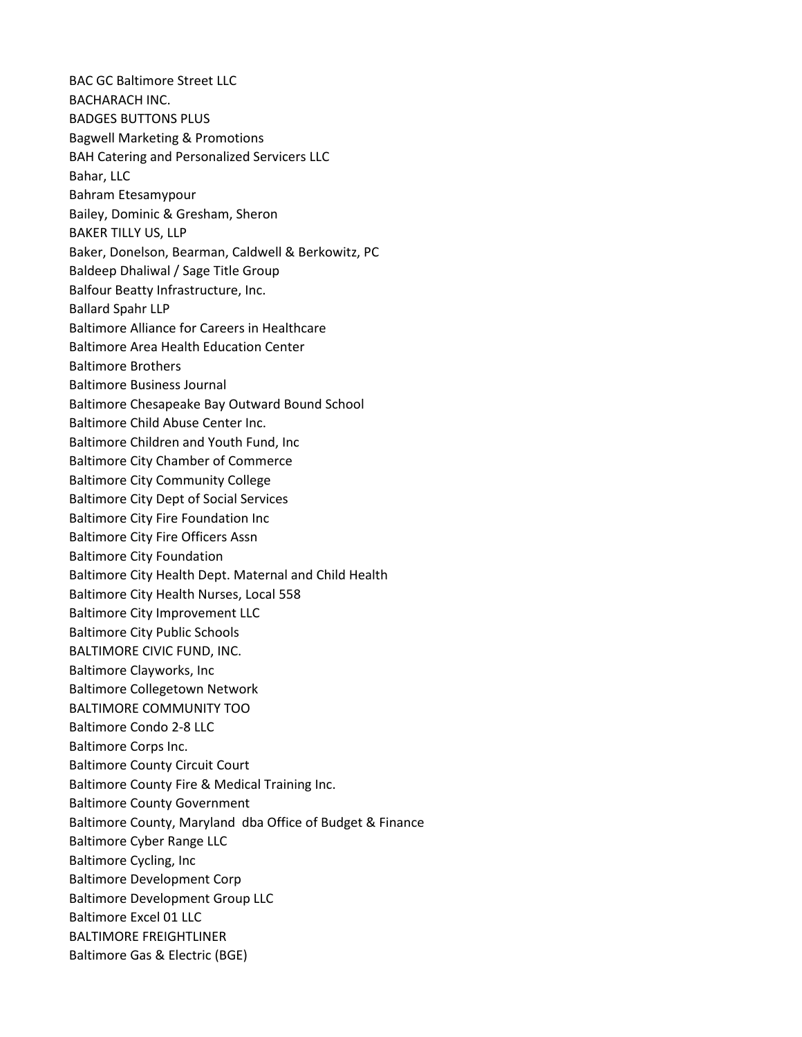BAC GC Baltimore Street LLC BACHARACH INC. BADGES BUTTONS PLUS Bagwell Marketing & Promotions BAH Catering and Personalized Servicers LLC Bahar, LLC Bahram Etesamypour Bailey, Dominic & Gresham, Sheron BAKER TILLY US, LLP Baker, Donelson, Bearman, Caldwell & Berkowitz, PC Baldeep Dhaliwal / Sage Title Group Balfour Beatty Infrastructure, Inc. Ballard Spahr LLP Baltimore Alliance for Careers in Healthcare Baltimore Area Health Education Center Baltimore Brothers Baltimore Business Journal Baltimore Chesapeake Bay Outward Bound School Baltimore Child Abuse Center Inc. Baltimore Children and Youth Fund, Inc Baltimore City Chamber of Commerce Baltimore City Community College Baltimore City Dept of Social Services Baltimore City Fire Foundation Inc Baltimore City Fire Officers Assn Baltimore City Foundation Baltimore City Health Dept. Maternal and Child Health Baltimore City Health Nurses, Local 558 Baltimore City Improvement LLC Baltimore City Public Schools BALTIMORE CIVIC FUND, INC. Baltimore Clayworks, Inc Baltimore Collegetown Network BALTIMORE COMMUNITY TOO Baltimore Condo 2-8 LLC Baltimore Corps Inc. Baltimore County Circuit Court Baltimore County Fire & Medical Training Inc. Baltimore County Government Baltimore County, Maryland dba Office of Budget & Finance Baltimore Cyber Range LLC Baltimore Cycling, Inc Baltimore Development Corp Baltimore Development Group LLC Baltimore Excel 01 LLC BALTIMORE FREIGHTLINER Baltimore Gas & Electric (BGE)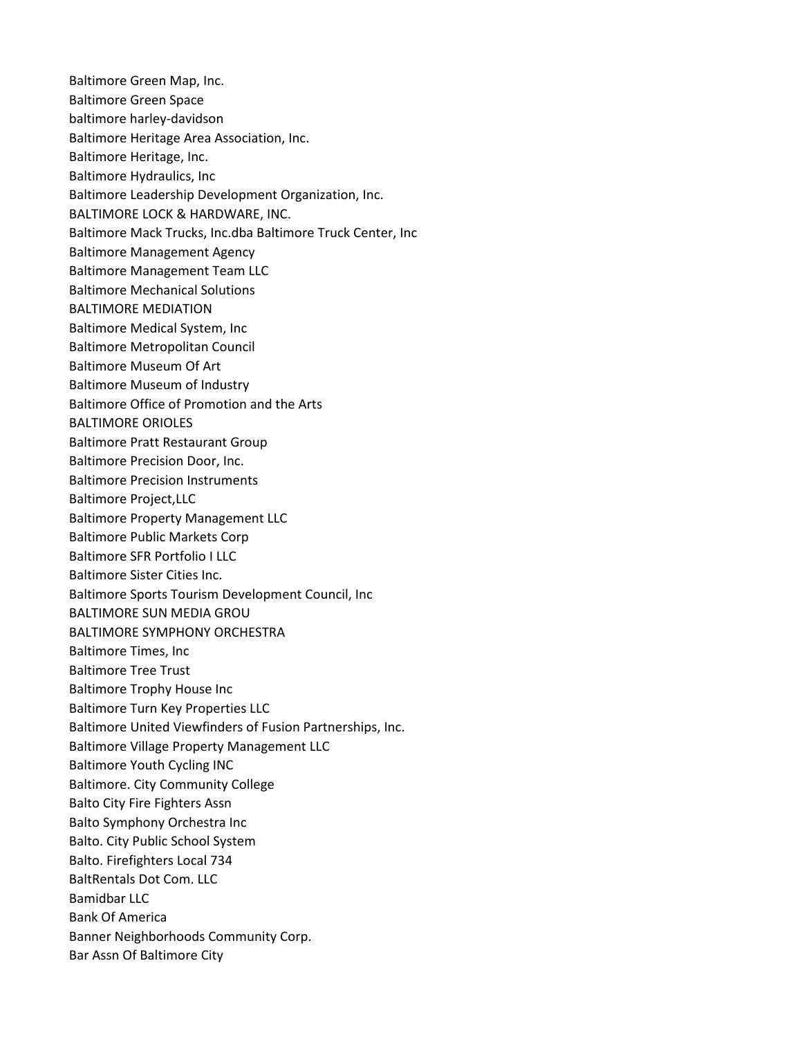Baltimore Green Map, Inc. Baltimore Green Space baltimore harley-davidson Baltimore Heritage Area Association, Inc. Baltimore Heritage, Inc. Baltimore Hydraulics, Inc Baltimore Leadership Development Organization, Inc. BALTIMORE LOCK & HARDWARE, INC. Baltimore Mack Trucks, Inc.dba Baltimore Truck Center, Inc Baltimore Management Agency Baltimore Management Team LLC Baltimore Mechanical Solutions BALTIMORE MEDIATION Baltimore Medical System, Inc Baltimore Metropolitan Council Baltimore Museum Of Art Baltimore Museum of Industry Baltimore Office of Promotion and the Arts BALTIMORE ORIOLES Baltimore Pratt Restaurant Group Baltimore Precision Door, Inc. Baltimore Precision Instruments Baltimore Project,LLC Baltimore Property Management LLC Baltimore Public Markets Corp Baltimore SFR Portfolio I LLC Baltimore Sister Cities Inc. Baltimore Sports Tourism Development Council, Inc BALTIMORE SUN MEDIA GROU BALTIMORE SYMPHONY ORCHESTRA Baltimore Times, Inc Baltimore Tree Trust Baltimore Trophy House Inc Baltimore Turn Key Properties LLC Baltimore United Viewfinders of Fusion Partnerships, Inc. Baltimore Village Property Management LLC Baltimore Youth Cycling INC Baltimore. City Community College Balto City Fire Fighters Assn Balto Symphony Orchestra Inc Balto. City Public School System Balto. Firefighters Local 734 BaltRentals Dot Com. LLC Bamidbar LLC Bank Of America Banner Neighborhoods Community Corp. Bar Assn Of Baltimore City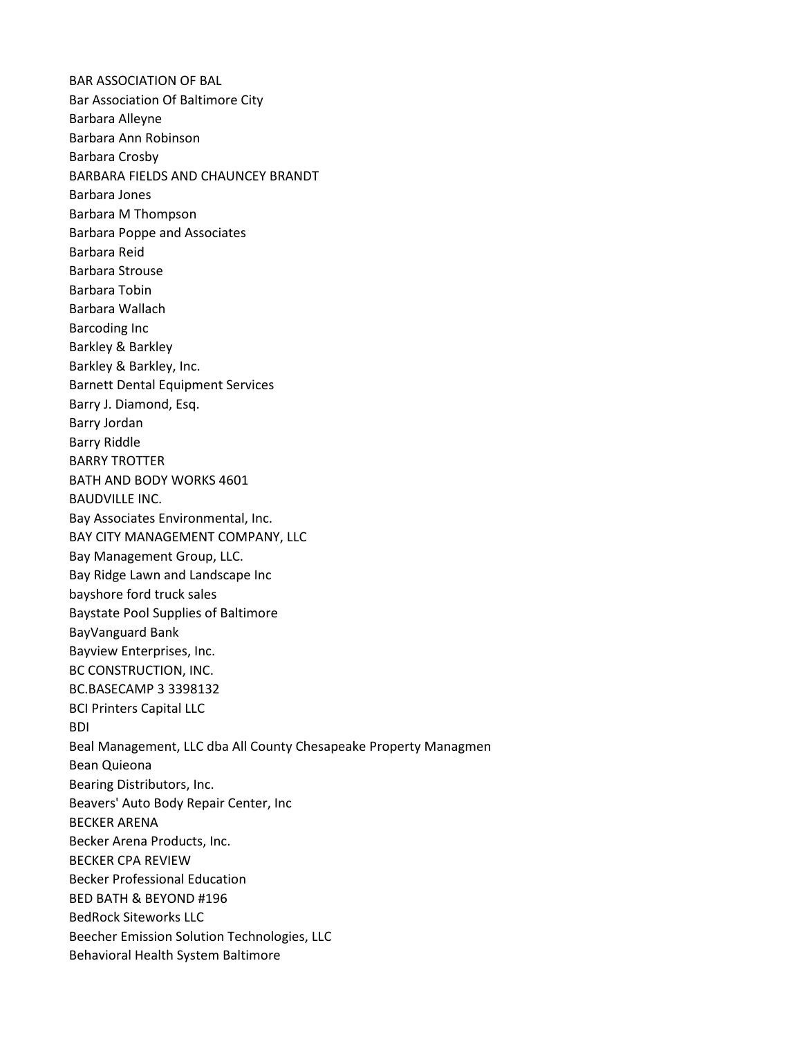BAR ASSOCIATION OF BAL Bar Association Of Baltimore City Barbara Alleyne Barbara Ann Robinson Barbara Crosby BARBARA FIELDS AND CHAUNCEY BRANDT Barbara Jones Barbara M Thompson Barbara Poppe and Associates Barbara Reid Barbara Strouse Barbara Tobin Barbara Wallach Barcoding Inc Barkley & Barkley Barkley & Barkley, Inc. Barnett Dental Equipment Services Barry J. Diamond, Esq. Barry Jordan Barry Riddle BARRY TROTTER BATH AND BODY WORKS 4601 BAUDVILLE INC. Bay Associates Environmental, Inc. BAY CITY MANAGEMENT COMPANY, LLC Bay Management Group, LLC. Bay Ridge Lawn and Landscape Inc bayshore ford truck sales Baystate Pool Supplies of Baltimore BayVanguard Bank Bayview Enterprises, Inc. BC CONSTRUCTION, INC. BC.BASECAMP 3 3398132 BCI Printers Capital LLC BDI Beal Management, LLC dba All County Chesapeake Property Managmen Bean Quieona Bearing Distributors, Inc. Beavers' Auto Body Repair Center, Inc BECKER ARENA Becker Arena Products, Inc. BECKER CPA REVIEW Becker Professional Education BED BATH & BEYOND #196 BedRock Siteworks LLC Beecher Emission Solution Technologies, LLC Behavioral Health System Baltimore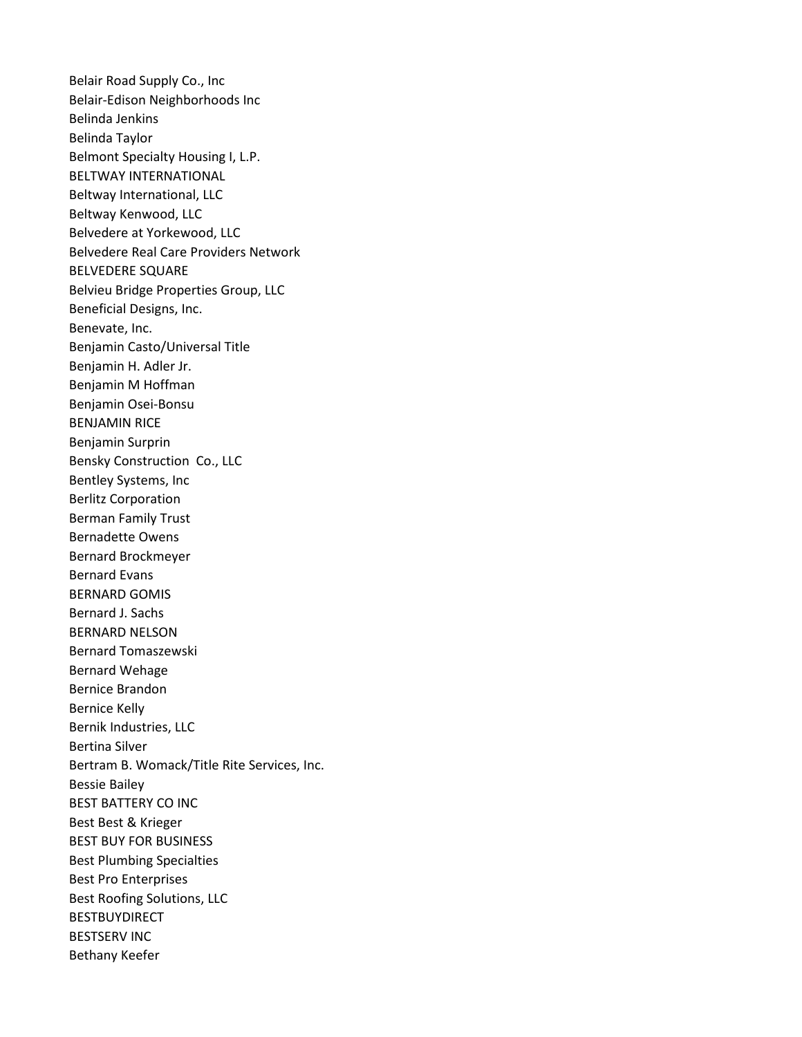Belair Road Supply Co., Inc Belair-Edison Neighborhoods Inc Belinda Jenkins Belinda Taylor Belmont Specialty Housing I, L.P. BELTWAY INTERNATIONAL Beltway International, LLC Beltway Kenwood, LLC Belvedere at Yorkewood, LLC Belvedere Real Care Providers Network BELVEDERE SQUARE Belvieu Bridge Properties Group, LLC Beneficial Designs, Inc. Benevate, Inc. Benjamin Casto/Universal Title Benjamin H. Adler Jr. Benjamin M Hoffman Benjamin Osei-Bonsu BENJAMIN RICE Benjamin Surprin Bensky Construction Co., LLC Bentley Systems, Inc Berlitz Corporation Berman Family Trust Bernadette Owens Bernard Brockmeyer Bernard Evans BERNARD GOMIS Bernard J. Sachs BERNARD NELSON Bernard Tomaszewski Bernard Wehage Bernice Brandon Bernice Kelly Bernik Industries, LLC Bertina Silver Bertram B. Womack/Title Rite Services, Inc. Bessie Bailey BEST BATTERY CO INC Best Best & Krieger BEST BUY FOR BUSINESS Best Plumbing Specialties Best Pro Enterprises Best Roofing Solutions, LLC BESTBUYDIRECT BESTSERV INC Bethany Keefer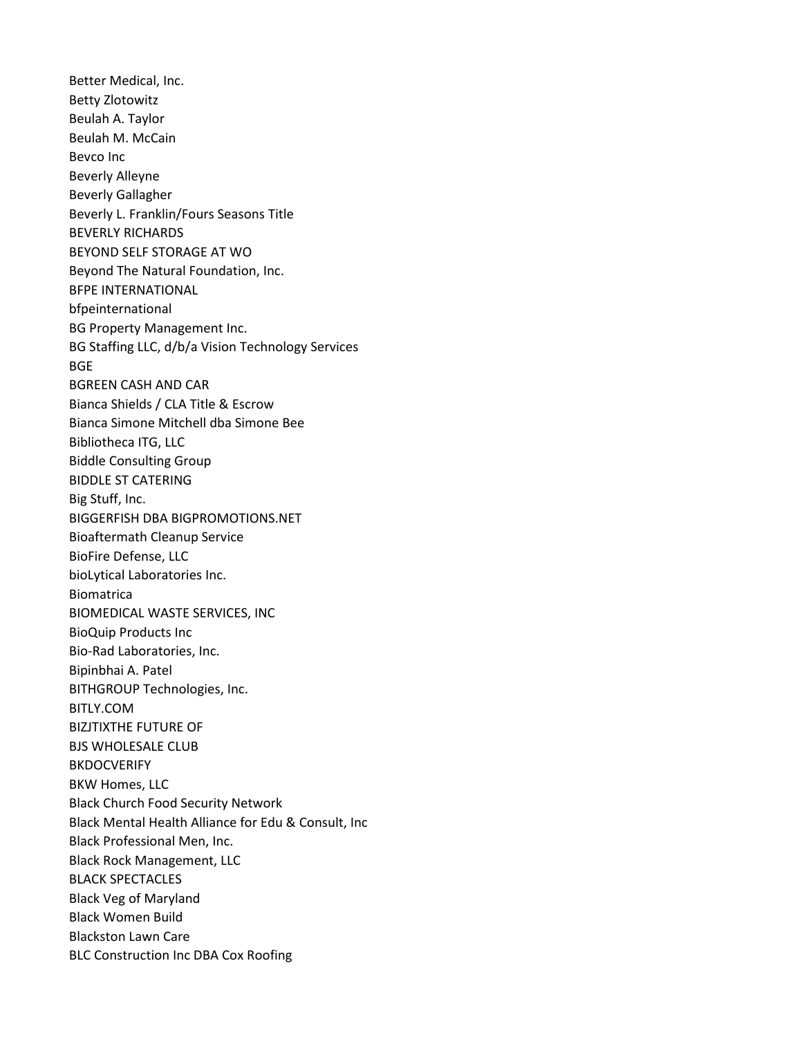Better Medical, Inc. Betty Zlotowitz Beulah A. Taylor Beulah M. McCain Bevco Inc Beverly Alleyne Beverly Gallagher Beverly L. Franklin/Fours Seasons Title BEVERLY RICHARDS BEYOND SELF STORAGE AT WO Beyond The Natural Foundation, Inc. BFPE INTERNATIONAL bfpeinternational BG Property Management Inc. BG Staffing LLC, d/b/a Vision Technology Services **BGE** BGREEN CASH AND CAR Bianca Shields / CLA Title & Escrow Bianca Simone Mitchell dba Simone Bee Bibliotheca ITG, LLC Biddle Consulting Group BIDDLE ST CATERING Big Stuff, Inc. BIGGERFISH DBA BIGPROMOTIONS.NET Bioaftermath Cleanup Service BioFire Defense, LLC bioLytical Laboratories Inc. Biomatrica BIOMEDICAL WASTE SERVICES, INC BioQuip Products Inc Bio-Rad Laboratories, Inc. Bipinbhai A. Patel BITHGROUP Technologies, Inc. BITLY.COM BIZJTIXTHE FUTURE OF BJS WHOLESALE CLUB BKDOCVERIFY BKW Homes, LLC Black Church Food Security Network Black Mental Health Alliance for Edu & Consult, Inc Black Professional Men, Inc. Black Rock Management, LLC BLACK SPECTACLES Black Veg of Maryland Black Women Build Blackston Lawn Care BLC Construction Inc DBA Cox Roofing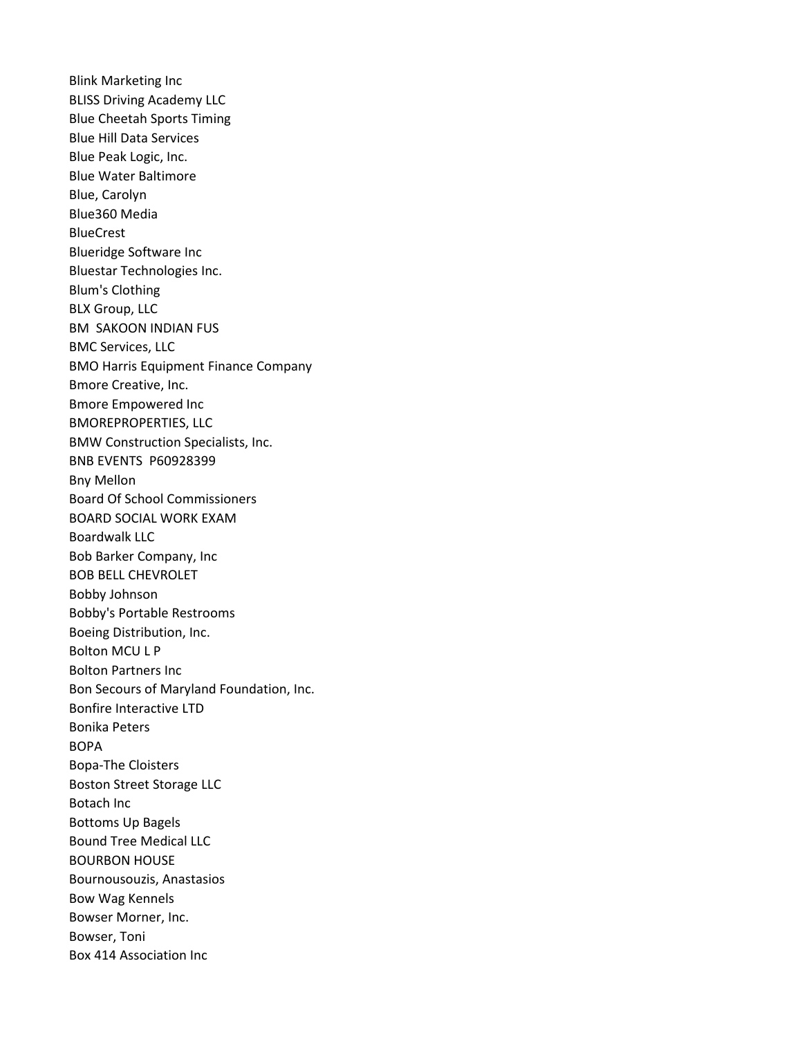Blink Marketing Inc BLISS Driving Academy LLC Blue Cheetah Sports Timing Blue Hill Data Services Blue Peak Logic, Inc. Blue Water Baltimore Blue, Carolyn Blue360 Media BlueCrest Blueridge Software Inc Bluestar Technologies Inc. Blum's Clothing BLX Group, LLC BM SAKOON INDIAN FUS BMC Services, LLC BMO Harris Equipment Finance Company Bmore Creative, Inc. Bmore Empowered Inc BMOREPROPERTIES, LLC BMW Construction Specialists, Inc. BNB EVENTS P60928399 Bny Mellon Board Of School Commissioners BOARD SOCIAL WORK EXAM Boardwalk LLC Bob Barker Company, Inc BOB BELL CHEVROLET Bobby Johnson Bobby's Portable Restrooms Boeing Distribution, Inc. Bolton MCU L P Bolton Partners Inc Bon Secours of Maryland Foundation, Inc. Bonfire Interactive LTD Bonika Peters BOPA Bopa-The Cloisters Boston Street Storage LLC Botach Inc Bottoms Up Bagels Bound Tree Medical LLC BOURBON HOUSE Bournousouzis, Anastasios Bow Wag Kennels Bowser Morner, Inc. Bowser, Toni Box 414 Association Inc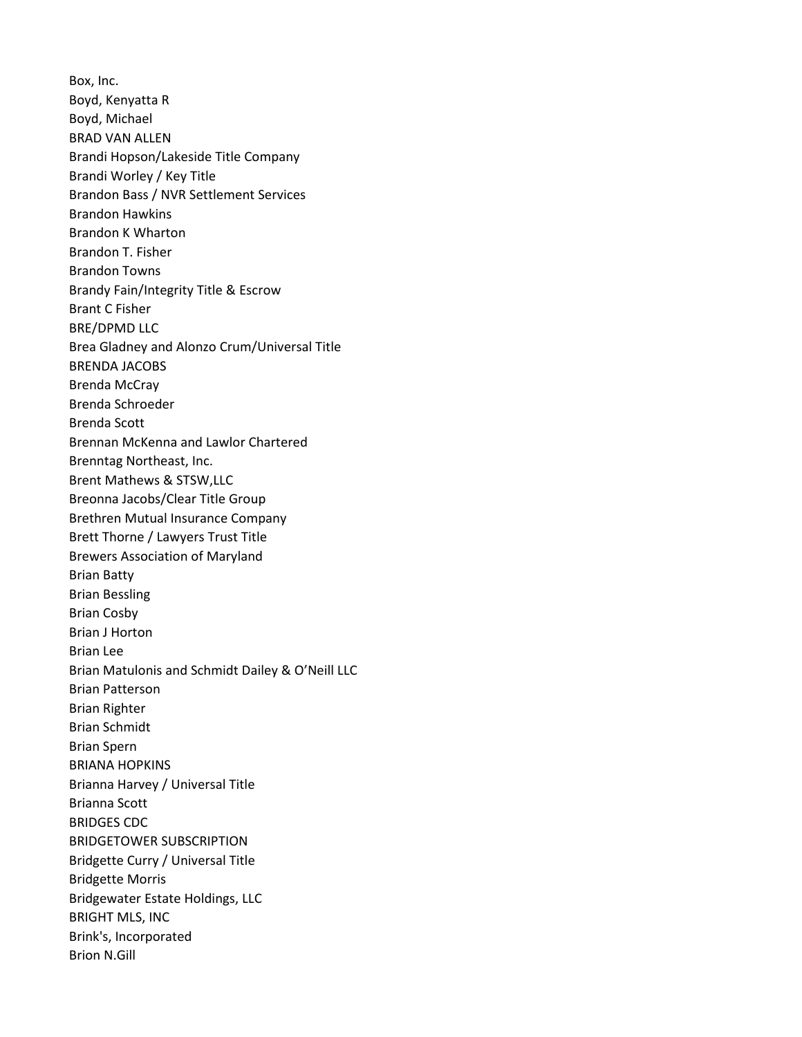Box, Inc. Boyd, Kenyatta R Boyd, Michael BRAD VAN ALLEN Brandi Hopson/Lakeside Title Company Brandi Worley / Key Title Brandon Bass / NVR Settlement Services Brandon Hawkins Brandon K Wharton Brandon T. Fisher Brandon Towns Brandy Fain/Integrity Title & Escrow Brant C Fisher BRE/DPMD LLC Brea Gladney and Alonzo Crum/Universal Title BRENDA JACOBS Brenda McCray Brenda Schroeder Brenda Scott Brennan McKenna and Lawlor Chartered Brenntag Northeast, Inc. Brent Mathews & STSW,LLC Breonna Jacobs/Clear Title Group Brethren Mutual Insurance Company Brett Thorne / Lawyers Trust Title Brewers Association of Maryland Brian Batty Brian Bessling Brian Cosby Brian J Horton Brian Lee Brian Matulonis and Schmidt Dailey & O'Neill LLC Brian Patterson Brian Righter Brian Schmidt Brian Spern BRIANA HOPKINS Brianna Harvey / Universal Title Brianna Scott BRIDGES CDC BRIDGETOWER SUBSCRIPTION Bridgette Curry / Universal Title Bridgette Morris Bridgewater Estate Holdings, LLC BRIGHT MLS, INC Brink's, Incorporated Brion N.Gill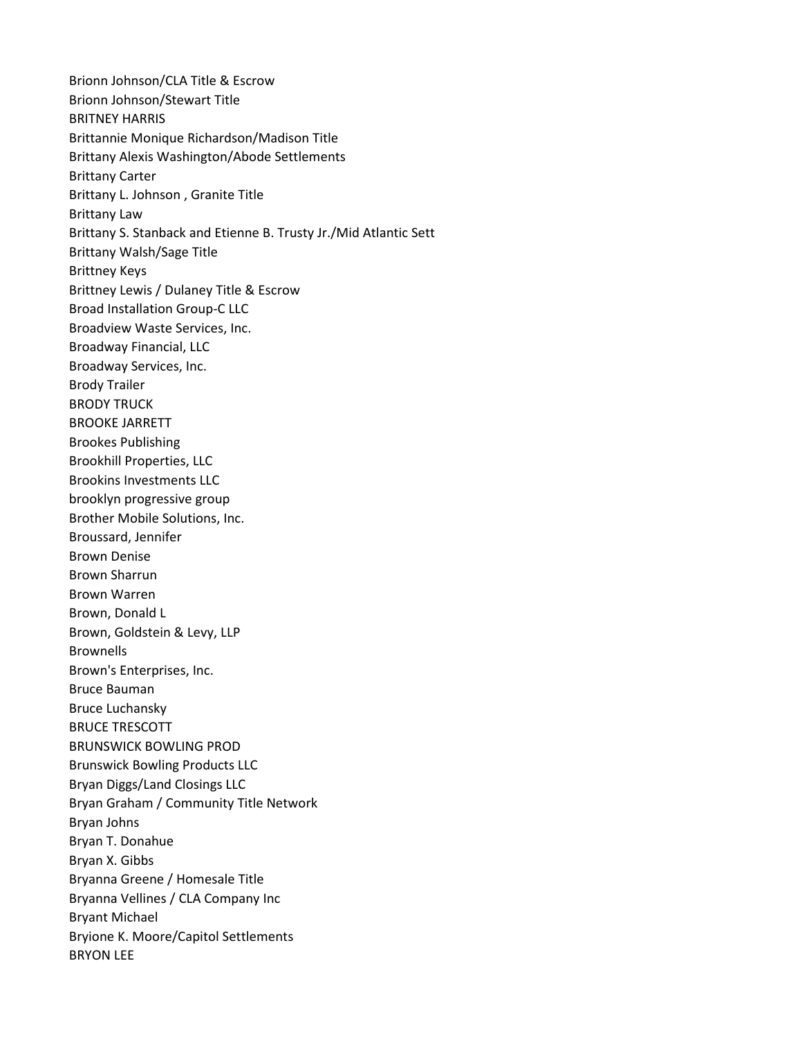Brionn Johnson/CLA Title & Escrow Brionn Johnson/Stewart Title BRITNEY HARRIS Brittannie Monique Richardson/Madison Title Brittany Alexis Washington/Abode Settlements Brittany Carter Brittany L. Johnson , Granite Title Brittany Law Brittany S. Stanback and Etienne B. Trusty Jr./Mid Atlantic Sett Brittany Walsh/Sage Title Brittney Keys Brittney Lewis / Dulaney Title & Escrow Broad Installation Group-C LLC Broadview Waste Services, Inc. Broadway Financial, LLC Broadway Services, Inc. Brody Trailer BRODY TRUCK BROOKE JARRETT Brookes Publishing Brookhill Properties, LLC Brookins Investments LLC brooklyn progressive group Brother Mobile Solutions, Inc. Broussard, Jennifer Brown Denise Brown Sharrun Brown Warren Brown, Donald L Brown, Goldstein & Levy, LLP Brownells Brown's Enterprises, Inc. Bruce Bauman Bruce Luchansky BRUCE TRESCOTT BRUNSWICK BOWLING PROD Brunswick Bowling Products LLC Bryan Diggs/Land Closings LLC Bryan Graham / Community Title Network Bryan Johns Bryan T. Donahue Bryan X. Gibbs Bryanna Greene / Homesale Title Bryanna Vellines / CLA Company Inc Bryant Michael Bryione K. Moore/Capitol Settlements BRYON LEE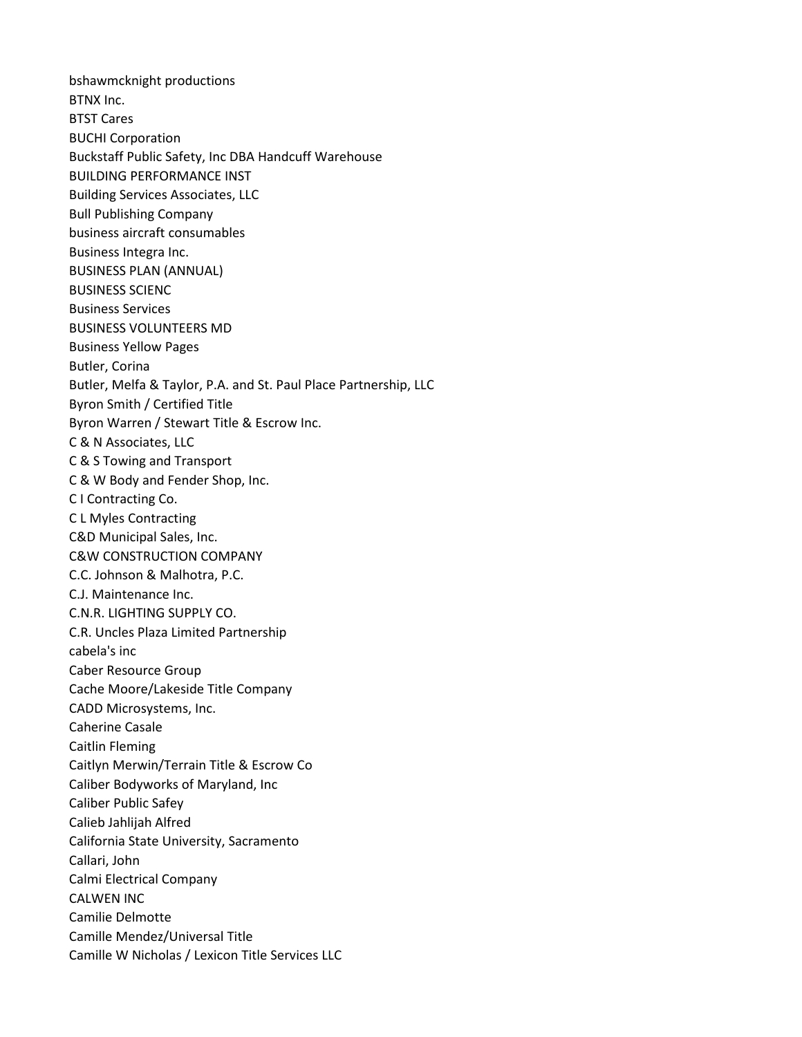bshawmcknight productions BTNX Inc. BTST Cares BUCHI Corporation Buckstaff Public Safety, Inc DBA Handcuff Warehouse BUILDING PERFORMANCE INST Building Services Associates, LLC Bull Publishing Company business aircraft consumables Business Integra Inc. BUSINESS PLAN (ANNUAL) BUSINESS SCIENC Business Services BUSINESS VOLUNTEERS MD Business Yellow Pages Butler, Corina Butler, Melfa & Taylor, P.A. and St. Paul Place Partnership, LLC Byron Smith / Certified Title Byron Warren / Stewart Title & Escrow Inc. C & N Associates, LLC C & S Towing and Transport C & W Body and Fender Shop, Inc. C I Contracting Co. C L Myles Contracting C&D Municipal Sales, Inc. C&W CONSTRUCTION COMPANY C.C. Johnson & Malhotra, P.C. C.J. Maintenance Inc. C.N.R. LIGHTING SUPPLY CO. C.R. Uncles Plaza Limited Partnership cabela's inc Caber Resource Group Cache Moore/Lakeside Title Company CADD Microsystems, Inc. Caherine Casale Caitlin Fleming Caitlyn Merwin/Terrain Title & Escrow Co Caliber Bodyworks of Maryland, Inc Caliber Public Safey Calieb Jahlijah Alfred California State University, Sacramento Callari, John Calmi Electrical Company CALWEN INC Camilie Delmotte Camille Mendez/Universal Title Camille W Nicholas / Lexicon Title Services LLC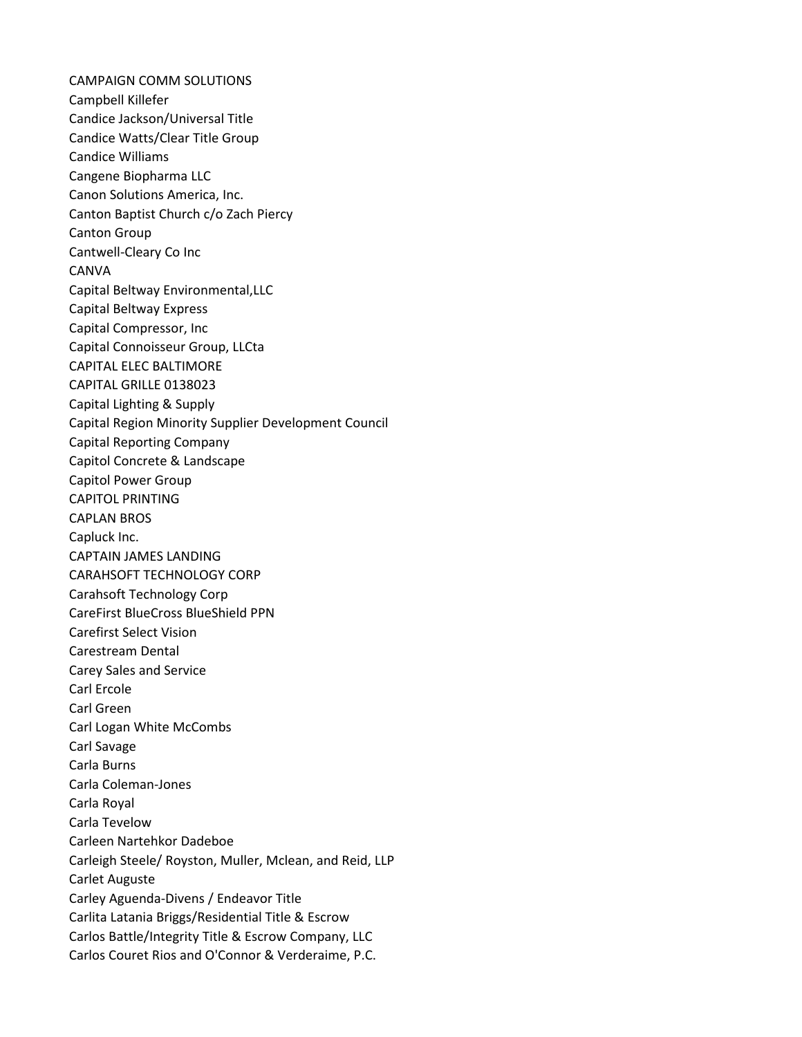CAMPAIGN COMM SOLUTIONS Campbell Killefer Candice Jackson/Universal Title Candice Watts/Clear Title Group Candice Williams Cangene Biopharma LLC Canon Solutions America, Inc. Canton Baptist Church c/o Zach Piercy Canton Group Cantwell-Cleary Co Inc CANVA Capital Beltway Environmental,LLC Capital Beltway Express Capital Compressor, Inc Capital Connoisseur Group, LLCta CAPITAL ELEC BALTIMORE CAPITAL GRILLE 0138023 Capital Lighting & Supply Capital Region Minority Supplier Development Council Capital Reporting Company Capitol Concrete & Landscape Capitol Power Group CAPITOL PRINTING CAPLAN BROS Capluck Inc. CAPTAIN JAMES LANDING CARAHSOFT TECHNOLOGY CORP Carahsoft Technology Corp CareFirst BlueCross BlueShield PPN Carefirst Select Vision Carestream Dental Carey Sales and Service Carl Ercole Carl Green Carl Logan White McCombs Carl Savage Carla Burns Carla Coleman-Jones Carla Royal Carla Tevelow Carleen Nartehkor Dadeboe Carleigh Steele/ Royston, Muller, Mclean, and Reid, LLP Carlet Auguste Carley Aguenda-Divens / Endeavor Title Carlita Latania Briggs/Residential Title & Escrow Carlos Battle/Integrity Title & Escrow Company, LLC Carlos Couret Rios and O'Connor & Verderaime, P.C.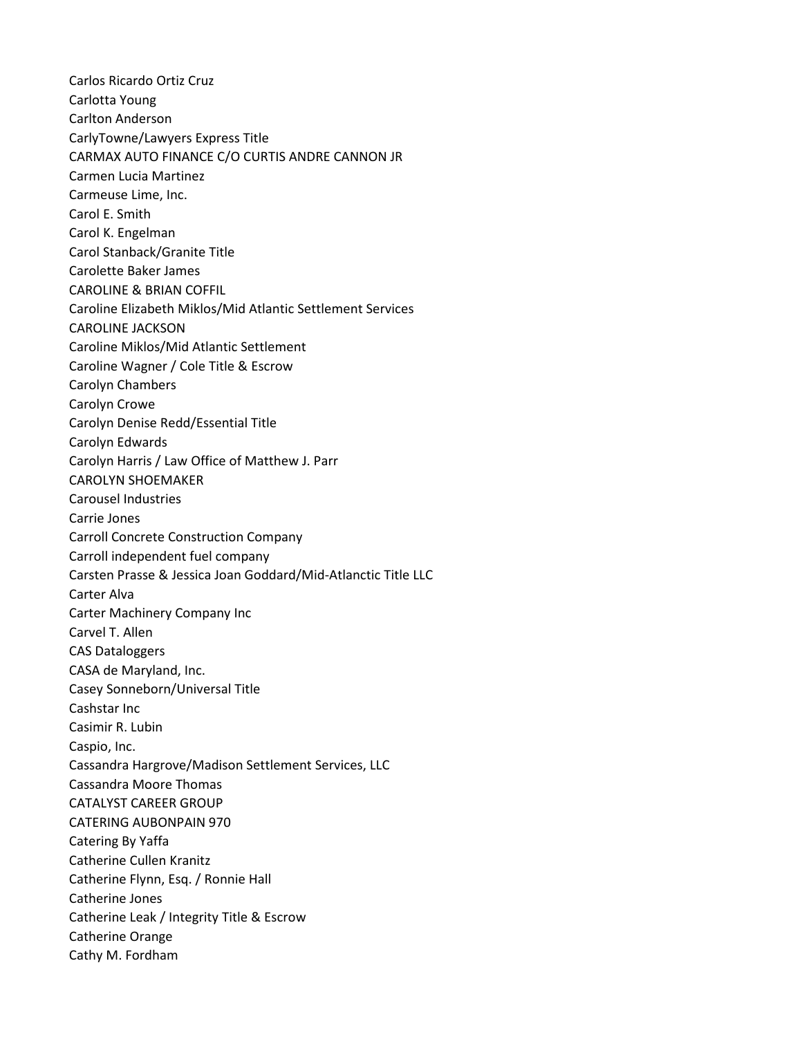Carlos Ricardo Ortiz Cruz Carlotta Young Carlton Anderson CarlyTowne/Lawyers Express Title CARMAX AUTO FINANCE C/O CURTIS ANDRE CANNON JR Carmen Lucia Martinez Carmeuse Lime, Inc. Carol E. Smith Carol K. Engelman Carol Stanback/Granite Title Carolette Baker James CAROLINE & BRIAN COFFIL Caroline Elizabeth Miklos/Mid Atlantic Settlement Services CAROLINE JACKSON Caroline Miklos/Mid Atlantic Settlement Caroline Wagner / Cole Title & Escrow Carolyn Chambers Carolyn Crowe Carolyn Denise Redd/Essential Title Carolyn Edwards Carolyn Harris / Law Office of Matthew J. Parr CAROLYN SHOEMAKER Carousel Industries Carrie Jones Carroll Concrete Construction Company Carroll independent fuel company Carsten Prasse & Jessica Joan Goddard/Mid-Atlanctic Title LLC Carter Alva Carter Machinery Company Inc Carvel T. Allen CAS Dataloggers CASA de Maryland, Inc. Casey Sonneborn/Universal Title Cashstar Inc Casimir R. Lubin Caspio, Inc. Cassandra Hargrove/Madison Settlement Services, LLC Cassandra Moore Thomas CATALYST CAREER GROUP CATERING AUBONPAIN 970 Catering By Yaffa Catherine Cullen Kranitz Catherine Flynn, Esq. / Ronnie Hall Catherine Jones Catherine Leak / Integrity Title & Escrow Catherine Orange Cathy M. Fordham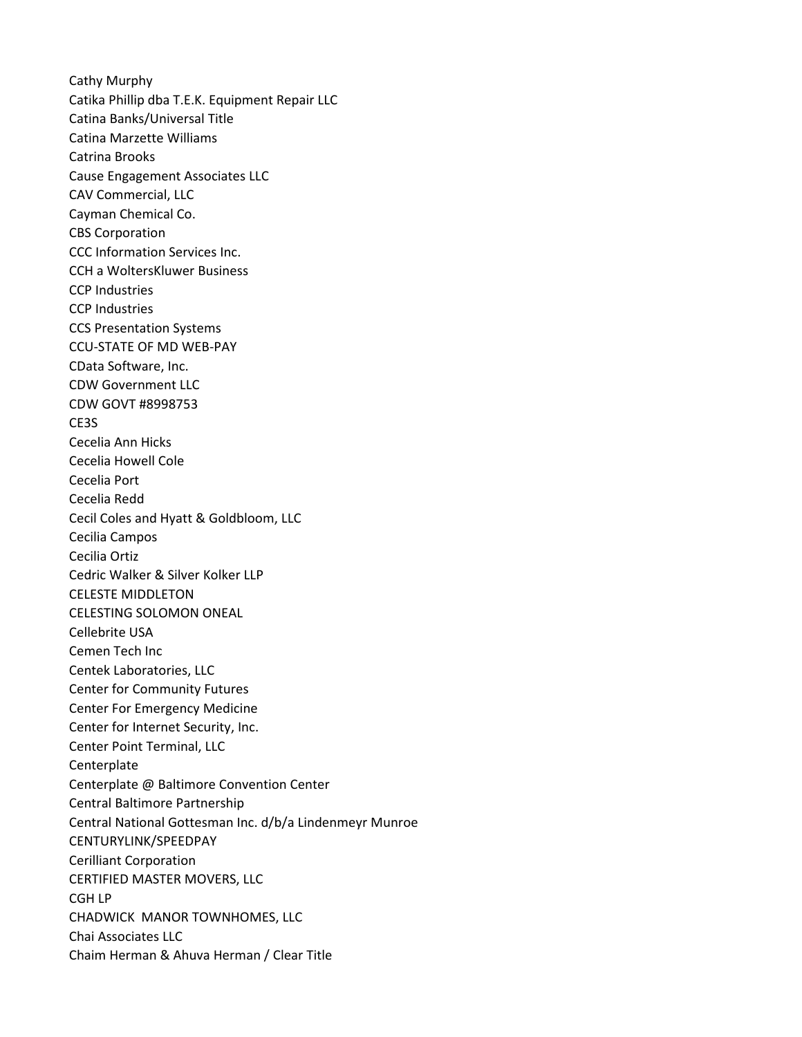Cathy Murphy Catika Phillip dba T.E.K. Equipment Repair LLC Catina Banks/Universal Title Catina Marzette Williams Catrina Brooks Cause Engagement Associates LLC CAV Commercial, LLC Cayman Chemical Co. CBS Corporation CCC Information Services Inc. CCH a WoltersKluwer Business CCP Industries CCP Industries CCS Presentation Systems CCU-STATE OF MD WEB-PAY CData Software, Inc. CDW Government LLC CDW GOVT #8998753 CE3S Cecelia Ann Hicks Cecelia Howell Cole Cecelia Port Cecelia Redd Cecil Coles and Hyatt & Goldbloom, LLC Cecilia Campos Cecilia Ortiz Cedric Walker & Silver Kolker LLP CELESTE MIDDLETON CELESTING SOLOMON ONEAL Cellebrite USA Cemen Tech Inc Centek Laboratories, LLC Center for Community Futures Center For Emergency Medicine Center for Internet Security, Inc. Center Point Terminal, LLC **Centerplate** Centerplate @ Baltimore Convention Center Central Baltimore Partnership Central National Gottesman Inc. d/b/a Lindenmeyr Munroe CENTURYLINK/SPEEDPAY Cerilliant Corporation CERTIFIED MASTER MOVERS, LLC CGH LP CHADWICK MANOR TOWNHOMES, LLC Chai Associates LLC Chaim Herman & Ahuva Herman / Clear Title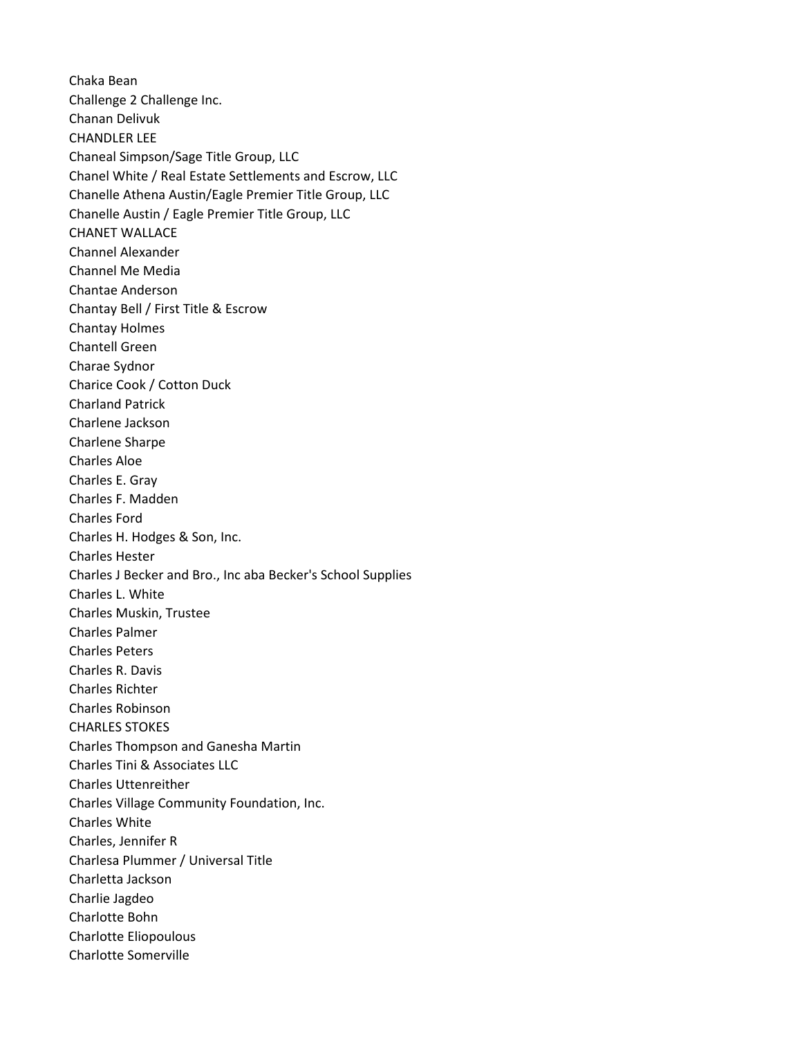Chaka Bean Challenge 2 Challenge Inc. Chanan Delivuk CHANDLER LEE Chaneal Simpson/Sage Title Group, LLC Chanel White / Real Estate Settlements and Escrow, LLC Chanelle Athena Austin/Eagle Premier Title Group, LLC Chanelle Austin / Eagle Premier Title Group, LLC CHANET WALLACE Channel Alexander Channel Me Media Chantae Anderson Chantay Bell / First Title & Escrow Chantay Holmes Chantell Green Charae Sydnor Charice Cook / Cotton Duck Charland Patrick Charlene Jackson Charlene Sharpe Charles Aloe Charles E. Gray Charles F. Madden Charles Ford Charles H. Hodges & Son, Inc. Charles Hester Charles J Becker and Bro., Inc aba Becker's School Supplies Charles L. White Charles Muskin, Trustee Charles Palmer Charles Peters Charles R. Davis Charles Richter Charles Robinson CHARLES STOKES Charles Thompson and Ganesha Martin Charles Tini & Associates LLC Charles Uttenreither Charles Village Community Foundation, Inc. Charles White Charles, Jennifer R Charlesa Plummer / Universal Title Charletta Jackson Charlie Jagdeo Charlotte Bohn Charlotte Eliopoulous Charlotte Somerville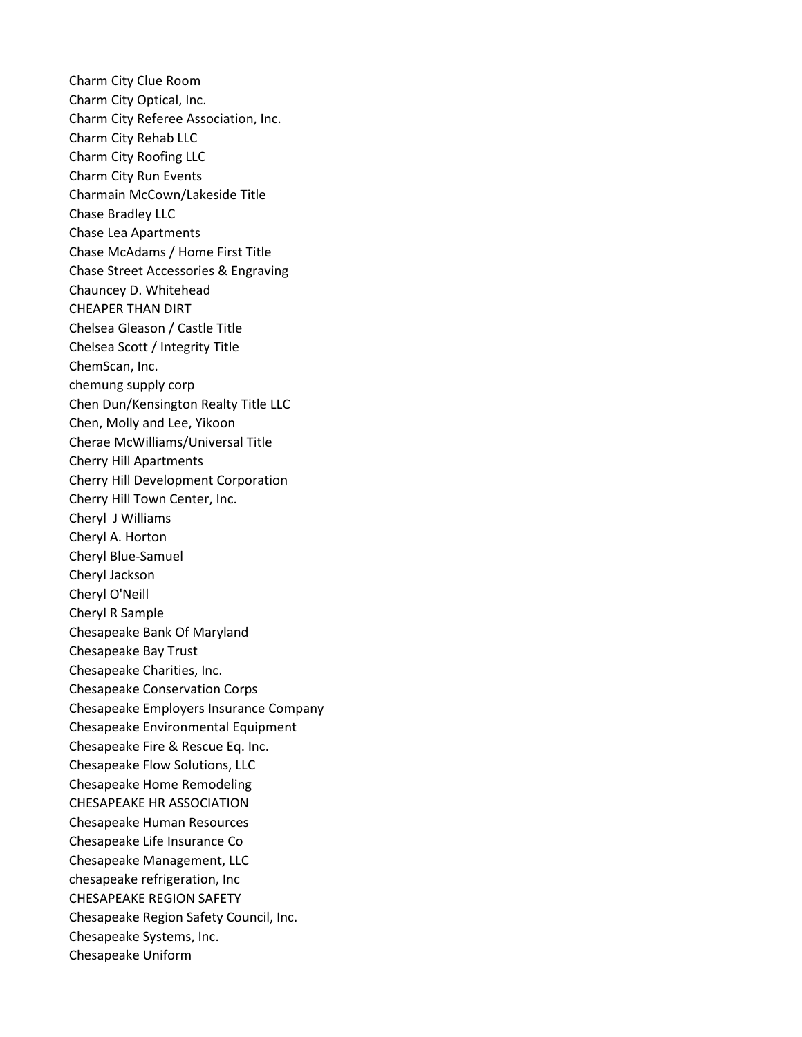Charm City Clue Room Charm City Optical, Inc. Charm City Referee Association, Inc. Charm City Rehab LLC Charm City Roofing LLC Charm City Run Events Charmain McCown/Lakeside Title Chase Bradley LLC Chase Lea Apartments Chase McAdams / Home First Title Chase Street Accessories & Engraving Chauncey D. Whitehead CHEAPER THAN DIRT Chelsea Gleason / Castle Title Chelsea Scott / Integrity Title ChemScan, Inc. chemung supply corp Chen Dun/Kensington Realty Title LLC Chen, Molly and Lee, Yikoon Cherae McWilliams/Universal Title Cherry Hill Apartments Cherry Hill Development Corporation Cherry Hill Town Center, Inc. Cheryl J Williams Cheryl A. Horton Cheryl Blue-Samuel Cheryl Jackson Cheryl O'Neill Cheryl R Sample Chesapeake Bank Of Maryland Chesapeake Bay Trust Chesapeake Charities, Inc. Chesapeake Conservation Corps Chesapeake Employers Insurance Company Chesapeake Environmental Equipment Chesapeake Fire & Rescue Eq. Inc. Chesapeake Flow Solutions, LLC Chesapeake Home Remodeling CHESAPEAKE HR ASSOCIATION Chesapeake Human Resources Chesapeake Life Insurance Co Chesapeake Management, LLC chesapeake refrigeration, Inc CHESAPEAKE REGION SAFETY Chesapeake Region Safety Council, Inc. Chesapeake Systems, Inc. Chesapeake Uniform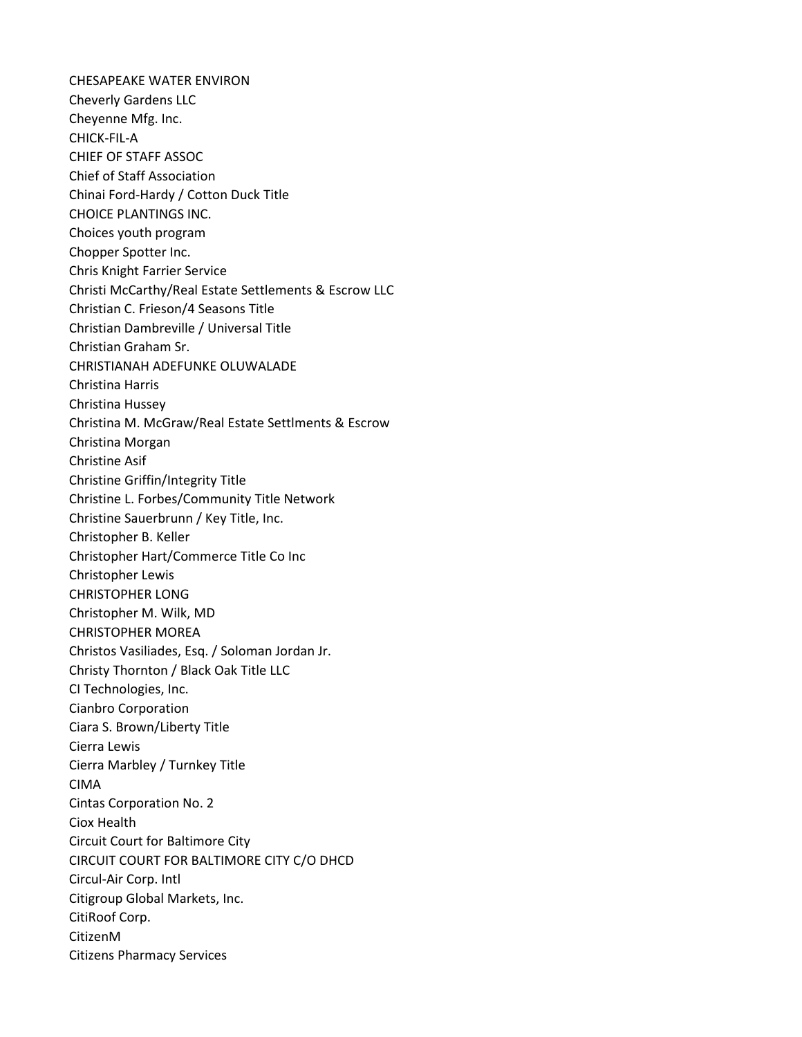CHESAPEAKE WATER ENVIRON Cheverly Gardens LLC Cheyenne Mfg. Inc. CHICK-FIL-A CHIEF OF STAFF ASSOC Chief of Staff Association Chinai Ford-Hardy / Cotton Duck Title CHOICE PLANTINGS INC. Choices youth program Chopper Spotter Inc. Chris Knight Farrier Service Christi McCarthy/Real Estate Settlements & Escrow LLC Christian C. Frieson/4 Seasons Title Christian Dambreville / Universal Title Christian Graham Sr. CHRISTIANAH ADEFUNKE OLUWALADE Christina Harris Christina Hussey Christina M. McGraw/Real Estate Settlments & Escrow Christina Morgan Christine Asif Christine Griffin/Integrity Title Christine L. Forbes/Community Title Network Christine Sauerbrunn / Key Title, Inc. Christopher B. Keller Christopher Hart/Commerce Title Co Inc Christopher Lewis CHRISTOPHER LONG Christopher M. Wilk, MD CHRISTOPHER MOREA Christos Vasiliades, Esq. / Soloman Jordan Jr. Christy Thornton / Black Oak Title LLC CI Technologies, Inc. Cianbro Corporation Ciara S. Brown/Liberty Title Cierra Lewis Cierra Marbley / Turnkey Title CIMA Cintas Corporation No. 2 Ciox Health Circuit Court for Baltimore City CIRCUIT COURT FOR BALTIMORE CITY C/O DHCD Circul-Air Corp. Intl Citigroup Global Markets, Inc. CitiRoof Corp. CitizenM Citizens Pharmacy Services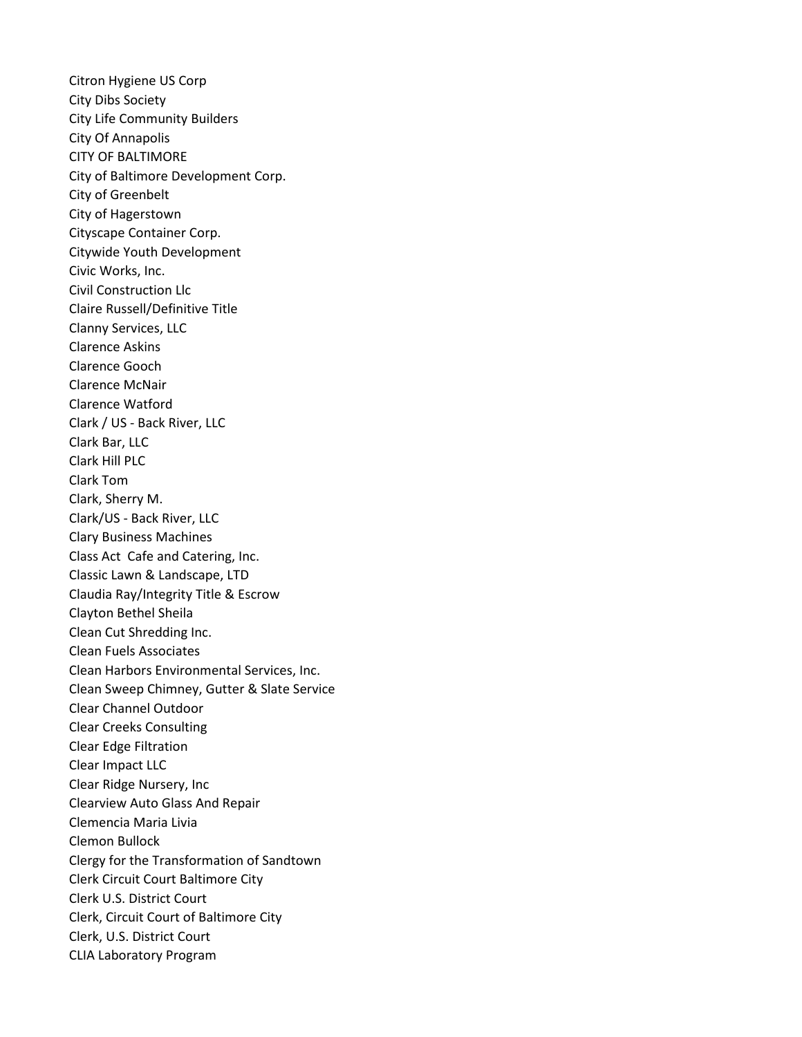Citron Hygiene US Corp City Dibs Society City Life Community Builders City Of Annapolis CITY OF BALTIMORE City of Baltimore Development Corp. City of Greenbelt City of Hagerstown Cityscape Container Corp. Citywide Youth Development Civic Works, Inc. Civil Construction Llc Claire Russell/Definitive Title Clanny Services, LLC Clarence Askins Clarence Gooch Clarence McNair Clarence Watford Clark / US - Back River, LLC Clark Bar, LLC Clark Hill PLC Clark Tom Clark, Sherry M. Clark/US - Back River, LLC Clary Business Machines Class Act Cafe and Catering, Inc. Classic Lawn & Landscape, LTD Claudia Ray/Integrity Title & Escrow Clayton Bethel Sheila Clean Cut Shredding Inc. Clean Fuels Associates Clean Harbors Environmental Services, Inc. Clean Sweep Chimney, Gutter & Slate Service Clear Channel Outdoor Clear Creeks Consulting Clear Edge Filtration Clear Impact LLC Clear Ridge Nursery, Inc Clearview Auto Glass And Repair Clemencia Maria Livia Clemon Bullock Clergy for the Transformation of Sandtown Clerk Circuit Court Baltimore City Clerk U.S. District Court Clerk, Circuit Court of Baltimore City Clerk, U.S. District Court CLIA Laboratory Program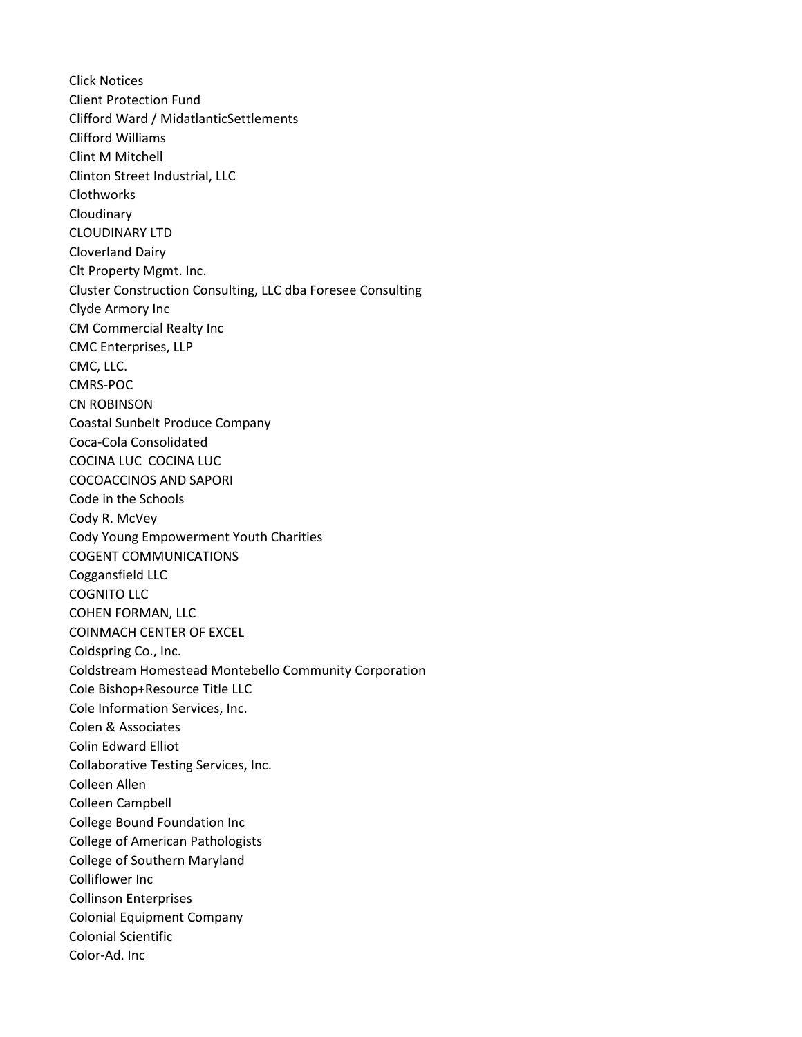Click Notices Client Protection Fund Clifford Ward / MidatlanticSettlements Clifford Williams Clint M Mitchell Clinton Street Industrial, LLC Clothworks Cloudinary CLOUDINARY LTD Cloverland Dairy Clt Property Mgmt. Inc. Cluster Construction Consulting, LLC dba Foresee Consulting Clyde Armory Inc CM Commercial Realty Inc CMC Enterprises, LLP CMC, LLC. CMRS-POC CN ROBINSON Coastal Sunbelt Produce Company Coca-Cola Consolidated COCINA LUC COCINA LUC COCOACCINOS AND SAPORI Code in the Schools Cody R. McVey Cody Young Empowerment Youth Charities COGENT COMMUNICATIONS Coggansfield LLC COGNITO LLC COHEN FORMAN, LLC COINMACH CENTER OF EXCEL Coldspring Co., Inc. Coldstream Homestead Montebello Community Corporation Cole Bishop+Resource Title LLC Cole Information Services, Inc. Colen & Associates Colin Edward Elliot Collaborative Testing Services, Inc. Colleen Allen Colleen Campbell College Bound Foundation Inc College of American Pathologists College of Southern Maryland Colliflower Inc Collinson Enterprises Colonial Equipment Company Colonial Scientific Color-Ad. Inc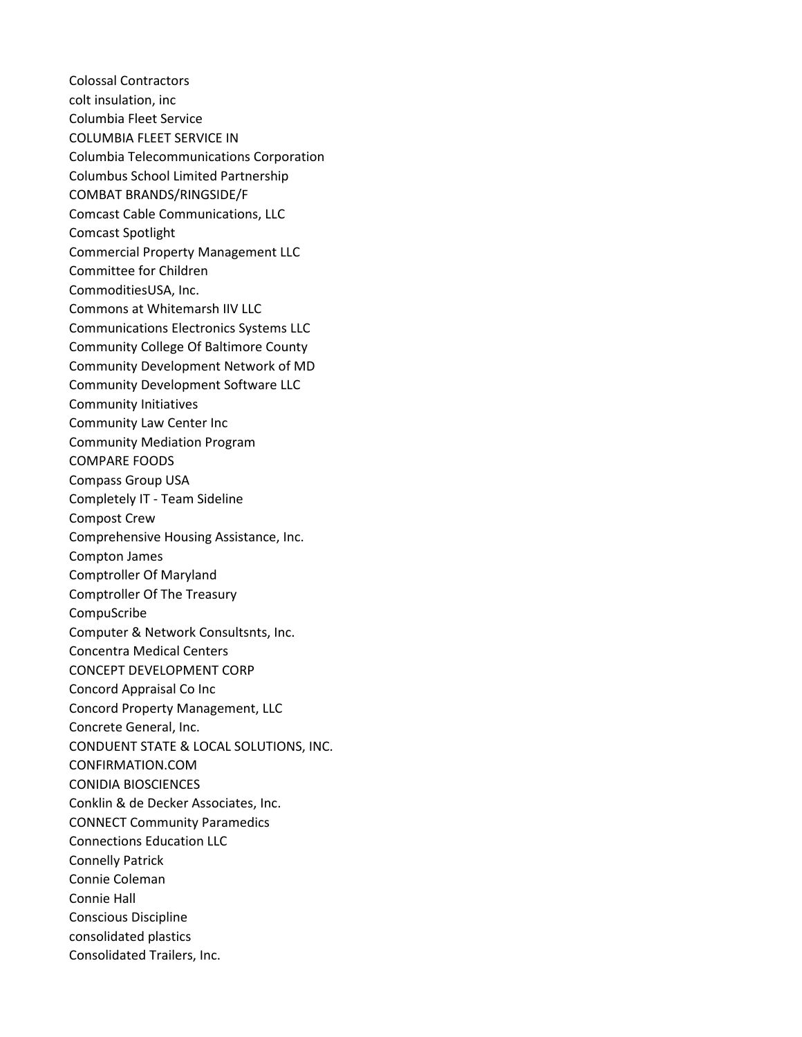Colossal Contractors colt insulation, inc Columbia Fleet Service COLUMBIA FLEET SERVICE IN Columbia Telecommunications Corporation Columbus School Limited Partnership COMBAT BRANDS/RINGSIDE/F Comcast Cable Communications, LLC Comcast Spotlight Commercial Property Management LLC Committee for Children CommoditiesUSA, Inc. Commons at Whitemarsh IIV LLC Communications Electronics Systems LLC Community College Of Baltimore County Community Development Network of MD Community Development Software LLC Community Initiatives Community Law Center Inc Community Mediation Program COMPARE FOODS Compass Group USA Completely IT - Team Sideline Compost Crew Comprehensive Housing Assistance, Inc. Compton James Comptroller Of Maryland Comptroller Of The Treasury CompuScribe Computer & Network Consultsnts, Inc. Concentra Medical Centers CONCEPT DEVELOPMENT CORP Concord Appraisal Co Inc Concord Property Management, LLC Concrete General, Inc. CONDUENT STATE & LOCAL SOLUTIONS, INC. CONFIRMATION.COM CONIDIA BIOSCIENCES Conklin & de Decker Associates, Inc. CONNECT Community Paramedics Connections Education LLC Connelly Patrick Connie Coleman Connie Hall Conscious Discipline consolidated plastics Consolidated Trailers, Inc.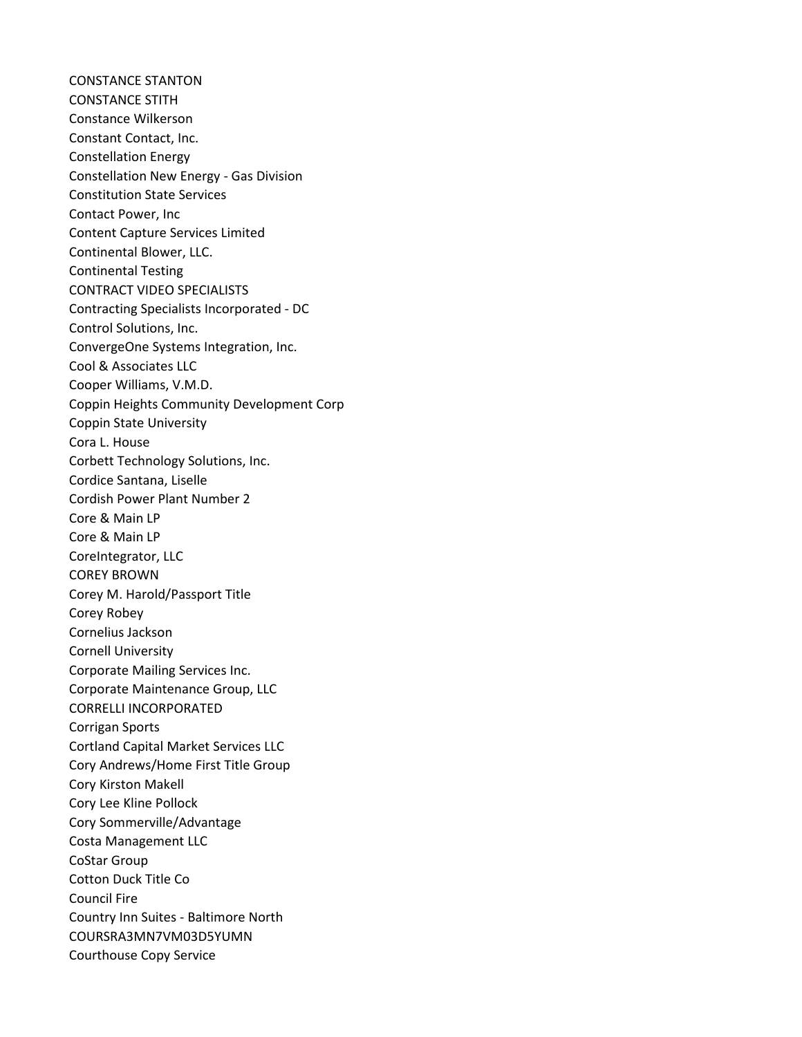CONSTANCE STANTON CONSTANCE STITH Constance Wilkerson Constant Contact, Inc. Constellation Energy Constellation New Energy - Gas Division Constitution State Services Contact Power, Inc Content Capture Services Limited Continental Blower, LLC. Continental Testing CONTRACT VIDEO SPECIALISTS Contracting Specialists Incorporated - DC Control Solutions, Inc. ConvergeOne Systems Integration, Inc. Cool & Associates LLC Cooper Williams, V.M.D. Coppin Heights Community Development Corp Coppin State University Cora L. House Corbett Technology Solutions, Inc. Cordice Santana, Liselle Cordish Power Plant Number 2 Core & Main LP Core & Main LP CoreIntegrator, LLC COREY BROWN Corey M. Harold/Passport Title Corey Robey Cornelius Jackson Cornell University Corporate Mailing Services Inc. Corporate Maintenance Group, LLC CORRELLI INCORPORATED Corrigan Sports Cortland Capital Market Services LLC Cory Andrews/Home First Title Group Cory Kirston Makell Cory Lee Kline Pollock Cory Sommerville/Advantage Costa Management LLC CoStar Group Cotton Duck Title Co Council Fire Country Inn Suites - Baltimore North COURSRA3MN7VM03D5YUMN Courthouse Copy Service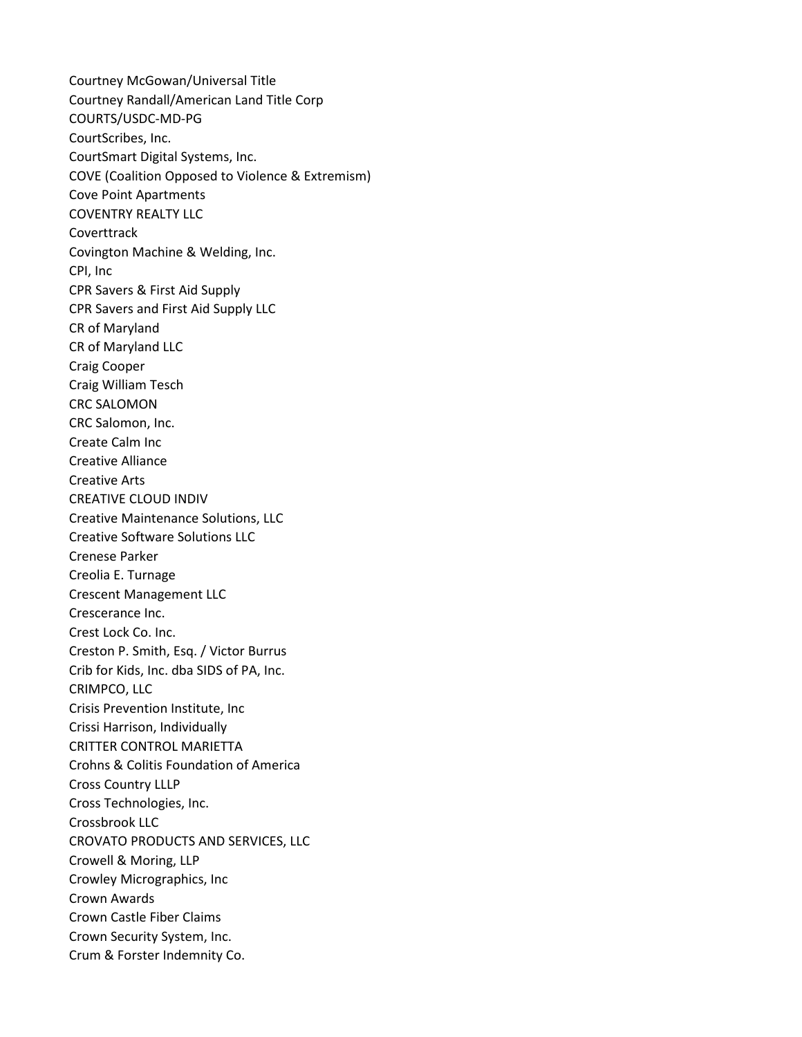Courtney McGowan/Universal Title Courtney Randall/American Land Title Corp COURTS/USDC-MD-PG CourtScribes, Inc. CourtSmart Digital Systems, Inc. COVE (Coalition Opposed to Violence & Extremism) Cove Point Apartments COVENTRY REALTY LLC Coverttrack Covington Machine & Welding, Inc. CPI, Inc CPR Savers & First Aid Supply CPR Savers and First Aid Supply LLC CR of Maryland CR of Maryland LLC Craig Cooper Craig William Tesch CRC SALOMON CRC Salomon, Inc. Create Calm Inc Creative Alliance Creative Arts CREATIVE CLOUD INDIV Creative Maintenance Solutions, LLC Creative Software Solutions LLC Crenese Parker Creolia E. Turnage Crescent Management LLC Crescerance Inc. Crest Lock Co. Inc. Creston P. Smith, Esq. / Victor Burrus Crib for Kids, Inc. dba SIDS of PA, Inc. CRIMPCO, LLC Crisis Prevention Institute, Inc Crissi Harrison, Individually CRITTER CONTROL MARIETTA Crohns & Colitis Foundation of America Cross Country LLLP Cross Technologies, Inc. Crossbrook LLC CROVATO PRODUCTS AND SERVICES, LLC Crowell & Moring, LLP Crowley Micrographics, Inc Crown Awards Crown Castle Fiber Claims Crown Security System, Inc. Crum & Forster Indemnity Co.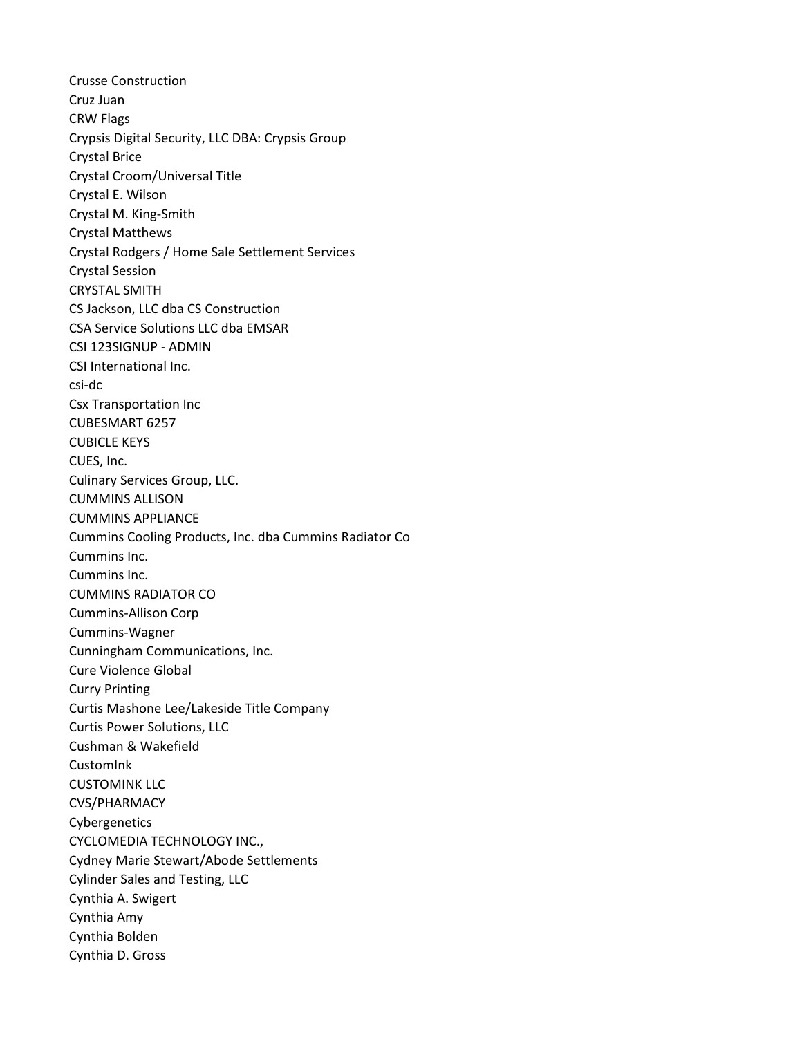Crusse Construction Cruz Juan CRW Flags Crypsis Digital Security, LLC DBA: Crypsis Group Crystal Brice Crystal Croom/Universal Title Crystal E. Wilson Crystal M. King-Smith Crystal Matthews Crystal Rodgers / Home Sale Settlement Services Crystal Session CRYSTAL SMITH CS Jackson, LLC dba CS Construction CSA Service Solutions LLC dba EMSAR CSI 123SIGNUP - ADMIN CSI International Inc. csi-dc Csx Transportation Inc CUBESMART 6257 CUBICLE KEYS CUES, Inc. Culinary Services Group, LLC. CUMMINS ALLISON CUMMINS APPLIANCE Cummins Cooling Products, Inc. dba Cummins Radiator Co Cummins Inc. Cummins Inc. CUMMINS RADIATOR CO Cummins-Allison Corp Cummins-Wagner Cunningham Communications, Inc. Cure Violence Global Curry Printing Curtis Mashone Lee/Lakeside Title Company Curtis Power Solutions, LLC Cushman & Wakefield CustomInk CUSTOMINK LLC CVS/PHARMACY Cybergenetics CYCLOMEDIA TECHNOLOGY INC., Cydney Marie Stewart/Abode Settlements Cylinder Sales and Testing, LLC Cynthia A. Swigert Cynthia Amy Cynthia Bolden Cynthia D. Gross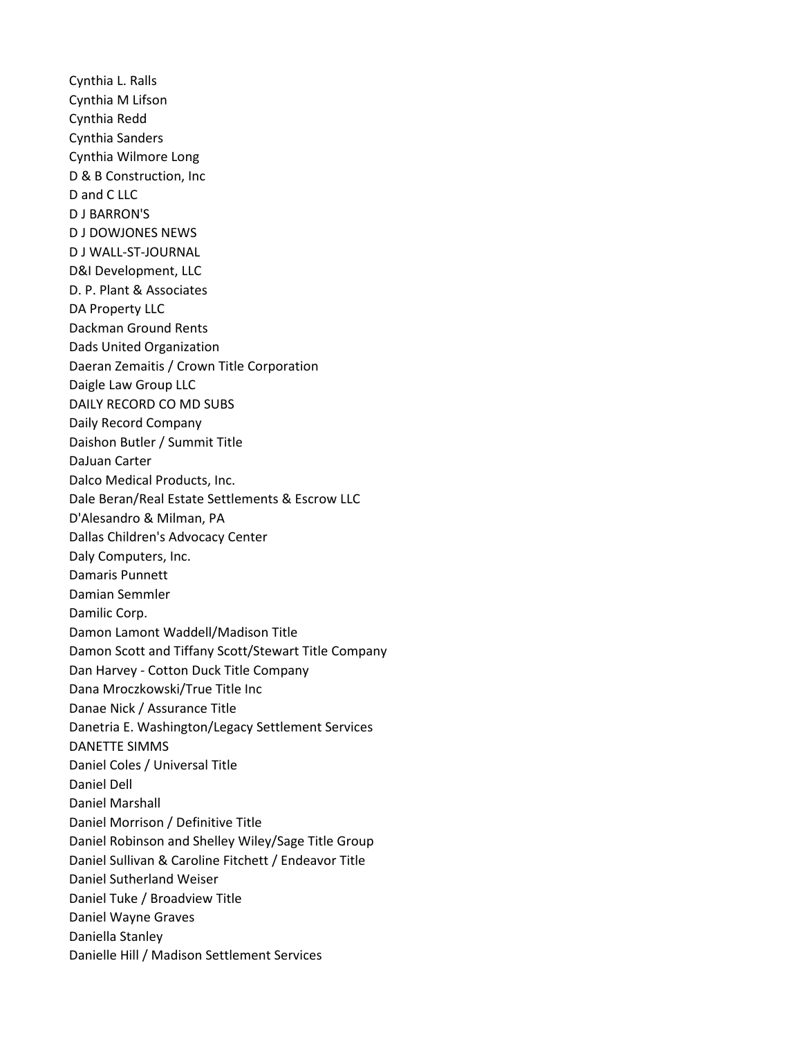Cynthia L. Ralls Cynthia M Lifson Cynthia Redd Cynthia Sanders Cynthia Wilmore Long D & B Construction, Inc D and C LLC D J BARRON'S D J DOWJONES NEWS D J WALL-ST-JOURNAL D&I Development, LLC D. P. Plant & Associates DA Property LLC Dackman Ground Rents Dads United Organization Daeran Zemaitis / Crown Title Corporation Daigle Law Group LLC DAILY RECORD CO MD SUBS Daily Record Company Daishon Butler / Summit Title DaJuan Carter Dalco Medical Products, Inc. Dale Beran/Real Estate Settlements & Escrow LLC D'Alesandro & Milman, PA Dallas Children's Advocacy Center Daly Computers, Inc. Damaris Punnett Damian Semmler Damilic Corp. Damon Lamont Waddell/Madison Title Damon Scott and Tiffany Scott/Stewart Title Company Dan Harvey - Cotton Duck Title Company Dana Mroczkowski/True Title Inc Danae Nick / Assurance Title Danetria E. Washington/Legacy Settlement Services DANETTE SIMMS Daniel Coles / Universal Title Daniel Dell Daniel Marshall Daniel Morrison / Definitive Title Daniel Robinson and Shelley Wiley/Sage Title Group Daniel Sullivan & Caroline Fitchett / Endeavor Title Daniel Sutherland Weiser Daniel Tuke / Broadview Title Daniel Wayne Graves Daniella Stanley Danielle Hill / Madison Settlement Services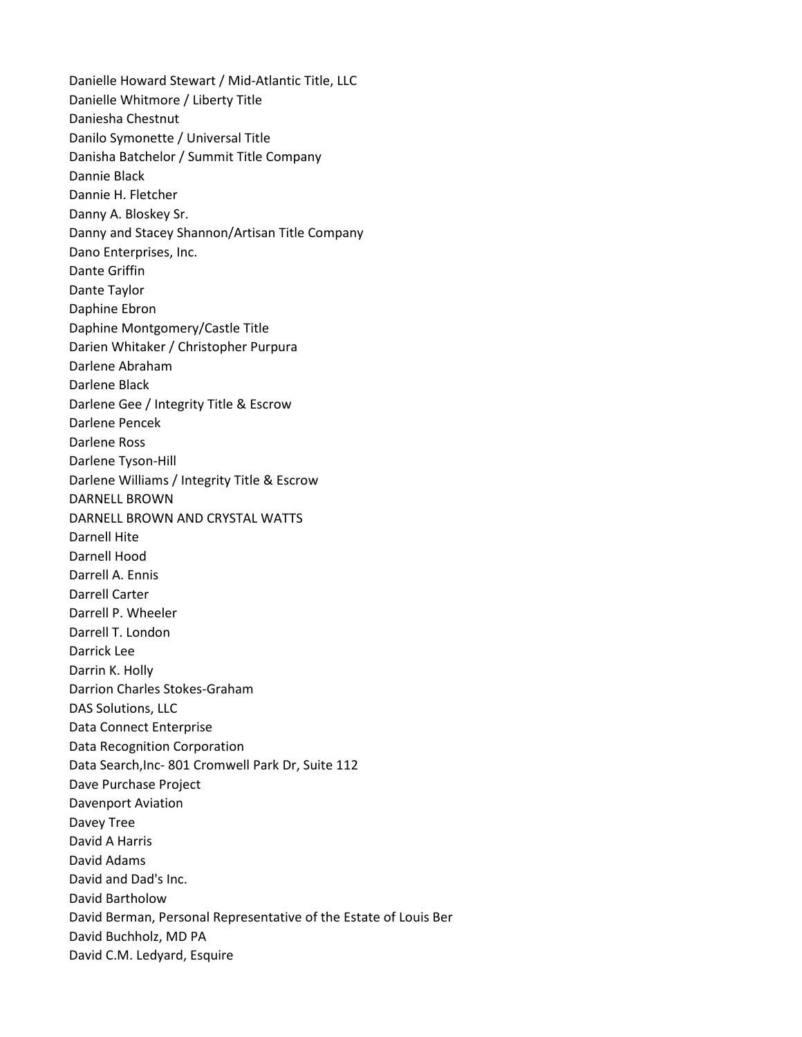Danielle Howard Stewart / Mid-Atlantic Title, LLC Danielle Whitmore / Liberty Title Daniesha Chestnut Danilo Symonette / Universal Title Danisha Batchelor / Summit Title Company Dannie Black Dannie H. Fletcher Danny A. Bloskey Sr. Danny and Stacey Shannon/Artisan Title Company Dano Enterprises, Inc. Dante Griffin Dante Taylor Daphine Ebron Daphine Montgomery/Castle Title Darien Whitaker / Christopher Purpura Darlene Abraham Darlene Black Darlene Gee / Integrity Title & Escrow Darlene Pencek Darlene Ross Darlene Tyson-Hill Darlene Williams / Integrity Title & Escrow DARNELL BROWN DARNELL BROWN AND CRYSTAL WATTS Darnell Hite Darnell Hood Darrell A. Ennis Darrell Carter Darrell P. Wheeler Darrell T. London Darrick Lee Darrin K. Holly Darrion Charles Stokes-Graham DAS Solutions, LLC Data Connect Enterprise Data Recognition Corporation Data Search,Inc- 801 Cromwell Park Dr, Suite 112 Dave Purchase Project Davenport Aviation Davey Tree David A Harris David Adams David and Dad's Inc. David Bartholow David Berman, Personal Representative of the Estate of Louis Ber David Buchholz, MD PA David C.M. Ledyard, Esquire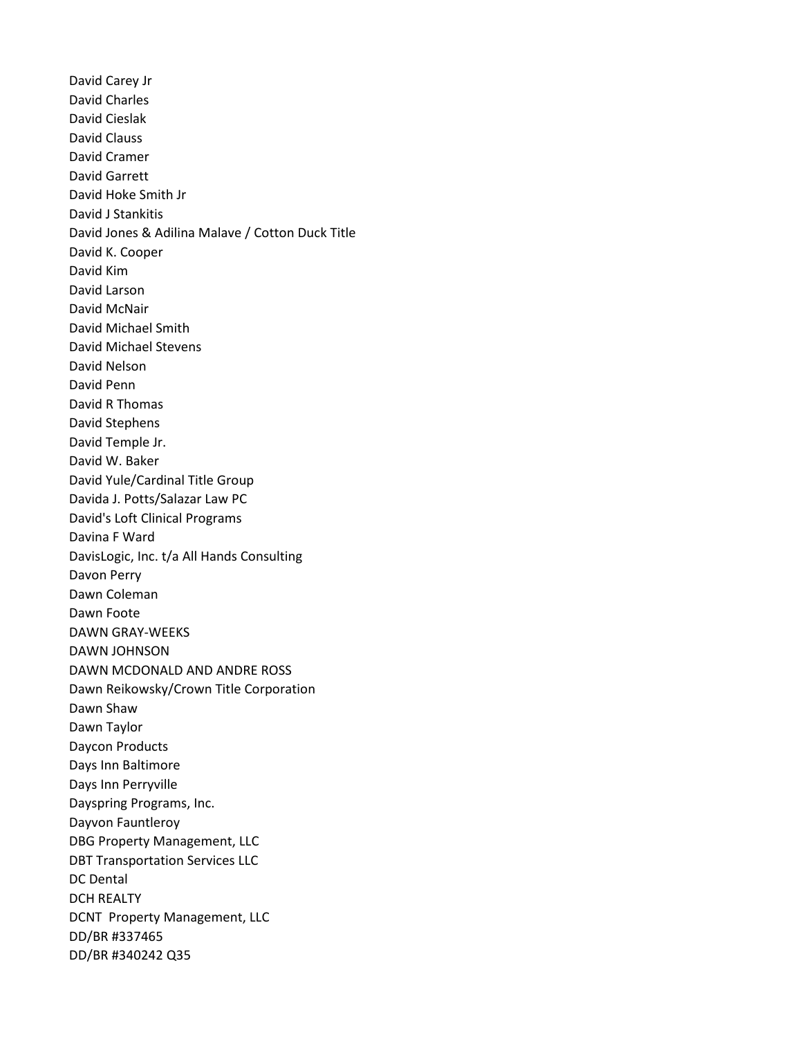David Carey Jr David Charles David Cieslak David Clauss David Cramer David Garrett David Hoke Smith Jr David J Stankitis David Jones & Adilina Malave / Cotton Duck Title David K. Cooper David Kim David Larson David McNair David Michael Smith David Michael Stevens David Nelson David Penn David R Thomas David Stephens David Temple Jr. David W. Baker David Yule/Cardinal Title Group Davida J. Potts/Salazar Law PC David's Loft Clinical Programs Davina F Ward DavisLogic, Inc. t/a All Hands Consulting Davon Perry Dawn Coleman Dawn Foote DAWN GRAY-WEEKS DAWN JOHNSON DAWN MCDONALD AND ANDRE ROSS Dawn Reikowsky/Crown Title Corporation Dawn Shaw Dawn Taylor Daycon Products Days Inn Baltimore Days Inn Perryville Dayspring Programs, Inc. Dayvon Fauntleroy DBG Property Management, LLC DBT Transportation Services LLC DC Dental DCH REALTY DCNT Property Management, LLC DD/BR #337465 DD/BR #340242 Q35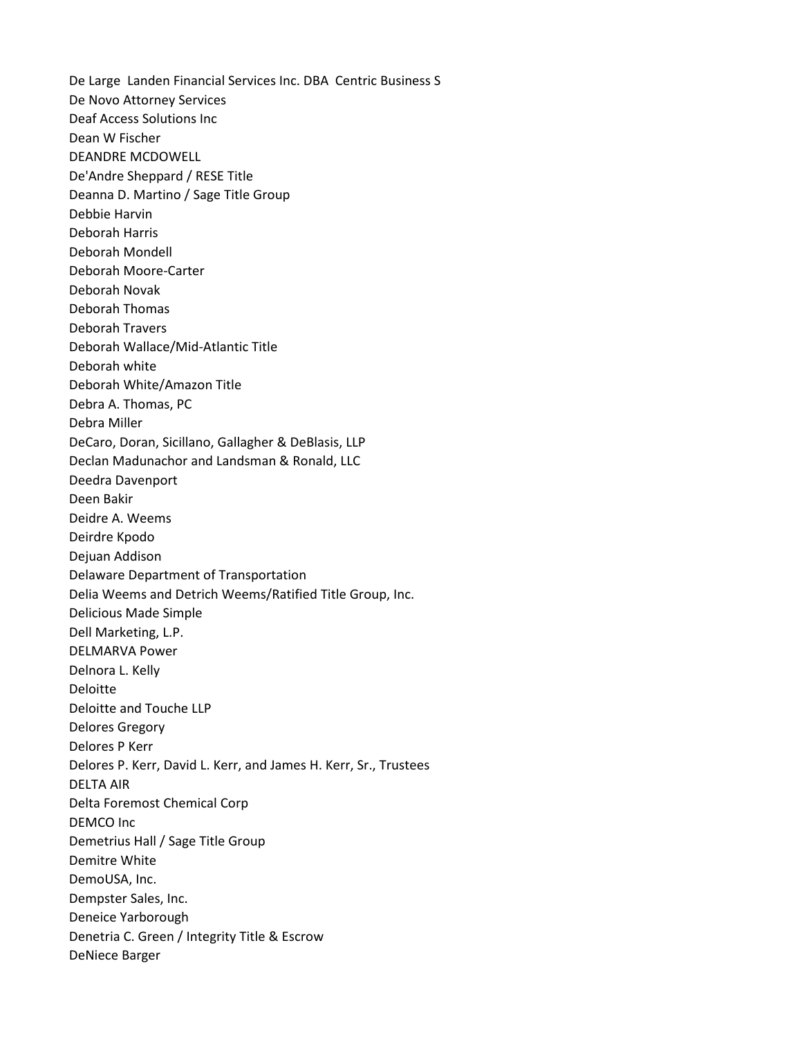De Large Landen Financial Services Inc. DBA Centric Business S De Novo Attorney Services Deaf Access Solutions Inc Dean W Fischer DEANDRE MCDOWELL De'Andre Sheppard / RESE Title Deanna D. Martino / Sage Title Group Debbie Harvin Deborah Harris Deborah Mondell Deborah Moore-Carter Deborah Novak Deborah Thomas Deborah Travers Deborah Wallace/Mid-Atlantic Title Deborah white Deborah White/Amazon Title Debra A. Thomas, PC Debra Miller DeCaro, Doran, Sicillano, Gallagher & DeBlasis, LLP Declan Madunachor and Landsman & Ronald, LLC Deedra Davenport Deen Bakir Deidre A. Weems Deirdre Kpodo Dejuan Addison Delaware Department of Transportation Delia Weems and Detrich Weems/Ratified Title Group, Inc. Delicious Made Simple Dell Marketing, L.P. DELMARVA Power Delnora L. Kelly Deloitte Deloitte and Touche LLP Delores Gregory Delores P Kerr Delores P. Kerr, David L. Kerr, and James H. Kerr, Sr., Trustees DELTA AIR Delta Foremost Chemical Corp DEMCO Inc Demetrius Hall / Sage Title Group Demitre White DemoUSA, Inc. Dempster Sales, Inc. Deneice Yarborough Denetria C. Green / Integrity Title & Escrow DeNiece Barger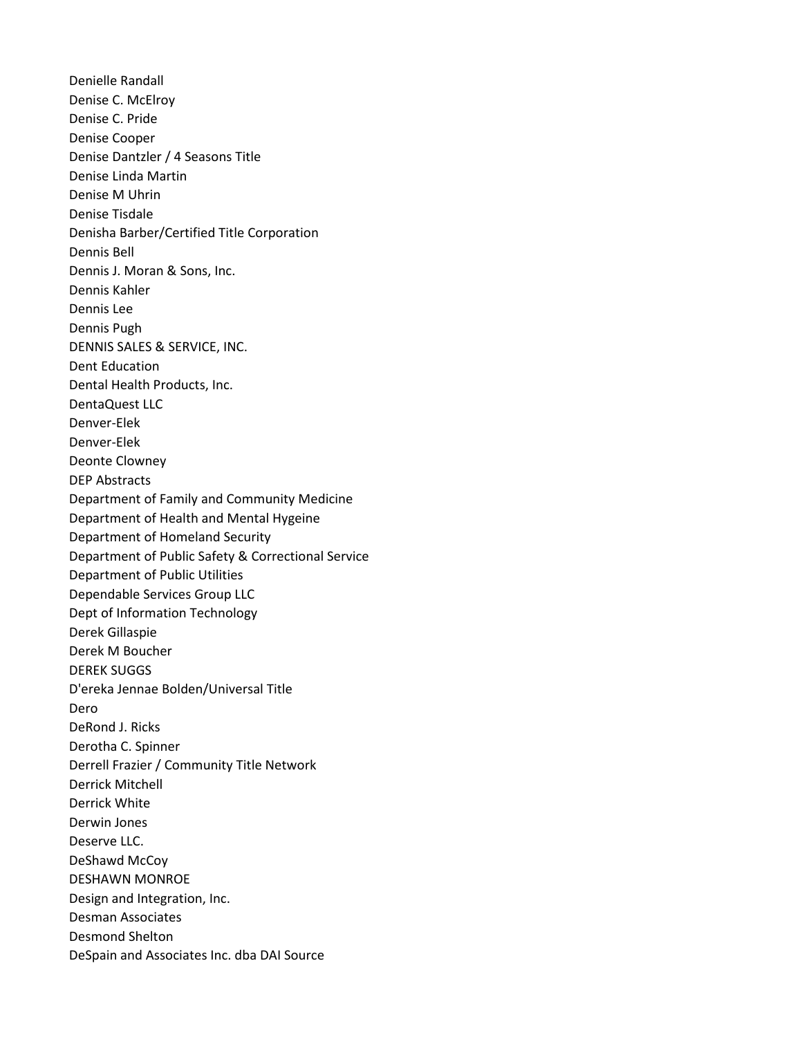Denielle Randall Denise C. McElroy Denise C. Pride Denise Cooper Denise Dantzler / 4 Seasons Title Denise Linda Martin Denise M Uhrin Denise Tisdale Denisha Barber/Certified Title Corporation Dennis Bell Dennis J. Moran & Sons, Inc. Dennis Kahler Dennis Lee Dennis Pugh DENNIS SALES & SERVICE, INC. Dent Education Dental Health Products, Inc. DentaQuest LLC Denver-Elek Denver-Elek Deonte Clowney DEP Abstracts Department of Family and Community Medicine Department of Health and Mental Hygeine Department of Homeland Security Department of Public Safety & Correctional Service Department of Public Utilities Dependable Services Group LLC Dept of Information Technology Derek Gillaspie Derek M Boucher DEREK SUGGS D'ereka Jennae Bolden/Universal Title Dero DeRond J. Ricks Derotha C. Spinner Derrell Frazier / Community Title Network Derrick Mitchell Derrick White Derwin Jones Deserve LLC. DeShawd McCoy DESHAWN MONROE Design and Integration, Inc. Desman Associates Desmond Shelton DeSpain and Associates Inc. dba DAI Source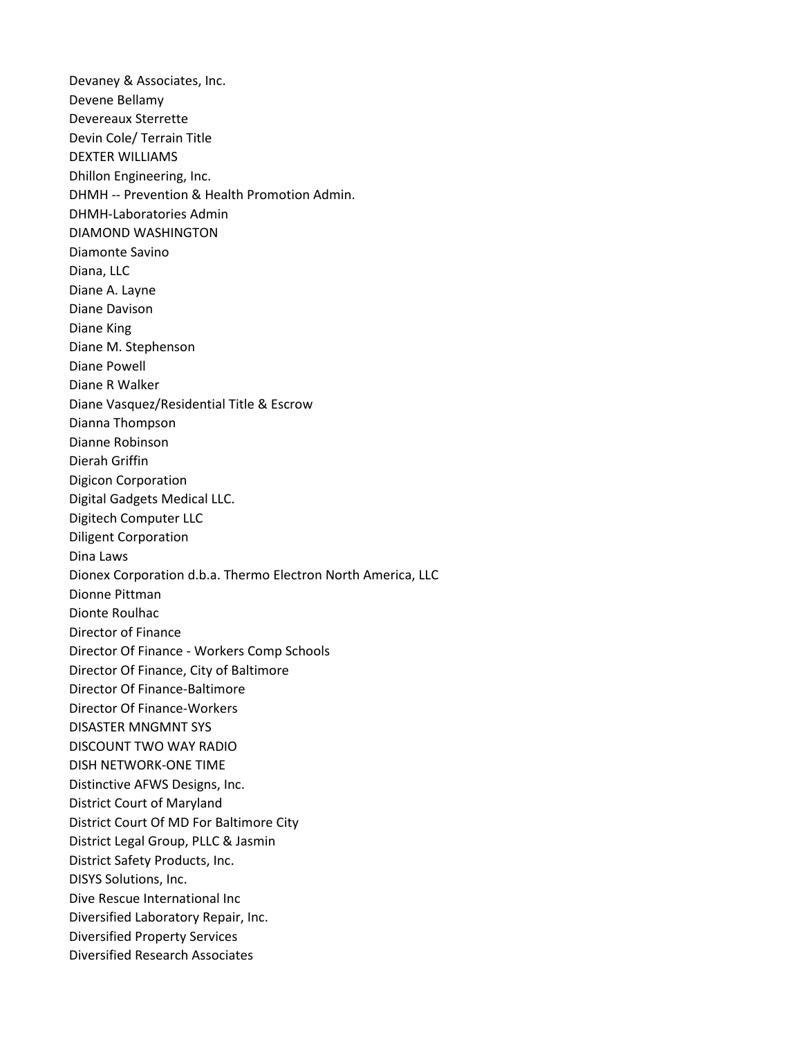Devaney & Associates, Inc. Devene Bellamy Devereaux Sterrette Devin Cole/ Terrain Title DEXTER WILLIAMS Dhillon Engineering, Inc. DHMH -- Prevention & Health Promotion Admin. DHMH-Laboratories Admin DIAMOND WASHINGTON Diamonte Savino Diana, LLC Diane A. Layne Diane Davison Diane King Diane M. Stephenson Diane Powell Diane R Walker Diane Vasquez/Residential Title & Escrow Dianna Thompson Dianne Robinson Dierah Griffin Digicon Corporation Digital Gadgets Medical LLC. Digitech Computer LLC Diligent Corporation Dina Laws Dionex Corporation d.b.a. Thermo Electron North America, LLC Dionne Pittman Dionte Roulhac Director of Finance Director Of Finance - Workers Comp Schools Director Of Finance, City of Baltimore Director Of Finance-Baltimore Director Of Finance-Workers DISASTER MNGMNT SYS DISCOUNT TWO WAY RADIO DISH NETWORK-ONE TIME Distinctive AFWS Designs, Inc. District Court of Maryland District Court Of MD For Baltimore City District Legal Group, PLLC & Jasmin District Safety Products, Inc. DISYS Solutions, Inc. Dive Rescue International Inc Diversified Laboratory Repair, Inc. Diversified Property Services Diversified Research Associates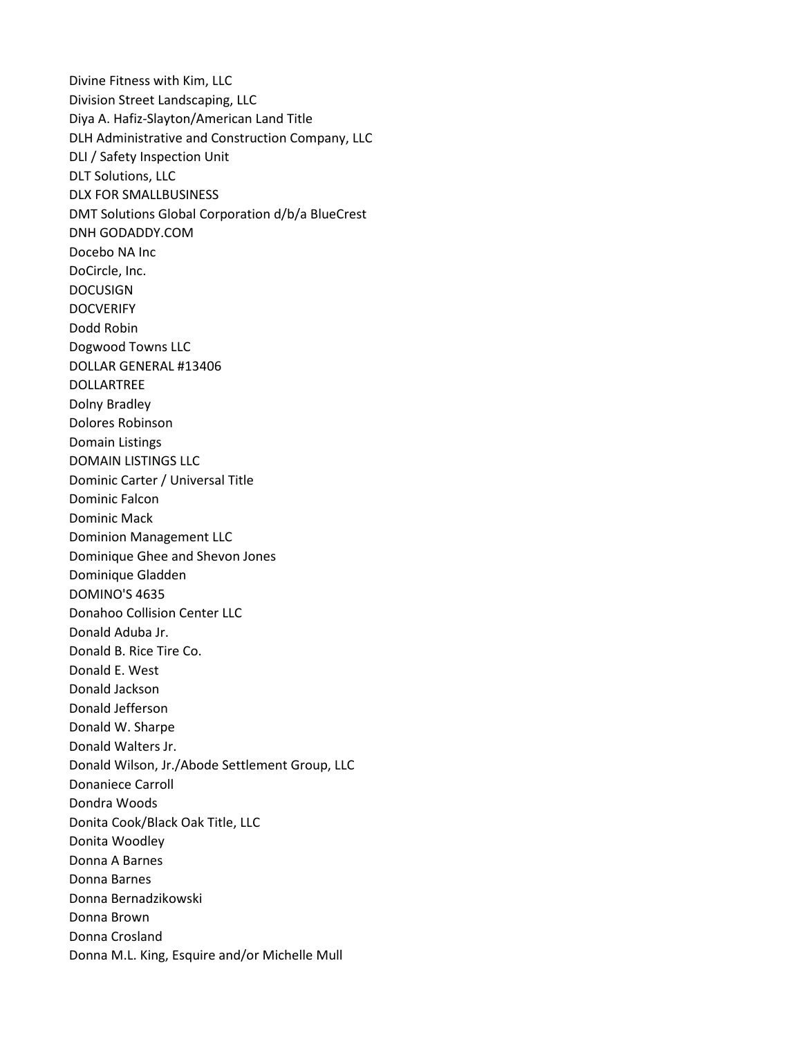Divine Fitness with Kim, LLC Division Street Landscaping, LLC Diya A. Hafiz-Slayton/American Land Title DLH Administrative and Construction Company, LLC DLI / Safety Inspection Unit DLT Solutions, LLC DLX FOR SMALLBUSINESS DMT Solutions Global Corporation d/b/a BlueCrest DNH GODADDY.COM Docebo NA Inc DoCircle, Inc. DOCUSIGN **DOCVERIFY** Dodd Robin Dogwood Towns LLC DOLLAR GENERAL #13406 DOLLARTREE Dolny Bradley Dolores Robinson Domain Listings DOMAIN LISTINGS LLC Dominic Carter / Universal Title Dominic Falcon Dominic Mack Dominion Management LLC Dominique Ghee and Shevon Jones Dominique Gladden DOMINO'S 4635 Donahoo Collision Center LLC Donald Aduba Jr. Donald B. Rice Tire Co. Donald E. West Donald Jackson Donald Jefferson Donald W. Sharpe Donald Walters Jr. Donald Wilson, Jr./Abode Settlement Group, LLC Donaniece Carroll Dondra Woods Donita Cook/Black Oak Title, LLC Donita Woodley Donna A Barnes Donna Barnes Donna Bernadzikowski Donna Brown Donna Crosland Donna M.L. King, Esquire and/or Michelle Mull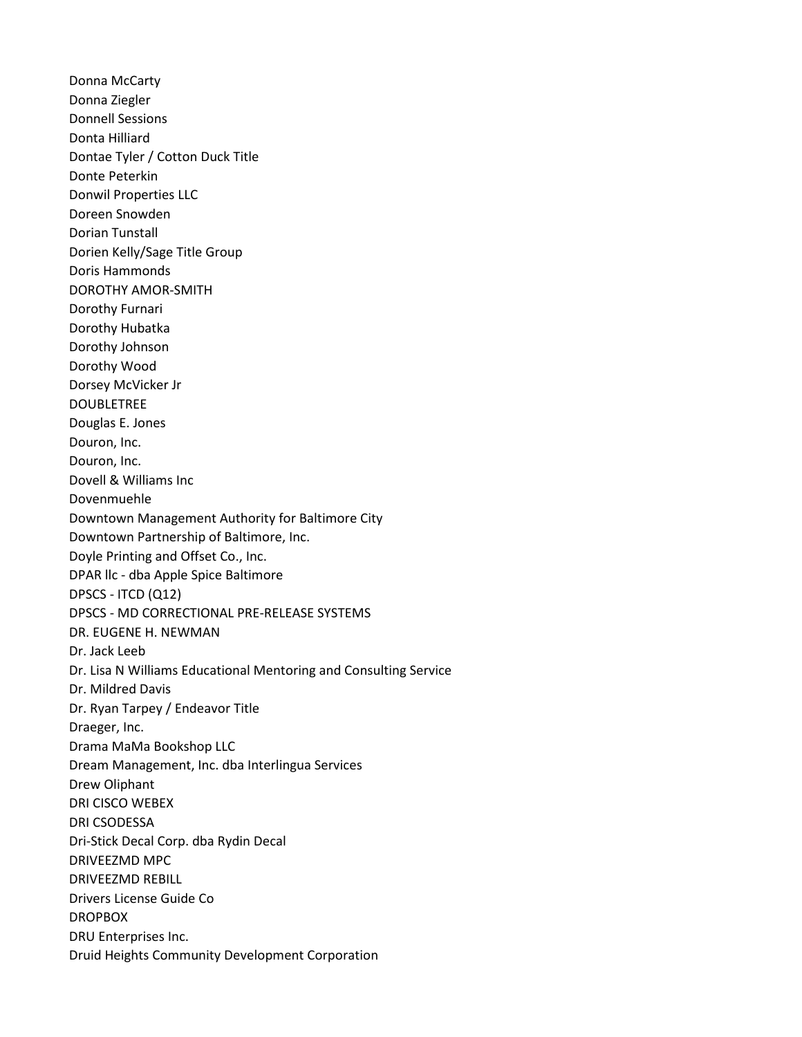Donna McCarty Donna Ziegler Donnell Sessions Donta Hilliard Dontae Tyler / Cotton Duck Title Donte Peterkin Donwil Properties LLC Doreen Snowden Dorian Tunstall Dorien Kelly/Sage Title Group Doris Hammonds DOROTHY AMOR-SMITH Dorothy Furnari Dorothy Hubatka Dorothy Johnson Dorothy Wood Dorsey McVicker Jr DOUBLETREE Douglas E. Jones Douron, Inc. Douron, Inc. Dovell & Williams Inc Dovenmuehle Downtown Management Authority for Baltimore City Downtown Partnership of Baltimore, Inc. Doyle Printing and Offset Co., Inc. DPAR llc - dba Apple Spice Baltimore DPSCS - ITCD (Q12) DPSCS - MD CORRECTIONAL PRE-RELEASE SYSTEMS DR. EUGENE H. NEWMAN Dr. Jack Leeb Dr. Lisa N Williams Educational Mentoring and Consulting Service Dr. Mildred Davis Dr. Ryan Tarpey / Endeavor Title Draeger, Inc. Drama MaMa Bookshop LLC Dream Management, Inc. dba Interlingua Services Drew Oliphant DRI CISCO WEBEX DRI CSODESSA Dri-Stick Decal Corp. dba Rydin Decal DRIVEEZMD MPC DRIVEEZMD REBILL Drivers License Guide Co DROPBOX DRU Enterprises Inc. Druid Heights Community Development Corporation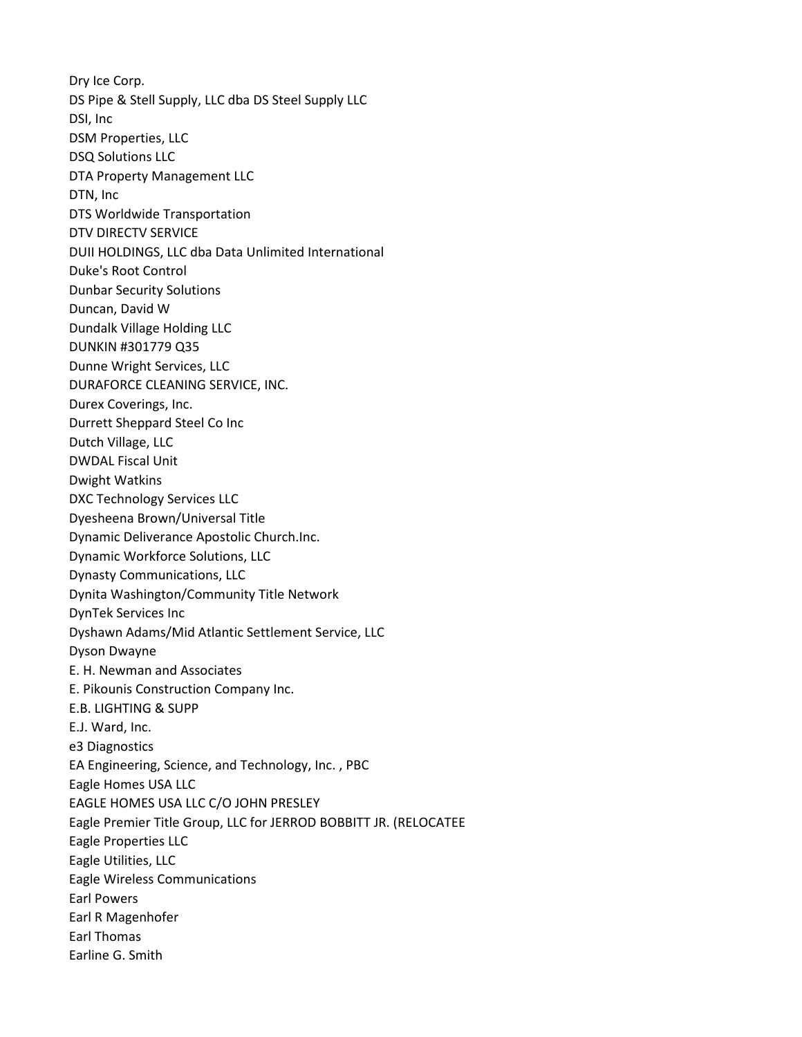Dry Ice Corp. DS Pipe & Stell Supply, LLC dba DS Steel Supply LLC DSI, Inc DSM Properties, LLC DSQ Solutions LLC DTA Property Management LLC DTN, Inc DTS Worldwide Transportation DTV DIRECTV SERVICE DUII HOLDINGS, LLC dba Data Unlimited International Duke's Root Control Dunbar Security Solutions Duncan, David W Dundalk Village Holding LLC DUNKIN #301779 Q35 Dunne Wright Services, LLC DURAFORCE CLEANING SERVICE, INC. Durex Coverings, Inc. Durrett Sheppard Steel Co Inc Dutch Village, LLC DWDAL Fiscal Unit Dwight Watkins DXC Technology Services LLC Dyesheena Brown/Universal Title Dynamic Deliverance Apostolic Church.Inc. Dynamic Workforce Solutions, LLC Dynasty Communications, LLC Dynita Washington/Community Title Network DynTek Services Inc Dyshawn Adams/Mid Atlantic Settlement Service, LLC Dyson Dwayne E. H. Newman and Associates E. Pikounis Construction Company Inc. E.B. LIGHTING & SUPP E.J. Ward, Inc. e3 Diagnostics EA Engineering, Science, and Technology, Inc. , PBC Eagle Homes USA LLC EAGLE HOMES USA LLC C/O JOHN PRESLEY Eagle Premier Title Group, LLC for JERROD BOBBITT JR. (RELOCATEE Eagle Properties LLC Eagle Utilities, LLC Eagle Wireless Communications Earl Powers Earl R Magenhofer Earl Thomas Earline G. Smith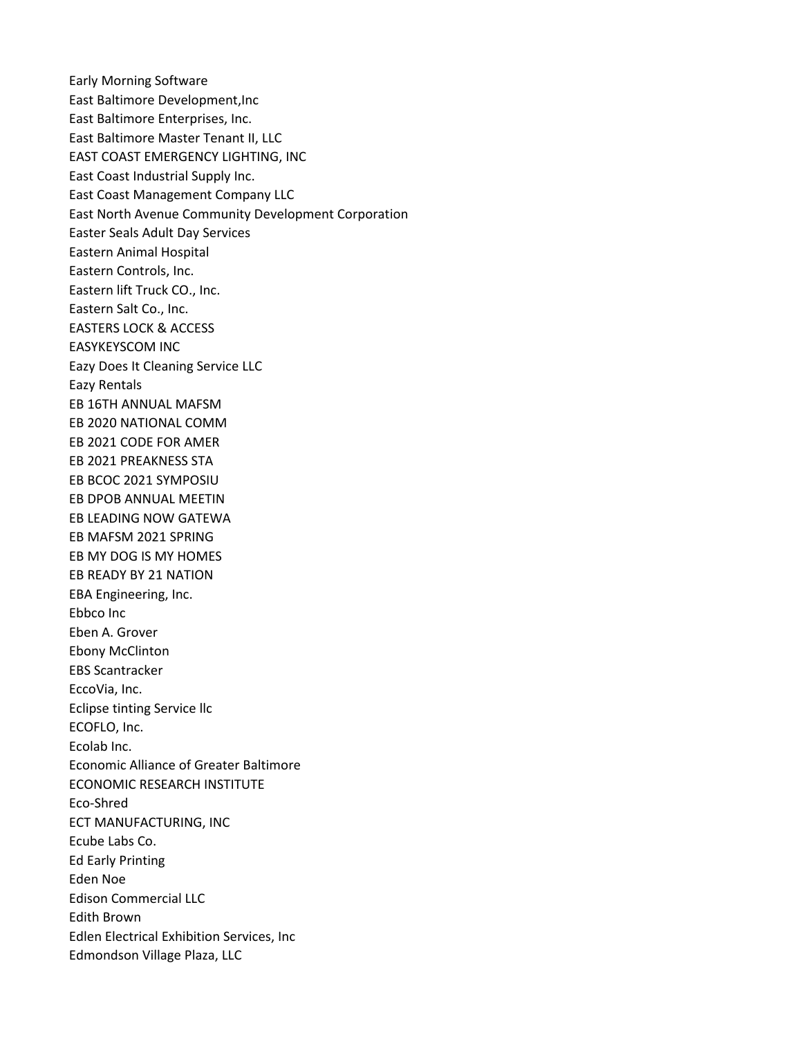Early Morning Software East Baltimore Development,Inc East Baltimore Enterprises, Inc. East Baltimore Master Tenant II, LLC EAST COAST EMERGENCY LIGHTING, INC East Coast Industrial Supply Inc. East Coast Management Company LLC East North Avenue Community Development Corporation Easter Seals Adult Day Services Eastern Animal Hospital Eastern Controls, Inc. Eastern lift Truck CO., Inc. Eastern Salt Co., Inc. EASTERS LOCK & ACCESS EASYKEYSCOM INC Eazy Does It Cleaning Service LLC Eazy Rentals EB 16TH ANNUAL MAFSM EB 2020 NATIONAL COMM EB 2021 CODE FOR AMER EB 2021 PREAKNESS STA EB BCOC 2021 SYMPOSIU EB DPOB ANNUAL MEETIN EB LEADING NOW GATEWA EB MAFSM 2021 SPRING EB MY DOG IS MY HOMES EB READY BY 21 NATION EBA Engineering, Inc. Ebbco Inc Eben A. Grover Ebony McClinton EBS Scantracker EccoVia, Inc. Eclipse tinting Service llc ECOFLO, Inc. Ecolab Inc. Economic Alliance of Greater Baltimore ECONOMIC RESEARCH INSTITUTE Eco-Shred ECT MANUFACTURING, INC Ecube Labs Co. Ed Early Printing Eden Noe Edison Commercial LLC Edith Brown Edlen Electrical Exhibition Services, Inc Edmondson Village Plaza, LLC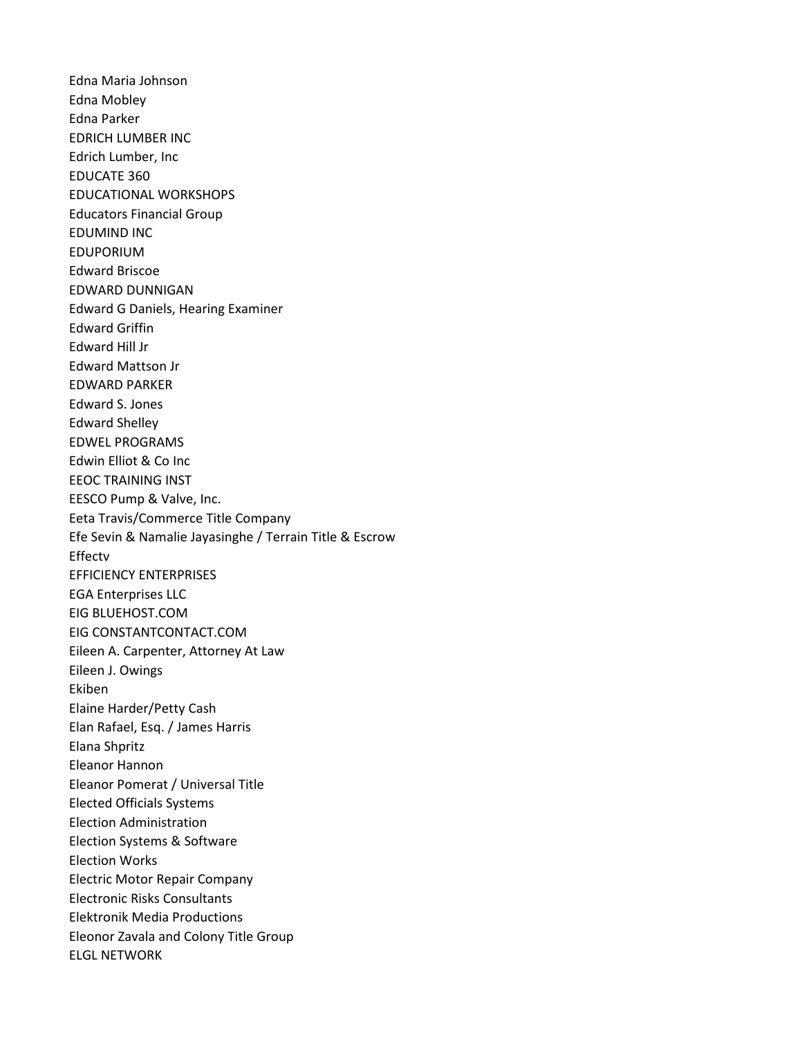Edna Maria Johnson Edna Mobley Edna Parker EDRICH LUMBER INC Edrich Lumber, Inc EDUCATE 360 EDUCATIONAL WORKSHOPS Educators Financial Group EDUMIND INC EDUPORIUM Edward Briscoe EDWARD DUNNIGAN Edward G Daniels, Hearing Examiner Edward Griffin Edward Hill Jr Edward Mattson Jr EDWARD PARKER Edward S. Jones Edward Shelley EDWEL PROGRAMS Edwin Elliot & Co Inc EEOC TRAINING INST EESCO Pump & Valve, Inc. Eeta Travis/Commerce Title Company Efe Sevin & Namalie Jayasinghe / Terrain Title & Escrow Effectv EFFICIENCY ENTERPRISES EGA Enterprises LLC EIG BLUEHOST.COM EIG CONSTANTCONTACT.COM Eileen A. Carpenter, Attorney At Law Eileen J. Owings Ekiben Elaine Harder/Petty Cash Elan Rafael, Esq. / James Harris Elana Shpritz Eleanor Hannon Eleanor Pomerat / Universal Title Elected Officials Systems Election Administration Election Systems & Software Election Works Electric Motor Repair Company Electronic Risks Consultants Elektronik Media Productions Eleonor Zavala and Colony Title Group ELGL NETWORK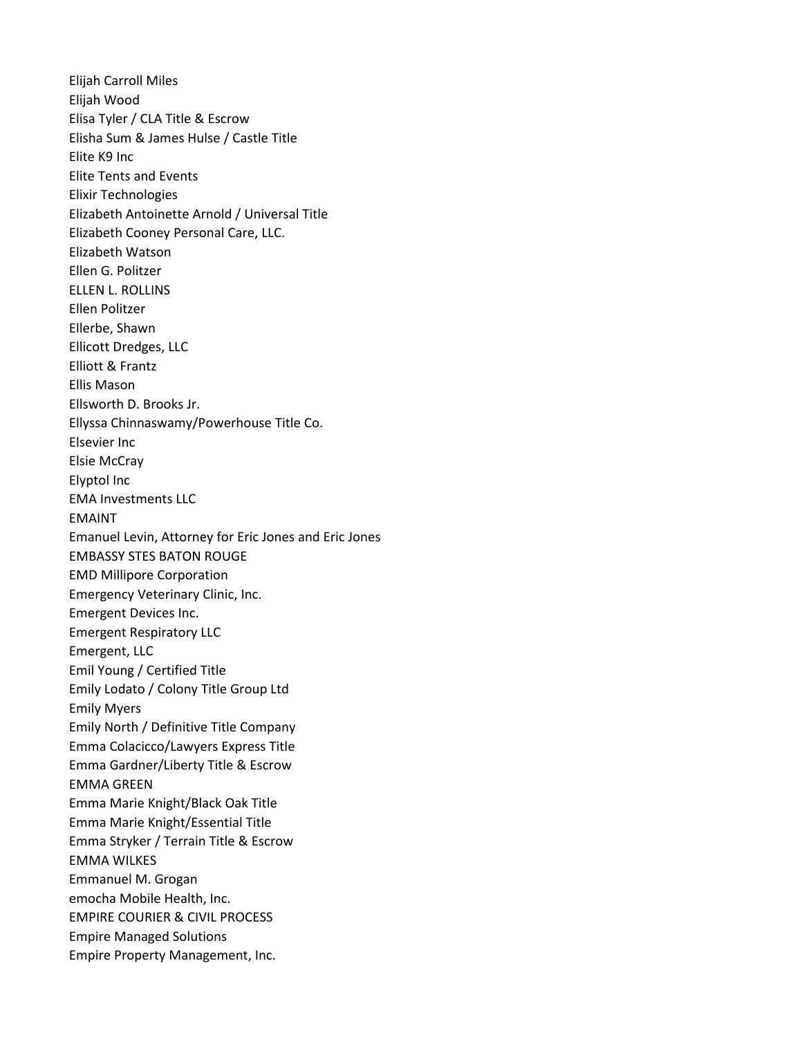Elijah Carroll Miles Elijah Wood Elisa Tyler / CLA Title & Escrow Elisha Sum & James Hulse / Castle Title Elite K9 Inc Elite Tents and Events Elixir Technologies Elizabeth Antoinette Arnold / Universal Title Elizabeth Cooney Personal Care, LLC. Elizabeth Watson Ellen G. Politzer ELLEN L. ROLLINS Ellen Politzer Ellerbe, Shawn Ellicott Dredges, LLC Elliott & Frantz Ellis Mason Ellsworth D. Brooks Jr. Ellyssa Chinnaswamy/Powerhouse Title Co. Elsevier Inc Elsie McCray Elyptol Inc EMA Investments LLC EMAINT Emanuel Levin, Attorney for Eric Jones and Eric Jones EMBASSY STES BATON ROUGE EMD Millipore Corporation Emergency Veterinary Clinic, Inc. Emergent Devices Inc. Emergent Respiratory LLC Emergent, LLC Emil Young / Certified Title Emily Lodato / Colony Title Group Ltd Emily Myers Emily North / Definitive Title Company Emma Colacicco/Lawyers Express Title Emma Gardner/Liberty Title & Escrow EMMA GREEN Emma Marie Knight/Black Oak Title Emma Marie Knight/Essential Title Emma Stryker / Terrain Title & Escrow EMMA WILKES Emmanuel M. Grogan emocha Mobile Health, Inc. EMPIRE COURIER & CIVIL PROCESS Empire Managed Solutions Empire Property Management, Inc.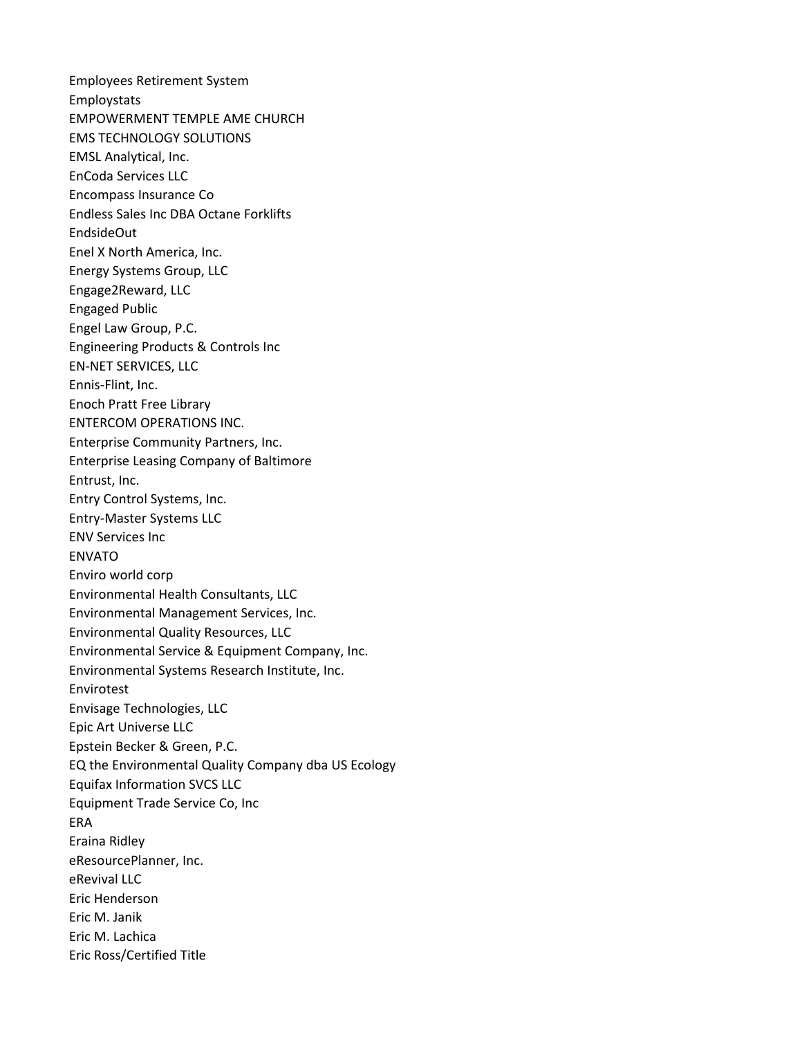Employees Retirement System Employstats EMPOWERMENT TEMPLE AME CHURCH EMS TECHNOLOGY SOLUTIONS EMSL Analytical, Inc. EnCoda Services LLC Encompass Insurance Co Endless Sales Inc DBA Octane Forklifts EndsideOut Enel X North America, Inc. Energy Systems Group, LLC Engage2Reward, LLC Engaged Public Engel Law Group, P.C. Engineering Products & Controls Inc EN-NET SERVICES, LLC Ennis-Flint, Inc. Enoch Pratt Free Library ENTERCOM OPERATIONS INC. Enterprise Community Partners, Inc. Enterprise Leasing Company of Baltimore Entrust, Inc. Entry Control Systems, Inc. Entry-Master Systems LLC ENV Services Inc ENVATO Enviro world corp Environmental Health Consultants, LLC Environmental Management Services, Inc. Environmental Quality Resources, LLC Environmental Service & Equipment Company, Inc. Environmental Systems Research Institute, Inc. Envirotest Envisage Technologies, LLC Epic Art Universe LLC Epstein Becker & Green, P.C. EQ the Environmental Quality Company dba US Ecology Equifax Information SVCS LLC Equipment Trade Service Co, Inc ERA Eraina Ridley eResourcePlanner, Inc. eRevival LLC Eric Henderson Eric M. Janik Eric M. Lachica Eric Ross/Certified Title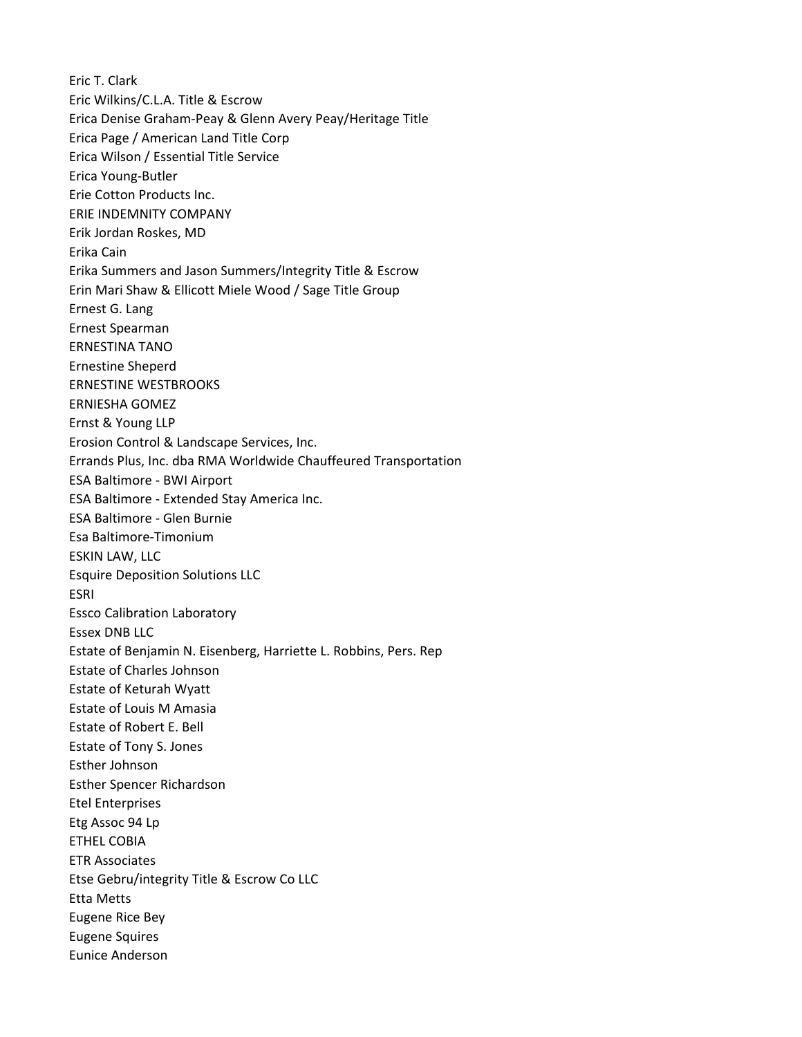Eric T. Clark Eric Wilkins/C.L.A. Title & Escrow Erica Denise Graham-Peay & Glenn Avery Peay/Heritage Title Erica Page / American Land Title Corp Erica Wilson / Essential Title Service Erica Young-Butler Erie Cotton Products Inc. ERIE INDEMNITY COMPANY Erik Jordan Roskes, MD Erika Cain Erika Summers and Jason Summers/Integrity Title & Escrow Erin Mari Shaw & Ellicott Miele Wood / Sage Title Group Ernest G. Lang Ernest Spearman ERNESTINA TANO Ernestine Sheperd ERNESTINE WESTBROOKS ERNIESHA GOMEZ Ernst & Young LLP Erosion Control & Landscape Services, Inc. Errands Plus, Inc. dba RMA Worldwide Chauffeured Transportation ESA Baltimore - BWI Airport ESA Baltimore - Extended Stay America Inc. ESA Baltimore - Glen Burnie Esa Baltimore-Timonium ESKIN LAW, LLC Esquire Deposition Solutions LLC ESRI Essco Calibration Laboratory Essex DNB LLC Estate of Benjamin N. Eisenberg, Harriette L. Robbins, Pers. Rep Estate of Charles Johnson Estate of Keturah Wyatt Estate of Louis M Amasia Estate of Robert E. Bell Estate of Tony S. Jones Esther Johnson Esther Spencer Richardson Etel Enterprises Etg Assoc 94 Lp ETHEL COBIA ETR Associates Etse Gebru/integrity Title & Escrow Co LLC Etta Metts Eugene Rice Bey Eugene Squires Eunice Anderson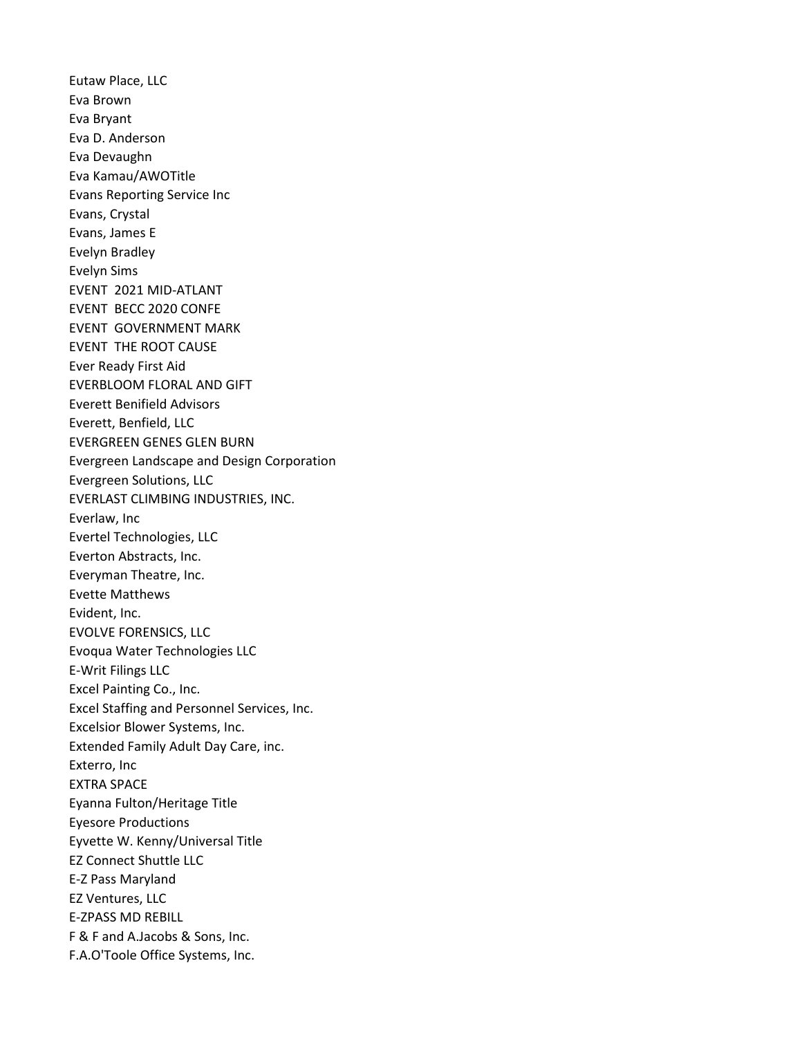Eutaw Place, LLC Eva Brown Eva Bryant Eva D. Anderson Eva Devaughn Eva Kamau/AWOTitle Evans Reporting Service Inc Evans, Crystal Evans, James E Evelyn Bradley Evelyn Sims EVENT 2021 MID-ATLANT EVENT BECC 2020 CONFE EVENT GOVERNMENT MARK EVENT THE ROOT CAUSE Ever Ready First Aid EVERBLOOM FLORAL AND GIFT Everett Benifield Advisors Everett, Benfield, LLC EVERGREEN GENES GLEN BURN Evergreen Landscape and Design Corporation Evergreen Solutions, LLC EVERLAST CLIMBING INDUSTRIES, INC. Everlaw, Inc Evertel Technologies, LLC Everton Abstracts, Inc. Everyman Theatre, Inc. Evette Matthews Evident, Inc. EVOLVE FORENSICS, LLC Evoqua Water Technologies LLC E-Writ Filings LLC Excel Painting Co., Inc. Excel Staffing and Personnel Services, Inc. Excelsior Blower Systems, Inc. Extended Family Adult Day Care, inc. Exterro, Inc EXTRA SPACE Eyanna Fulton/Heritage Title Eyesore Productions Eyvette W. Kenny/Universal Title EZ Connect Shuttle LLC E-Z Pass Maryland EZ Ventures, LLC E-ZPASS MD REBILL F & F and A.Jacobs & Sons, Inc. F.A.O'Toole Office Systems, Inc.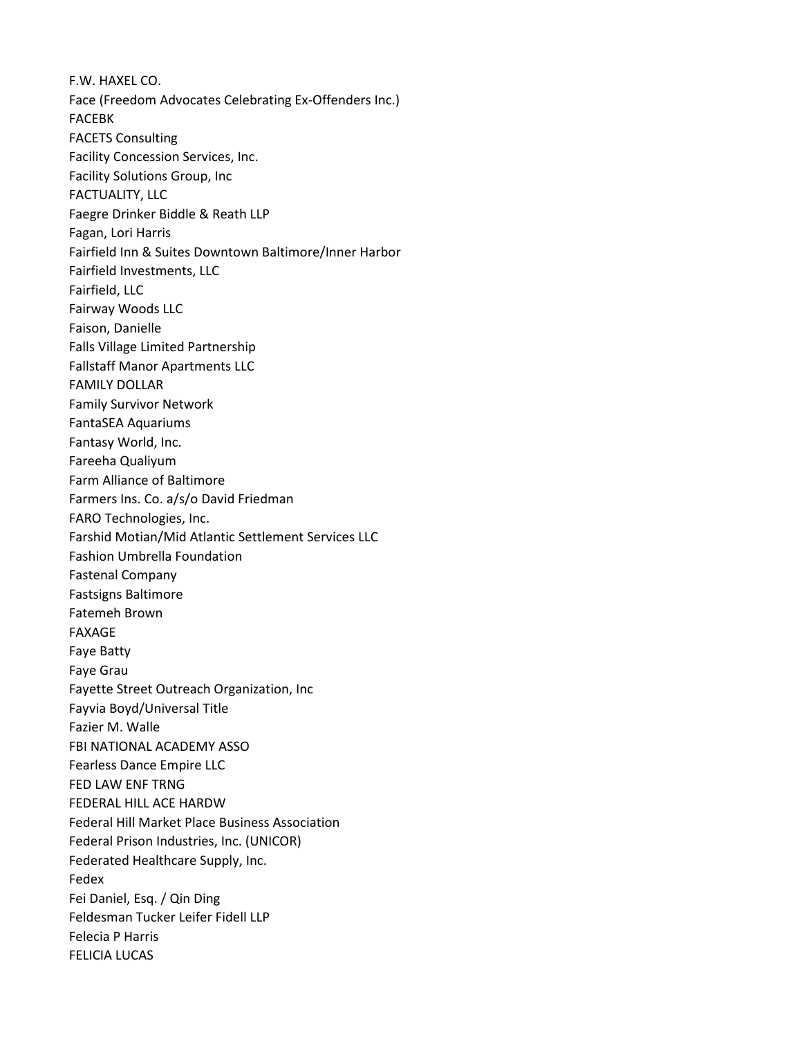F.W. HAXEL CO. Face (Freedom Advocates Celebrating Ex-Offenders Inc.) FACEBK FACETS Consulting Facility Concession Services, Inc. Facility Solutions Group, Inc FACTUALITY, LLC Faegre Drinker Biddle & Reath LLP Fagan, Lori Harris Fairfield Inn & Suites Downtown Baltimore/Inner Harbor Fairfield Investments, LLC Fairfield, LLC Fairway Woods LLC Faison, Danielle Falls Village Limited Partnership Fallstaff Manor Apartments LLC FAMILY DOLLAR Family Survivor Network FantaSEA Aquariums Fantasy World, Inc. Fareeha Qualiyum Farm Alliance of Baltimore Farmers Ins. Co. a/s/o David Friedman FARO Technologies, Inc. Farshid Motian/Mid Atlantic Settlement Services LLC Fashion Umbrella Foundation Fastenal Company Fastsigns Baltimore Fatemeh Brown FAXAGE Faye Batty Faye Grau Fayette Street Outreach Organization, Inc Fayvia Boyd/Universal Title Fazier M. Walle FBI NATIONAL ACADEMY ASSO Fearless Dance Empire LLC FED LAW ENF TRNG FEDERAL HILL ACE HARDW Federal Hill Market Place Business Association Federal Prison Industries, Inc. (UNICOR) Federated Healthcare Supply, Inc. Fedex Fei Daniel, Esq. / Qin Ding Feldesman Tucker Leifer Fidell LLP Felecia P Harris FELICIA LUCAS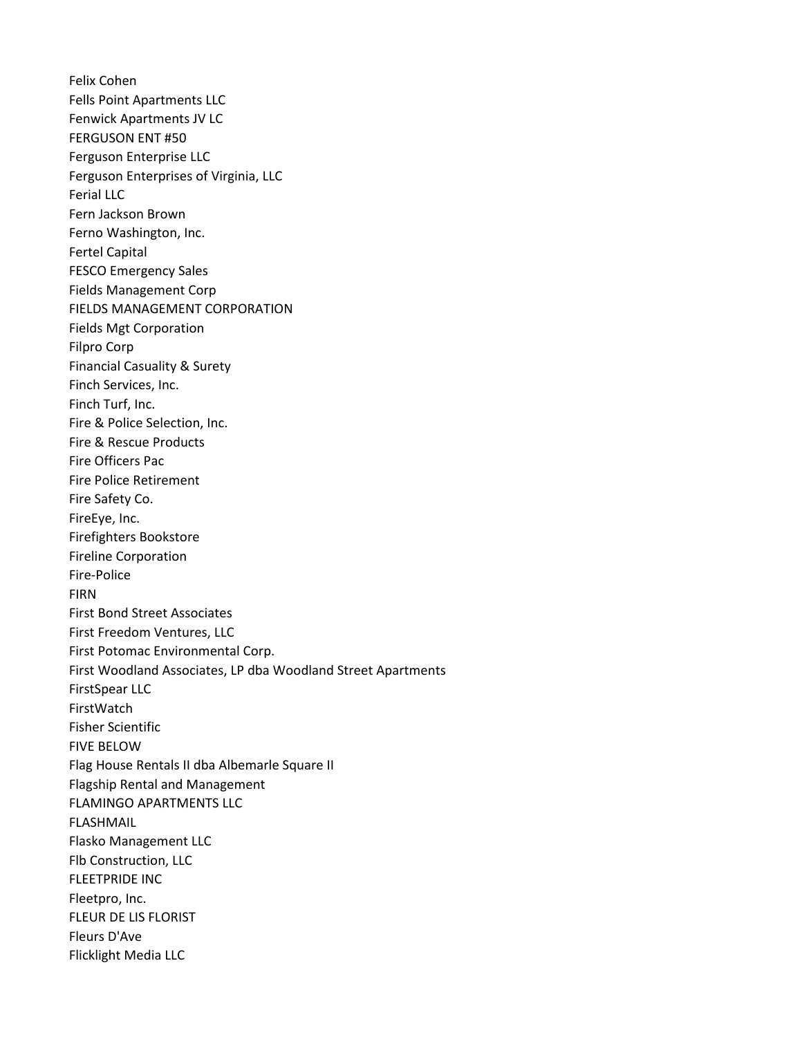Felix Cohen Fells Point Apartments LLC Fenwick Apartments JV LC FERGUSON ENT #50 Ferguson Enterprise LLC Ferguson Enterprises of Virginia, LLC Ferial LLC Fern Jackson Brown Ferno Washington, Inc. Fertel Capital FESCO Emergency Sales Fields Management Corp FIELDS MANAGEMENT CORPORATION Fields Mgt Corporation Filpro Corp Financial Casuality & Surety Finch Services, Inc. Finch Turf, Inc. Fire & Police Selection, Inc. Fire & Rescue Products Fire Officers Pac Fire Police Retirement Fire Safety Co. FireEye, Inc. Firefighters Bookstore Fireline Corporation Fire-Police FIRN First Bond Street Associates First Freedom Ventures, LLC First Potomac Environmental Corp. First Woodland Associates, LP dba Woodland Street Apartments FirstSpear LLC FirstWatch Fisher Scientific FIVE BELOW Flag House Rentals II dba Albemarle Square II Flagship Rental and Management FLAMINGO APARTMENTS LLC FLASHMAIL Flasko Management LLC Flb Construction, LLC FLEETPRIDE INC Fleetpro, Inc. FLEUR DE LIS FLORIST Fleurs D'Ave Flicklight Media LLC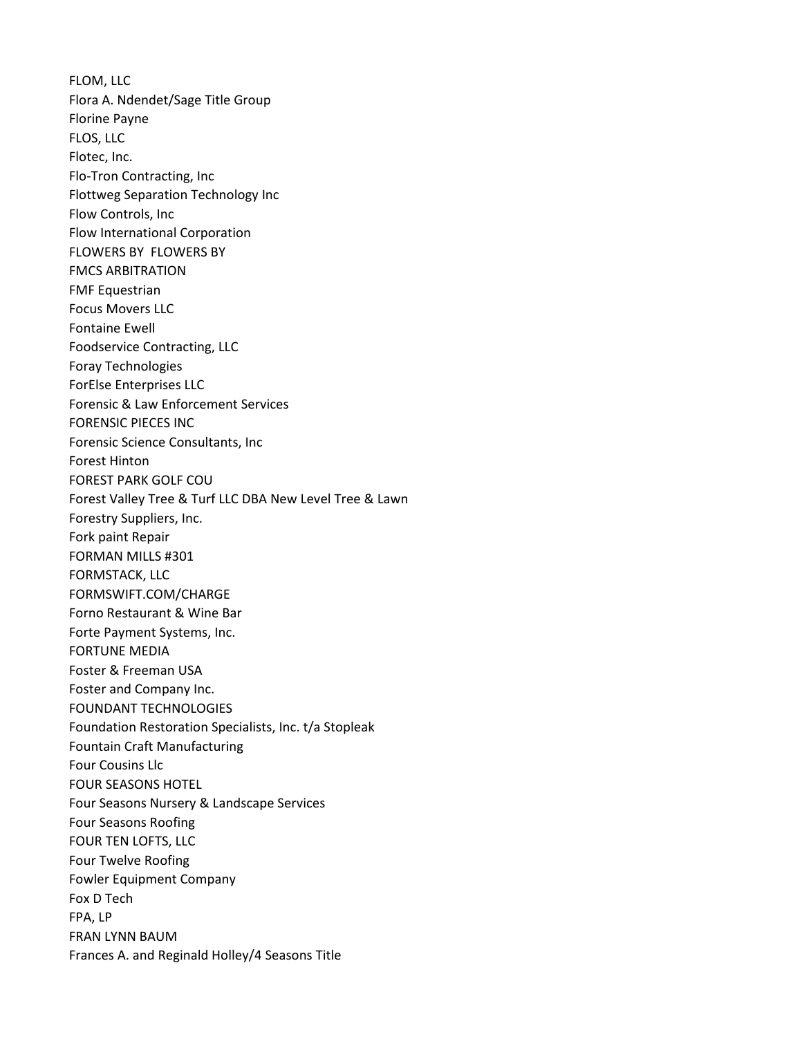FLOM, LLC Flora A. Ndendet/Sage Title Group Florine Payne FLOS, LLC Flotec, Inc. Flo-Tron Contracting, Inc Flottweg Separation Technology Inc Flow Controls, Inc Flow International Corporation FLOWERS BY FLOWERS BY FMCS ARBITRATION FMF Equestrian Focus Movers LLC Fontaine Ewell Foodservice Contracting, LLC Foray Technologies ForElse Enterprises LLC Forensic & Law Enforcement Services FORENSIC PIECES INC Forensic Science Consultants, Inc Forest Hinton FOREST PARK GOLF COU Forest Valley Tree & Turf LLC DBA New Level Tree & Lawn Forestry Suppliers, Inc. Fork paint Repair FORMAN MILLS #301 FORMSTACK, LLC FORMSWIFT.COM/CHARGE Forno Restaurant & Wine Bar Forte Payment Systems, Inc. FORTUNE MEDIA Foster & Freeman USA Foster and Company Inc. FOUNDANT TECHNOLOGIES Foundation Restoration Specialists, Inc. t/a Stopleak Fountain Craft Manufacturing Four Cousins Llc FOUR SEASONS HOTEL Four Seasons Nursery & Landscape Services Four Seasons Roofing FOUR TEN LOFTS, LLC Four Twelve Roofing Fowler Equipment Company Fox D Tech FPA, LP FRAN LYNN BAUM Frances A. and Reginald Holley/4 Seasons Title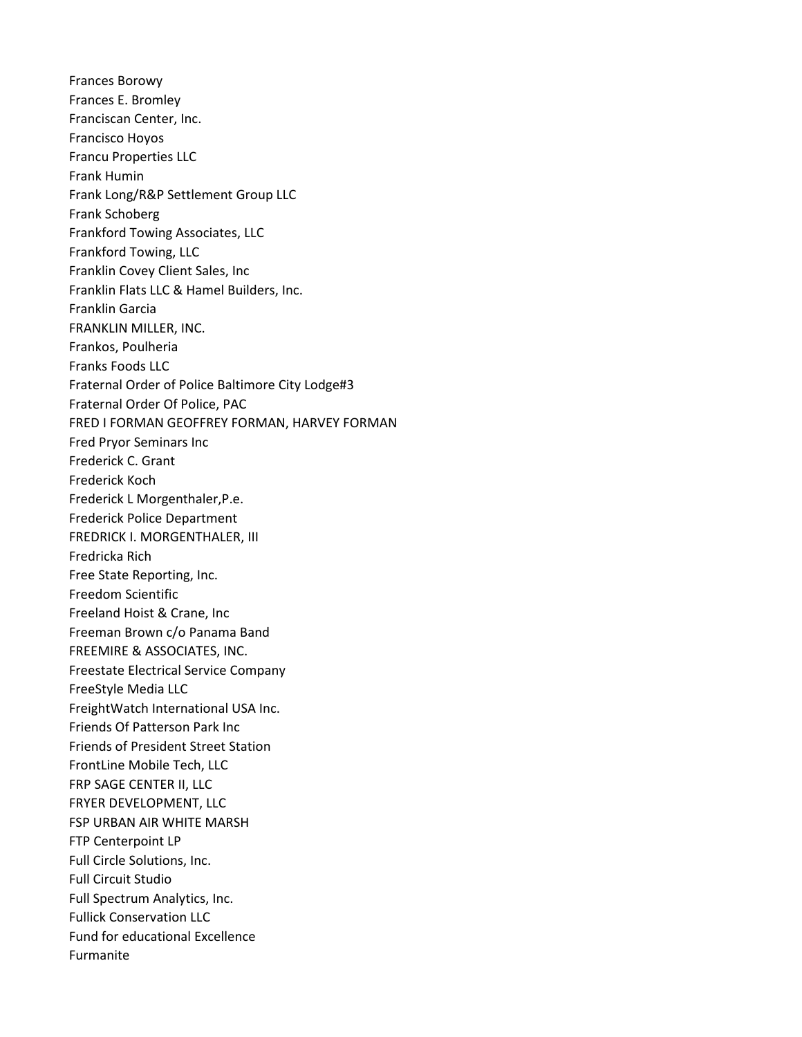Frances Borowy Frances E. Bromley Franciscan Center, Inc. Francisco Hoyos Francu Properties LLC Frank Humin Frank Long/R&P Settlement Group LLC Frank Schoberg Frankford Towing Associates, LLC Frankford Towing, LLC Franklin Covey Client Sales, Inc Franklin Flats LLC & Hamel Builders, Inc. Franklin Garcia FRANKLIN MILLER, INC. Frankos, Poulheria Franks Foods LLC Fraternal Order of Police Baltimore City Lodge#3 Fraternal Order Of Police, PAC FRED I FORMAN GEOFFREY FORMAN, HARVEY FORMAN Fred Pryor Seminars Inc Frederick C. Grant Frederick Koch Frederick L Morgenthaler,P.e. Frederick Police Department FREDRICK I. MORGENTHALER, III Fredricka Rich Free State Reporting, Inc. Freedom Scientific Freeland Hoist & Crane, Inc Freeman Brown c/o Panama Band FREEMIRE & ASSOCIATES, INC. Freestate Electrical Service Company FreeStyle Media LLC FreightWatch International USA Inc. Friends Of Patterson Park Inc Friends of President Street Station FrontLine Mobile Tech, LLC FRP SAGE CENTER II, LLC FRYER DEVELOPMENT, LLC FSP URBAN AIR WHITE MARSH FTP Centerpoint LP Full Circle Solutions, Inc. Full Circuit Studio Full Spectrum Analytics, Inc. Fullick Conservation LLC Fund for educational Excellence Furmanite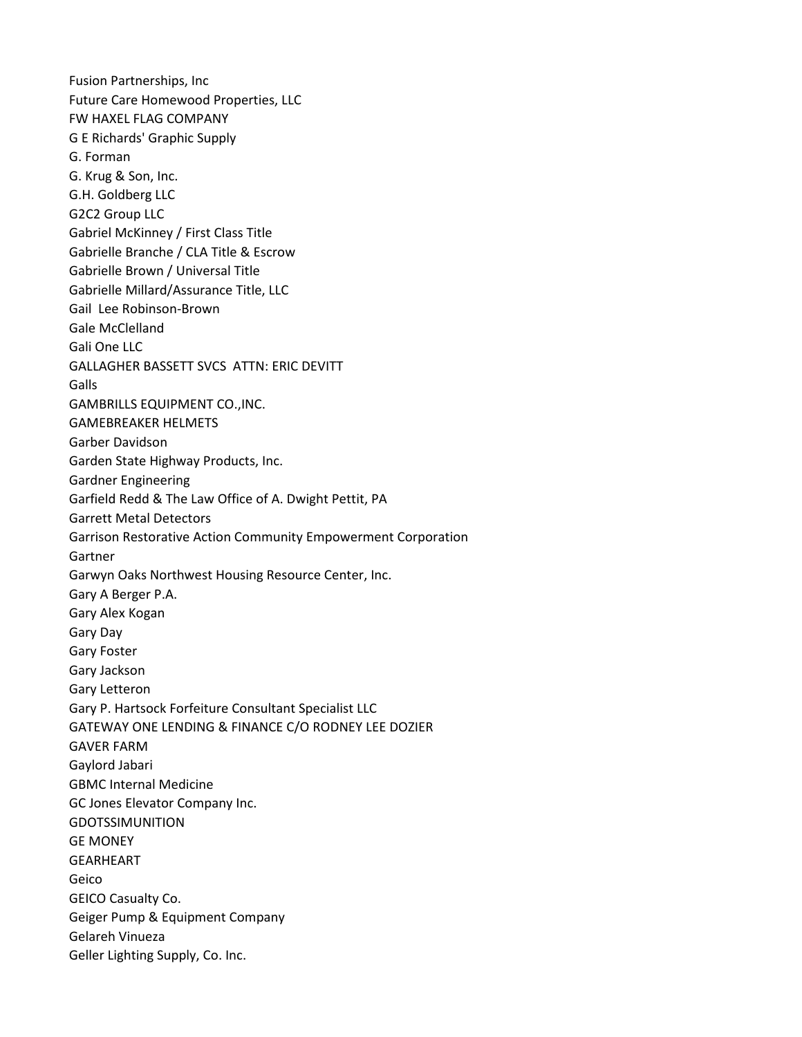Fusion Partnerships, Inc Future Care Homewood Properties, LLC FW HAXEL FLAG COMPANY G E Richards' Graphic Supply G. Forman G. Krug & Son, Inc. G.H. Goldberg LLC G2C2 Group LLC Gabriel McKinney / First Class Title Gabrielle Branche / CLA Title & Escrow Gabrielle Brown / Universal Title Gabrielle Millard/Assurance Title, LLC Gail Lee Robinson-Brown Gale McClelland Gali One LLC GALLAGHER BASSETT SVCS ATTN: ERIC DEVITT **Galls** GAMBRILLS EQUIPMENT CO.,INC. GAMEBREAKER HELMETS Garber Davidson Garden State Highway Products, Inc. Gardner Engineering Garfield Redd & The Law Office of A. Dwight Pettit, PA Garrett Metal Detectors Garrison Restorative Action Community Empowerment Corporation Gartner Garwyn Oaks Northwest Housing Resource Center, Inc. Gary A Berger P.A. Gary Alex Kogan Gary Day Gary Foster Gary Jackson Gary Letteron Gary P. Hartsock Forfeiture Consultant Specialist LLC GATEWAY ONE LENDING & FINANCE C/O RODNEY LEE DOZIER GAVER FARM Gaylord Jabari GBMC Internal Medicine GC Jones Elevator Company Inc. GDOTSSIMUNITION GE MONEY GEARHEART Geico GEICO Casualty Co. Geiger Pump & Equipment Company Gelareh Vinueza Geller Lighting Supply, Co. Inc.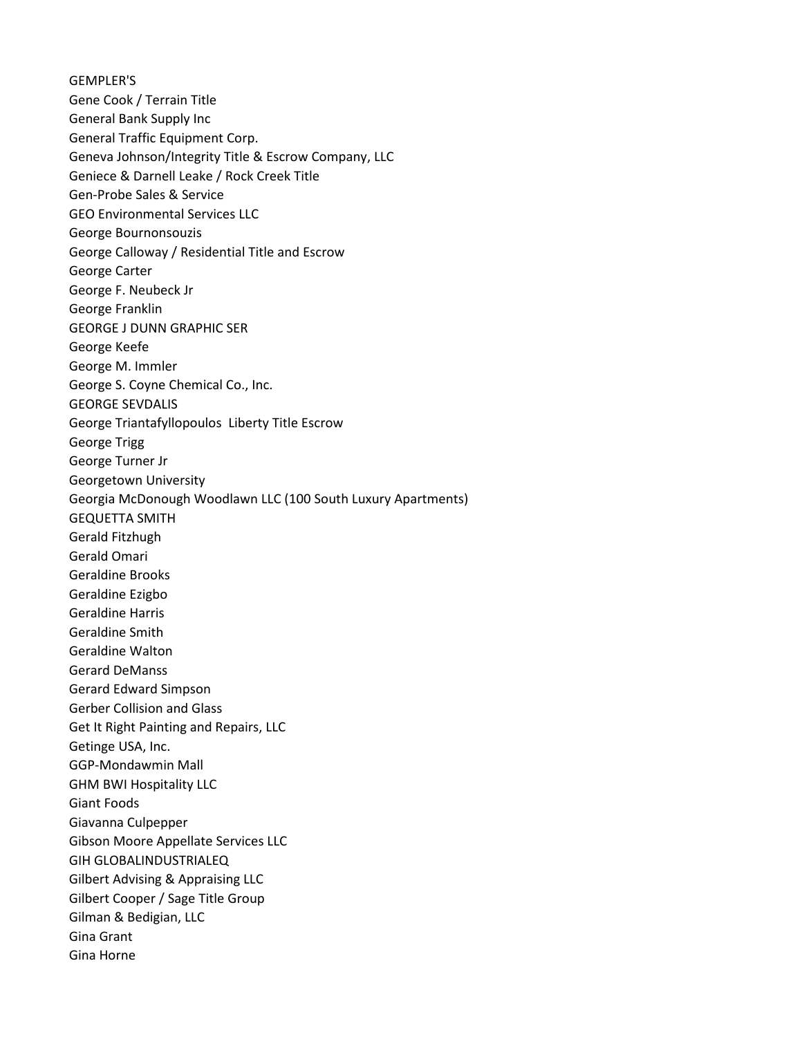GEMPLER'S Gene Cook / Terrain Title General Bank Supply Inc General Traffic Equipment Corp. Geneva Johnson/Integrity Title & Escrow Company, LLC Geniece & Darnell Leake / Rock Creek Title Gen-Probe Sales & Service GEO Environmental Services LLC George Bournonsouzis George Calloway / Residential Title and Escrow George Carter George F. Neubeck Jr George Franklin GEORGE J DUNN GRAPHIC SER George Keefe George M. Immler George S. Coyne Chemical Co., Inc. GEORGE SEVDALIS George Triantafyllopoulos Liberty Title Escrow George Trigg George Turner Jr Georgetown University Georgia McDonough Woodlawn LLC (100 South Luxury Apartments) GEQUETTA SMITH Gerald Fitzhugh Gerald Omari Geraldine Brooks Geraldine Ezigbo Geraldine Harris Geraldine Smith Geraldine Walton Gerard DeManss Gerard Edward Simpson Gerber Collision and Glass Get It Right Painting and Repairs, LLC Getinge USA, Inc. GGP-Mondawmin Mall GHM BWI Hospitality LLC Giant Foods Giavanna Culpepper Gibson Moore Appellate Services LLC GIH GLOBALINDUSTRIALEQ Gilbert Advising & Appraising LLC Gilbert Cooper / Sage Title Group Gilman & Bedigian, LLC Gina Grant Gina Horne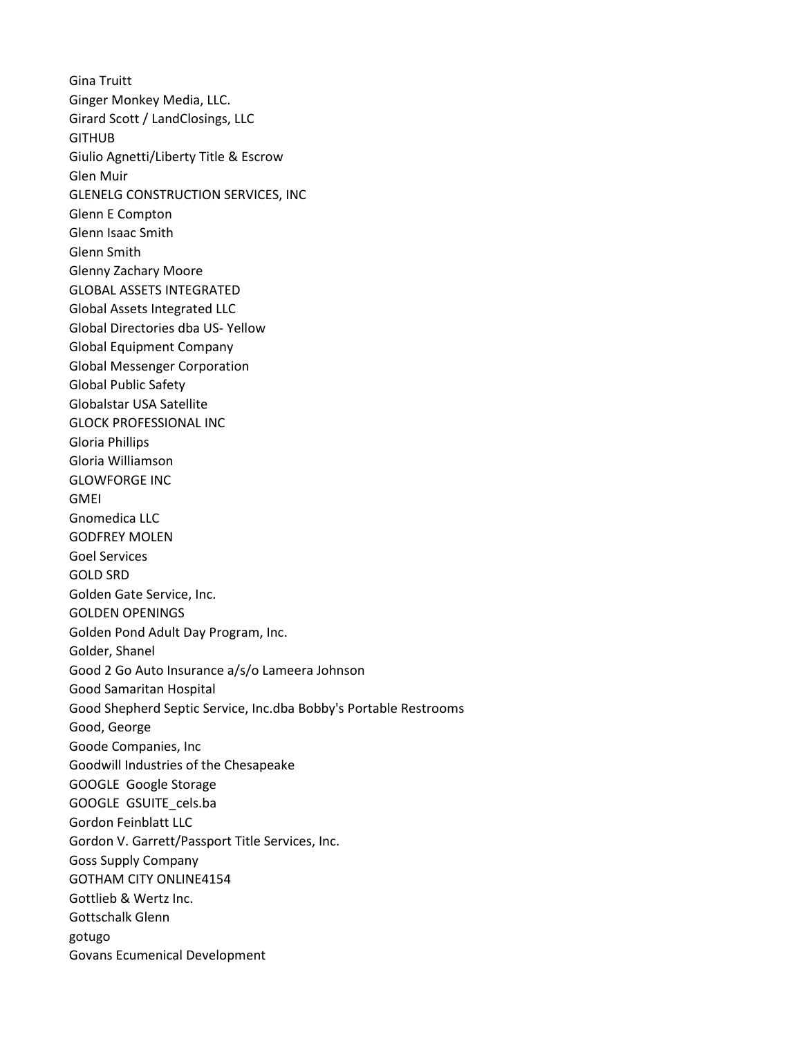Gina Truitt Ginger Monkey Media, LLC. Girard Scott / LandClosings, LLC GITHUB Giulio Agnetti/Liberty Title & Escrow Glen Muir GLENELG CONSTRUCTION SERVICES, INC Glenn E Compton Glenn Isaac Smith Glenn Smith Glenny Zachary Moore GLOBAL ASSETS INTEGRATED Global Assets Integrated LLC Global Directories dba US- Yellow Global Equipment Company Global Messenger Corporation Global Public Safety Globalstar USA Satellite GLOCK PROFESSIONAL INC Gloria Phillips Gloria Williamson GLOWFORGE INC GMEI Gnomedica LLC GODFREY MOLEN Goel Services GOLD SRD Golden Gate Service, Inc. GOLDEN OPENINGS Golden Pond Adult Day Program, Inc. Golder, Shanel Good 2 Go Auto Insurance a/s/o Lameera Johnson Good Samaritan Hospital Good Shepherd Septic Service, Inc.dba Bobby's Portable Restrooms Good, George Goode Companies, Inc Goodwill Industries of the Chesapeake GOOGLE Google Storage GOOGLE GSUITE\_cels.ba Gordon Feinblatt LLC Gordon V. Garrett/Passport Title Services, Inc. Goss Supply Company GOTHAM CITY ONLINE4154 Gottlieb & Wertz Inc. Gottschalk Glenn gotugo Govans Ecumenical Development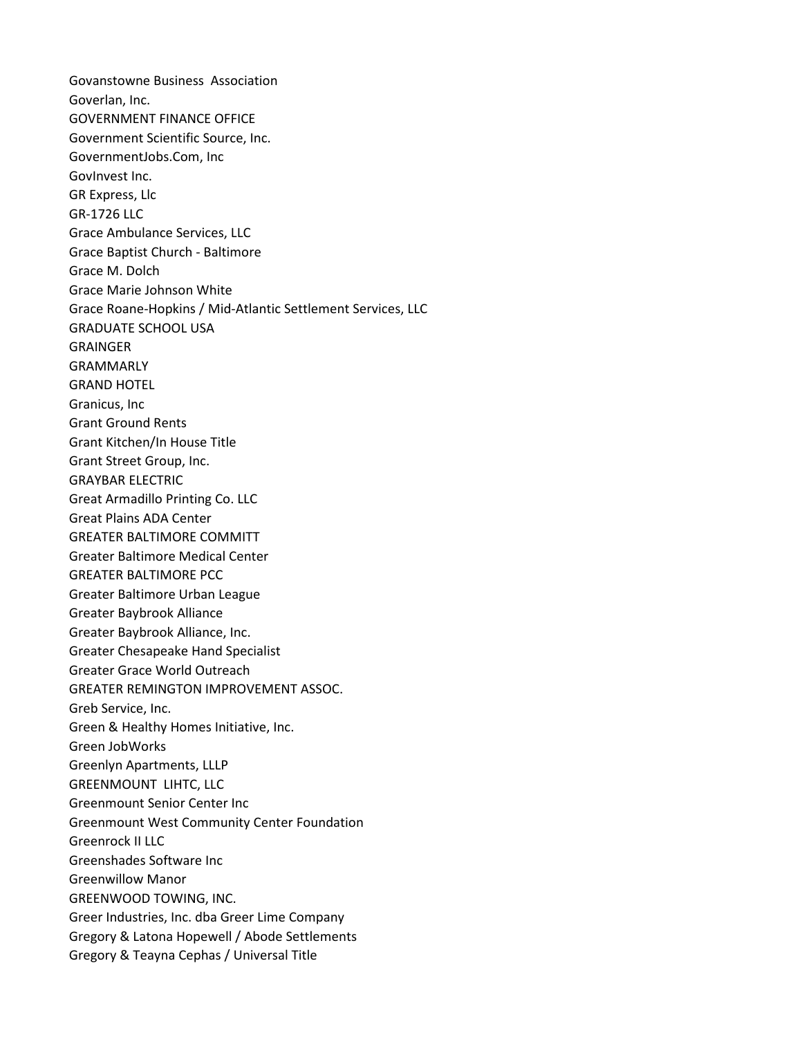Govanstowne Business Association Goverlan, Inc. GOVERNMENT FINANCE OFFICE Government Scientific Source, Inc. GovernmentJobs.Com, Inc GovInvest Inc. GR Express, Llc GR-1726 LLC Grace Ambulance Services, LLC Grace Baptist Church - Baltimore Grace M. Dolch Grace Marie Johnson White Grace Roane-Hopkins / Mid-Atlantic Settlement Services, LLC GRADUATE SCHOOL USA GRAINGER GRAMMARLY GRAND HOTEL Granicus, Inc Grant Ground Rents Grant Kitchen/In House Title Grant Street Group, Inc. GRAYBAR ELECTRIC Great Armadillo Printing Co. LLC Great Plains ADA Center GREATER BALTIMORE COMMITT Greater Baltimore Medical Center GREATER BALTIMORE PCC Greater Baltimore Urban League Greater Baybrook Alliance Greater Baybrook Alliance, Inc. Greater Chesapeake Hand Specialist Greater Grace World Outreach GREATER REMINGTON IMPROVEMENT ASSOC. Greb Service, Inc. Green & Healthy Homes Initiative, Inc. Green JobWorks Greenlyn Apartments, LLLP GREENMOUNT LIHTC, LLC Greenmount Senior Center Inc Greenmount West Community Center Foundation Greenrock II LLC Greenshades Software Inc Greenwillow Manor GREENWOOD TOWING, INC. Greer Industries, Inc. dba Greer Lime Company Gregory & Latona Hopewell / Abode Settlements Gregory & Teayna Cephas / Universal Title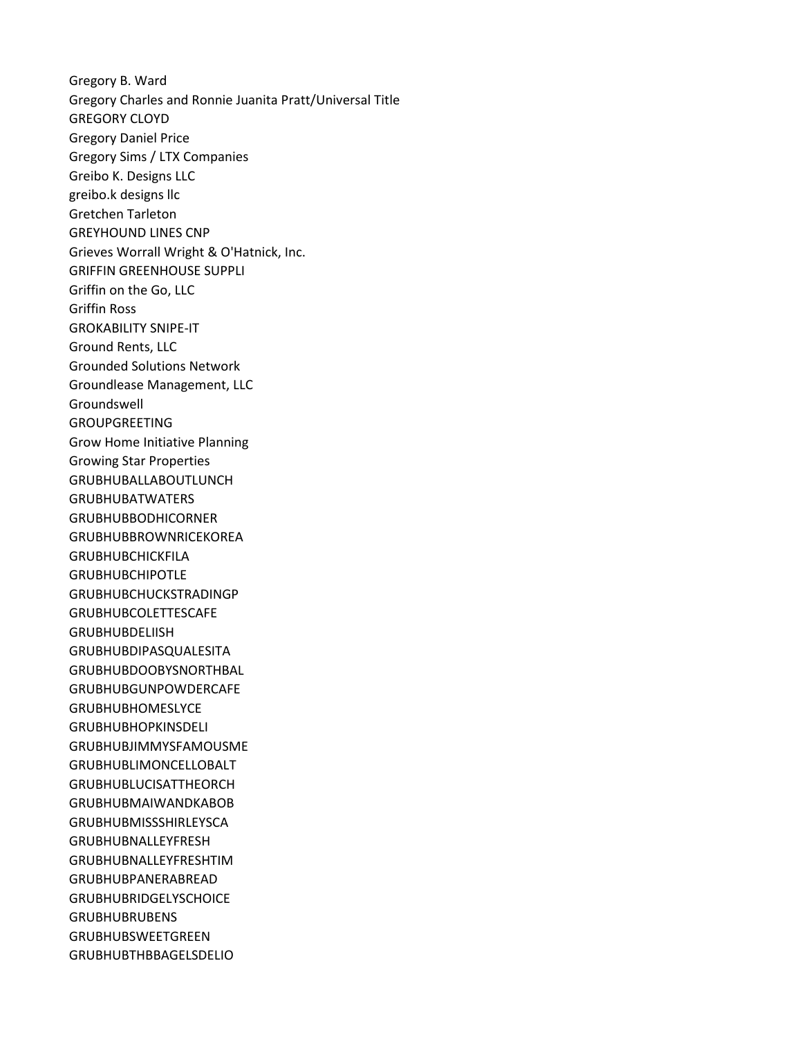Gregory B. Ward Gregory Charles and Ronnie Juanita Pratt/Universal Title GREGORY CLOYD Gregory Daniel Price Gregory Sims / LTX Companies Greibo K. Designs LLC greibo.k designs llc Gretchen Tarleton GREYHOUND LINES CNP Grieves Worrall Wright & O'Hatnick, Inc. GRIFFIN GREENHOUSE SUPPLI Griffin on the Go, LLC Griffin Ross GROKABILITY SNIPE-IT Ground Rents, LLC Grounded Solutions Network Groundlease Management, LLC Groundswell GROUPGREETING Grow Home Initiative Planning Growing Star Properties GRUBHUBALLABOUTLUNCH GRUBHUBATWATERS GRUBHUBBODHICORNER GRUBHUBBROWNRICEKOREA GRUBHUBCHICKFILA GRUBHUBCHIPOTLE GRUBHUBCHUCKSTRADINGP GRUBHUBCOLETTESCAFE GRUBHUBDELIISH GRUBHUBDIPASQUALESITA GRUBHUBDOOBYSNORTHBAL GRUBHUBGUNPOWDERCAFE GRUBHUBHOMESLYCE GRUBHUBHOPKINSDELI GRUBHUBJIMMYSFAMOUSME GRUBHUBLIMONCELLOBALT GRUBHUBLUCISATTHEORCH GRUBHUBMAIWANDKABOB GRUBHUBMISSSHIRLEYSCA GRUBHUBNALLEYFRESH GRUBHUBNALLEYFRESHTIM GRUBHUBPANERABREAD GRUBHUBRIDGELYSCHOICE GRUBHUBRUBENS GRUBHUBSWEETGREEN GRUBHUBTHBBAGELSDELIO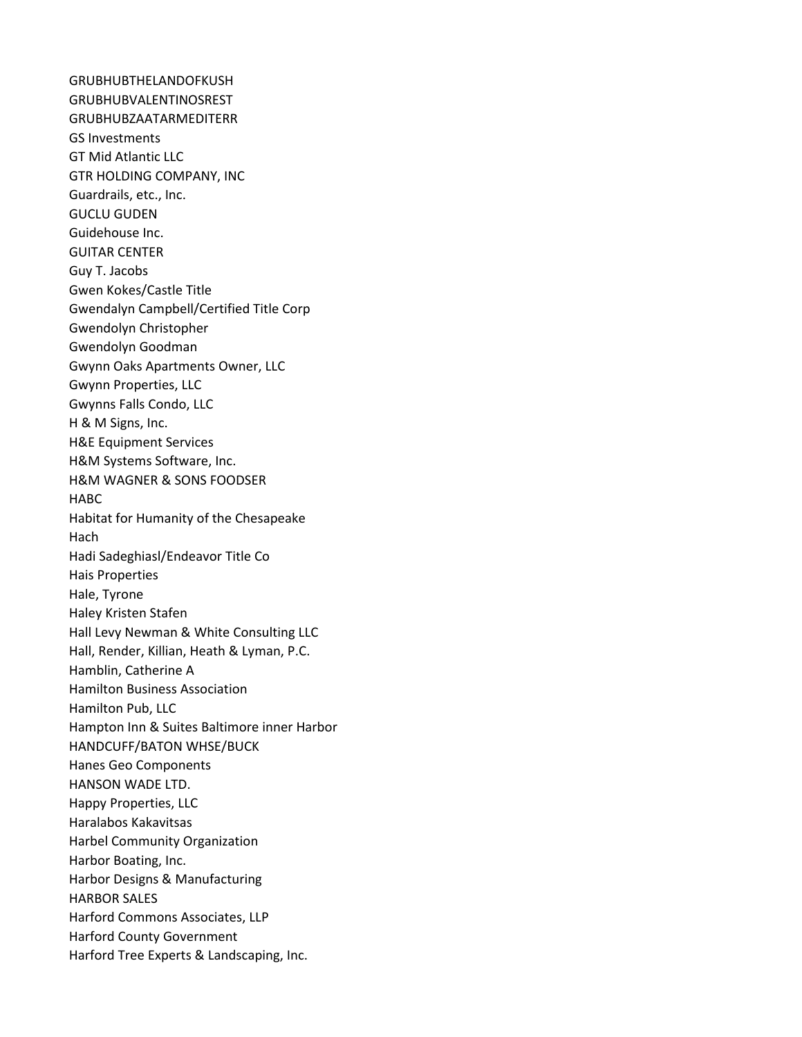GRUBHUBTHELANDOFKUSH GRUBHUBVALENTINOSREST GRUBHUBZAATARMEDITERR GS Investments GT Mid Atlantic LLC GTR HOLDING COMPANY, INC Guardrails, etc., Inc. GUCLU GUDEN Guidehouse Inc. GUITAR CENTER Guy T. Jacobs Gwen Kokes/Castle Title Gwendalyn Campbell/Certified Title Corp Gwendolyn Christopher Gwendolyn Goodman Gwynn Oaks Apartments Owner, LLC Gwynn Properties, LLC Gwynns Falls Condo, LLC H & M Signs, Inc. H&E Equipment Services H&M Systems Software, Inc. H&M WAGNER & SONS FOODSER HABC Habitat for Humanity of the Chesapeake Hach Hadi Sadeghiasl/Endeavor Title Co Hais Properties Hale, Tyrone Haley Kristen Stafen Hall Levy Newman & White Consulting LLC Hall, Render, Killian, Heath & Lyman, P.C. Hamblin, Catherine A Hamilton Business Association Hamilton Pub, LLC Hampton Inn & Suites Baltimore inner Harbor HANDCUFF/BATON WHSE/BUCK Hanes Geo Components HANSON WADE LTD. Happy Properties, LLC Haralabos Kakavitsas Harbel Community Organization Harbor Boating, Inc. Harbor Designs & Manufacturing HARBOR SALES Harford Commons Associates, LLP Harford County Government Harford Tree Experts & Landscaping, Inc.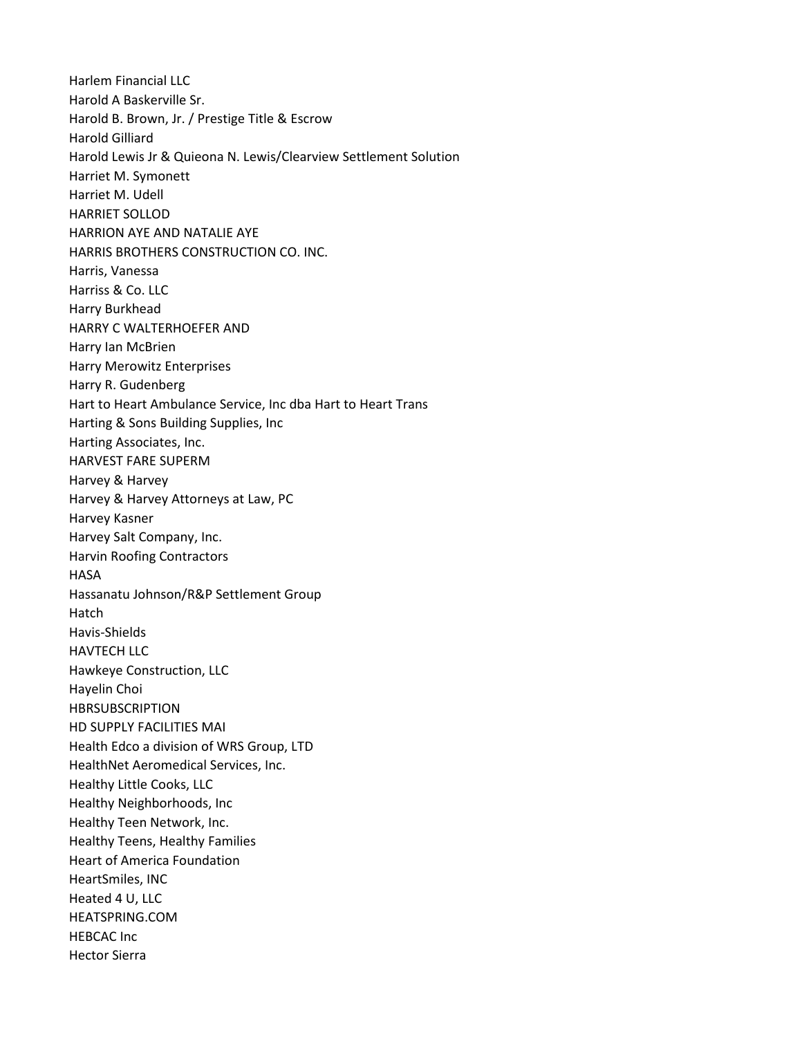Harlem Financial LLC Harold A Baskerville Sr. Harold B. Brown, Jr. / Prestige Title & Escrow Harold Gilliard Harold Lewis Jr & Quieona N. Lewis/Clearview Settlement Solution Harriet M. Symonett Harriet M. Udell HARRIET SOLLOD HARRION AYE AND NATALIE AYE HARRIS BROTHERS CONSTRUCTION CO. INC. Harris, Vanessa Harriss & Co. LLC Harry Burkhead HARRY C WALTERHOEFER AND Harry Ian McBrien Harry Merowitz Enterprises Harry R. Gudenberg Hart to Heart Ambulance Service, Inc dba Hart to Heart Trans Harting & Sons Building Supplies, Inc Harting Associates, Inc. HARVEST FARE SUPERM Harvey & Harvey Harvey & Harvey Attorneys at Law, PC Harvey Kasner Harvey Salt Company, Inc. Harvin Roofing Contractors **HASA** Hassanatu Johnson/R&P Settlement Group Hatch Havis-Shields HAVTECH LLC Hawkeye Construction, LLC Hayelin Choi HBRSUBSCRIPTION HD SUPPLY FACILITIES MAI Health Edco a division of WRS Group, LTD HealthNet Aeromedical Services, Inc. Healthy Little Cooks, LLC Healthy Neighborhoods, Inc Healthy Teen Network, Inc. Healthy Teens, Healthy Families Heart of America Foundation HeartSmiles, INC Heated 4 U, LLC HEATSPRING.COM HEBCAC Inc Hector Sierra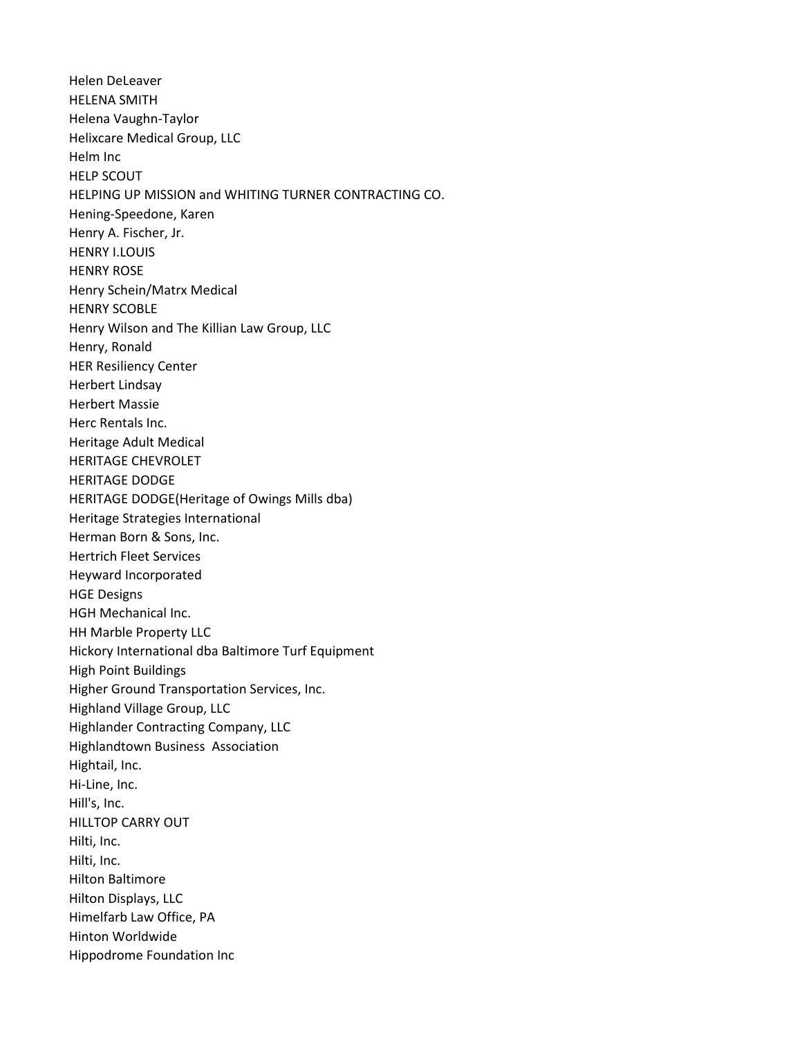Helen DeLeaver HELENA SMITH Helena Vaughn-Taylor Helixcare Medical Group, LLC Helm Inc HELP SCOUT HELPING UP MISSION and WHITING TURNER CONTRACTING CO. Hening-Speedone, Karen Henry A. Fischer, Jr. HENRY I.LOUIS HENRY ROSE Henry Schein/Matrx Medical HENRY SCOBLE Henry Wilson and The Killian Law Group, LLC Henry, Ronald HER Resiliency Center Herbert Lindsay Herbert Massie Herc Rentals Inc. Heritage Adult Medical HERITAGE CHEVROLET HERITAGE DODGE HERITAGE DODGE(Heritage of Owings Mills dba) Heritage Strategies International Herman Born & Sons, Inc. Hertrich Fleet Services Heyward Incorporated HGE Designs HGH Mechanical Inc. HH Marble Property LLC Hickory International dba Baltimore Turf Equipment High Point Buildings Higher Ground Transportation Services, Inc. Highland Village Group, LLC Highlander Contracting Company, LLC Highlandtown Business Association Hightail, Inc. Hi-Line, Inc. Hill's, Inc. HILLTOP CARRY OUT Hilti, Inc. Hilti, Inc. Hilton Baltimore Hilton Displays, LLC Himelfarb Law Office, PA Hinton Worldwide Hippodrome Foundation Inc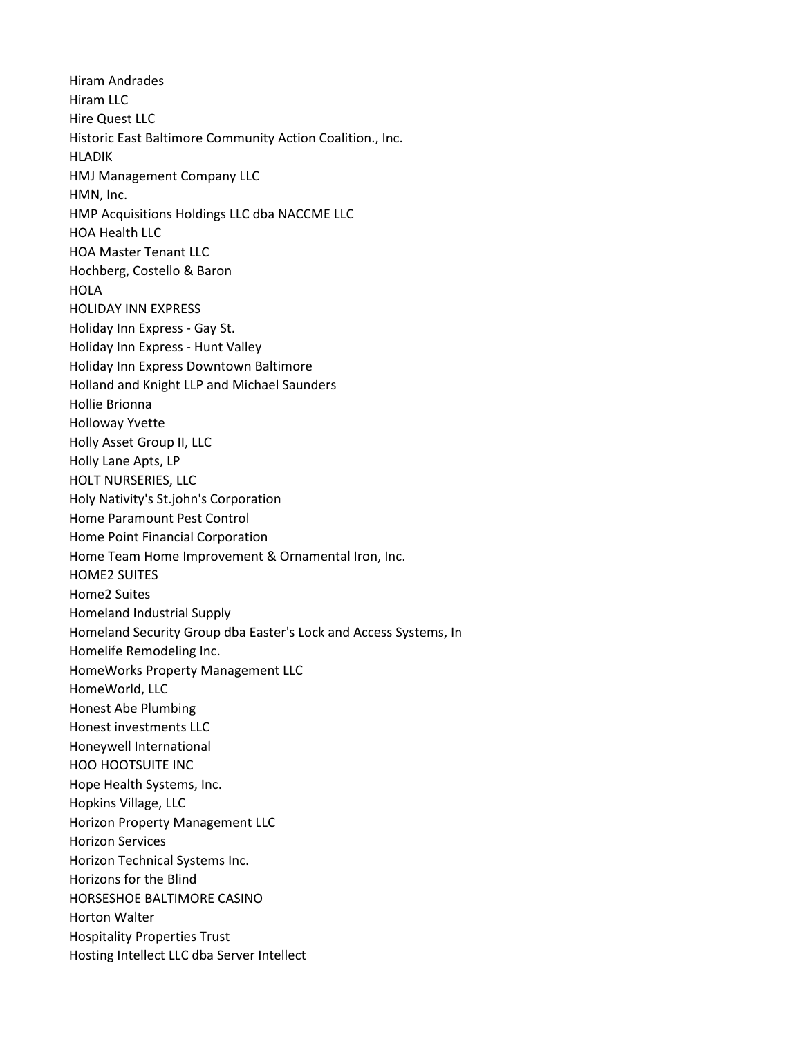Hiram Andrades Hiram LLC Hire Quest LLC Historic East Baltimore Community Action Coalition., Inc. HLADIK HMJ Management Company LLC HMN, Inc. HMP Acquisitions Holdings LLC dba NACCME LLC HOA Health LLC HOA Master Tenant LLC Hochberg, Costello & Baron **HOLA** HOLIDAY INN EXPRESS Holiday Inn Express - Gay St. Holiday Inn Express - Hunt Valley Holiday Inn Express Downtown Baltimore Holland and Knight LLP and Michael Saunders Hollie Brionna Holloway Yvette Holly Asset Group II, LLC Holly Lane Apts, LP HOLT NURSERIES, LLC Holy Nativity's St.john's Corporation Home Paramount Pest Control Home Point Financial Corporation Home Team Home Improvement & Ornamental Iron, Inc. HOME2 SUITES Home2 Suites Homeland Industrial Supply Homeland Security Group dba Easter's Lock and Access Systems, In Homelife Remodeling Inc. HomeWorks Property Management LLC HomeWorld, LLC Honest Abe Plumbing Honest investments LLC Honeywell International HOO HOOTSUITE INC Hope Health Systems, Inc. Hopkins Village, LLC Horizon Property Management LLC Horizon Services Horizon Technical Systems Inc. Horizons for the Blind HORSESHOE BALTIMORE CASINO Horton Walter Hospitality Properties Trust Hosting Intellect LLC dba Server Intellect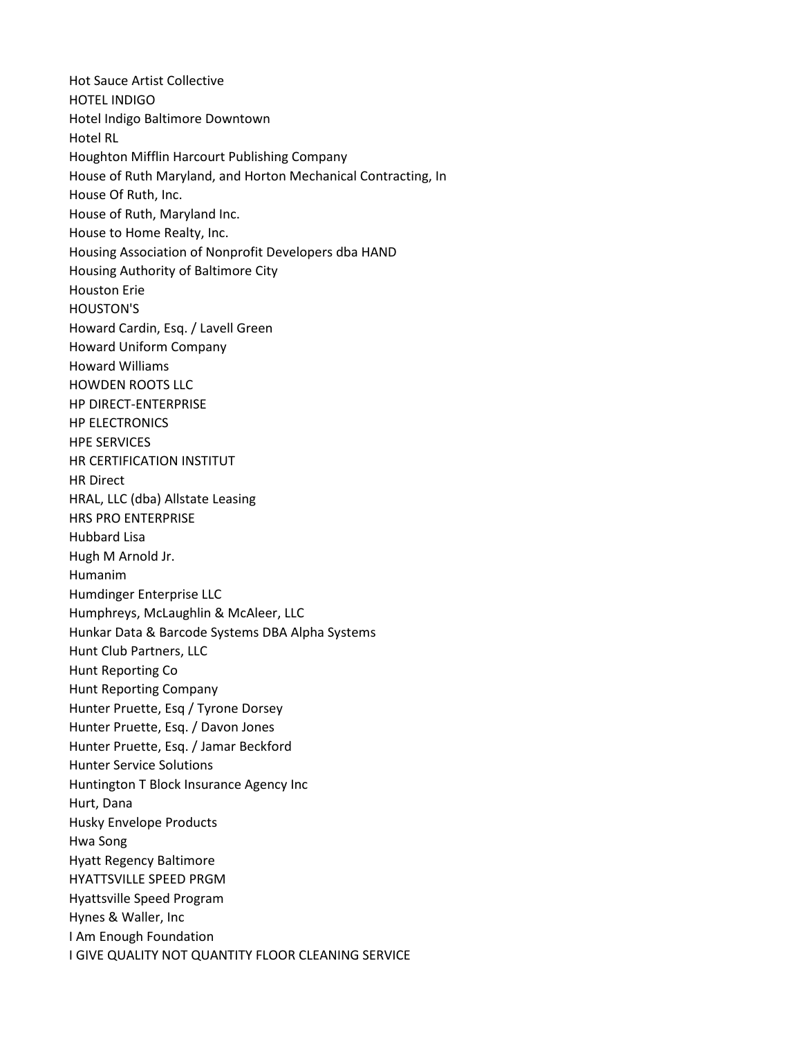Hot Sauce Artist Collective HOTEL INDIGO Hotel Indigo Baltimore Downtown Hotel RL Houghton Mifflin Harcourt Publishing Company House of Ruth Maryland, and Horton Mechanical Contracting, In House Of Ruth, Inc. House of Ruth, Maryland Inc. House to Home Realty, Inc. Housing Association of Nonprofit Developers dba HAND Housing Authority of Baltimore City Houston Erie HOUSTON'S Howard Cardin, Esq. / Lavell Green Howard Uniform Company Howard Williams HOWDEN ROOTS LLC HP DIRECT-ENTERPRISE HP ELECTRONICS HPE SERVICES HR CERTIFICATION INSTITUT HR Direct HRAL, LLC (dba) Allstate Leasing HRS PRO ENTERPRISE Hubbard Lisa Hugh M Arnold Jr. Humanim Humdinger Enterprise LLC Humphreys, McLaughlin & McAleer, LLC Hunkar Data & Barcode Systems DBA Alpha Systems Hunt Club Partners, LLC Hunt Reporting Co Hunt Reporting Company Hunter Pruette, Esq / Tyrone Dorsey Hunter Pruette, Esq. / Davon Jones Hunter Pruette, Esq. / Jamar Beckford Hunter Service Solutions Huntington T Block Insurance Agency Inc Hurt, Dana Husky Envelope Products Hwa Song Hyatt Regency Baltimore HYATTSVILLE SPEED PRGM Hyattsville Speed Program Hynes & Waller, Inc I Am Enough Foundation I GIVE QUALITY NOT QUANTITY FLOOR CLEANING SERVICE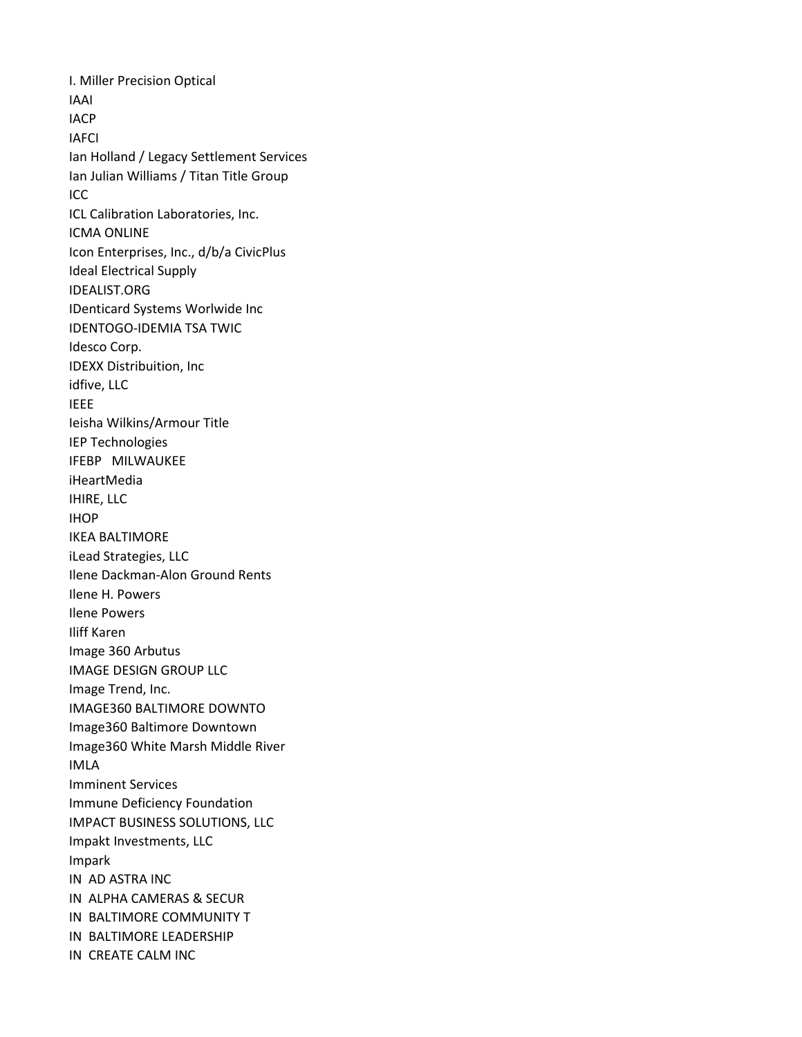I. Miller Precision Optical IAAI IACP IAFCI Ian Holland / Legacy Settlement Services Ian Julian Williams / Titan Title Group ICC ICL Calibration Laboratories, Inc. ICMA ONLINE Icon Enterprises, Inc., d/b/a CivicPlus Ideal Electrical Supply IDEALIST.ORG IDenticard Systems Worlwide Inc IDENTOGO-IDEMIA TSA TWIC Idesco Corp. IDEXX Distribuition, Inc idfive, LLC IEEE Ieisha Wilkins/Armour Title IEP Technologies IFEBP MILWAUKEE iHeartMedia IHIRE, LLC IHOP IKEA BALTIMORE iLead Strategies, LLC Ilene Dackman-Alon Ground Rents Ilene H. Powers Ilene Powers Iliff Karen Image 360 Arbutus IMAGE DESIGN GROUP LLC Image Trend, Inc. IMAGE360 BALTIMORE DOWNTO Image360 Baltimore Downtown Image360 White Marsh Middle River IMLA Imminent Services Immune Deficiency Foundation IMPACT BUSINESS SOLUTIONS, LLC Impakt Investments, LLC Impark IN AD ASTRA INC IN ALPHA CAMERAS & SECUR IN BALTIMORE COMMUNITY T IN BALTIMORE LEADERSHIP IN CREATE CALM INC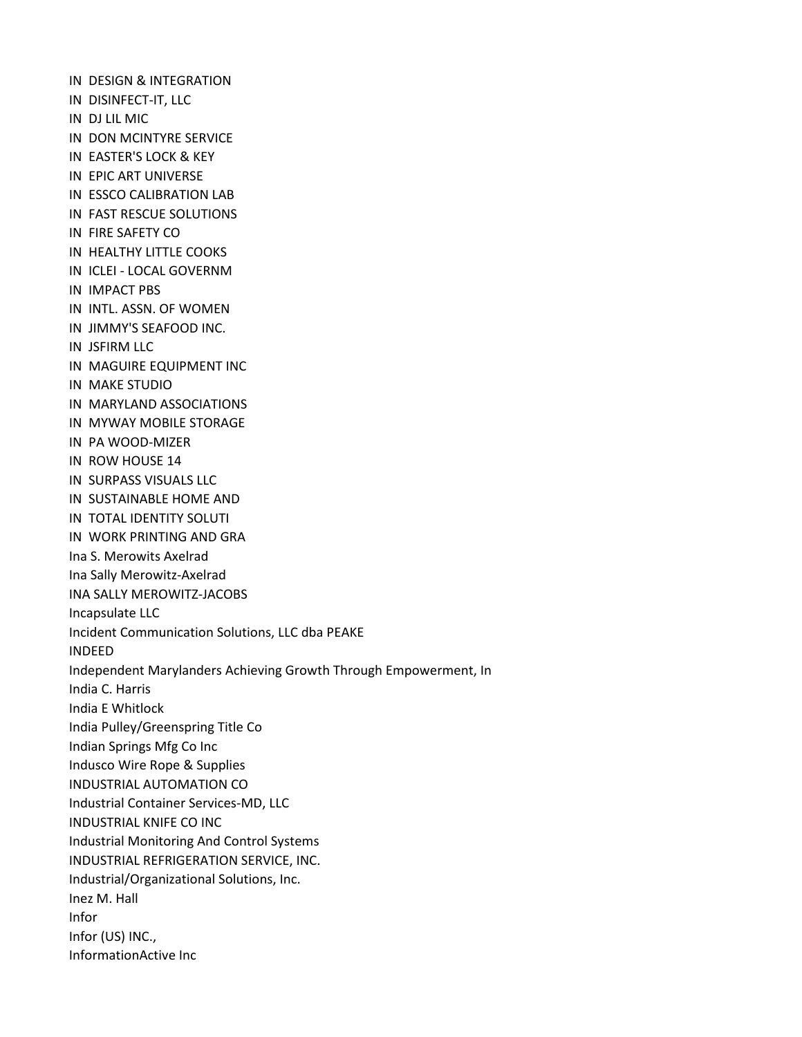IN DESIGN & INTEGRATION IN DISINFECT-IT, LLC IN DJ LIL MIC IN DON MCINTYRE SERVICE IN EASTER'S LOCK & KEY IN EPIC ART UNIVERSE IN ESSCO CALIBRATION LAB IN FAST RESCUE SOLUTIONS IN FIRE SAFETY CO IN HEALTHY LITTLE COOKS IN ICLEI - LOCAL GOVERNM IN IMPACT PBS IN INTL. ASSN. OF WOMEN IN JIMMY'S SEAFOOD INC. IN JSFIRM LLC IN MAGUIRE EQUIPMENT INC IN MAKE STUDIO IN MARYLAND ASSOCIATIONS IN MYWAY MOBILE STORAGE IN PA WOOD-MIZER IN ROW HOUSE 14 IN SURPASS VISUALS LLC IN SUSTAINABLE HOME AND IN TOTAL IDENTITY SOLUTI IN WORK PRINTING AND GRA Ina S. Merowits Axelrad Ina Sally Merowitz-Axelrad INA SALLY MEROWITZ-JACOBS Incapsulate LLC Incident Communication Solutions, LLC dba PEAKE INDEED Independent Marylanders Achieving Growth Through Empowerment, In India C. Harris India E Whitlock India Pulley/Greenspring Title Co Indian Springs Mfg Co Inc Indusco Wire Rope & Supplies INDUSTRIAL AUTOMATION CO Industrial Container Services-MD, LLC INDUSTRIAL KNIFE CO INC Industrial Monitoring And Control Systems INDUSTRIAL REFRIGERATION SERVICE, INC. Industrial/Organizational Solutions, Inc. Inez M. Hall Infor Infor (US) INC., InformationActive Inc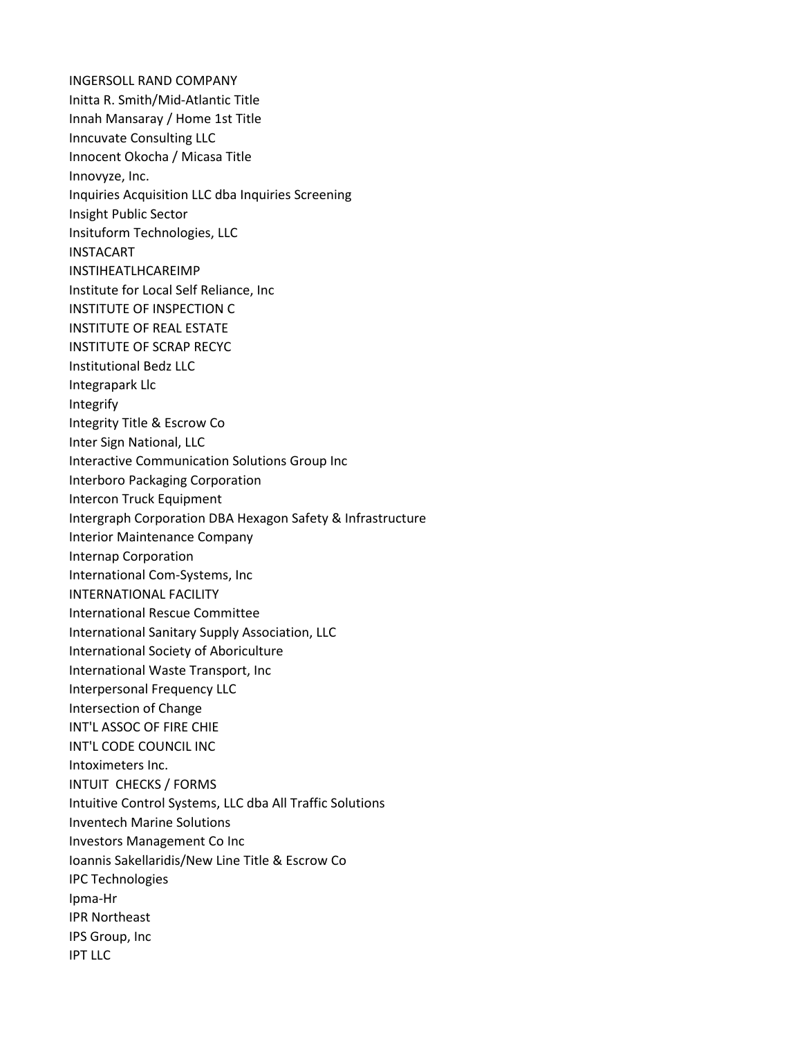INGERSOLL RAND COMPANY Initta R. Smith/Mid-Atlantic Title Innah Mansaray / Home 1st Title Inncuvate Consulting LLC Innocent Okocha / Micasa Title Innovyze, Inc. Inquiries Acquisition LLC dba Inquiries Screening Insight Public Sector Insituform Technologies, LLC INSTACART INSTIHEATLHCAREIMP Institute for Local Self Reliance, Inc INSTITUTE OF INSPECTION C INSTITUTE OF REAL ESTATE INSTITUTE OF SCRAP RECYC Institutional Bedz LLC Integrapark Llc Integrify Integrity Title & Escrow Co Inter Sign National, LLC Interactive Communication Solutions Group Inc Interboro Packaging Corporation Intercon Truck Equipment Intergraph Corporation DBA Hexagon Safety & Infrastructure Interior Maintenance Company Internap Corporation International Com-Systems, Inc INTERNATIONAL FACILITY International Rescue Committee International Sanitary Supply Association, LLC International Society of Aboriculture International Waste Transport, Inc Interpersonal Frequency LLC Intersection of Change INT'L ASSOC OF FIRE CHIE INT'L CODE COUNCIL INC Intoximeters Inc. INTUIT CHECKS / FORMS Intuitive Control Systems, LLC dba All Traffic Solutions Inventech Marine Solutions Investors Management Co Inc Ioannis Sakellaridis/New Line Title & Escrow Co IPC Technologies Ipma-Hr IPR Northeast IPS Group, Inc IPT LLC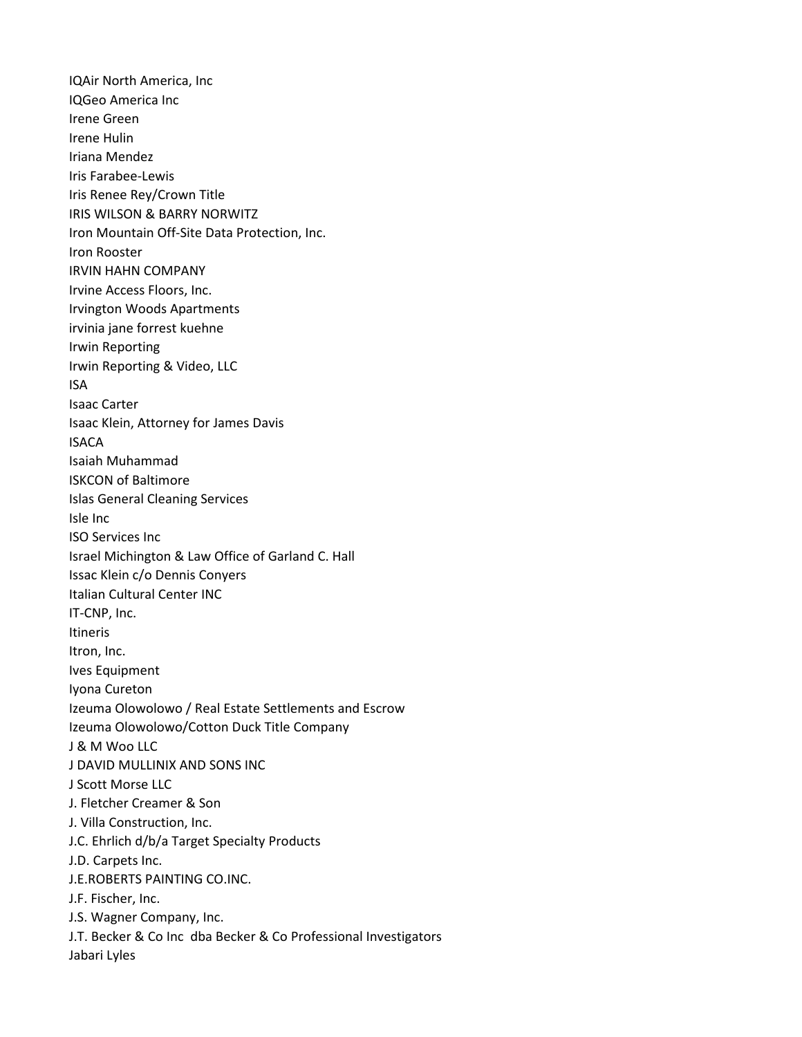IQAir North America, Inc IQGeo America Inc Irene Green Irene Hulin Iriana Mendez Iris Farabee-Lewis Iris Renee Rey/Crown Title IRIS WILSON & BARRY NORWITZ Iron Mountain Off-Site Data Protection, Inc. Iron Rooster IRVIN HAHN COMPANY Irvine Access Floors, Inc. Irvington Woods Apartments irvinia jane forrest kuehne Irwin Reporting Irwin Reporting & Video, LLC ISA Isaac Carter Isaac Klein, Attorney for James Davis ISACA Isaiah Muhammad ISKCON of Baltimore Islas General Cleaning Services Isle Inc ISO Services Inc Israel Michington & Law Office of Garland C. Hall Issac Klein c/o Dennis Conyers Italian Cultural Center INC IT-CNP, Inc. Itineris Itron, Inc. Ives Equipment Iyona Cureton Izeuma Olowolowo / Real Estate Settlements and Escrow Izeuma Olowolowo/Cotton Duck Title Company J & M Woo LLC J DAVID MULLINIX AND SONS INC J Scott Morse LLC J. Fletcher Creamer & Son J. Villa Construction, Inc. J.C. Ehrlich d/b/a Target Specialty Products J.D. Carpets Inc. J.E.ROBERTS PAINTING CO.INC. J.F. Fischer, Inc. J.S. Wagner Company, Inc. J.T. Becker & Co Inc dba Becker & Co Professional Investigators Jabari Lyles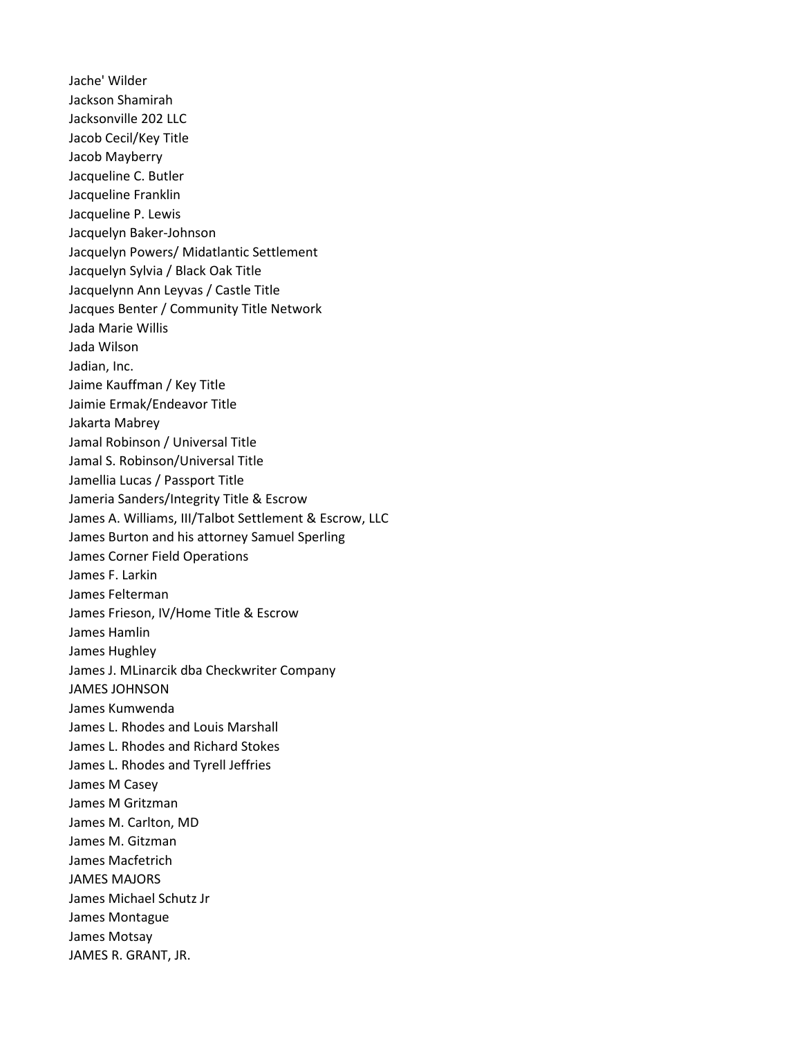Jache' Wilder Jackson Shamirah Jacksonville 202 LLC Jacob Cecil/Key Title Jacob Mayberry Jacqueline C. Butler Jacqueline Franklin Jacqueline P. Lewis Jacquelyn Baker-Johnson Jacquelyn Powers/ Midatlantic Settlement Jacquelyn Sylvia / Black Oak Title Jacquelynn Ann Leyvas / Castle Title Jacques Benter / Community Title Network Jada Marie Willis Jada Wilson Jadian, Inc. Jaime Kauffman / Key Title Jaimie Ermak/Endeavor Title Jakarta Mabrey Jamal Robinson / Universal Title Jamal S. Robinson/Universal Title Jamellia Lucas / Passport Title Jameria Sanders/Integrity Title & Escrow James A. Williams, III/Talbot Settlement & Escrow, LLC James Burton and his attorney Samuel Sperling James Corner Field Operations James F. Larkin James Felterman James Frieson, IV/Home Title & Escrow James Hamlin James Hughley James J. MLinarcik dba Checkwriter Company JAMES JOHNSON James Kumwenda James L. Rhodes and Louis Marshall James L. Rhodes and Richard Stokes James L. Rhodes and Tyrell Jeffries James M Casey James M Gritzman James M. Carlton, MD James M. Gitzman James Macfetrich JAMES MAJORS James Michael Schutz Jr James Montague James Motsay JAMES R. GRANT, JR.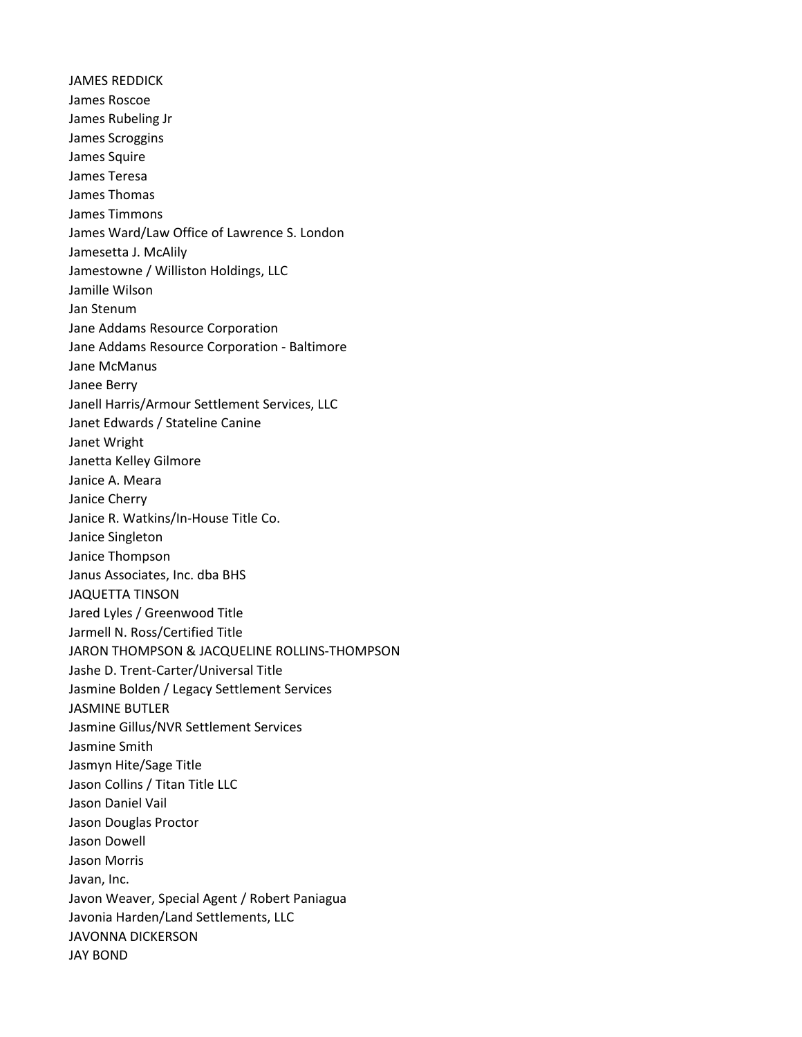JAMES REDDICK James Roscoe James Rubeling Jr James Scroggins James Squire James Teresa James Thomas James Timmons James Ward/Law Office of Lawrence S. London Jamesetta J. McAlily Jamestowne / Williston Holdings, LLC Jamille Wilson Jan Stenum Jane Addams Resource Corporation Jane Addams Resource Corporation - Baltimore Jane McManus Janee Berry Janell Harris/Armour Settlement Services, LLC Janet Edwards / Stateline Canine Janet Wright Janetta Kelley Gilmore Janice A. Meara Janice Cherry Janice R. Watkins/In-House Title Co. Janice Singleton Janice Thompson Janus Associates, Inc. dba BHS JAQUETTA TINSON Jared Lyles / Greenwood Title Jarmell N. Ross/Certified Title JARON THOMPSON & JACQUELINE ROLLINS-THOMPSON Jashe D. Trent-Carter/Universal Title Jasmine Bolden / Legacy Settlement Services JASMINE BUTLER Jasmine Gillus/NVR Settlement Services Jasmine Smith Jasmyn Hite/Sage Title Jason Collins / Titan Title LLC Jason Daniel Vail Jason Douglas Proctor Jason Dowell Jason Morris Javan, Inc. Javon Weaver, Special Agent / Robert Paniagua Javonia Harden/Land Settlements, LLC JAVONNA DICKERSON JAY BOND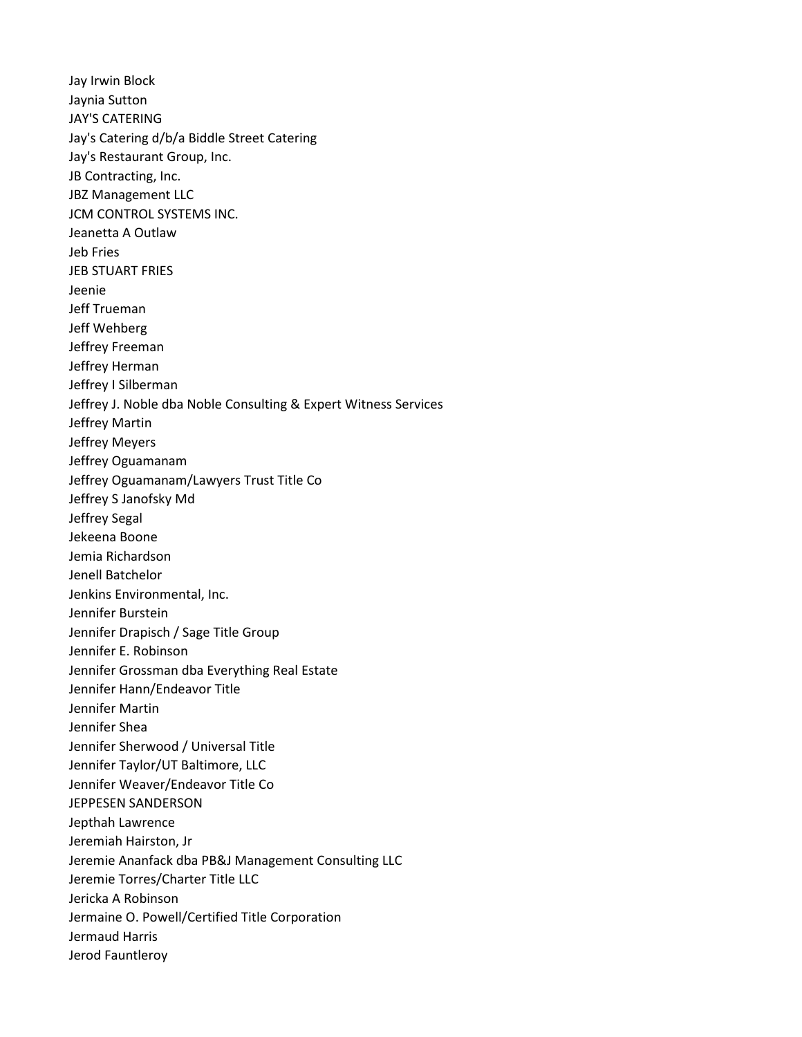Jay Irwin Block Jaynia Sutton JAY'S CATERING Jay's Catering d/b/a Biddle Street Catering Jay's Restaurant Group, Inc. JB Contracting, Inc. JBZ Management LLC JCM CONTROL SYSTEMS INC. Jeanetta A Outlaw Jeb Fries JEB STUART FRIES Jeenie Jeff Trueman Jeff Wehberg Jeffrey Freeman Jeffrey Herman Jeffrey I Silberman Jeffrey J. Noble dba Noble Consulting & Expert Witness Services Jeffrey Martin Jeffrey Meyers Jeffrey Oguamanam Jeffrey Oguamanam/Lawyers Trust Title Co Jeffrey S Janofsky Md Jeffrey Segal Jekeena Boone Jemia Richardson Jenell Batchelor Jenkins Environmental, Inc. Jennifer Burstein Jennifer Drapisch / Sage Title Group Jennifer E. Robinson Jennifer Grossman dba Everything Real Estate Jennifer Hann/Endeavor Title Jennifer Martin Jennifer Shea Jennifer Sherwood / Universal Title Jennifer Taylor/UT Baltimore, LLC Jennifer Weaver/Endeavor Title Co JEPPESEN SANDERSON Jepthah Lawrence Jeremiah Hairston, Jr Jeremie Ananfack dba PB&J Management Consulting LLC Jeremie Torres/Charter Title LLC Jericka A Robinson Jermaine O. Powell/Certified Title Corporation Jermaud Harris Jerod Fauntleroy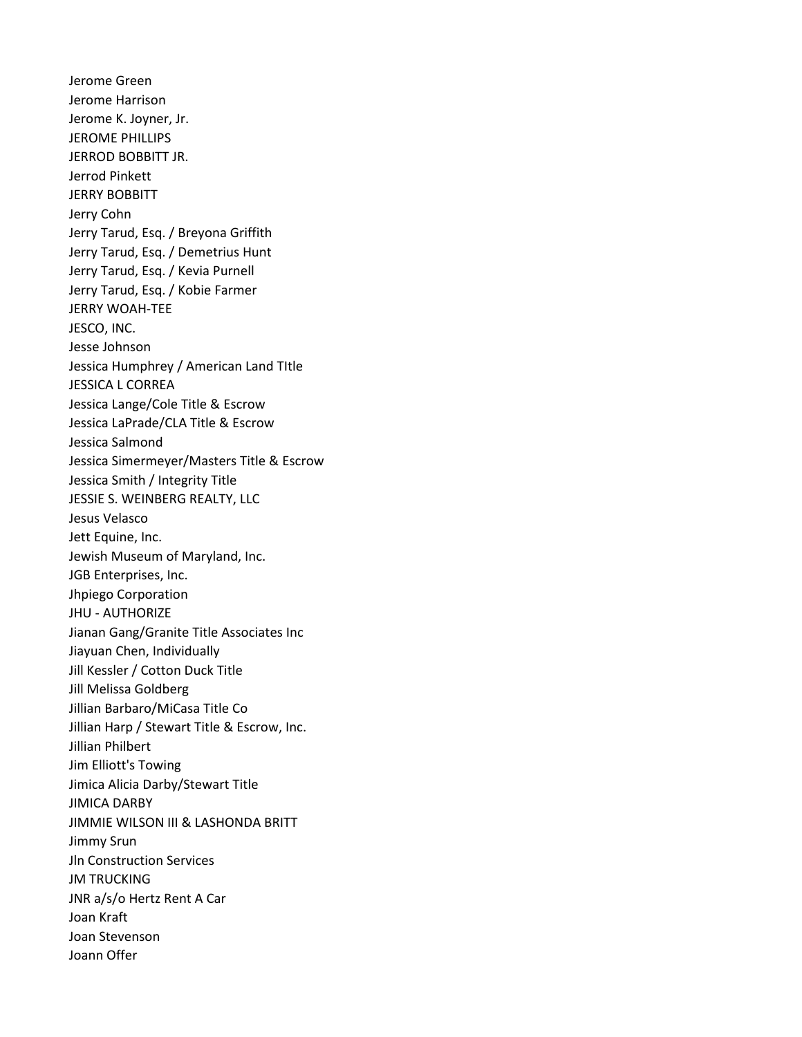Jerome Green Jerome Harrison Jerome K. Joyner, Jr. JEROME PHILLIPS JERROD BOBBITT JR. Jerrod Pinkett JERRY BOBBITT Jerry Cohn Jerry Tarud, Esq. / Breyona Griffith Jerry Tarud, Esq. / Demetrius Hunt Jerry Tarud, Esq. / Kevia Purnell Jerry Tarud, Esq. / Kobie Farmer JERRY WOAH-TEE JESCO, INC. Jesse Johnson Jessica Humphrey / American Land TItle JESSICA L CORREA Jessica Lange/Cole Title & Escrow Jessica LaPrade/CLA Title & Escrow Jessica Salmond Jessica Simermeyer/Masters Title & Escrow Jessica Smith / Integrity Title JESSIE S. WEINBERG REALTY, LLC Jesus Velasco Jett Equine, Inc. Jewish Museum of Maryland, Inc. JGB Enterprises, Inc. Jhpiego Corporation JHU - AUTHORIZE Jianan Gang/Granite Title Associates Inc Jiayuan Chen, Individually Jill Kessler / Cotton Duck Title Jill Melissa Goldberg Jillian Barbaro/MiCasa Title Co Jillian Harp / Stewart Title & Escrow, Inc. Jillian Philbert Jim Elliott's Towing Jimica Alicia Darby/Stewart Title JIMICA DARBY JIMMIE WILSON III & LASHONDA BRITT Jimmy Srun Jln Construction Services **JM TRUCKING** JNR a/s/o Hertz Rent A Car Joan Kraft Joan Stevenson Joann Offer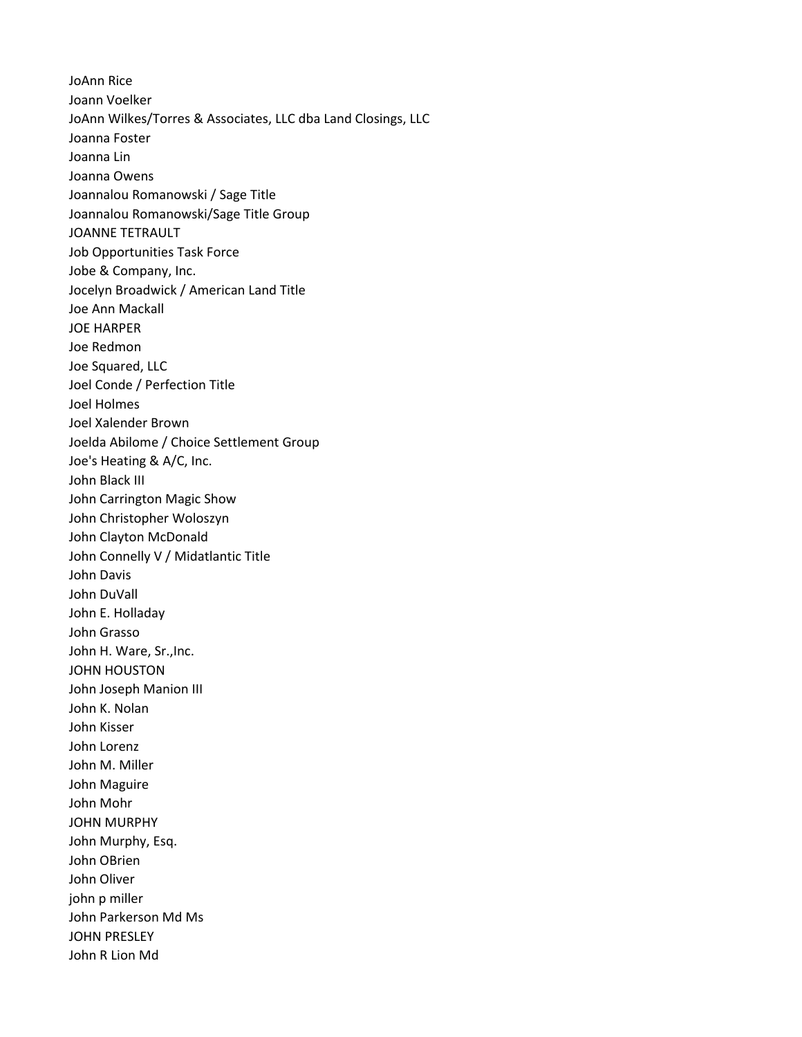JoAnn Rice Joann Voelker JoAnn Wilkes/Torres & Associates, LLC dba Land Closings, LLC Joanna Foster Joanna Lin Joanna Owens Joannalou Romanowski / Sage Title Joannalou Romanowski/Sage Title Group JOANNE TETRAULT Job Opportunities Task Force Jobe & Company, Inc. Jocelyn Broadwick / American Land Title Joe Ann Mackall JOE HARPER Joe Redmon Joe Squared, LLC Joel Conde / Perfection Title Joel Holmes Joel Xalender Brown Joelda Abilome / Choice Settlement Group Joe's Heating & A/C, Inc. John Black III John Carrington Magic Show John Christopher Woloszyn John Clayton McDonald John Connelly V / Midatlantic Title John Davis John DuVall John E. Holladay John Grasso John H. Ware, Sr.,Inc. JOHN HOUSTON John Joseph Manion III John K. Nolan John Kisser John Lorenz John M. Miller John Maguire John Mohr JOHN MURPHY John Murphy, Esq. John OBrien John Oliver john p miller John Parkerson Md Ms JOHN PRESLEY John R Lion Md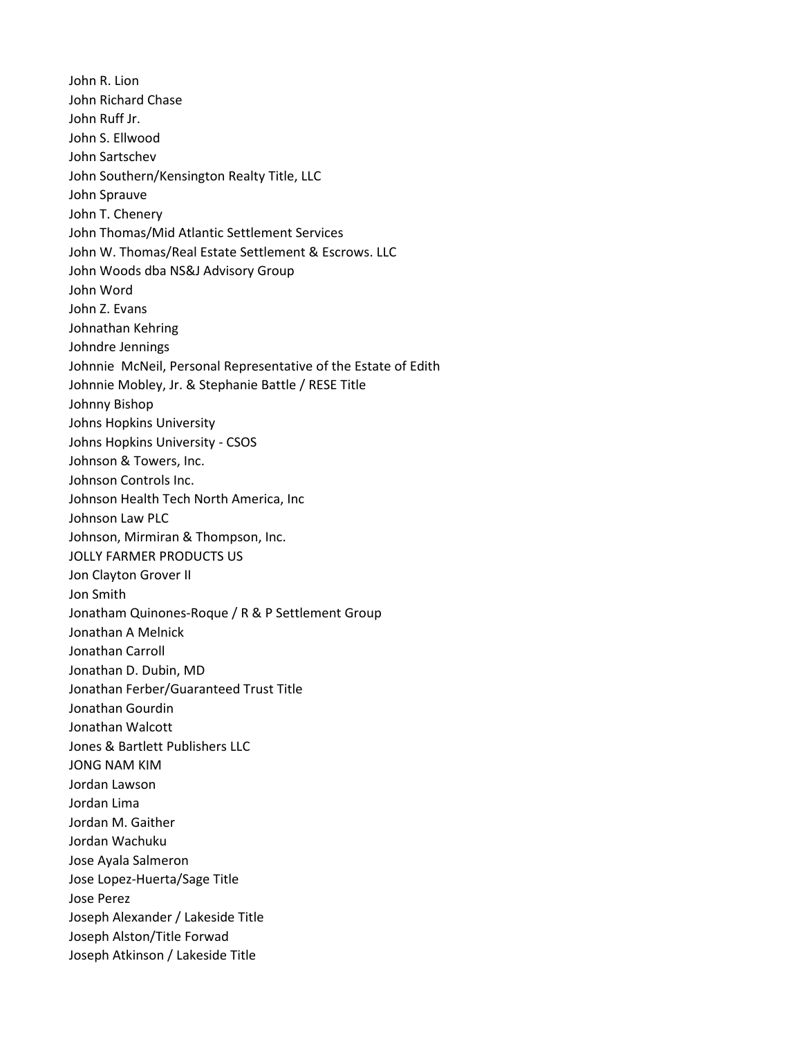John R. Lion John Richard Chase John Ruff Jr. John S. Ellwood John Sartschev John Southern/Kensington Realty Title, LLC John Sprauve John T. Chenery John Thomas/Mid Atlantic Settlement Services John W. Thomas/Real Estate Settlement & Escrows. LLC John Woods dba NS&J Advisory Group John Word John Z. Evans Johnathan Kehring Johndre Jennings Johnnie McNeil, Personal Representative of the Estate of Edith Johnnie Mobley, Jr. & Stephanie Battle / RESE Title Johnny Bishop Johns Hopkins University Johns Hopkins University - CSOS Johnson & Towers, Inc. Johnson Controls Inc. Johnson Health Tech North America, Inc Johnson Law PLC Johnson, Mirmiran & Thompson, Inc. JOLLY FARMER PRODUCTS US Jon Clayton Grover II Jon Smith Jonatham Quinones-Roque / R & P Settlement Group Jonathan A Melnick Jonathan Carroll Jonathan D. Dubin, MD Jonathan Ferber/Guaranteed Trust Title Jonathan Gourdin Jonathan Walcott Jones & Bartlett Publishers LLC JONG NAM KIM Jordan Lawson Jordan Lima Jordan M. Gaither Jordan Wachuku Jose Ayala Salmeron Jose Lopez-Huerta/Sage Title Jose Perez Joseph Alexander / Lakeside Title Joseph Alston/Title Forwad Joseph Atkinson / Lakeside Title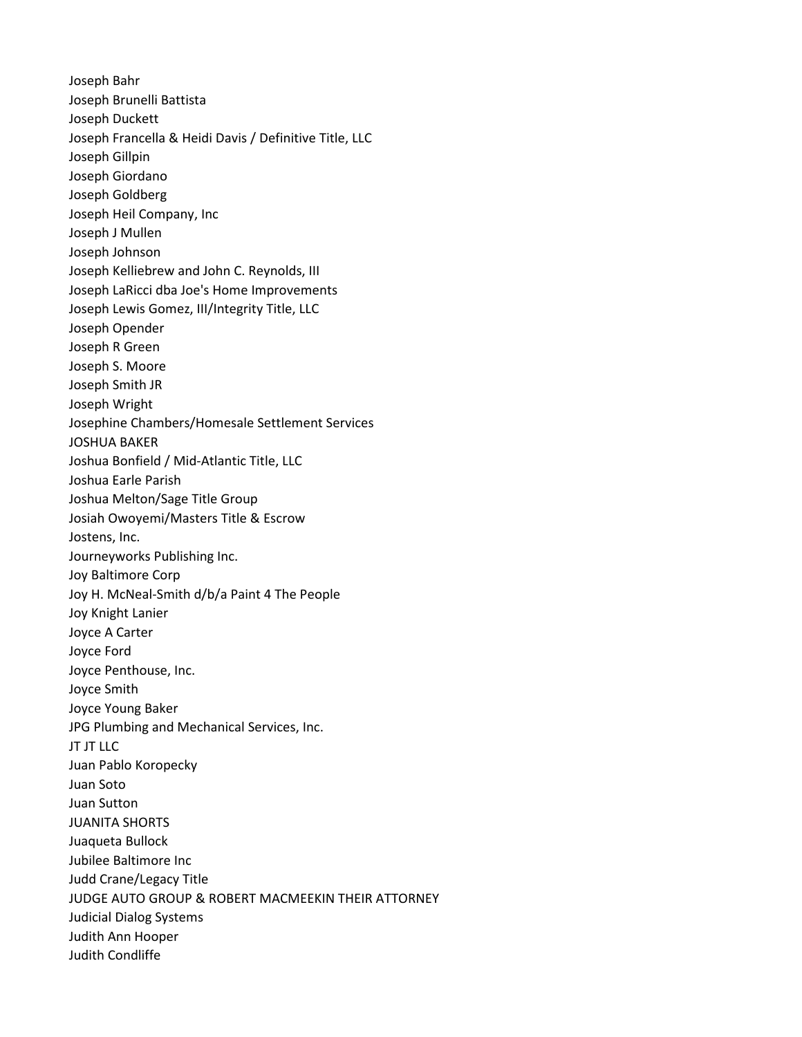Joseph Bahr Joseph Brunelli Battista Joseph Duckett Joseph Francella & Heidi Davis / Definitive Title, LLC Joseph Gillpin Joseph Giordano Joseph Goldberg Joseph Heil Company, Inc Joseph J Mullen Joseph Johnson Joseph Kelliebrew and John C. Reynolds, III Joseph LaRicci dba Joe's Home Improvements Joseph Lewis Gomez, III/Integrity Title, LLC Joseph Opender Joseph R Green Joseph S. Moore Joseph Smith JR Joseph Wright Josephine Chambers/Homesale Settlement Services JOSHUA BAKER Joshua Bonfield / Mid-Atlantic Title, LLC Joshua Earle Parish Joshua Melton/Sage Title Group Josiah Owoyemi/Masters Title & Escrow Jostens, Inc. Journeyworks Publishing Inc. Joy Baltimore Corp Joy H. McNeal-Smith d/b/a Paint 4 The People Joy Knight Lanier Joyce A Carter Joyce Ford Joyce Penthouse, Inc. Joyce Smith Joyce Young Baker JPG Plumbing and Mechanical Services, Inc. JT JT LLC Juan Pablo Koropecky Juan Soto Juan Sutton JUANITA SHORTS Juaqueta Bullock Jubilee Baltimore Inc Judd Crane/Legacy Title JUDGE AUTO GROUP & ROBERT MACMEEKIN THEIR ATTORNEY Judicial Dialog Systems Judith Ann Hooper Judith Condliffe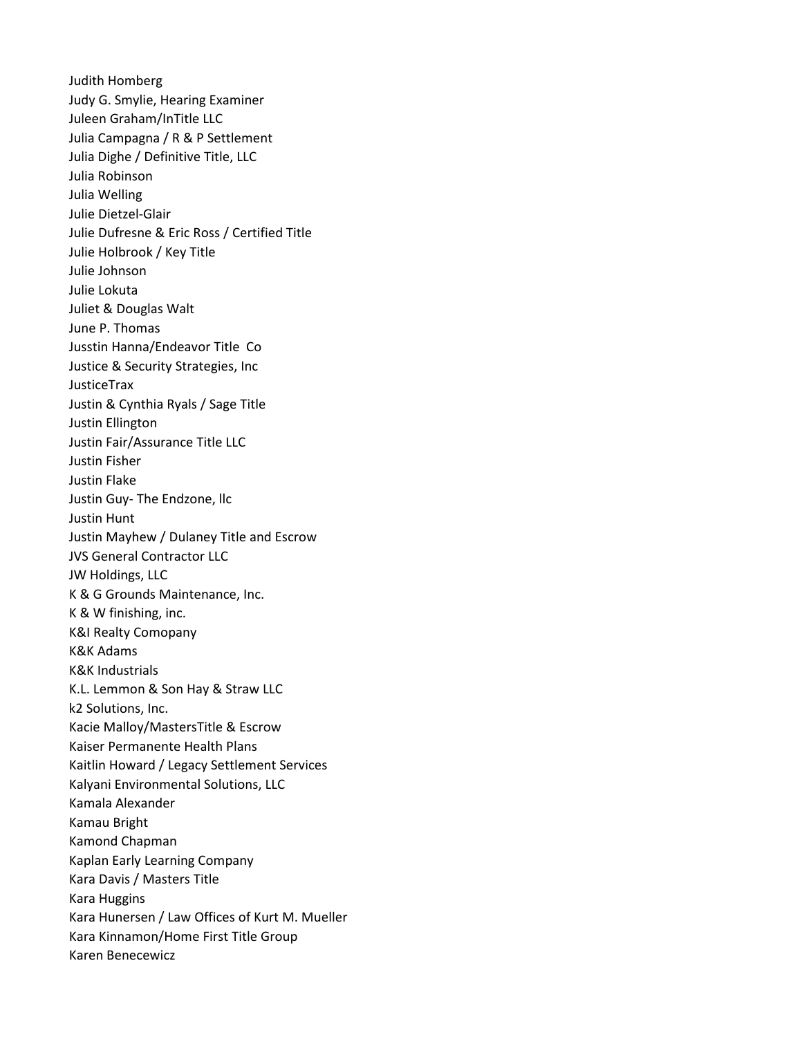Judith Homberg Judy G. Smylie, Hearing Examiner Juleen Graham/InTitle LLC Julia Campagna / R & P Settlement Julia Dighe / Definitive Title, LLC Julia Robinson Julia Welling Julie Dietzel-Glair Julie Dufresne & Eric Ross / Certified Title Julie Holbrook / Key Title Julie Johnson Julie Lokuta Juliet & Douglas Walt June P. Thomas Jusstin Hanna/Endeavor Title Co Justice & Security Strategies, Inc JusticeTrax Justin & Cynthia Ryals / Sage Title Justin Ellington Justin Fair/Assurance Title LLC Justin Fisher Justin Flake Justin Guy- The Endzone, llc Justin Hunt Justin Mayhew / Dulaney Title and Escrow JVS General Contractor LLC JW Holdings, LLC K & G Grounds Maintenance, Inc. K & W finishing, inc. K&I Realty Comopany K&K Adams K&K Industrials K.L. Lemmon & Son Hay & Straw LLC k2 Solutions, Inc. Kacie Malloy/MastersTitle & Escrow Kaiser Permanente Health Plans Kaitlin Howard / Legacy Settlement Services Kalyani Environmental Solutions, LLC Kamala Alexander Kamau Bright Kamond Chapman Kaplan Early Learning Company Kara Davis / Masters Title Kara Huggins Kara Hunersen / Law Offices of Kurt M. Mueller Kara Kinnamon/Home First Title Group Karen Benecewicz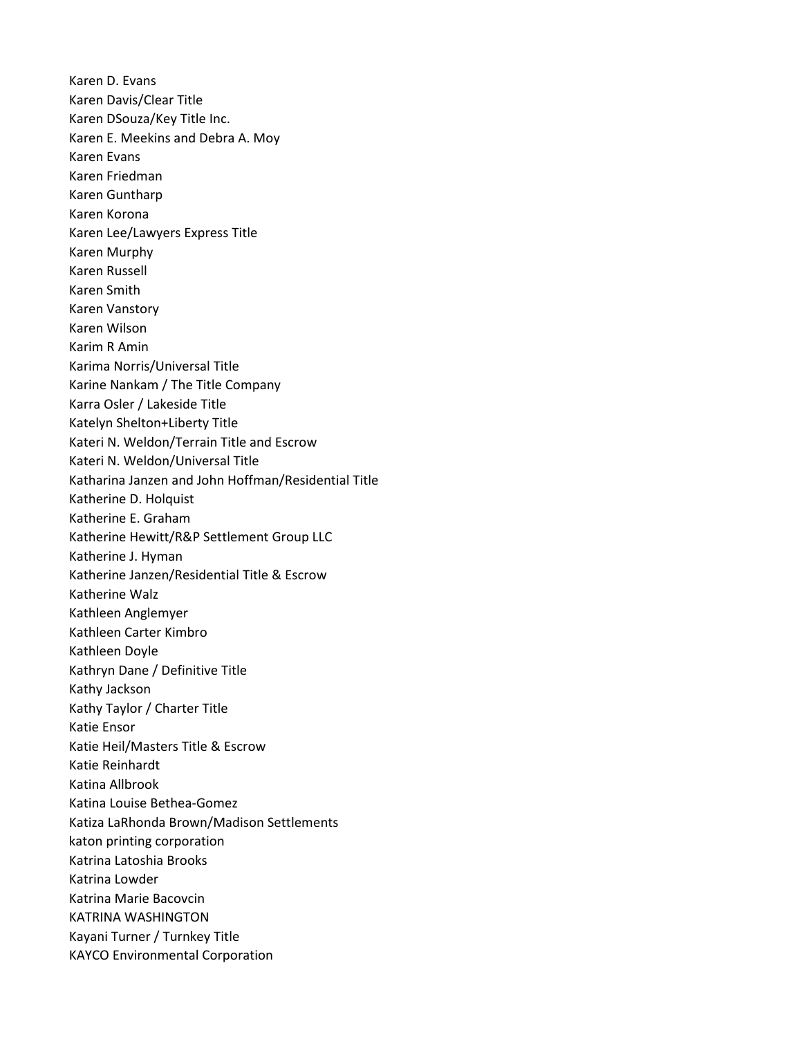Karen D. Evans Karen Davis/Clear Title Karen DSouza/Key Title Inc. Karen E. Meekins and Debra A. Moy Karen Evans Karen Friedman Karen Guntharp Karen Korona Karen Lee/Lawyers Express Title Karen Murphy Karen Russell Karen Smith Karen Vanstory Karen Wilson Karim R Amin Karima Norris/Universal Title Karine Nankam / The Title Company Karra Osler / Lakeside Title Katelyn Shelton+Liberty Title Kateri N. Weldon/Terrain Title and Escrow Kateri N. Weldon/Universal Title Katharina Janzen and John Hoffman/Residential Title Katherine D. Holquist Katherine E. Graham Katherine Hewitt/R&P Settlement Group LLC Katherine J. Hyman Katherine Janzen/Residential Title & Escrow Katherine Walz Kathleen Anglemyer Kathleen Carter Kimbro Kathleen Doyle Kathryn Dane / Definitive Title Kathy Jackson Kathy Taylor / Charter Title Katie Ensor Katie Heil/Masters Title & Escrow Katie Reinhardt Katina Allbrook Katina Louise Bethea-Gomez Katiza LaRhonda Brown/Madison Settlements katon printing corporation Katrina Latoshia Brooks Katrina Lowder Katrina Marie Bacovcin KATRINA WASHINGTON Kayani Turner / Turnkey Title KAYCO Environmental Corporation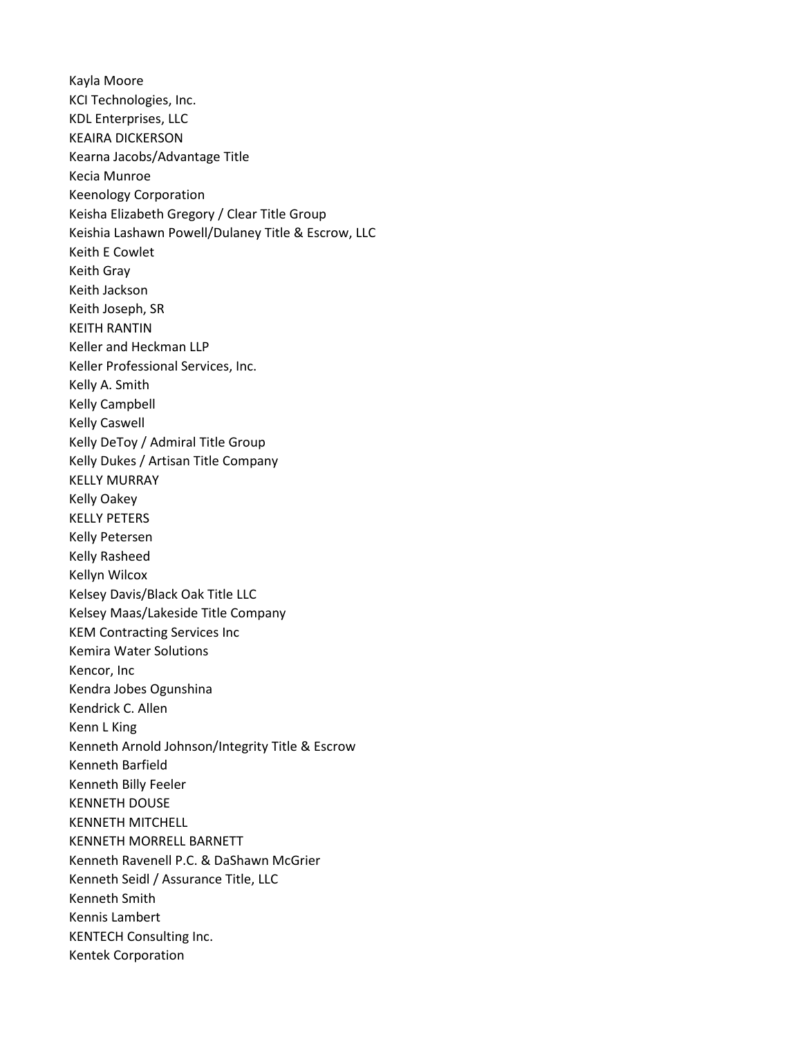Kayla Moore KCI Technologies, Inc. KDL Enterprises, LLC KEAIRA DICKERSON Kearna Jacobs/Advantage Title Kecia Munroe Keenology Corporation Keisha Elizabeth Gregory / Clear Title Group Keishia Lashawn Powell/Dulaney Title & Escrow, LLC Keith E Cowlet Keith Gray Keith Jackson Keith Joseph, SR KEITH RANTIN Keller and Heckman LLP Keller Professional Services, Inc. Kelly A. Smith Kelly Campbell Kelly Caswell Kelly DeToy / Admiral Title Group Kelly Dukes / Artisan Title Company KELLY MURRAY Kelly Oakey KELLY PETERS Kelly Petersen Kelly Rasheed Kellyn Wilcox Kelsey Davis/Black Oak Title LLC Kelsey Maas/Lakeside Title Company KEM Contracting Services Inc Kemira Water Solutions Kencor, Inc Kendra Jobes Ogunshina Kendrick C. Allen Kenn L King Kenneth Arnold Johnson/Integrity Title & Escrow Kenneth Barfield Kenneth Billy Feeler KENNETH DOUSE KENNETH MITCHELL KENNETH MORRELL BARNETT Kenneth Ravenell P.C. & DaShawn McGrier Kenneth Seidl / Assurance Title, LLC Kenneth Smith Kennis Lambert KENTECH Consulting Inc. Kentek Corporation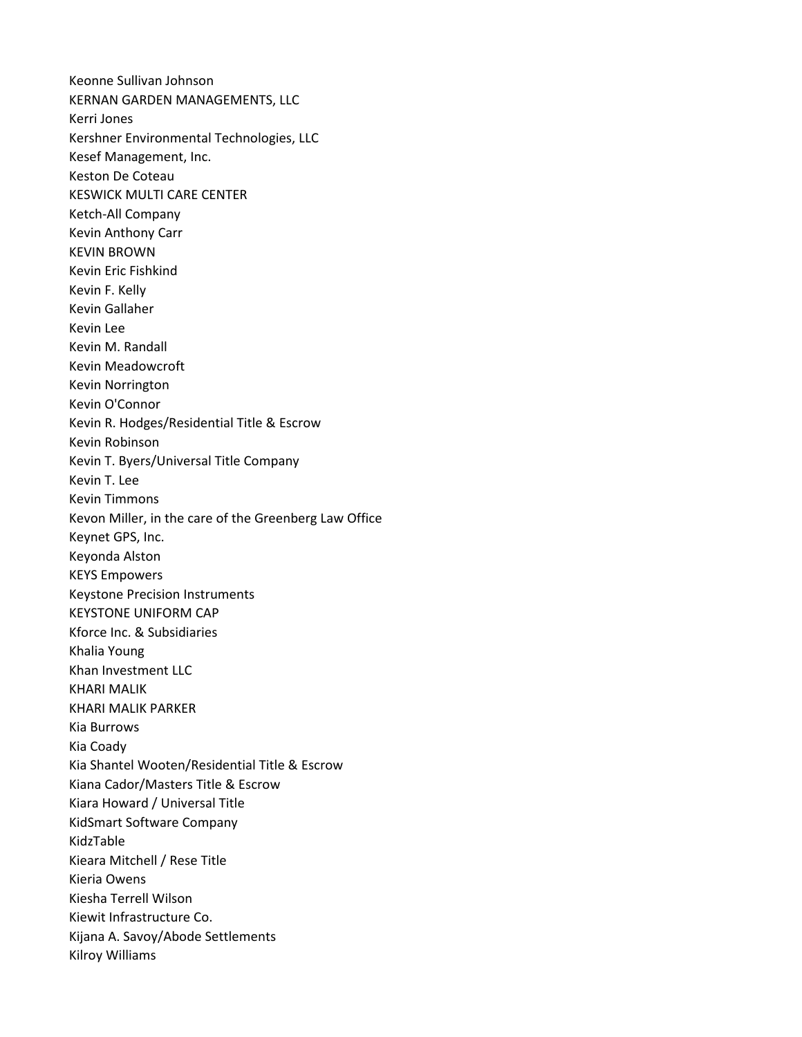Keonne Sullivan Johnson KERNAN GARDEN MANAGEMENTS, LLC Kerri Jones Kershner Environmental Technologies, LLC Kesef Management, Inc. Keston De Coteau KESWICK MULTI CARE CENTER Ketch-All Company Kevin Anthony Carr KEVIN BROWN Kevin Eric Fishkind Kevin F. Kelly Kevin Gallaher Kevin Lee Kevin M. Randall Kevin Meadowcroft Kevin Norrington Kevin O'Connor Kevin R. Hodges/Residential Title & Escrow Kevin Robinson Kevin T. Byers/Universal Title Company Kevin T. Lee Kevin Timmons Kevon Miller, in the care of the Greenberg Law Office Keynet GPS, Inc. Keyonda Alston KEYS Empowers Keystone Precision Instruments KEYSTONE UNIFORM CAP Kforce Inc. & Subsidiaries Khalia Young Khan Investment LLC KHARI MALIK KHARI MALIK PARKER Kia Burrows Kia Coady Kia Shantel Wooten/Residential Title & Escrow Kiana Cador/Masters Title & Escrow Kiara Howard / Universal Title KidSmart Software Company KidzTable Kieara Mitchell / Rese Title Kieria Owens Kiesha Terrell Wilson Kiewit Infrastructure Co. Kijana A. Savoy/Abode Settlements Kilroy Williams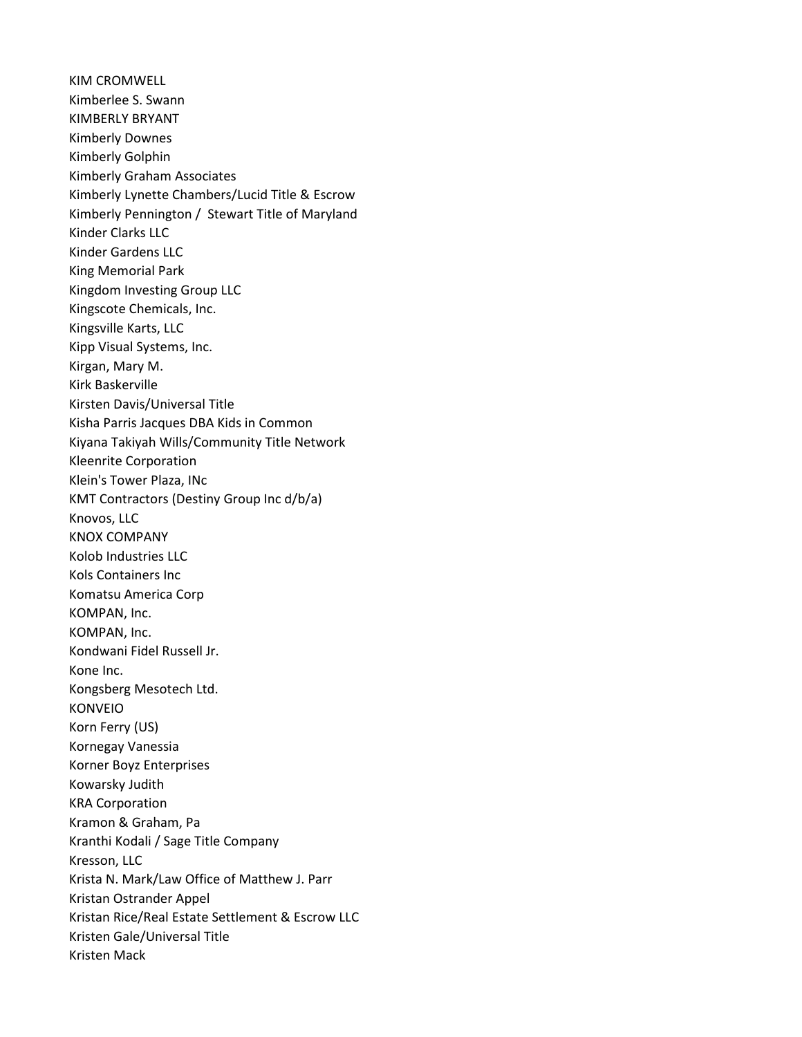KIM CROMWELL Kimberlee S. Swann KIMBERLY BRYANT Kimberly Downes Kimberly Golphin Kimberly Graham Associates Kimberly Lynette Chambers/Lucid Title & Escrow Kimberly Pennington / Stewart Title of Maryland Kinder Clarks LLC Kinder Gardens LLC King Memorial Park Kingdom Investing Group LLC Kingscote Chemicals, Inc. Kingsville Karts, LLC Kipp Visual Systems, Inc. Kirgan, Mary M. Kirk Baskerville Kirsten Davis/Universal Title Kisha Parris Jacques DBA Kids in Common Kiyana Takiyah Wills/Community Title Network Kleenrite Corporation Klein's Tower Plaza, INc KMT Contractors (Destiny Group Inc d/b/a) Knovos, LLC KNOX COMPANY Kolob Industries LLC Kols Containers Inc Komatsu America Corp KOMPAN, Inc. KOMPAN, Inc. Kondwani Fidel Russell Jr. Kone Inc. Kongsberg Mesotech Ltd. KONVEIO Korn Ferry (US) Kornegay Vanessia Korner Boyz Enterprises Kowarsky Judith KRA Corporation Kramon & Graham, Pa Kranthi Kodali / Sage Title Company Kresson, LLC Krista N. Mark/Law Office of Matthew J. Parr Kristan Ostrander Appel Kristan Rice/Real Estate Settlement & Escrow LLC Kristen Gale/Universal Title Kristen Mack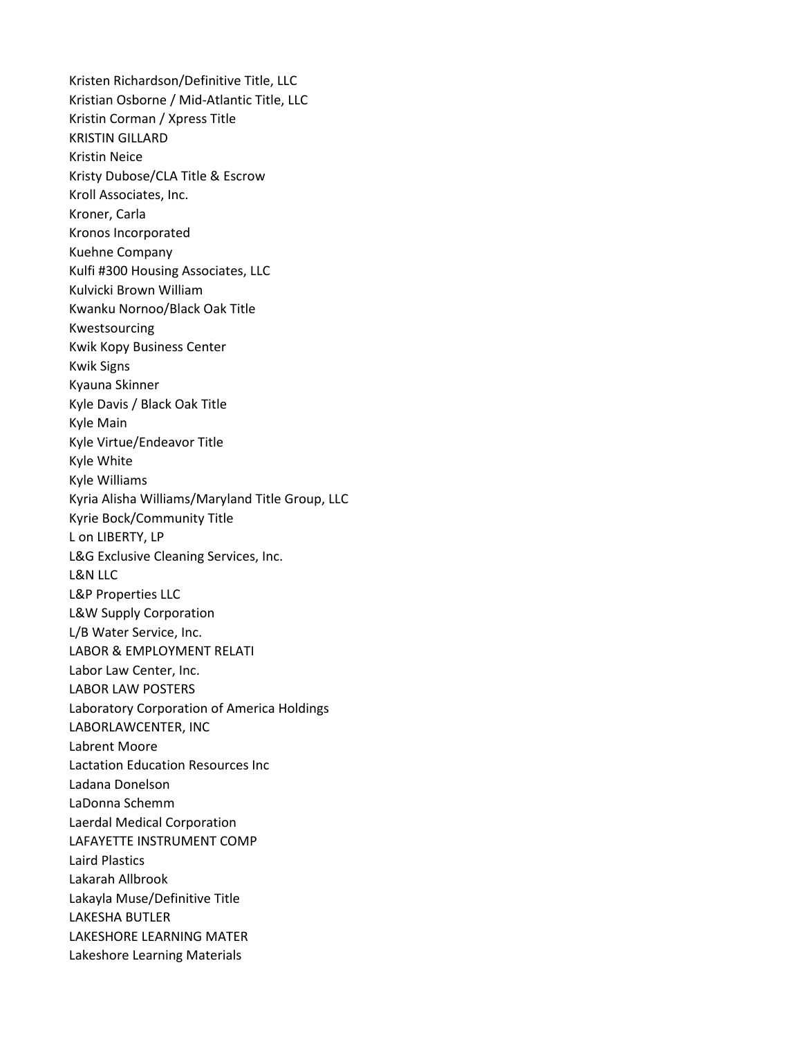Kristen Richardson/Definitive Title, LLC Kristian Osborne / Mid-Atlantic Title, LLC Kristin Corman / Xpress Title KRISTIN GILLARD Kristin Neice Kristy Dubose/CLA Title & Escrow Kroll Associates, Inc. Kroner, Carla Kronos Incorporated Kuehne Company Kulfi #300 Housing Associates, LLC Kulvicki Brown William Kwanku Nornoo/Black Oak Title Kwestsourcing Kwik Kopy Business Center Kwik Signs Kyauna Skinner Kyle Davis / Black Oak Title Kyle Main Kyle Virtue/Endeavor Title Kyle White Kyle Williams Kyria Alisha Williams/Maryland Title Group, LLC Kyrie Bock/Community Title L on LIBERTY, LP L&G Exclusive Cleaning Services, Inc. L&N LLC L&P Properties LLC L&W Supply Corporation L/B Water Service, Inc. LABOR & EMPLOYMENT RELATI Labor Law Center, Inc. LABOR LAW POSTERS Laboratory Corporation of America Holdings LABORLAWCENTER, INC Labrent Moore Lactation Education Resources Inc Ladana Donelson LaDonna Schemm Laerdal Medical Corporation LAFAYETTE INSTRUMENT COMP Laird Plastics Lakarah Allbrook Lakayla Muse/Definitive Title LAKESHA BUTLER LAKESHORE LEARNING MATER Lakeshore Learning Materials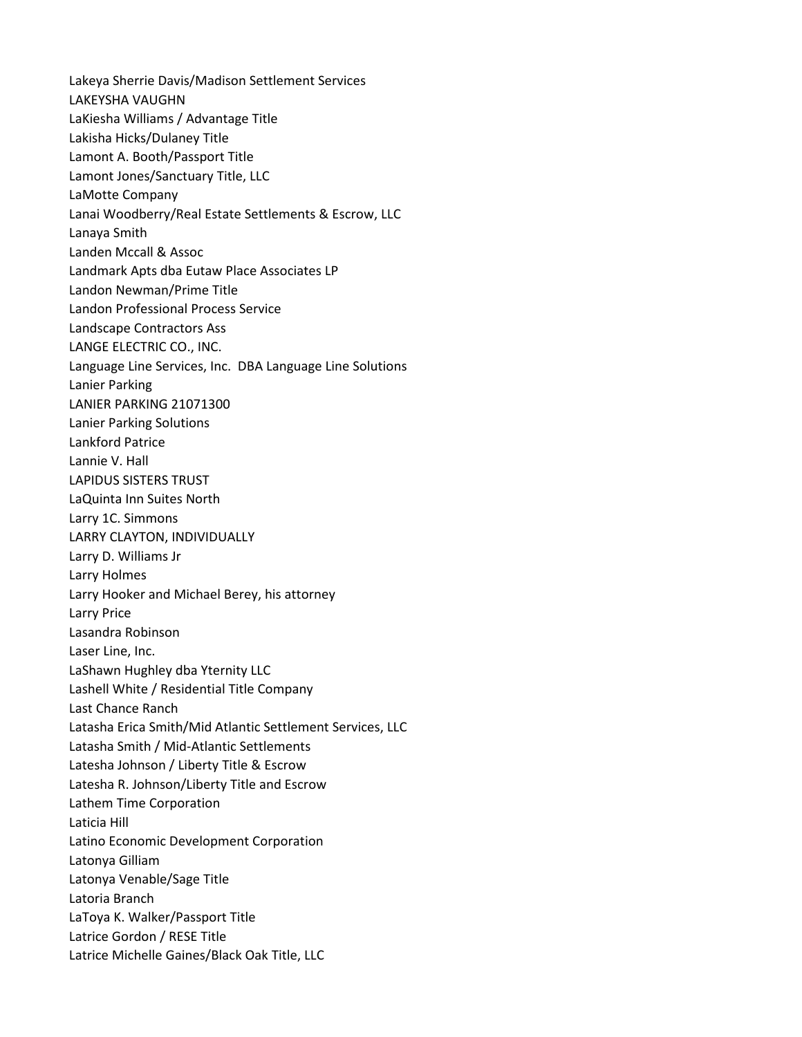Lakeya Sherrie Davis/Madison Settlement Services LAKEYSHA VAUGHN LaKiesha Williams / Advantage Title Lakisha Hicks/Dulaney Title Lamont A. Booth/Passport Title Lamont Jones/Sanctuary Title, LLC LaMotte Company Lanai Woodberry/Real Estate Settlements & Escrow, LLC Lanaya Smith Landen Mccall & Assoc Landmark Apts dba Eutaw Place Associates LP Landon Newman/Prime Title Landon Professional Process Service Landscape Contractors Ass LANGE ELECTRIC CO., INC. Language Line Services, Inc. DBA Language Line Solutions Lanier Parking LANIER PARKING 21071300 Lanier Parking Solutions Lankford Patrice Lannie V. Hall LAPIDUS SISTERS TRUST LaQuinta Inn Suites North Larry 1C. Simmons LARRY CLAYTON, INDIVIDUALLY Larry D. Williams Jr Larry Holmes Larry Hooker and Michael Berey, his attorney Larry Price Lasandra Robinson Laser Line, Inc. LaShawn Hughley dba Yternity LLC Lashell White / Residential Title Company Last Chance Ranch Latasha Erica Smith/Mid Atlantic Settlement Services, LLC Latasha Smith / Mid-Atlantic Settlements Latesha Johnson / Liberty Title & Escrow Latesha R. Johnson/Liberty Title and Escrow Lathem Time Corporation Laticia Hill Latino Economic Development Corporation Latonya Gilliam Latonya Venable/Sage Title Latoria Branch LaToya K. Walker/Passport Title Latrice Gordon / RESE Title Latrice Michelle Gaines/Black Oak Title, LLC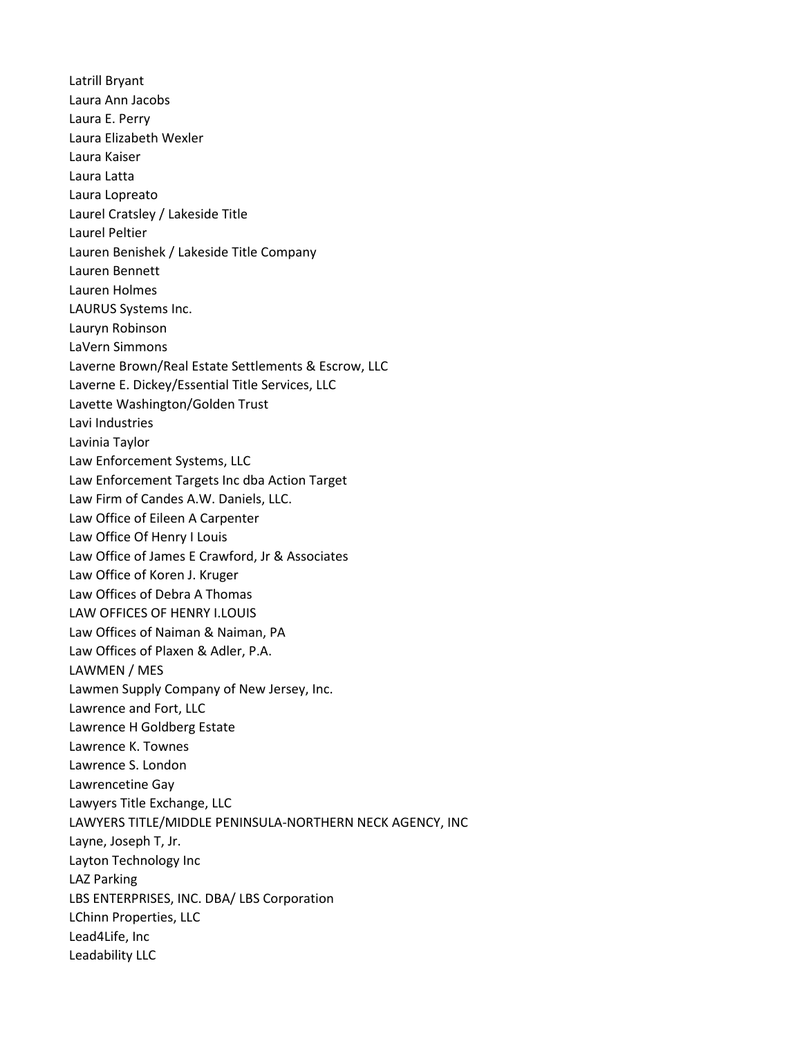Latrill Bryant Laura Ann Jacobs Laura E. Perry Laura Elizabeth Wexler Laura Kaiser Laura Latta Laura Lopreato Laurel Cratsley / Lakeside Title Laurel Peltier Lauren Benishek / Lakeside Title Company Lauren Bennett Lauren Holmes LAURUS Systems Inc. Lauryn Robinson LaVern Simmons Laverne Brown/Real Estate Settlements & Escrow, LLC Laverne E. Dickey/Essential Title Services, LLC Lavette Washington/Golden Trust Lavi Industries Lavinia Taylor Law Enforcement Systems, LLC Law Enforcement Targets Inc dba Action Target Law Firm of Candes A.W. Daniels, LLC. Law Office of Eileen A Carpenter Law Office Of Henry I Louis Law Office of James E Crawford, Jr & Associates Law Office of Koren J. Kruger Law Offices of Debra A Thomas LAW OFFICES OF HENRY I.LOUIS Law Offices of Naiman & Naiman, PA Law Offices of Plaxen & Adler, P.A. LAWMEN / MES Lawmen Supply Company of New Jersey, Inc. Lawrence and Fort, LLC Lawrence H Goldberg Estate Lawrence K. Townes Lawrence S. London Lawrencetine Gay Lawyers Title Exchange, LLC LAWYERS TITLE/MIDDLE PENINSULA-NORTHERN NECK AGENCY, INC Layne, Joseph T, Jr. Layton Technology Inc LAZ Parking LBS ENTERPRISES, INC. DBA/ LBS Corporation LChinn Properties, LLC Lead4Life, Inc Leadability LLC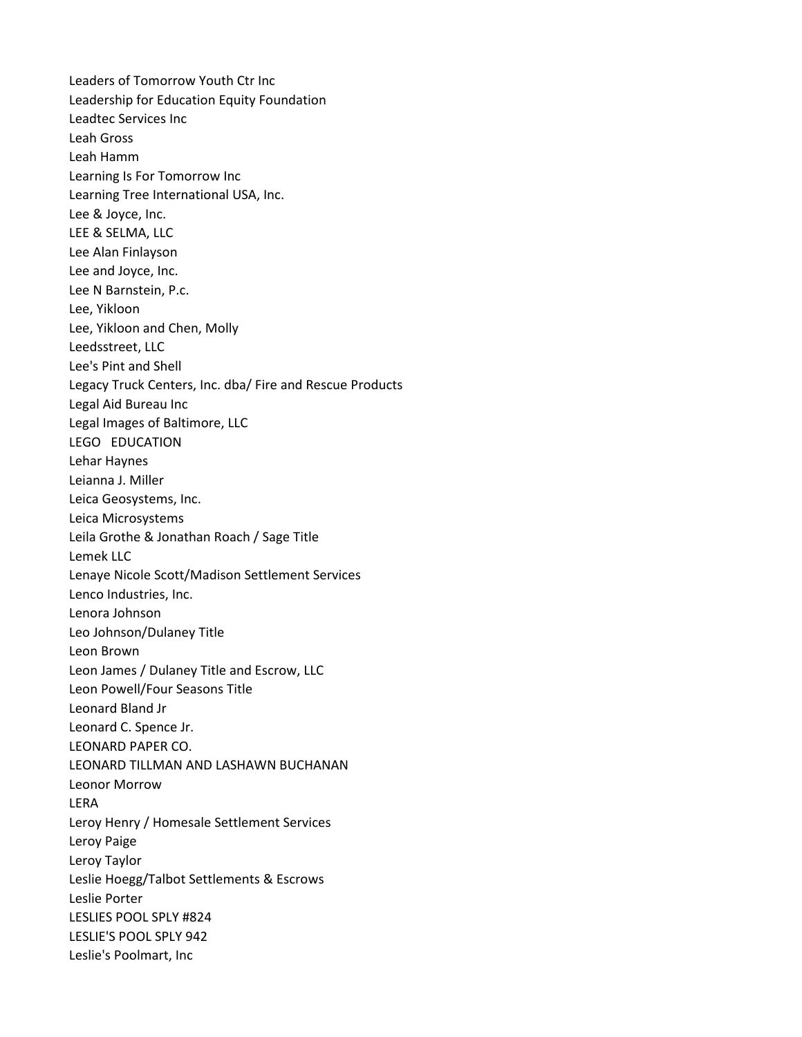Leaders of Tomorrow Youth Ctr Inc Leadership for Education Equity Foundation Leadtec Services Inc Leah Gross Leah Hamm Learning Is For Tomorrow Inc Learning Tree International USA, Inc. Lee & Joyce, Inc. LEE & SELMA, LLC Lee Alan Finlayson Lee and Joyce, Inc. Lee N Barnstein, P.c. Lee, Yikloon Lee, Yikloon and Chen, Molly Leedsstreet, LLC Lee's Pint and Shell Legacy Truck Centers, Inc. dba/ Fire and Rescue Products Legal Aid Bureau Inc Legal Images of Baltimore, LLC LEGO EDUCATION Lehar Haynes Leianna J. Miller Leica Geosystems, Inc. Leica Microsystems Leila Grothe & Jonathan Roach / Sage Title Lemek LLC Lenaye Nicole Scott/Madison Settlement Services Lenco Industries, Inc. Lenora Johnson Leo Johnson/Dulaney Title Leon Brown Leon James / Dulaney Title and Escrow, LLC Leon Powell/Four Seasons Title Leonard Bland Jr Leonard C. Spence Jr. LEONARD PAPER CO. LEONARD TILLMAN AND LASHAWN BUCHANAN Leonor Morrow LERA Leroy Henry / Homesale Settlement Services Leroy Paige Leroy Taylor Leslie Hoegg/Talbot Settlements & Escrows Leslie Porter LESLIES POOL SPLY #824 LESLIE'S POOL SPLY 942 Leslie's Poolmart, Inc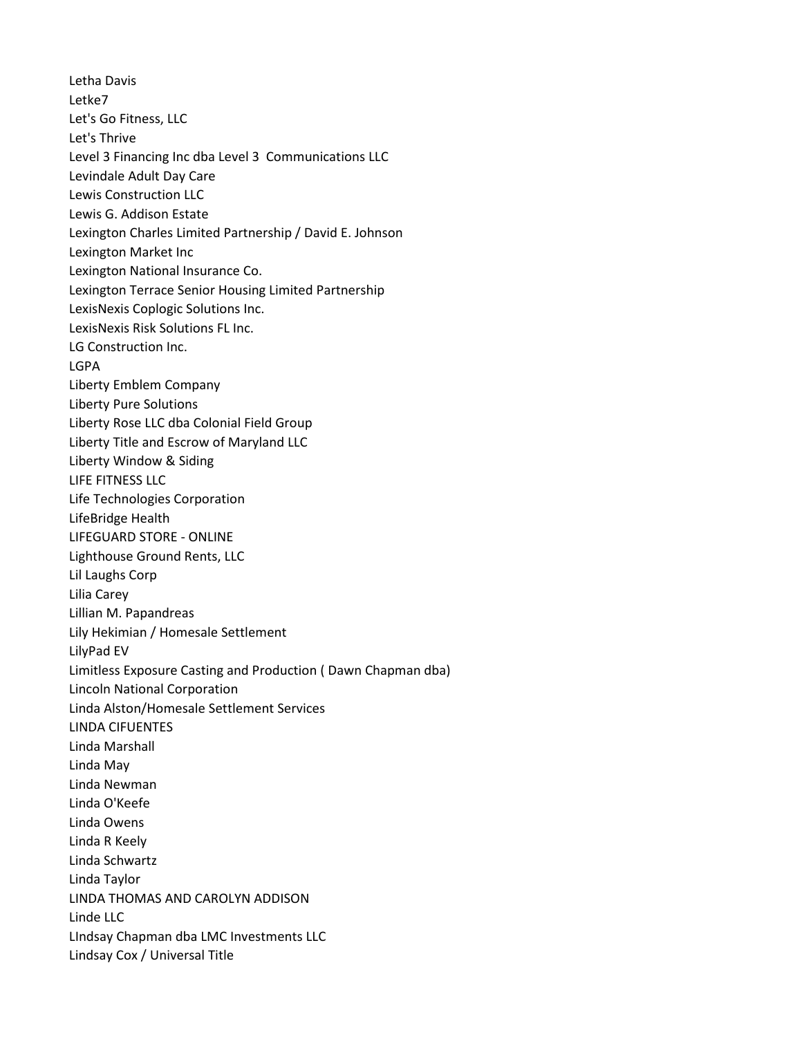Letha Davis Letke7 Let's Go Fitness, LLC Let's Thrive Level 3 Financing Inc dba Level 3 Communications LLC Levindale Adult Day Care Lewis Construction LLC Lewis G. Addison Estate Lexington Charles Limited Partnership / David E. Johnson Lexington Market Inc Lexington National Insurance Co. Lexington Terrace Senior Housing Limited Partnership LexisNexis Coplogic Solutions Inc. LexisNexis Risk Solutions FL Inc. LG Construction Inc. LGPA Liberty Emblem Company Liberty Pure Solutions Liberty Rose LLC dba Colonial Field Group Liberty Title and Escrow of Maryland LLC Liberty Window & Siding LIFE FITNESS LLC Life Technologies Corporation LifeBridge Health LIFEGUARD STORE - ONLINE Lighthouse Ground Rents, LLC Lil Laughs Corp Lilia Carey Lillian M. Papandreas Lily Hekimian / Homesale Settlement LilyPad EV Limitless Exposure Casting and Production ( Dawn Chapman dba) Lincoln National Corporation Linda Alston/Homesale Settlement Services LINDA CIFUENTES Linda Marshall Linda May Linda Newman Linda O'Keefe Linda Owens Linda R Keely Linda Schwartz Linda Taylor LINDA THOMAS AND CAROLYN ADDISON Linde LLC LIndsay Chapman dba LMC Investments LLC Lindsay Cox / Universal Title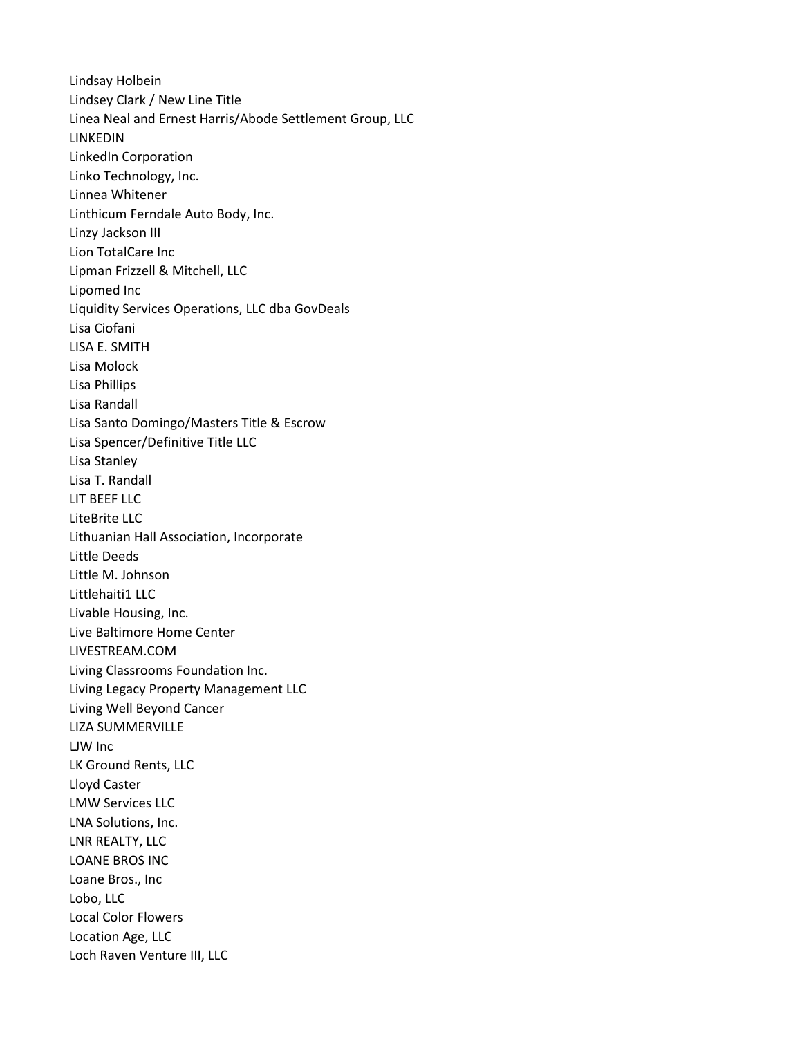Lindsay Holbein Lindsey Clark / New Line Title Linea Neal and Ernest Harris/Abode Settlement Group, LLC LINKEDIN LinkedIn Corporation Linko Technology, Inc. Linnea Whitener Linthicum Ferndale Auto Body, Inc. Linzy Jackson III Lion TotalCare Inc Lipman Frizzell & Mitchell, LLC Lipomed Inc Liquidity Services Operations, LLC dba GovDeals Lisa Ciofani LISA E. SMITH Lisa Molock Lisa Phillips Lisa Randall Lisa Santo Domingo/Masters Title & Escrow Lisa Spencer/Definitive Title LLC Lisa Stanley Lisa T. Randall LIT BEEF LLC LiteBrite LLC Lithuanian Hall Association, Incorporate Little Deeds Little M. Johnson Littlehaiti1 LLC Livable Housing, Inc. Live Baltimore Home Center LIVESTREAM.COM Living Classrooms Foundation Inc. Living Legacy Property Management LLC Living Well Beyond Cancer LIZA SUMMERVILLE LJW Inc LK Ground Rents, LLC Lloyd Caster LMW Services LLC LNA Solutions, Inc. LNR REALTY, LLC LOANE BROS INC Loane Bros., Inc Lobo, LLC Local Color Flowers Location Age, LLC Loch Raven Venture III, LLC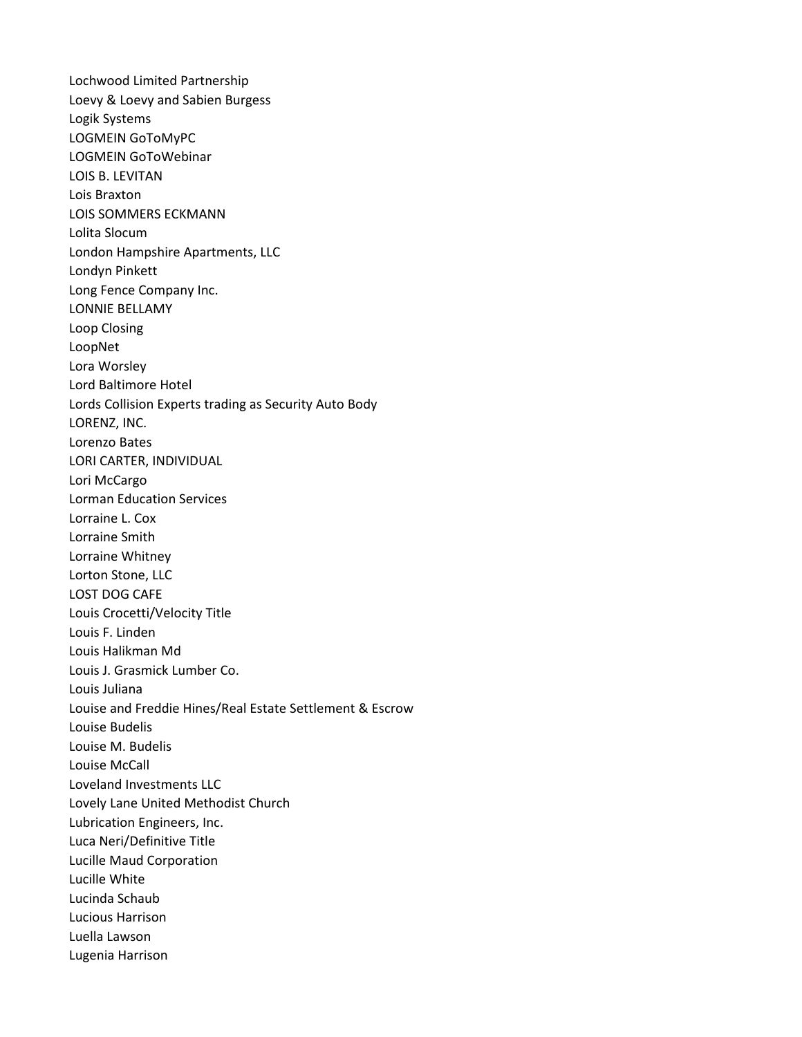Lochwood Limited Partnership Loevy & Loevy and Sabien Burgess Logik Systems LOGMEIN GoToMyPC LOGMEIN GoToWebinar LOIS B. LEVITAN Lois Braxton LOIS SOMMERS ECKMANN Lolita Slocum London Hampshire Apartments, LLC Londyn Pinkett Long Fence Company Inc. LONNIE BELLAMY Loop Closing LoopNet Lora Worsley Lord Baltimore Hotel Lords Collision Experts trading as Security Auto Body LORENZ, INC. Lorenzo Bates LORI CARTER, INDIVIDUAL Lori McCargo Lorman Education Services Lorraine L. Cox Lorraine Smith Lorraine Whitney Lorton Stone, LLC LOST DOG CAFE Louis Crocetti/Velocity Title Louis F. Linden Louis Halikman Md Louis J. Grasmick Lumber Co. Louis Juliana Louise and Freddie Hines/Real Estate Settlement & Escrow Louise Budelis Louise M. Budelis Louise McCall Loveland Investments LLC Lovely Lane United Methodist Church Lubrication Engineers, Inc. Luca Neri/Definitive Title Lucille Maud Corporation Lucille White Lucinda Schaub Lucious Harrison Luella Lawson Lugenia Harrison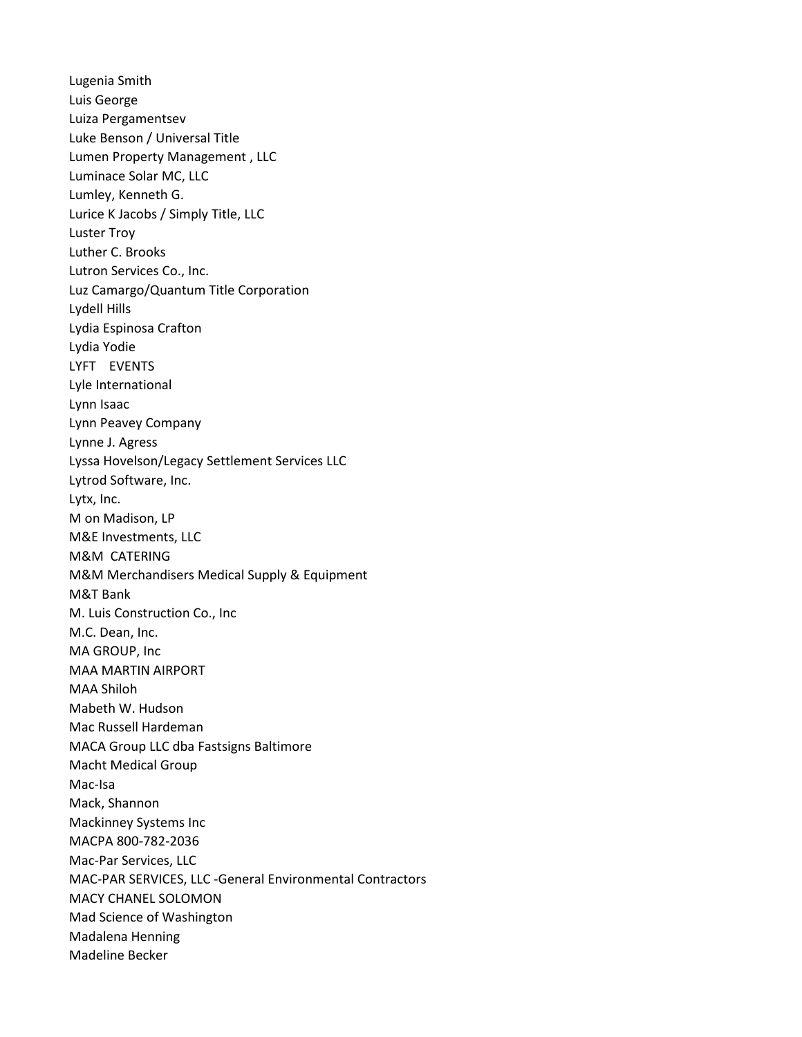Lugenia Smith Luis George Luiza Pergamentsev Luke Benson / Universal Title Lumen Property Management , LLC Luminace Solar MC, LLC Lumley, Kenneth G. Lurice K Jacobs / Simply Title, LLC Luster Troy Luther C. Brooks Lutron Services Co., Inc. Luz Camargo/Quantum Title Corporation Lydell Hills Lydia Espinosa Crafton Lydia Yodie LYFT EVENTS Lyle International Lynn Isaac Lynn Peavey Company Lynne J. Agress Lyssa Hovelson/Legacy Settlement Services LLC Lytrod Software, Inc. Lytx, Inc. M on Madison, LP M&E Investments, LLC M&M CATERING M&M Merchandisers Medical Supply & Equipment M&T Bank M. Luis Construction Co., Inc M.C. Dean, Inc. MA GROUP, Inc MAA MARTIN AIRPORT MAA Shiloh Mabeth W. Hudson Mac Russell Hardeman MACA Group LLC dba Fastsigns Baltimore Macht Medical Group Mac-Isa Mack, Shannon Mackinney Systems Inc MACPA 800-782-2036 Mac-Par Services, LLC MAC-PAR SERVICES, LLC -General Environmental Contractors MACY CHANEL SOLOMON Mad Science of Washington Madalena Henning Madeline Becker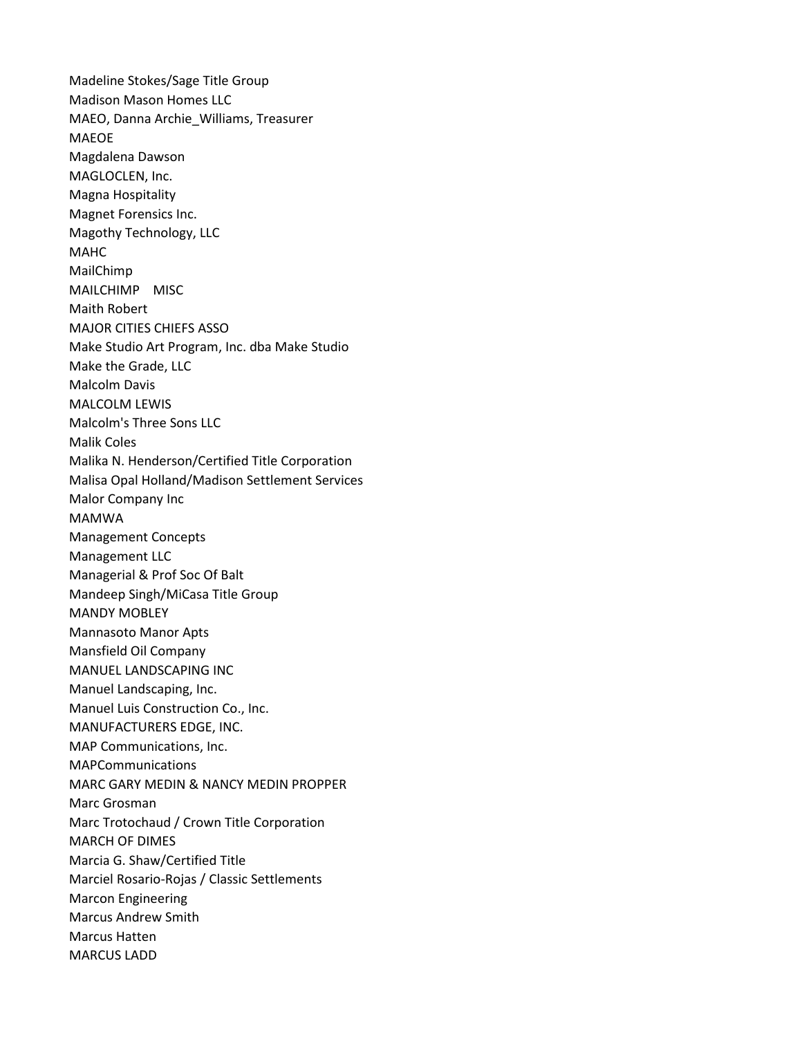Madeline Stokes/Sage Title Group Madison Mason Homes LLC MAEO, Danna Archie\_Williams, Treasurer MAEOE Magdalena Dawson MAGLOCLEN, Inc. Magna Hospitality Magnet Forensics Inc. Magothy Technology, LLC MAHC MailChimp MAILCHIMP MISC Maith Robert MAJOR CITIES CHIEFS ASSO Make Studio Art Program, Inc. dba Make Studio Make the Grade, LLC Malcolm Davis MALCOLM LEWIS Malcolm's Three Sons LLC Malik Coles Malika N. Henderson/Certified Title Corporation Malisa Opal Holland/Madison Settlement Services Malor Company Inc MAMWA Management Concepts Management LLC Managerial & Prof Soc Of Balt Mandeep Singh/MiCasa Title Group MANDY MOBLEY Mannasoto Manor Apts Mansfield Oil Company MANUEL LANDSCAPING INC Manuel Landscaping, Inc. Manuel Luis Construction Co., Inc. MANUFACTURERS EDGE, INC. MAP Communications, Inc. MAPCommunications MARC GARY MEDIN & NANCY MEDIN PROPPER Marc Grosman Marc Trotochaud / Crown Title Corporation MARCH OF DIMES Marcia G. Shaw/Certified Title Marciel Rosario-Rojas / Classic Settlements Marcon Engineering Marcus Andrew Smith Marcus Hatten MARCUS LADD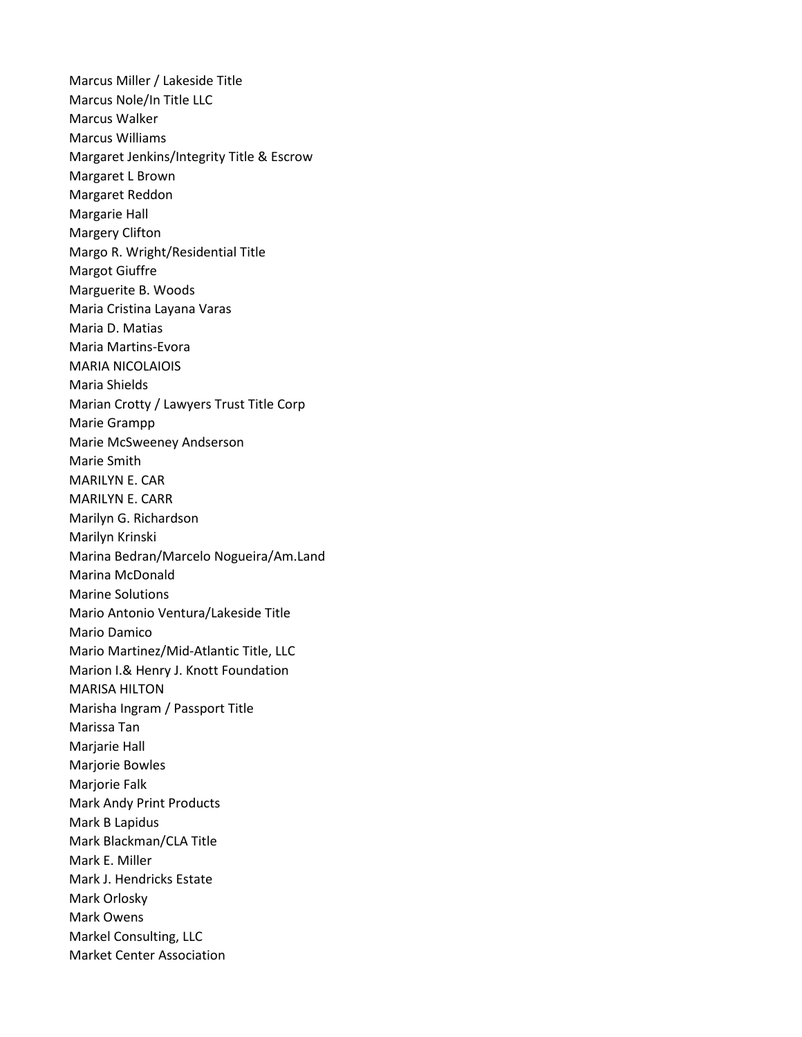Marcus Miller / Lakeside Title Marcus Nole/In Title LLC Marcus Walker Marcus Williams Margaret Jenkins/Integrity Title & Escrow Margaret L Brown Margaret Reddon Margarie Hall Margery Clifton Margo R. Wright/Residential Title Margot Giuffre Marguerite B. Woods Maria Cristina Layana Varas Maria D. Matias Maria Martins-Evora MARIA NICOLAIOIS Maria Shields Marian Crotty / Lawyers Trust Title Corp Marie Grampp Marie McSweeney Andserson Marie Smith MARILYN E. CAR MARILYN E. CARR Marilyn G. Richardson Marilyn Krinski Marina Bedran/Marcelo Nogueira/Am.Land Marina McDonald Marine Solutions Mario Antonio Ventura/Lakeside Title Mario Damico Mario Martinez/Mid-Atlantic Title, LLC Marion I.& Henry J. Knott Foundation MARISA HILTON Marisha Ingram / Passport Title Marissa Tan Marjarie Hall Marjorie Bowles Marjorie Falk Mark Andy Print Products Mark B Lapidus Mark Blackman/CLA Title Mark E. Miller Mark J. Hendricks Estate Mark Orlosky Mark Owens Markel Consulting, LLC Market Center Association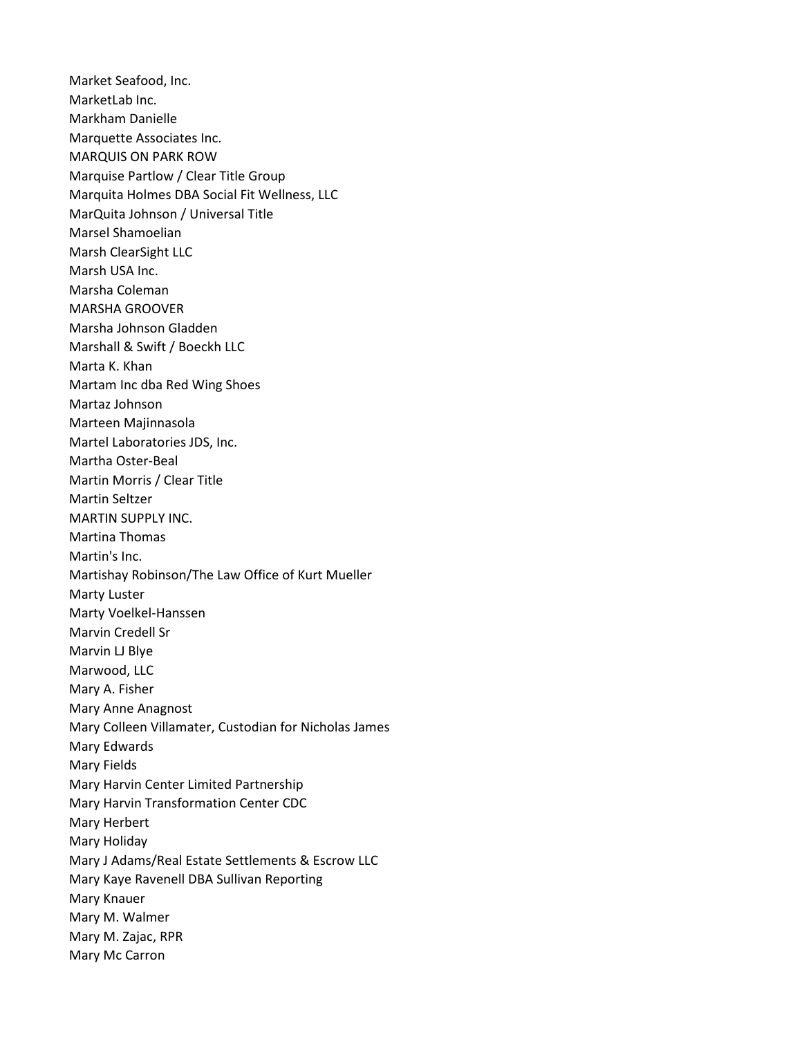Market Seafood, Inc. MarketLab Inc. Markham Danielle Marquette Associates Inc. MARQUIS ON PARK ROW Marquise Partlow / Clear Title Group Marquita Holmes DBA Social Fit Wellness, LLC MarQuita Johnson / Universal Title Marsel Shamoelian Marsh ClearSight LLC Marsh USA Inc. Marsha Coleman MARSHA GROOVER Marsha Johnson Gladden Marshall & Swift / Boeckh LLC Marta K. Khan Martam Inc dba Red Wing Shoes Martaz Johnson Marteen Majinnasola Martel Laboratories JDS, Inc. Martha Oster-Beal Martin Morris / Clear Title Martin Seltzer MARTIN SUPPLY INC. Martina Thomas Martin's Inc. Martishay Robinson/The Law Office of Kurt Mueller Marty Luster Marty Voelkel-Hanssen Marvin Credell Sr Marvin LJ Blye Marwood, LLC Mary A. Fisher Mary Anne Anagnost Mary Colleen Villamater, Custodian for Nicholas James Mary Edwards Mary Fields Mary Harvin Center Limited Partnership Mary Harvin Transformation Center CDC Mary Herbert Mary Holiday Mary J Adams/Real Estate Settlements & Escrow LLC Mary Kaye Ravenell DBA Sullivan Reporting Mary Knauer Mary M. Walmer Mary M. Zajac, RPR Mary Mc Carron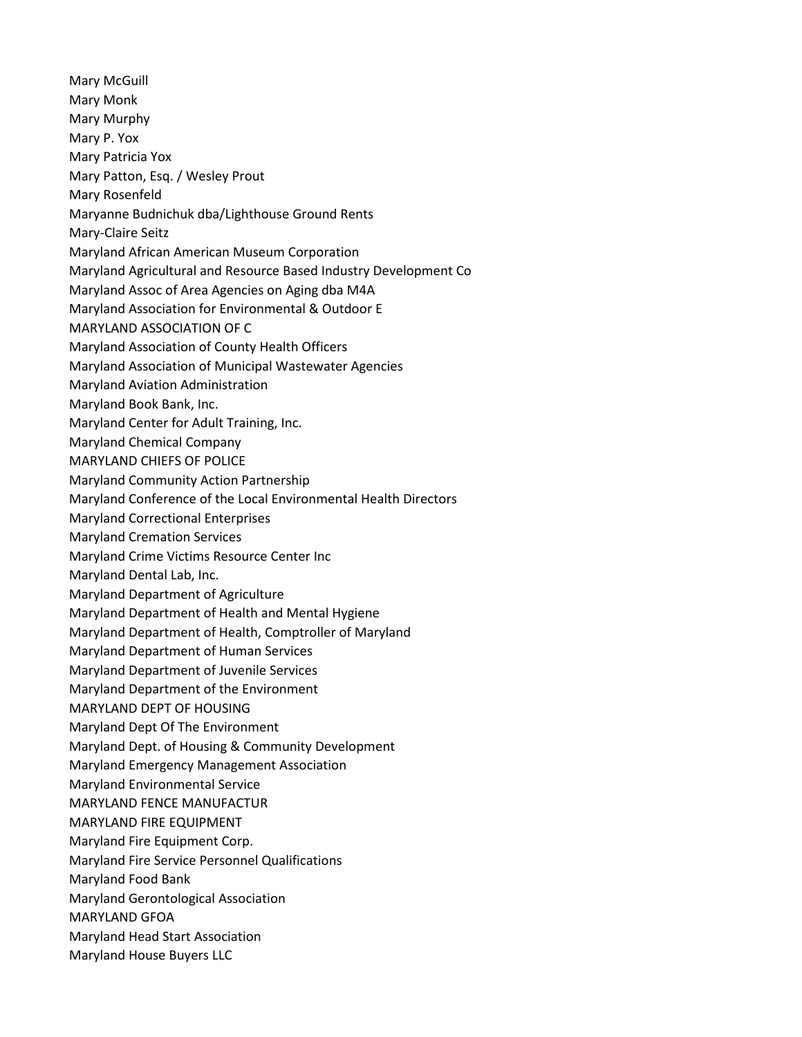Mary McGuill Mary Monk Mary Murphy Mary P. Yox Mary Patricia Yox Mary Patton, Esq. / Wesley Prout Mary Rosenfeld Maryanne Budnichuk dba/Lighthouse Ground Rents Mary-Claire Seitz Maryland African American Museum Corporation Maryland Agricultural and Resource Based Industry Development Co Maryland Assoc of Area Agencies on Aging dba M4A Maryland Association for Environmental & Outdoor E MARYLAND ASSOCIATION OF C Maryland Association of County Health Officers Maryland Association of Municipal Wastewater Agencies Maryland Aviation Administration Maryland Book Bank, Inc. Maryland Center for Adult Training, Inc. Maryland Chemical Company MARYLAND CHIEFS OF POLICE Maryland Community Action Partnership Maryland Conference of the Local Environmental Health Directors Maryland Correctional Enterprises Maryland Cremation Services Maryland Crime Victims Resource Center Inc Maryland Dental Lab, Inc. Maryland Department of Agriculture Maryland Department of Health and Mental Hygiene Maryland Department of Health, Comptroller of Maryland Maryland Department of Human Services Maryland Department of Juvenile Services Maryland Department of the Environment MARYLAND DEPT OF HOUSING Maryland Dept Of The Environment Maryland Dept. of Housing & Community Development Maryland Emergency Management Association Maryland Environmental Service MARYLAND FENCE MANUFACTUR MARYLAND FIRE EQUIPMENT Maryland Fire Equipment Corp. Maryland Fire Service Personnel Qualifications Maryland Food Bank Maryland Gerontological Association MARYLAND GFOA Maryland Head Start Association Maryland House Buyers LLC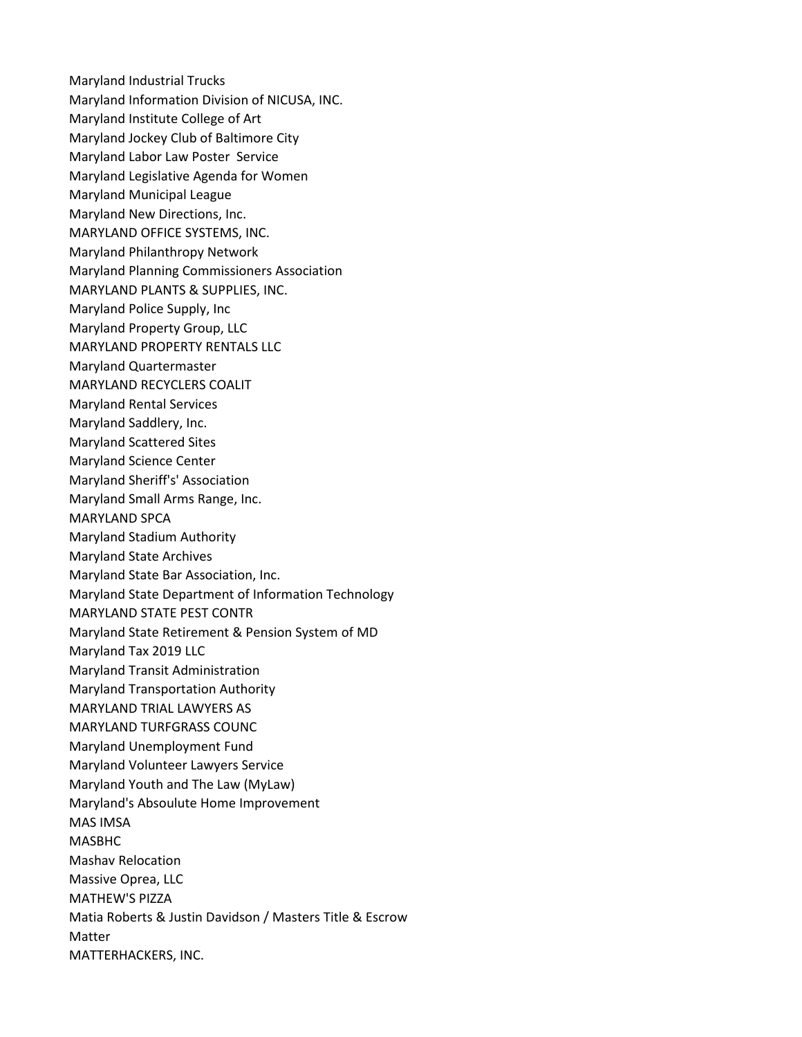Maryland Industrial Trucks Maryland Information Division of NICUSA, INC. Maryland Institute College of Art Maryland Jockey Club of Baltimore City Maryland Labor Law Poster Service Maryland Legislative Agenda for Women Maryland Municipal League Maryland New Directions, Inc. MARYLAND OFFICE SYSTEMS, INC. Maryland Philanthropy Network Maryland Planning Commissioners Association MARYLAND PLANTS & SUPPLIES, INC. Maryland Police Supply, Inc Maryland Property Group, LLC MARYLAND PROPERTY RENTALS LLC Maryland Quartermaster MARYLAND RECYCLERS COALIT Maryland Rental Services Maryland Saddlery, Inc. Maryland Scattered Sites Maryland Science Center Maryland Sheriff's' Association Maryland Small Arms Range, Inc. MARYLAND SPCA Maryland Stadium Authority Maryland State Archives Maryland State Bar Association, Inc. Maryland State Department of Information Technology MARYLAND STATE PEST CONTR Maryland State Retirement & Pension System of MD Maryland Tax 2019 LLC Maryland Transit Administration Maryland Transportation Authority MARYLAND TRIAL LAWYERS AS MARYLAND TURFGRASS COUNC Maryland Unemployment Fund Maryland Volunteer Lawyers Service Maryland Youth and The Law (MyLaw) Maryland's Absoulute Home Improvement MAS IMSA MASBHC Mashav Relocation Massive Oprea, LLC MATHEW'S PIZZA Matia Roberts & Justin Davidson / Masters Title & Escrow Matter MATTERHACKERS, INC.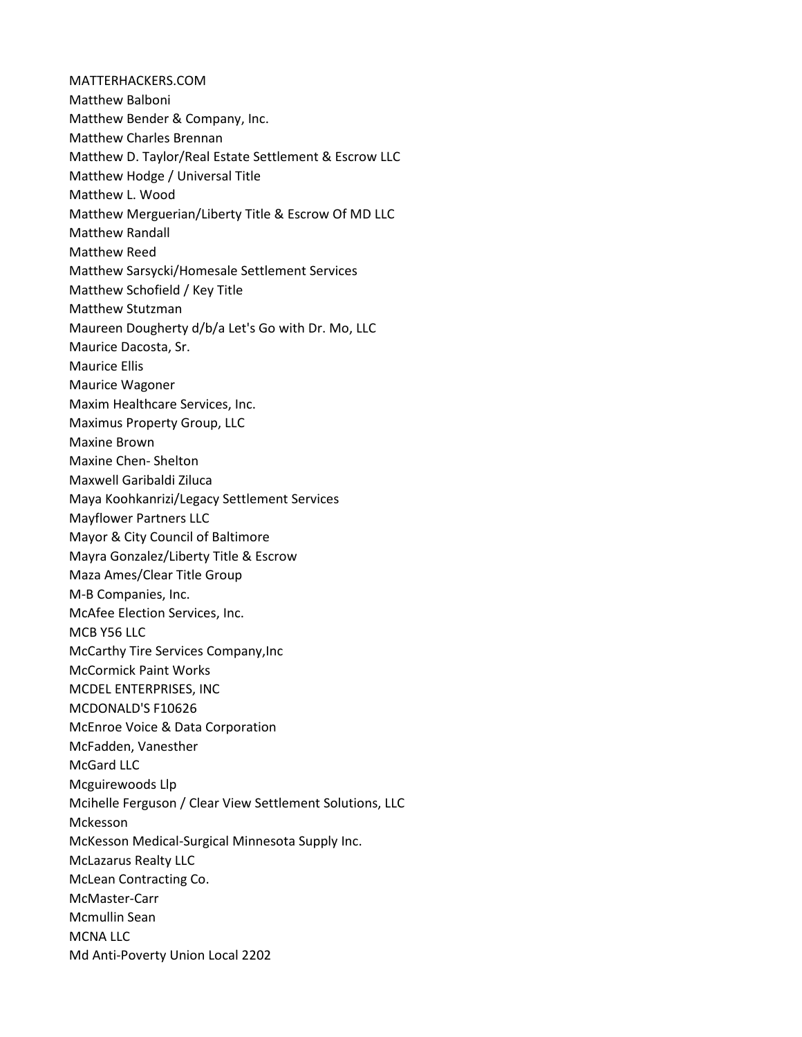MATTERHACKERS.COM Matthew Balboni Matthew Bender & Company, Inc. Matthew Charles Brennan Matthew D. Taylor/Real Estate Settlement & Escrow LLC Matthew Hodge / Universal Title Matthew L. Wood Matthew Merguerian/Liberty Title & Escrow Of MD LLC Matthew Randall Matthew Reed Matthew Sarsycki/Homesale Settlement Services Matthew Schofield / Key Title Matthew Stutzman Maureen Dougherty d/b/a Let's Go with Dr. Mo, LLC Maurice Dacosta, Sr. Maurice Ellis Maurice Wagoner Maxim Healthcare Services, Inc. Maximus Property Group, LLC Maxine Brown Maxine Chen- Shelton Maxwell Garibaldi Ziluca Maya Koohkanrizi/Legacy Settlement Services Mayflower Partners LLC Mayor & City Council of Baltimore Mayra Gonzalez/Liberty Title & Escrow Maza Ames/Clear Title Group M-B Companies, Inc. McAfee Election Services, Inc. MCB Y56 LLC McCarthy Tire Services Company,Inc McCormick Paint Works MCDEL ENTERPRISES, INC MCDONALD'S F10626 McEnroe Voice & Data Corporation McFadden, Vanesther McGard LLC Mcguirewoods Llp Mcihelle Ferguson / Clear View Settlement Solutions, LLC Mckesson McKesson Medical-Surgical Minnesota Supply Inc. McLazarus Realty LLC McLean Contracting Co. McMaster-Carr Mcmullin Sean MCNA LLC Md Anti-Poverty Union Local 2202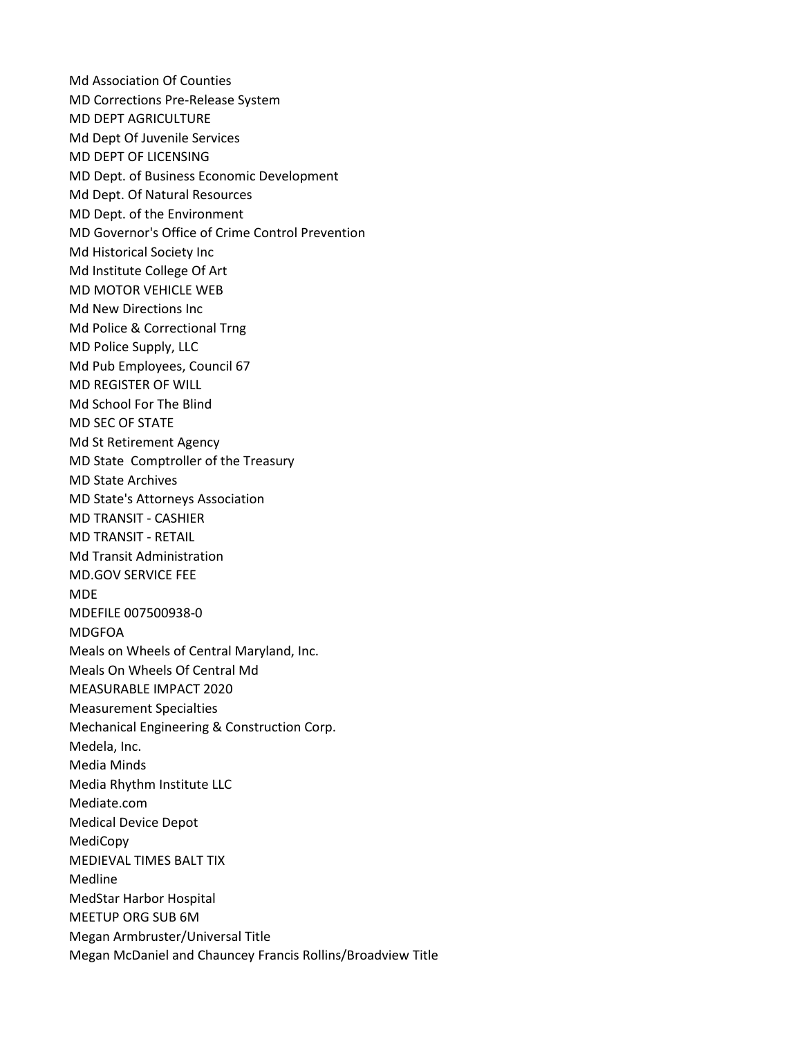Md Association Of Counties MD Corrections Pre-Release System MD DEPT AGRICULTURE Md Dept Of Juvenile Services MD DEPT OF LICENSING MD Dept. of Business Economic Development Md Dept. Of Natural Resources MD Dept. of the Environment MD Governor's Office of Crime Control Prevention Md Historical Society Inc Md Institute College Of Art MD MOTOR VEHICLE WEB Md New Directions Inc Md Police & Correctional Trng MD Police Supply, LLC Md Pub Employees, Council 67 MD REGISTER OF WILL Md School For The Blind MD SEC OF STATE Md St Retirement Agency MD State Comptroller of the Treasury MD State Archives MD State's Attorneys Association MD TRANSIT - CASHIER MD TRANSIT - RETAIL Md Transit Administration MD.GOV SERVICE FEE MDE MDEFILE 007500938-0 MDGFOA Meals on Wheels of Central Maryland, Inc. Meals On Wheels Of Central Md MEASURABLE IMPACT 2020 Measurement Specialties Mechanical Engineering & Construction Corp. Medela, Inc. Media Minds Media Rhythm Institute LLC Mediate.com Medical Device Depot MediCopy MEDIEVAL TIMES BALT TIX Medline MedStar Harbor Hospital MEETUP ORG SUB 6M Megan Armbruster/Universal Title Megan McDaniel and Chauncey Francis Rollins/Broadview Title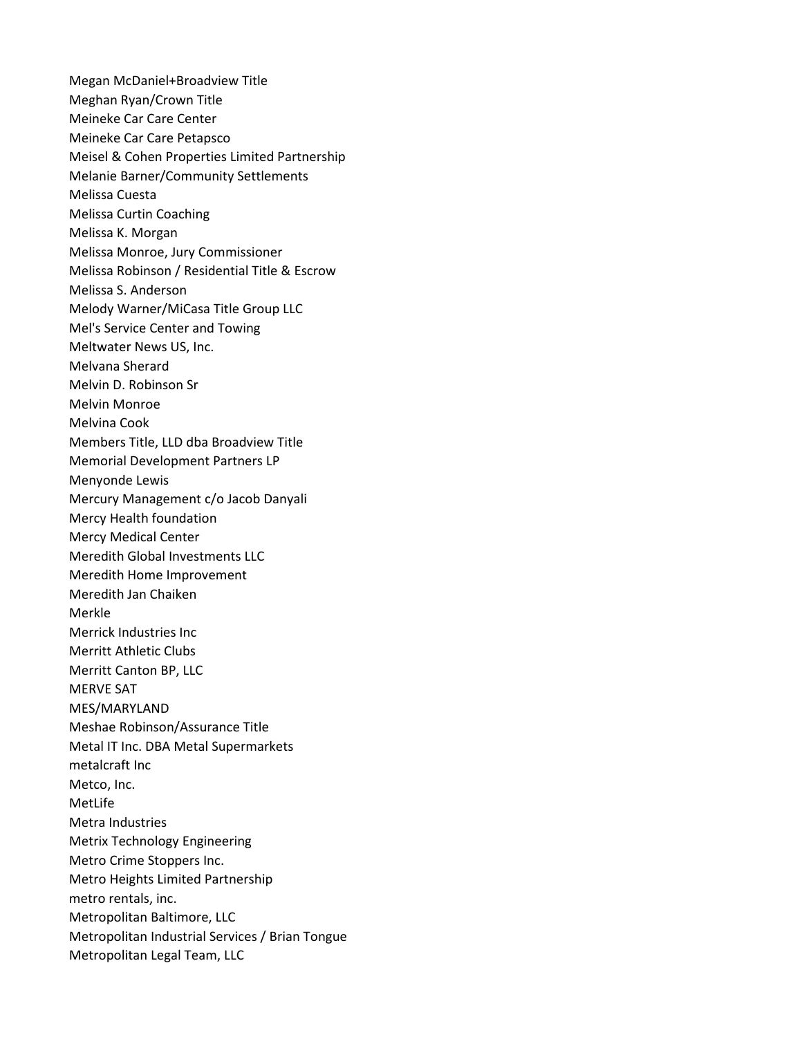Megan McDaniel+Broadview Title Meghan Ryan/Crown Title Meineke Car Care Center Meineke Car Care Petapsco Meisel & Cohen Properties Limited Partnership Melanie Barner/Community Settlements Melissa Cuesta Melissa Curtin Coaching Melissa K. Morgan Melissa Monroe, Jury Commissioner Melissa Robinson / Residential Title & Escrow Melissa S. Anderson Melody Warner/MiCasa Title Group LLC Mel's Service Center and Towing Meltwater News US, Inc. Melvana Sherard Melvin D. Robinson Sr Melvin Monroe Melvina Cook Members Title, LLD dba Broadview Title Memorial Development Partners LP Menyonde Lewis Mercury Management c/o Jacob Danyali Mercy Health foundation Mercy Medical Center Meredith Global Investments LLC Meredith Home Improvement Meredith Jan Chaiken Merkle Merrick Industries Inc Merritt Athletic Clubs Merritt Canton BP, LLC MERVE SAT MES/MARYLAND Meshae Robinson/Assurance Title Metal IT Inc. DBA Metal Supermarkets metalcraft Inc Metco, Inc. MetLife Metra Industries Metrix Technology Engineering Metro Crime Stoppers Inc. Metro Heights Limited Partnership metro rentals, inc. Metropolitan Baltimore, LLC Metropolitan Industrial Services / Brian Tongue Metropolitan Legal Team, LLC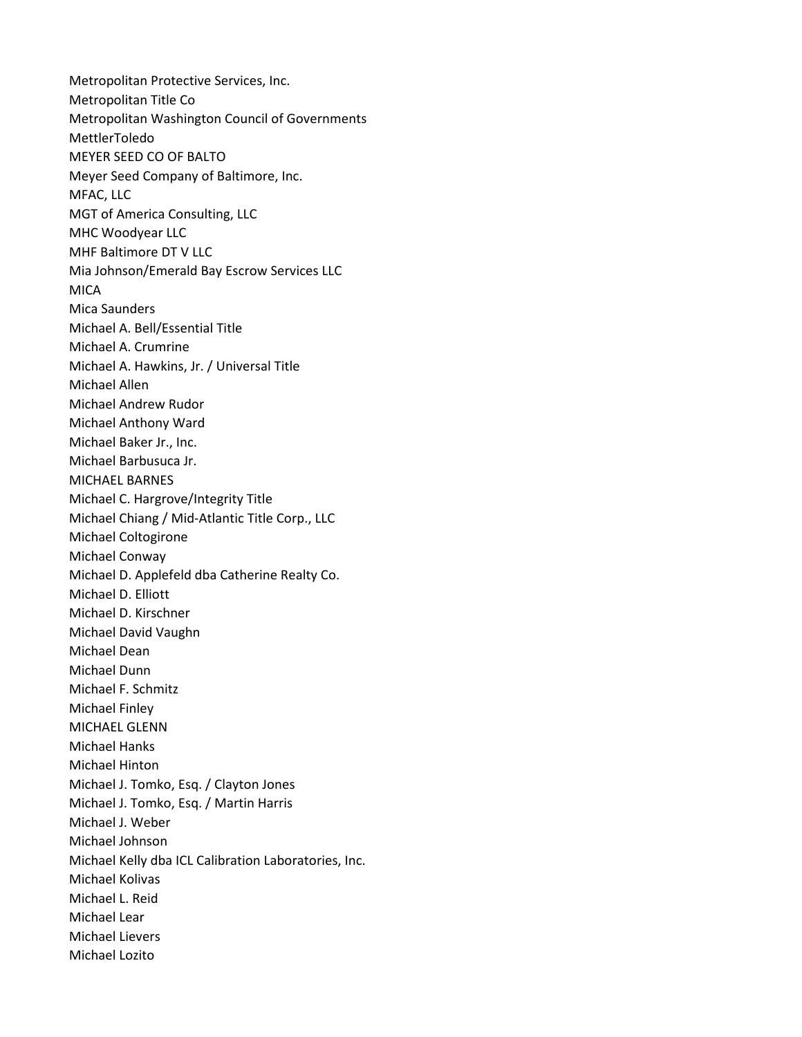Metropolitan Protective Services, Inc. Metropolitan Title Co Metropolitan Washington Council of Governments MettlerToledo MEYER SEED CO OF BALTO Meyer Seed Company of Baltimore, Inc. MFAC, LLC MGT of America Consulting, LLC MHC Woodyear LLC MHF Baltimore DT V LLC Mia Johnson/Emerald Bay Escrow Services LLC **MICA** Mica Saunders Michael A. Bell/Essential Title Michael A. Crumrine Michael A. Hawkins, Jr. / Universal Title Michael Allen Michael Andrew Rudor Michael Anthony Ward Michael Baker Jr., Inc. Michael Barbusuca Jr. MICHAEL BARNES Michael C. Hargrove/Integrity Title Michael Chiang / Mid-Atlantic Title Corp., LLC Michael Coltogirone Michael Conway Michael D. Applefeld dba Catherine Realty Co. Michael D. Elliott Michael D. Kirschner Michael David Vaughn Michael Dean Michael Dunn Michael F. Schmitz Michael Finley MICHAEL GLENN Michael Hanks Michael Hinton Michael J. Tomko, Esq. / Clayton Jones Michael J. Tomko, Esq. / Martin Harris Michael J. Weber Michael Johnson Michael Kelly dba ICL Calibration Laboratories, Inc. Michael Kolivas Michael L. Reid Michael Lear Michael Lievers Michael Lozito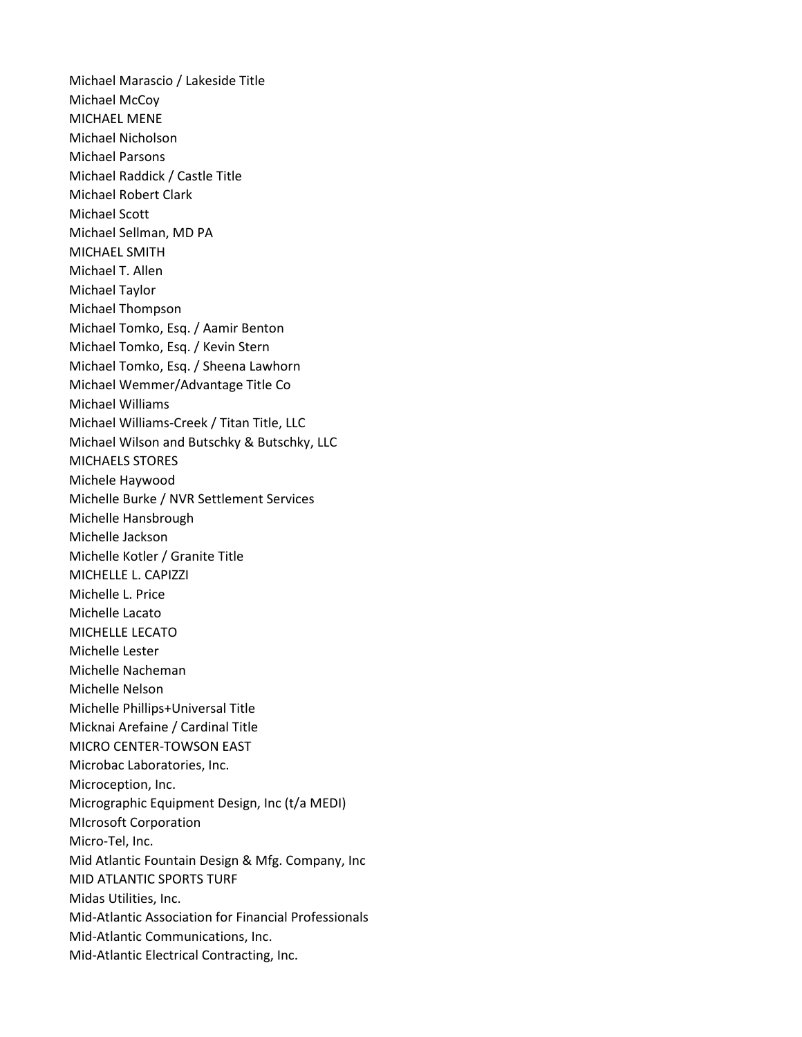Michael Marascio / Lakeside Title Michael McCoy MICHAEL MENE Michael Nicholson Michael Parsons Michael Raddick / Castle Title Michael Robert Clark Michael Scott Michael Sellman, MD PA MICHAEL SMITH Michael T. Allen Michael Taylor Michael Thompson Michael Tomko, Esq. / Aamir Benton Michael Tomko, Esq. / Kevin Stern Michael Tomko, Esq. / Sheena Lawhorn Michael Wemmer/Advantage Title Co Michael Williams Michael Williams-Creek / Titan Title, LLC Michael Wilson and Butschky & Butschky, LLC MICHAELS STORES Michele Haywood Michelle Burke / NVR Settlement Services Michelle Hansbrough Michelle Jackson Michelle Kotler / Granite Title MICHELLE L. CAPIZZI Michelle L. Price Michelle Lacato MICHELLE LECATO Michelle Lester Michelle Nacheman Michelle Nelson Michelle Phillips+Universal Title Micknai Arefaine / Cardinal Title MICRO CENTER-TOWSON EAST Microbac Laboratories, Inc. Microception, Inc. Micrographic Equipment Design, Inc (t/a MEDI) MIcrosoft Corporation Micro-Tel, Inc. Mid Atlantic Fountain Design & Mfg. Company, Inc MID ATLANTIC SPORTS TURF Midas Utilities, Inc. Mid-Atlantic Association for Financial Professionals Mid-Atlantic Communications, Inc. Mid-Atlantic Electrical Contracting, Inc.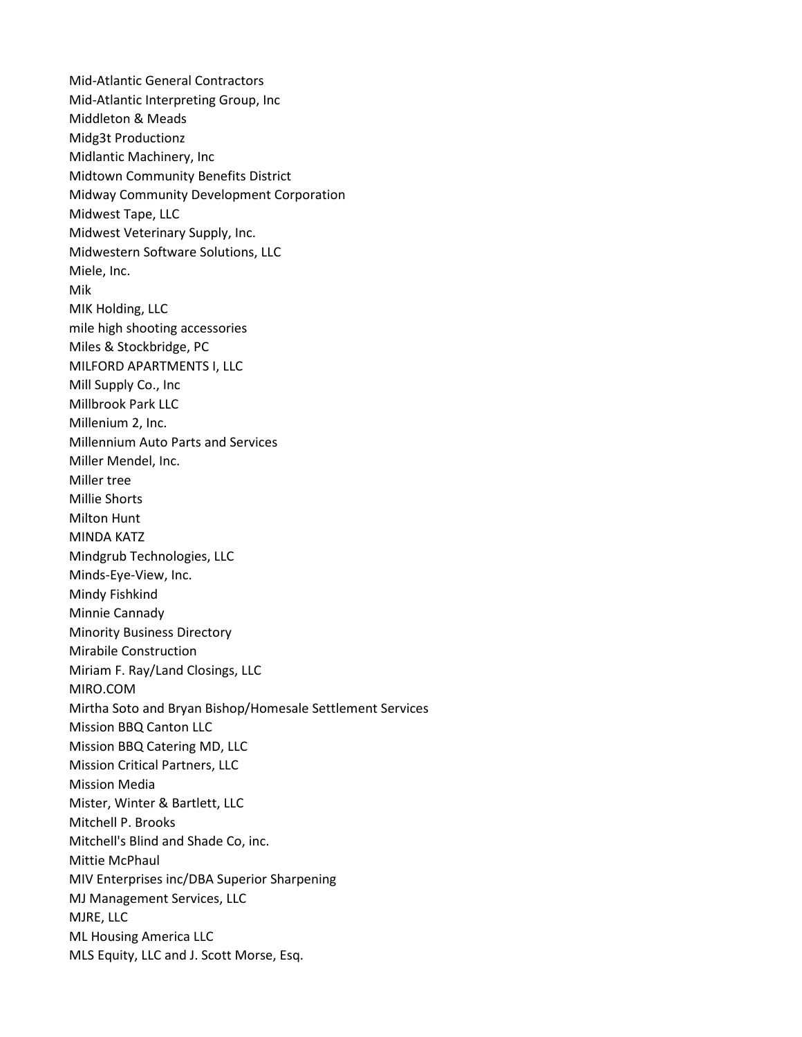Mid-Atlantic General Contractors Mid-Atlantic Interpreting Group, Inc Middleton & Meads Midg3t Productionz Midlantic Machinery, Inc Midtown Community Benefits District Midway Community Development Corporation Midwest Tape, LLC Midwest Veterinary Supply, Inc. Midwestern Software Solutions, LLC Miele, Inc. Mik MIK Holding, LLC mile high shooting accessories Miles & Stockbridge, PC MILFORD APARTMENTS I, LLC Mill Supply Co., Inc Millbrook Park LLC Millenium 2, Inc. Millennium Auto Parts and Services Miller Mendel, Inc. Miller tree Millie Shorts Milton Hunt MINDA KATZ Mindgrub Technologies, LLC Minds-Eye-View, Inc. Mindy Fishkind Minnie Cannady Minority Business Directory Mirabile Construction Miriam F. Ray/Land Closings, LLC MIRO.COM Mirtha Soto and Bryan Bishop/Homesale Settlement Services Mission BBQ Canton LLC Mission BBQ Catering MD, LLC Mission Critical Partners, LLC Mission Media Mister, Winter & Bartlett, LLC Mitchell P. Brooks Mitchell's Blind and Shade Co, inc. Mittie McPhaul MIV Enterprises inc/DBA Superior Sharpening MJ Management Services, LLC MJRE, LLC ML Housing America LLC MLS Equity, LLC and J. Scott Morse, Esq.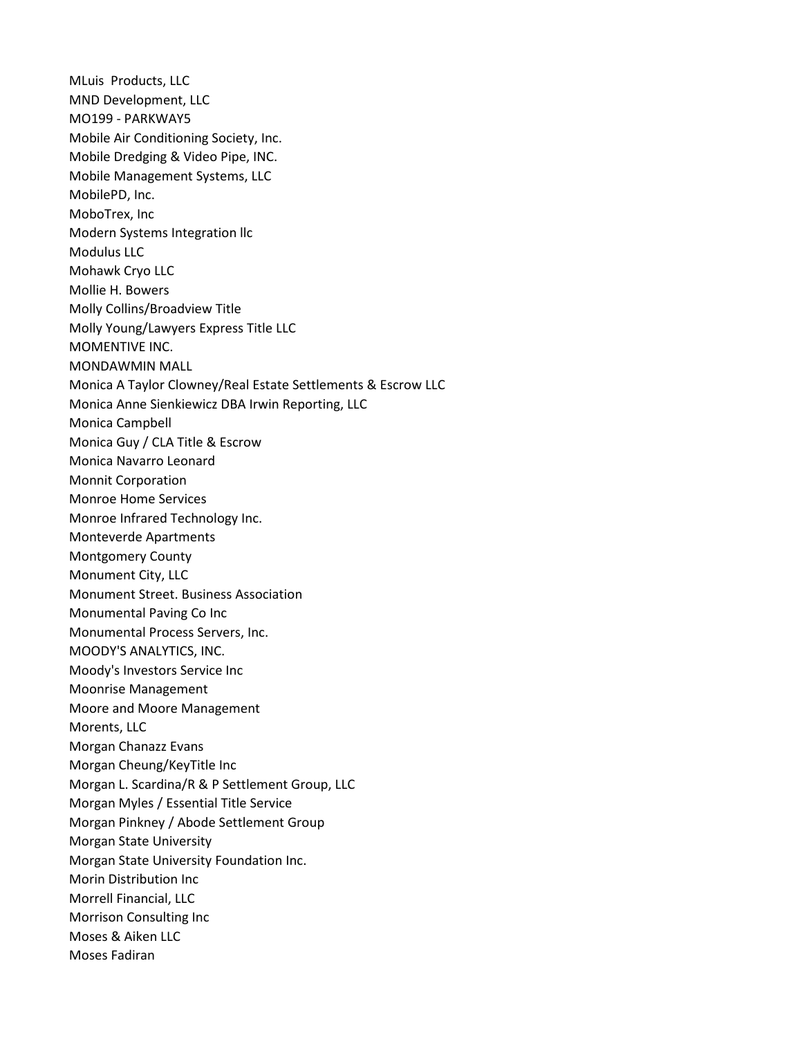MLuis Products, LLC MND Development, LLC MO199 - PARKWAY5 Mobile Air Conditioning Society, Inc. Mobile Dredging & Video Pipe, INC. Mobile Management Systems, LLC MobilePD, Inc. MoboTrex, Inc Modern Systems Integration llc Modulus LLC Mohawk Cryo LLC Mollie H. Bowers Molly Collins/Broadview Title Molly Young/Lawyers Express Title LLC MOMENTIVE INC. MONDAWMIN MALL Monica A Taylor Clowney/Real Estate Settlements & Escrow LLC Monica Anne Sienkiewicz DBA Irwin Reporting, LLC Monica Campbell Monica Guy / CLA Title & Escrow Monica Navarro Leonard Monnit Corporation Monroe Home Services Monroe Infrared Technology Inc. Monteverde Apartments Montgomery County Monument City, LLC Monument Street. Business Association Monumental Paving Co Inc Monumental Process Servers, Inc. MOODY'S ANALYTICS, INC. Moody's Investors Service Inc Moonrise Management Moore and Moore Management Morents, LLC Morgan Chanazz Evans Morgan Cheung/KeyTitle Inc Morgan L. Scardina/R & P Settlement Group, LLC Morgan Myles / Essential Title Service Morgan Pinkney / Abode Settlement Group Morgan State University Morgan State University Foundation Inc. Morin Distribution Inc Morrell Financial, LLC Morrison Consulting Inc Moses & Aiken LLC Moses Fadiran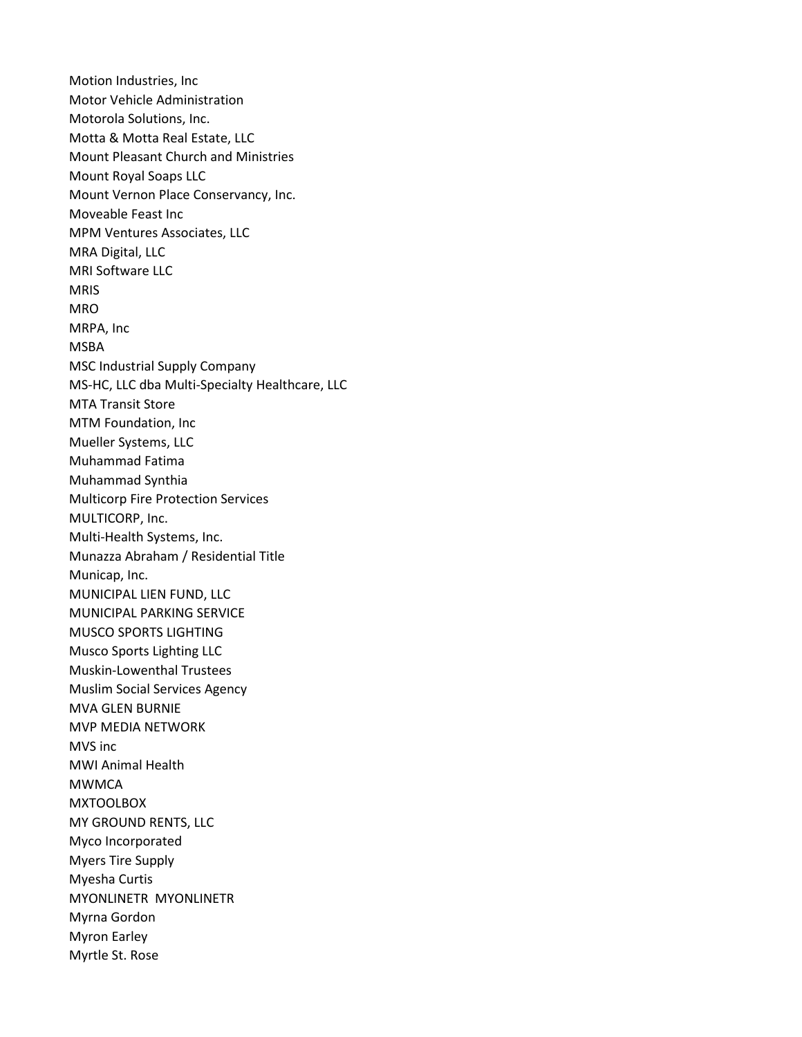Motion Industries, Inc Motor Vehicle Administration Motorola Solutions, Inc. Motta & Motta Real Estate, LLC Mount Pleasant Church and Ministries Mount Royal Soaps LLC Mount Vernon Place Conservancy, Inc. Moveable Feast Inc MPM Ventures Associates, LLC MRA Digital, LLC MRI Software LLC MRIS MRO MRPA, Inc MSBA MSC Industrial Supply Company MS-HC, LLC dba Multi-Specialty Healthcare, LLC MTA Transit Store MTM Foundation, Inc Mueller Systems, LLC Muhammad Fatima Muhammad Synthia Multicorp Fire Protection Services MULTICORP, Inc. Multi-Health Systems, Inc. Munazza Abraham / Residential Title Municap, Inc. MUNICIPAL LIEN FUND, LLC MUNICIPAL PARKING SERVICE MUSCO SPORTS LIGHTING Musco Sports Lighting LLC Muskin-Lowenthal Trustees Muslim Social Services Agency MVA GLEN BURNIE MVP MEDIA NETWORK MVS inc MWI Animal Health MWMCA MXTOOLBOX MY GROUND RENTS, LLC Myco Incorporated Myers Tire Supply Myesha Curtis MYONLINETR MYONLINETR Myrna Gordon Myron Earley Myrtle St. Rose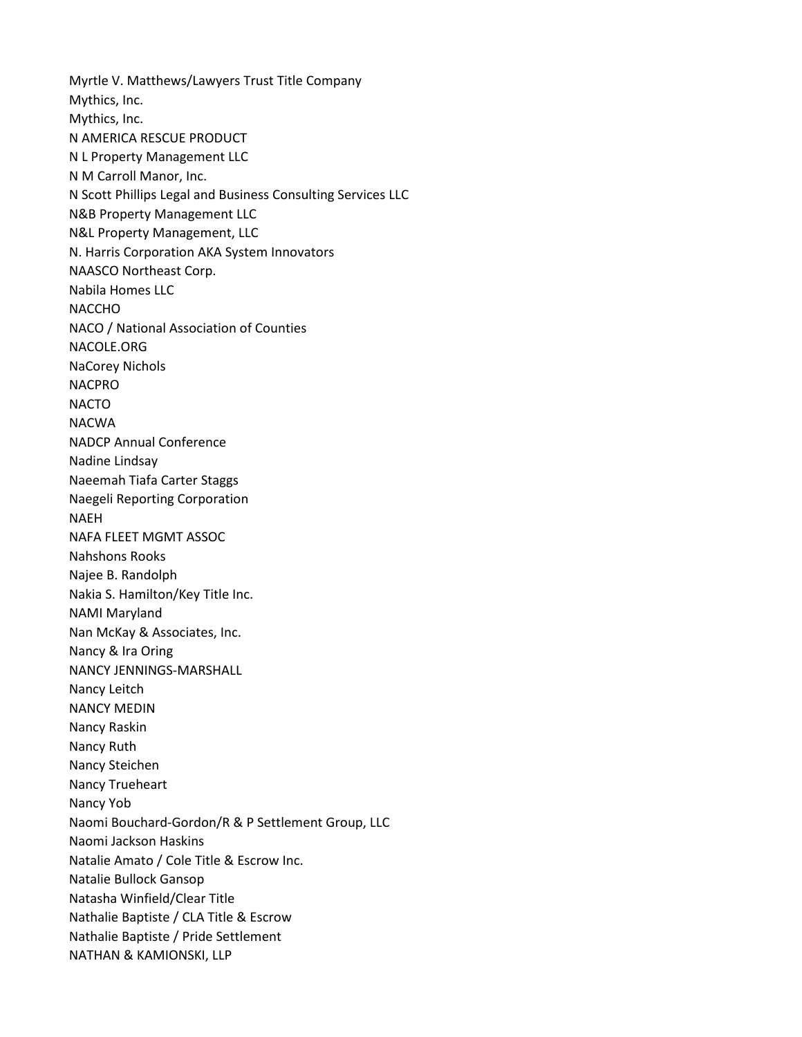Myrtle V. Matthews/Lawyers Trust Title Company Mythics, Inc. Mythics, Inc. N AMERICA RESCUE PRODUCT N L Property Management LLC N M Carroll Manor, Inc. N Scott Phillips Legal and Business Consulting Services LLC N&B Property Management LLC N&L Property Management, LLC N. Harris Corporation AKA System Innovators NAASCO Northeast Corp. Nabila Homes LLC **NACCHO** NACO / National Association of Counties NACOLE.ORG NaCorey Nichols NACPRO NACTO NACWA NADCP Annual Conference Nadine Lindsay Naeemah Tiafa Carter Staggs Naegeli Reporting Corporation NAEH NAFA FLEET MGMT ASSOC Nahshons Rooks Najee B. Randolph Nakia S. Hamilton/Key Title Inc. NAMI Maryland Nan McKay & Associates, Inc. Nancy & Ira Oring NANCY JENNINGS-MARSHALL Nancy Leitch NANCY MEDIN Nancy Raskin Nancy Ruth Nancy Steichen Nancy Trueheart Nancy Yob Naomi Bouchard-Gordon/R & P Settlement Group, LLC Naomi Jackson Haskins Natalie Amato / Cole Title & Escrow Inc. Natalie Bullock Gansop Natasha Winfield/Clear Title Nathalie Baptiste / CLA Title & Escrow Nathalie Baptiste / Pride Settlement NATHAN & KAMIONSKI, LLP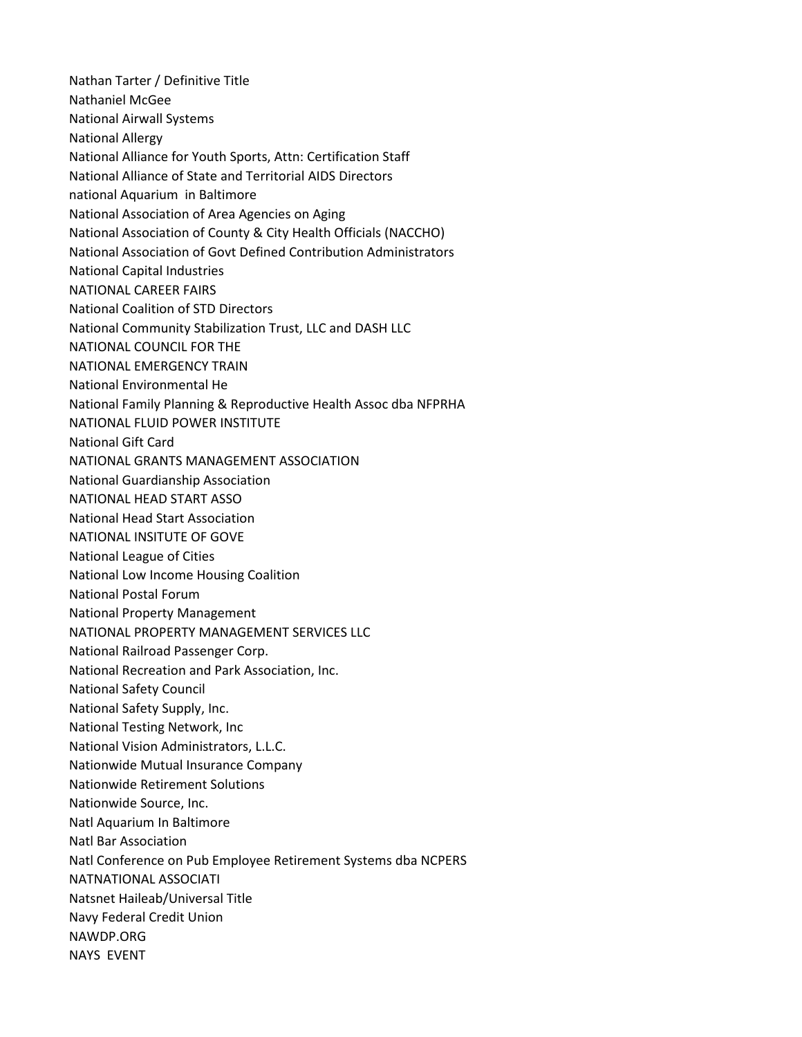Nathan Tarter / Definitive Title Nathaniel McGee National Airwall Systems National Allergy National Alliance for Youth Sports, Attn: Certification Staff National Alliance of State and Territorial AIDS Directors national Aquarium in Baltimore National Association of Area Agencies on Aging National Association of County & City Health Officials (NACCHO) National Association of Govt Defined Contribution Administrators National Capital Industries NATIONAL CAREER FAIRS National Coalition of STD Directors National Community Stabilization Trust, LLC and DASH LLC NATIONAL COUNCIL FOR THE NATIONAL EMERGENCY TRAIN National Environmental He National Family Planning & Reproductive Health Assoc dba NFPRHA NATIONAL FLUID POWER INSTITUTE National Gift Card NATIONAL GRANTS MANAGEMENT ASSOCIATION National Guardianship Association NATIONAL HEAD START ASSO National Head Start Association NATIONAL INSITUTE OF GOVE National League of Cities National Low Income Housing Coalition National Postal Forum National Property Management NATIONAL PROPERTY MANAGEMENT SERVICES LLC National Railroad Passenger Corp. National Recreation and Park Association, Inc. National Safety Council National Safety Supply, Inc. National Testing Network, Inc National Vision Administrators, L.L.C. Nationwide Mutual Insurance Company Nationwide Retirement Solutions Nationwide Source, Inc. Natl Aquarium In Baltimore Natl Bar Association Natl Conference on Pub Employee Retirement Systems dba NCPERS NATNATIONAL ASSOCIATI Natsnet Haileab/Universal Title Navy Federal Credit Union NAWDP.ORG NAYS EVENT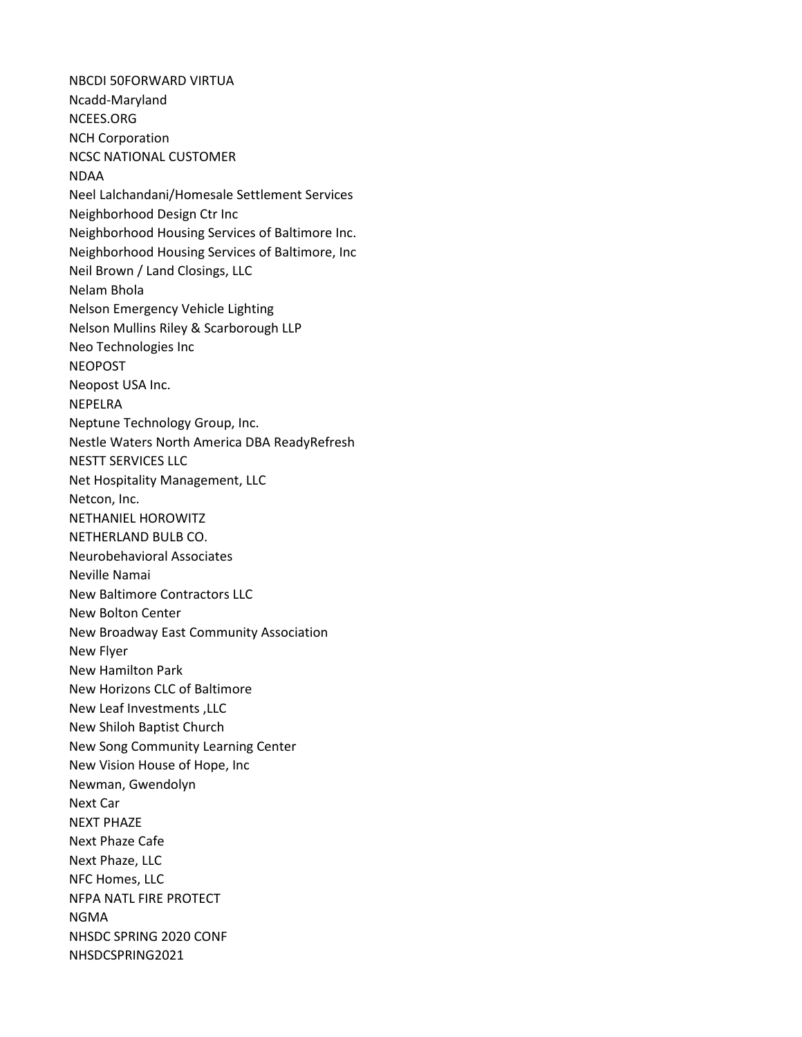NBCDI 50FORWARD VIRTUA Ncadd-Maryland NCEES.ORG NCH Corporation NCSC NATIONAL CUSTOMER NDAA Neel Lalchandani/Homesale Settlement Services Neighborhood Design Ctr Inc Neighborhood Housing Services of Baltimore Inc. Neighborhood Housing Services of Baltimore, Inc Neil Brown / Land Closings, LLC Nelam Bhola Nelson Emergency Vehicle Lighting Nelson Mullins Riley & Scarborough LLP Neo Technologies Inc NEOPOST Neopost USA Inc. NEPELRA Neptune Technology Group, Inc. Nestle Waters North America DBA ReadyRefresh NESTT SERVICES LLC Net Hospitality Management, LLC Netcon, Inc. NETHANIEL HOROWITZ NETHERLAND BULB CO. Neurobehavioral Associates Neville Namai New Baltimore Contractors LLC New Bolton Center New Broadway East Community Association New Flyer New Hamilton Park New Horizons CLC of Baltimore New Leaf Investments ,LLC New Shiloh Baptist Church New Song Community Learning Center New Vision House of Hope, Inc Newman, Gwendolyn Next Car NEXT PHAZE Next Phaze Cafe Next Phaze, LLC NFC Homes, LLC NFPA NATL FIRE PROTECT NGMA NHSDC SPRING 2020 CONF NHSDCSPRING2021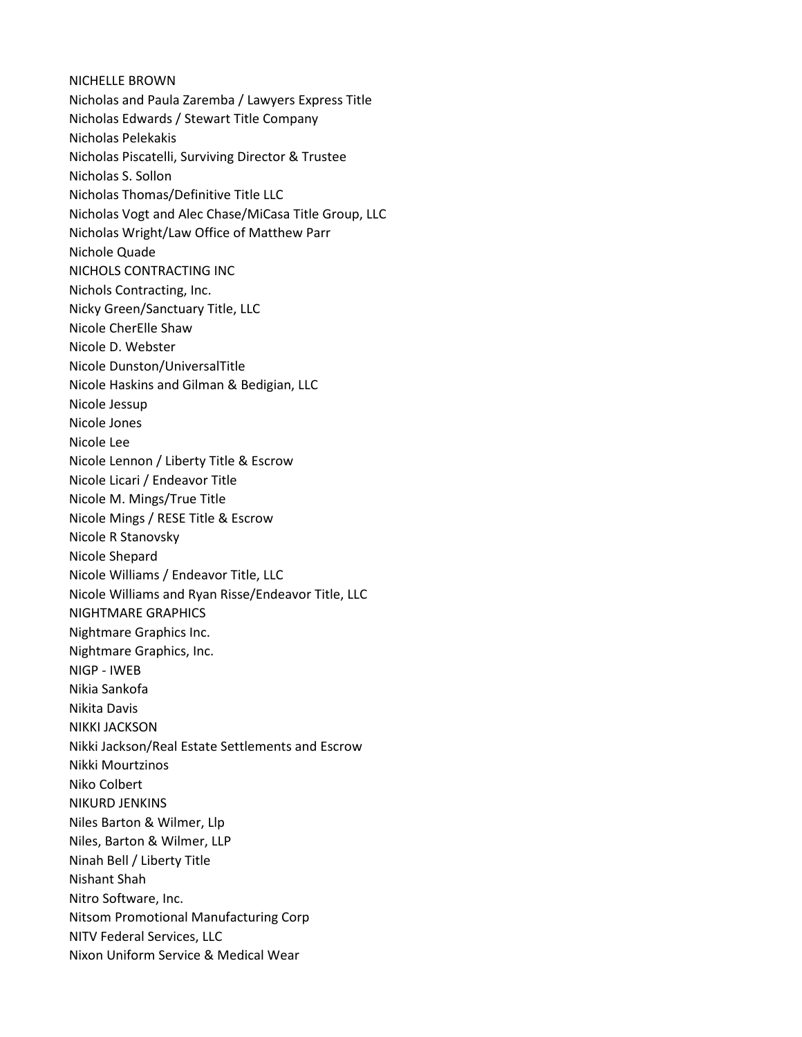NICHELLE BROWN Nicholas and Paula Zaremba / Lawyers Express Title Nicholas Edwards / Stewart Title Company Nicholas Pelekakis Nicholas Piscatelli, Surviving Director & Trustee Nicholas S. Sollon Nicholas Thomas/Definitive Title LLC Nicholas Vogt and Alec Chase/MiCasa Title Group, LLC Nicholas Wright/Law Office of Matthew Parr Nichole Quade NICHOLS CONTRACTING INC Nichols Contracting, Inc. Nicky Green/Sanctuary Title, LLC Nicole CherElle Shaw Nicole D. Webster Nicole Dunston/UniversalTitle Nicole Haskins and Gilman & Bedigian, LLC Nicole Jessup Nicole Jones Nicole Lee Nicole Lennon / Liberty Title & Escrow Nicole Licari / Endeavor Title Nicole M. Mings/True Title Nicole Mings / RESE Title & Escrow Nicole R Stanovsky Nicole Shepard Nicole Williams / Endeavor Title, LLC Nicole Williams and Ryan Risse/Endeavor Title, LLC NIGHTMARE GRAPHICS Nightmare Graphics Inc. Nightmare Graphics, Inc. NIGP - IWEB Nikia Sankofa Nikita Davis NIKKI JACKSON Nikki Jackson/Real Estate Settlements and Escrow Nikki Mourtzinos Niko Colbert NIKURD JENKINS Niles Barton & Wilmer, Llp Niles, Barton & Wilmer, LLP Ninah Bell / Liberty Title Nishant Shah Nitro Software, Inc. Nitsom Promotional Manufacturing Corp NITV Federal Services, LLC Nixon Uniform Service & Medical Wear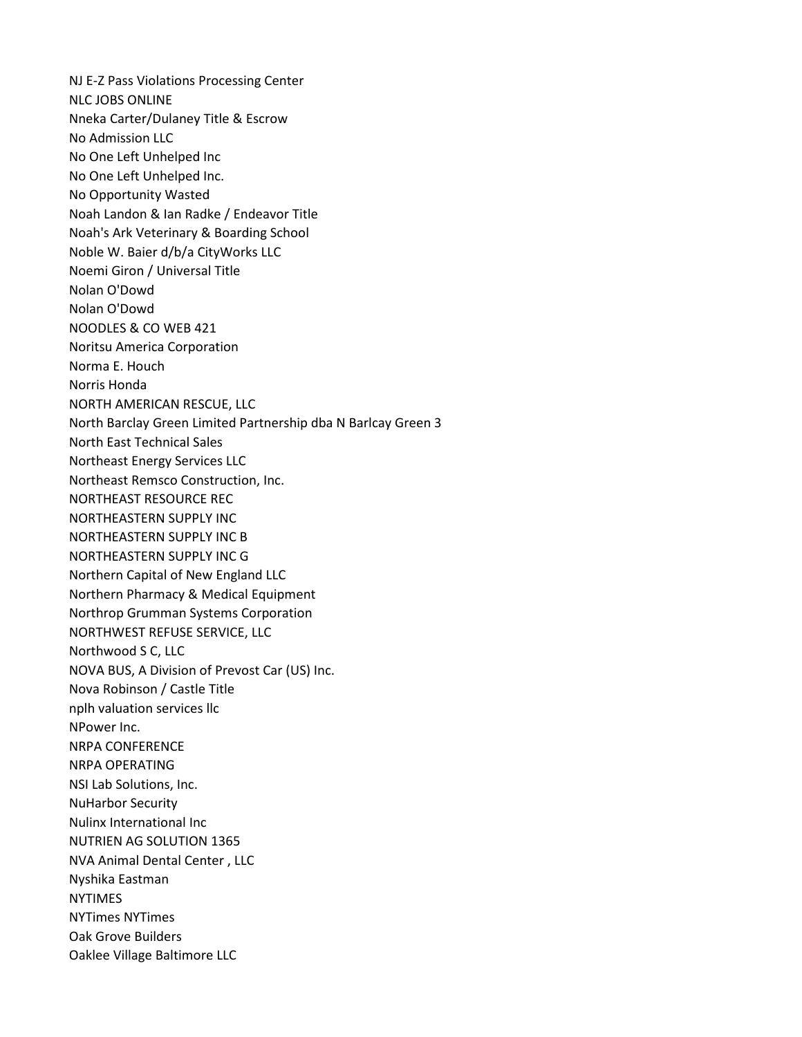NJ E-Z Pass Violations Processing Center NLC JOBS ONLINE Nneka Carter/Dulaney Title & Escrow No Admission LLC No One Left Unhelped Inc No One Left Unhelped Inc. No Opportunity Wasted Noah Landon & Ian Radke / Endeavor Title Noah's Ark Veterinary & Boarding School Noble W. Baier d/b/a CityWorks LLC Noemi Giron / Universal Title Nolan O'Dowd Nolan O'Dowd NOODLES & CO WEB 421 Noritsu America Corporation Norma E. Houch Norris Honda NORTH AMERICAN RESCUE, LLC North Barclay Green Limited Partnership dba N Barlcay Green 3 North East Technical Sales Northeast Energy Services LLC Northeast Remsco Construction, Inc. NORTHEAST RESOURCE REC NORTHEASTERN SUPPLY INC NORTHEASTERN SUPPLY INC B NORTHEASTERN SUPPLY INC G Northern Capital of New England LLC Northern Pharmacy & Medical Equipment Northrop Grumman Systems Corporation NORTHWEST REFUSE SERVICE, LLC Northwood S C, LLC NOVA BUS, A Division of Prevost Car (US) Inc. Nova Robinson / Castle Title nplh valuation services llc NPower Inc. NRPA CONFERENCE NRPA OPERATING NSI Lab Solutions, Inc. NuHarbor Security Nulinx International Inc NUTRIEN AG SOLUTION 1365 NVA Animal Dental Center , LLC Nyshika Eastman NYTIMES NYTimes NYTimes Oak Grove Builders Oaklee Village Baltimore LLC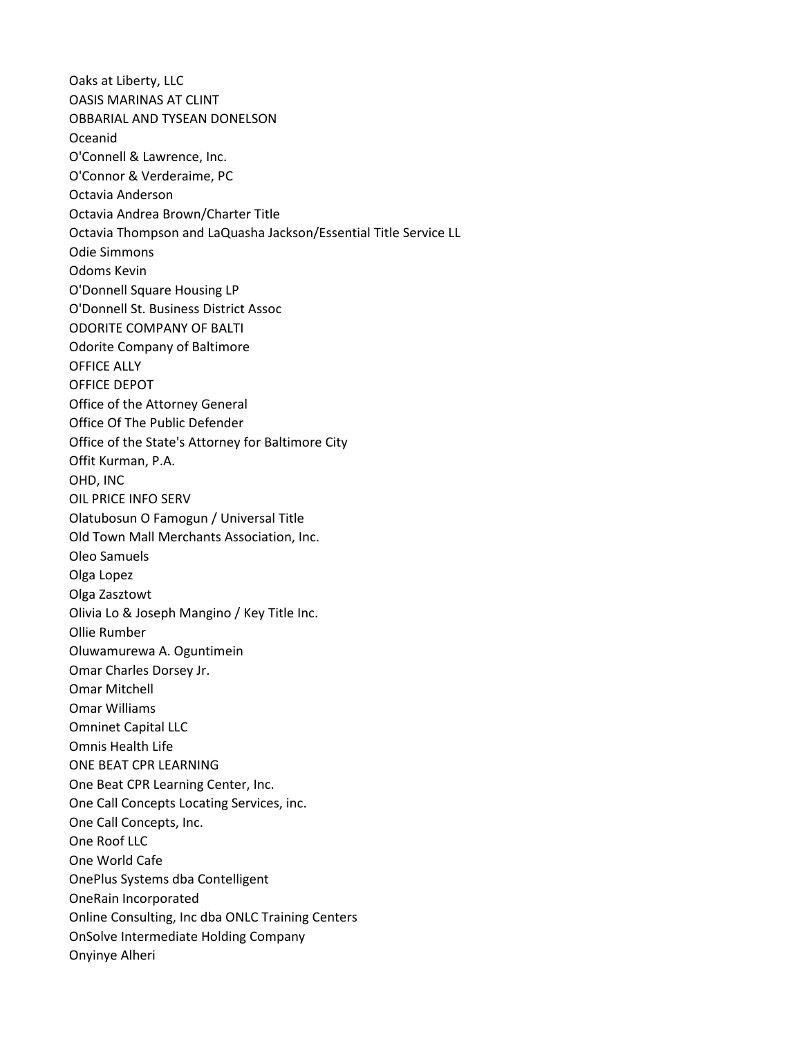Oaks at Liberty, LLC OASIS MARINAS AT CLINT OBBARIAL AND TYSEAN DONELSON Oceanid O'Connell & Lawrence, Inc. O'Connor & Verderaime, PC Octavia Anderson Octavia Andrea Brown/Charter Title Octavia Thompson and LaQuasha Jackson/Essential Title Service LL Odie Simmons Odoms Kevin O'Donnell Square Housing LP O'Donnell St. Business District Assoc ODORITE COMPANY OF BALTI Odorite Company of Baltimore OFFICE ALLY OFFICE DEPOT Office of the Attorney General Office Of The Public Defender Office of the State's Attorney for Baltimore City Offit Kurman, P.A. OHD, INC OIL PRICE INFO SERV Olatubosun O Famogun / Universal Title Old Town Mall Merchants Association, Inc. Oleo Samuels Olga Lopez Olga Zasztowt Olivia Lo & Joseph Mangino / Key Title Inc. Ollie Rumber Oluwamurewa A. Oguntimein Omar Charles Dorsey Jr. Omar Mitchell Omar Williams Omninet Capital LLC Omnis Health Life ONE BEAT CPR LEARNING One Beat CPR Learning Center, Inc. One Call Concepts Locating Services, inc. One Call Concepts, Inc. One Roof LLC One World Cafe OnePlus Systems dba Contelligent OneRain Incorporated Online Consulting, Inc dba ONLC Training Centers OnSolve Intermediate Holding Company Onyinye Alheri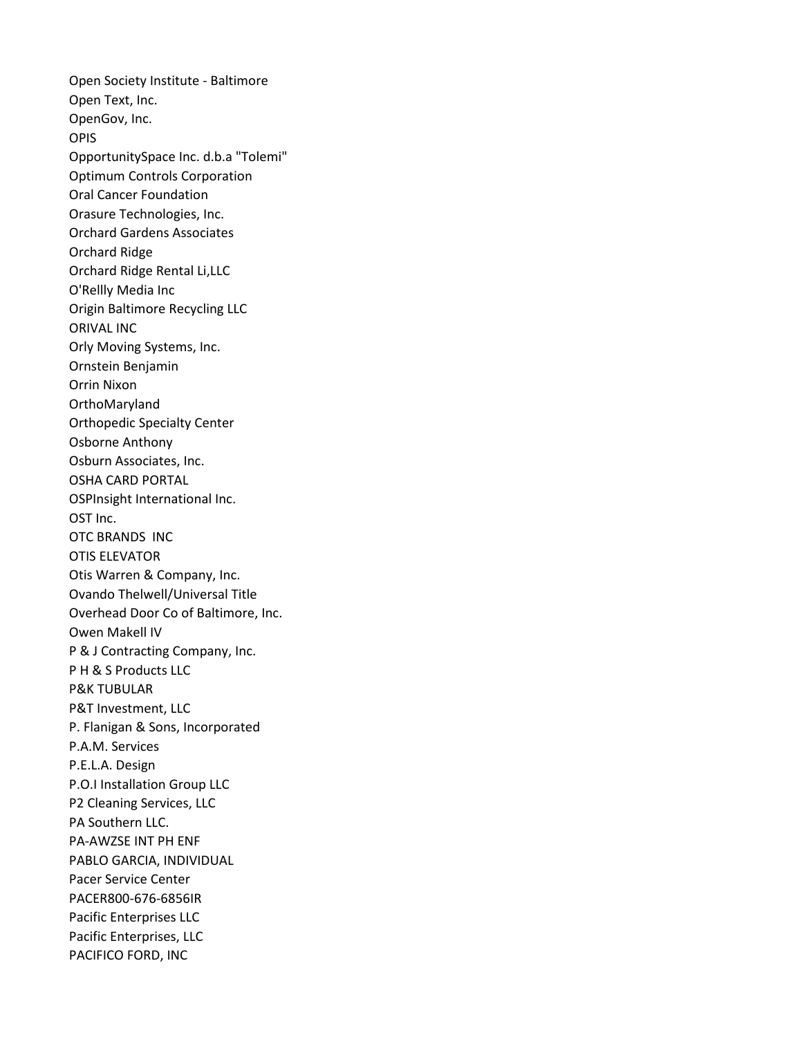Open Society Institute - Baltimore Open Text, Inc. OpenGov, Inc. OPIS OpportunitySpace Inc. d.b.a "Tolemi" Optimum Controls Corporation Oral Cancer Foundation Orasure Technologies, Inc. Orchard Gardens Associates Orchard Ridge Orchard Ridge Rental Li,LLC O'Rellly Media Inc Origin Baltimore Recycling LLC ORIVAL INC Orly Moving Systems, Inc. Ornstein Benjamin Orrin Nixon OrthoMaryland Orthopedic Specialty Center Osborne Anthony Osburn Associates, Inc. OSHA CARD PORTAL OSPInsight International Inc. OST Inc. OTC BRANDS INC OTIS ELEVATOR Otis Warren & Company, Inc. Ovando Thelwell/Universal Title Overhead Door Co of Baltimore, Inc. Owen Makell IV P & J Contracting Company, Inc. P H & S Products LLC P&K TUBULAR P&T Investment, LLC P. Flanigan & Sons, Incorporated P.A.M. Services P.E.L.A. Design P.O.I Installation Group LLC P2 Cleaning Services, LLC PA Southern LLC. PA-AWZSE INT PH ENF PABLO GARCIA, INDIVIDUAL Pacer Service Center PACER800-676-6856IR Pacific Enterprises LLC Pacific Enterprises, LLC PACIFICO FORD, INC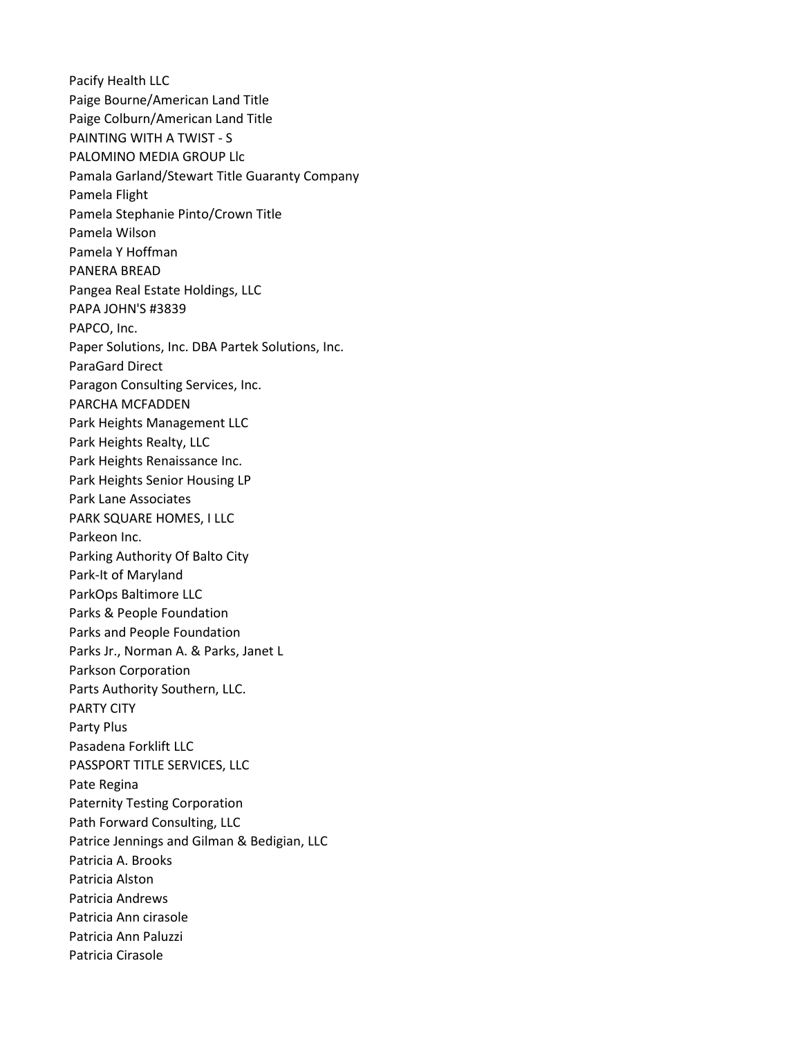Pacify Health LLC Paige Bourne/American Land Title Paige Colburn/American Land Title PAINTING WITH A TWIST - S PALOMINO MEDIA GROUP Llc Pamala Garland/Stewart Title Guaranty Company Pamela Flight Pamela Stephanie Pinto/Crown Title Pamela Wilson Pamela Y Hoffman PANERA BREAD Pangea Real Estate Holdings, LLC PAPA JOHN'S #3839 PAPCO, Inc. Paper Solutions, Inc. DBA Partek Solutions, Inc. ParaGard Direct Paragon Consulting Services, Inc. PARCHA MCFADDEN Park Heights Management LLC Park Heights Realty, LLC Park Heights Renaissance Inc. Park Heights Senior Housing LP Park Lane Associates PARK SQUARE HOMES, I LLC Parkeon Inc. Parking Authority Of Balto City Park-It of Maryland ParkOps Baltimore LLC Parks & People Foundation Parks and People Foundation Parks Jr., Norman A. & Parks, Janet L Parkson Corporation Parts Authority Southern, LLC. PARTY CITY Party Plus Pasadena Forklift LLC PASSPORT TITLE SERVICES, LLC Pate Regina Paternity Testing Corporation Path Forward Consulting, LLC Patrice Jennings and Gilman & Bedigian, LLC Patricia A. Brooks Patricia Alston Patricia Andrews Patricia Ann cirasole Patricia Ann Paluzzi Patricia Cirasole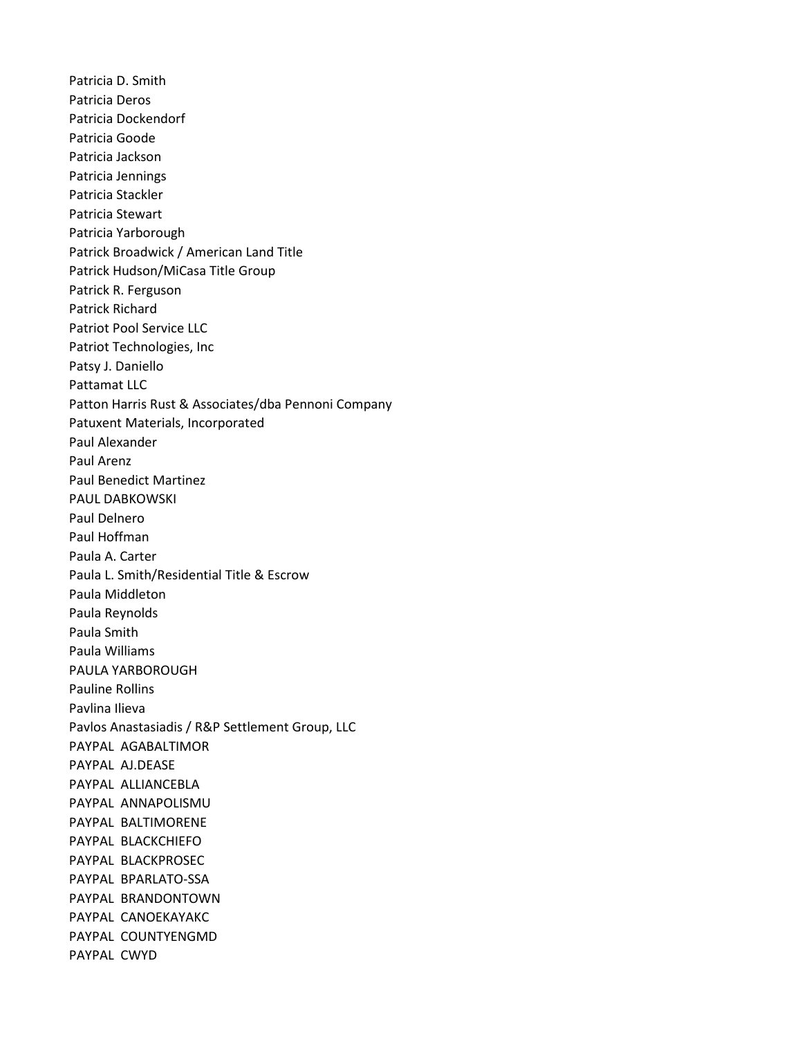Patricia D. Smith Patricia Deros Patricia Dockendorf Patricia Goode Patricia Jackson Patricia Jennings Patricia Stackler Patricia Stewart Patricia Yarborough Patrick Broadwick / American Land Title Patrick Hudson/MiCasa Title Group Patrick R. Ferguson Patrick Richard Patriot Pool Service LLC Patriot Technologies, Inc Patsy J. Daniello Pattamat LLC Patton Harris Rust & Associates/dba Pennoni Company Patuxent Materials, Incorporated Paul Alexander Paul Arenz Paul Benedict Martinez PAUL DABKOWSKI Paul Delnero Paul Hoffman Paula A. Carter Paula L. Smith/Residential Title & Escrow Paula Middleton Paula Reynolds Paula Smith Paula Williams PAULA YARBOROUGH Pauline Rollins Pavlina Ilieva Pavlos Anastasiadis / R&P Settlement Group, LLC PAYPAL AGABALTIMOR PAYPAL AJ.DEASE PAYPAL ALLIANCEBLA PAYPAL ANNAPOLISMU PAYPAL BALTIMORENE PAYPAL BLACKCHIEFO PAYPAL BLACKPROSEC PAYPAL BPARLATO-SSA PAYPAL BRANDONTOWN PAYPAL CANOEKAYAKC PAYPAL COUNTYENGMD PAYPAL CWYD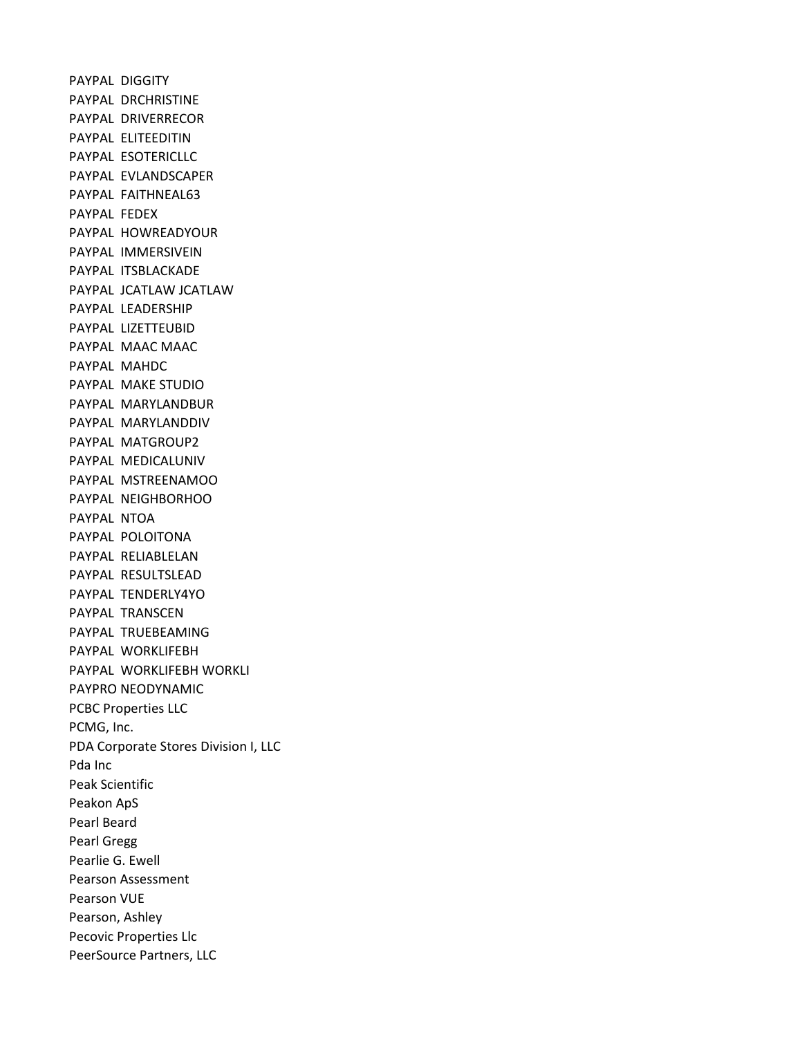PAYPAL DIGGITY PAYPAL DRCHRISTINE PAYPAL DRIVERRECOR PAYPAL ELITEEDITIN PAYPAL ESOTERICLLC PAYPAL EVLANDSCAPER PAYPAL FAITHNEAL63 PAYPAL FEDEX PAYPAL HOWREADYOUR PAYPAL IMMERSIVEIN PAYPAL ITSBLACKADE PAYPAL JCATLAW JCATLAW PAYPAL LEADERSHIP PAYPAL LIZETTEUBID PAYPAL MAAC MAAC PAYPAL MAHDC PAYPAL MAKE STUDIO PAYPAL MARYLANDBUR PAYPAL MARYLANDDIV PAYPAL MATGROUP2 PAYPAL MEDICALUNIV PAYPAL MSTREENAMOO PAYPAL NEIGHBORHOO PAYPAL NTOA PAYPAL POLOITONA PAYPAL RELIABLELAN PAYPAL RESULTSLEAD PAYPAL TENDERLY4YO PAYPAL TRANSCEN PAYPAL TRUEBEAMING PAYPAL WORKLIFEBH PAYPAL WORKLIFEBH WORKLI PAYPRO NEODYNAMIC PCBC Properties LLC PCMG, Inc. PDA Corporate Stores Division I, LLC Pda Inc Peak Scientific Peakon ApS Pearl Beard Pearl Gregg Pearlie G. Ewell Pearson Assessment Pearson VUE Pearson, Ashley Pecovic Properties Llc PeerSource Partners, LLC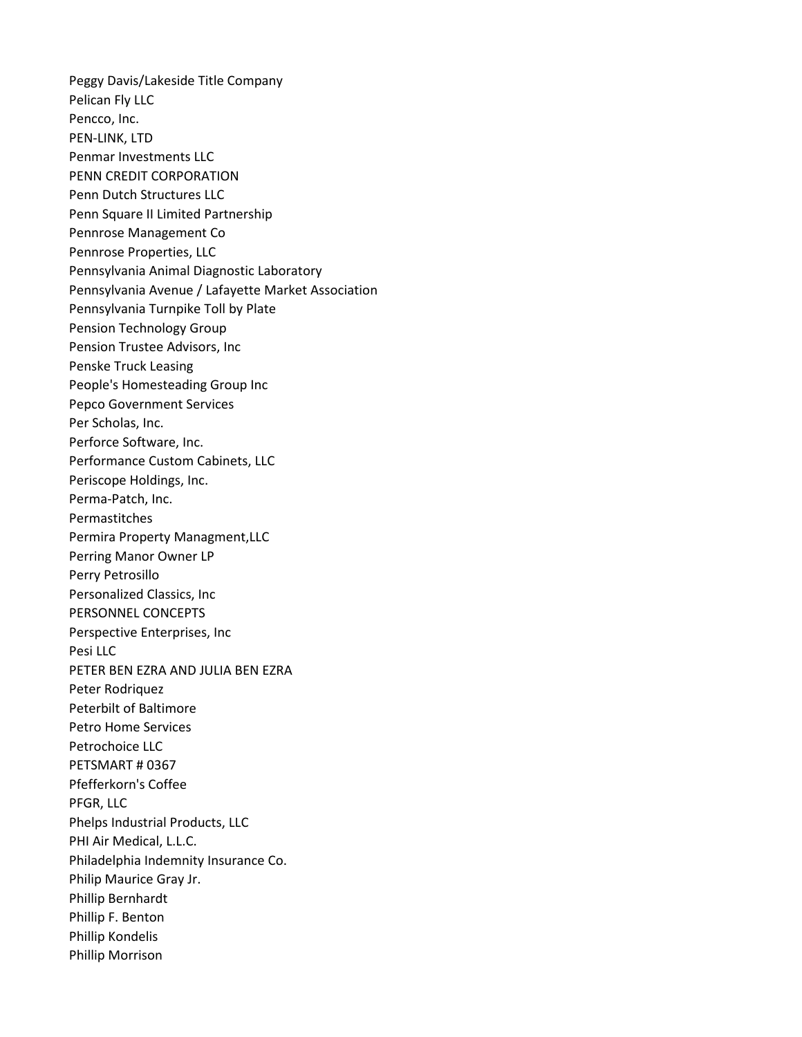Peggy Davis/Lakeside Title Company Pelican Fly LLC Pencco, Inc. PEN-LINK, LTD Penmar Investments LLC PENN CREDIT CORPORATION Penn Dutch Structures LLC Penn Square II Limited Partnership Pennrose Management Co Pennrose Properties, LLC Pennsylvania Animal Diagnostic Laboratory Pennsylvania Avenue / Lafayette Market Association Pennsylvania Turnpike Toll by Plate Pension Technology Group Pension Trustee Advisors, Inc Penske Truck Leasing People's Homesteading Group Inc Pepco Government Services Per Scholas, Inc. Perforce Software, Inc. Performance Custom Cabinets, LLC Periscope Holdings, Inc. Perma-Patch, Inc. Permastitches Permira Property Managment,LLC Perring Manor Owner LP Perry Petrosillo Personalized Classics, Inc PERSONNEL CONCEPTS Perspective Enterprises, Inc Pesi LLC PETER BEN EZRA AND JULIA BEN EZRA Peter Rodriquez Peterbilt of Baltimore Petro Home Services Petrochoice LLC PETSMART # 0367 Pfefferkorn's Coffee PFGR, LLC Phelps Industrial Products, LLC PHI Air Medical, L.L.C. Philadelphia Indemnity Insurance Co. Philip Maurice Gray Jr. Phillip Bernhardt Phillip F. Benton Phillip Kondelis Phillip Morrison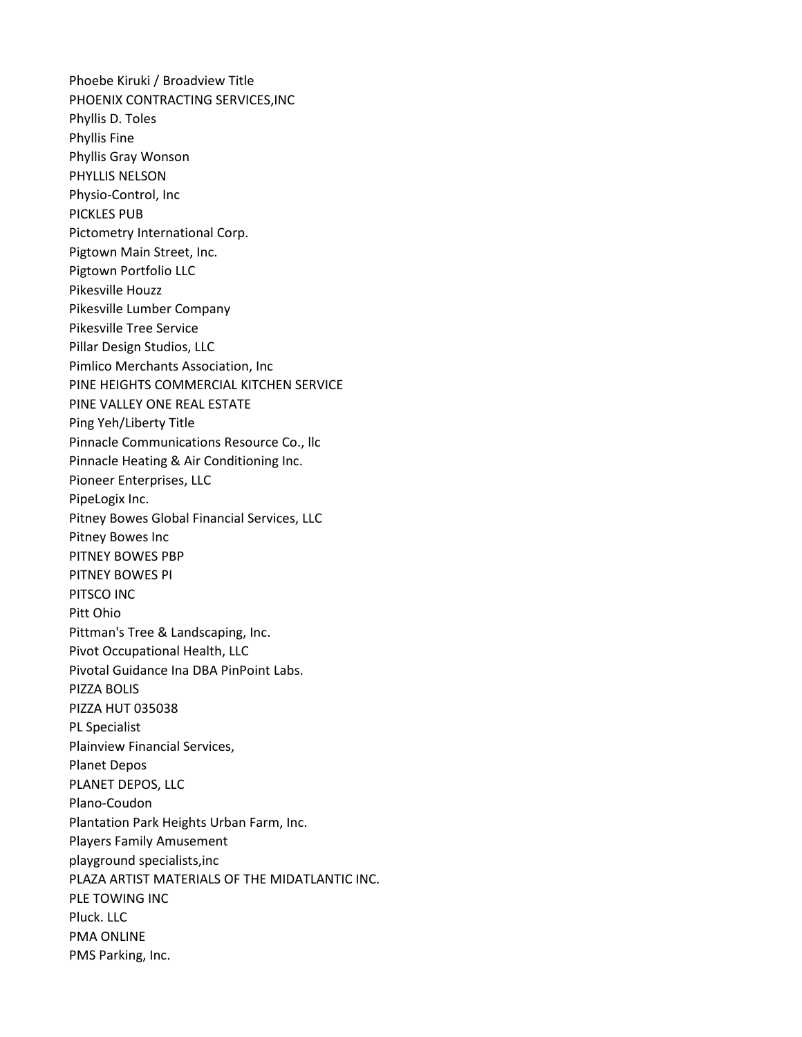Phoebe Kiruki / Broadview Title PHOENIX CONTRACTING SERVICES,INC Phyllis D. Toles Phyllis Fine Phyllis Gray Wonson PHYLLIS NELSON Physio-Control, Inc PICKLES PUB Pictometry International Corp. Pigtown Main Street, Inc. Pigtown Portfolio LLC Pikesville Houzz Pikesville Lumber Company Pikesville Tree Service Pillar Design Studios, LLC Pimlico Merchants Association, Inc PINE HEIGHTS COMMERCIAL KITCHEN SERVICE PINE VALLEY ONE REAL ESTATE Ping Yeh/Liberty Title Pinnacle Communications Resource Co., llc Pinnacle Heating & Air Conditioning Inc. Pioneer Enterprises, LLC PipeLogix Inc. Pitney Bowes Global Financial Services, LLC Pitney Bowes Inc PITNEY BOWES PBP PITNEY BOWES PI PITSCO INC Pitt Ohio Pittman's Tree & Landscaping, Inc. Pivot Occupational Health, LLC Pivotal Guidance Ina DBA PinPoint Labs. PIZZA BOLIS PIZZA HUT 035038 PL Specialist Plainview Financial Services, Planet Depos PLANET DEPOS, LLC Plano-Coudon Plantation Park Heights Urban Farm, Inc. Players Family Amusement playground specialists,inc PLAZA ARTIST MATERIALS OF THE MIDATLANTIC INC. PLE TOWING INC Pluck. LLC PMA ONLINE PMS Parking, Inc.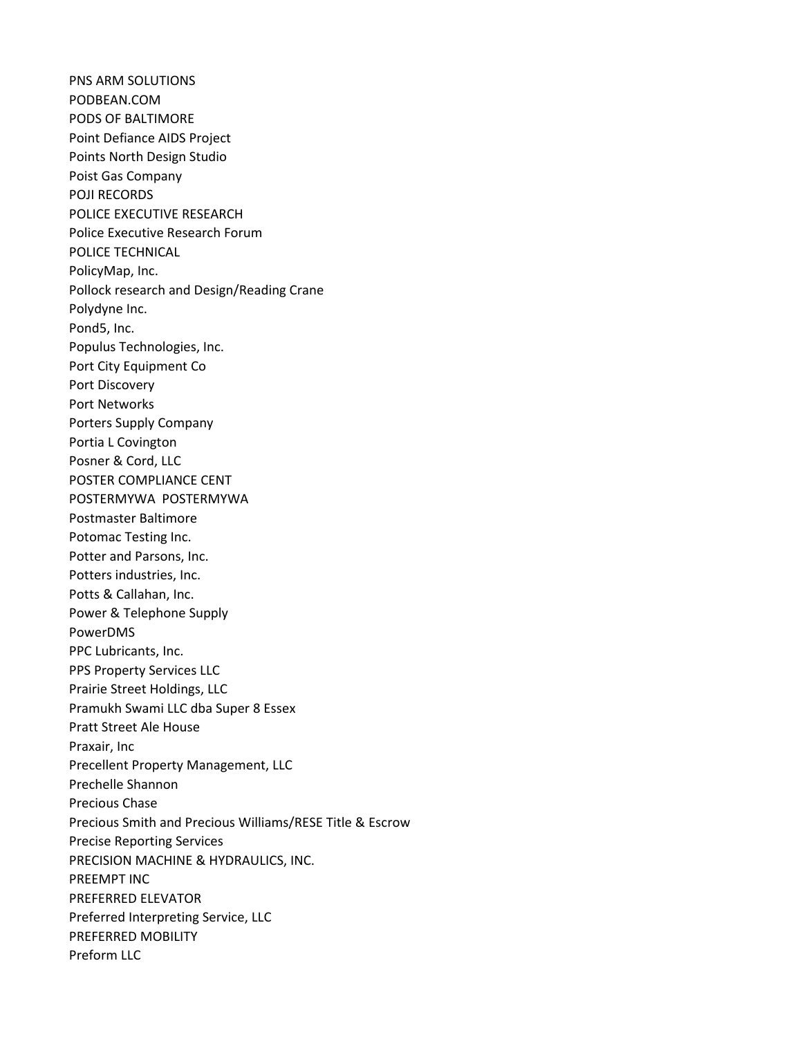PNS ARM SOLUTIONS PODBEAN.COM PODS OF BALTIMORE Point Defiance AIDS Project Points North Design Studio Poist Gas Company POJI RECORDS POLICE EXECUTIVE RESEARCH Police Executive Research Forum POLICE TECHNICAL PolicyMap, Inc. Pollock research and Design/Reading Crane Polydyne Inc. Pond5, Inc. Populus Technologies, Inc. Port City Equipment Co Port Discovery Port Networks Porters Supply Company Portia L Covington Posner & Cord, LLC POSTER COMPLIANCE CENT POSTERMYWA POSTERMYWA Postmaster Baltimore Potomac Testing Inc. Potter and Parsons, Inc. Potters industries, Inc. Potts & Callahan, Inc. Power & Telephone Supply PowerDMS PPC Lubricants, Inc. PPS Property Services LLC Prairie Street Holdings, LLC Pramukh Swami LLC dba Super 8 Essex Pratt Street Ale House Praxair, Inc Precellent Property Management, LLC Prechelle Shannon Precious Chase Precious Smith and Precious Williams/RESE Title & Escrow Precise Reporting Services PRECISION MACHINE & HYDRAULICS, INC. PREEMPT INC PREFERRED ELEVATOR Preferred Interpreting Service, LLC PREFERRED MOBILITY Preform LLC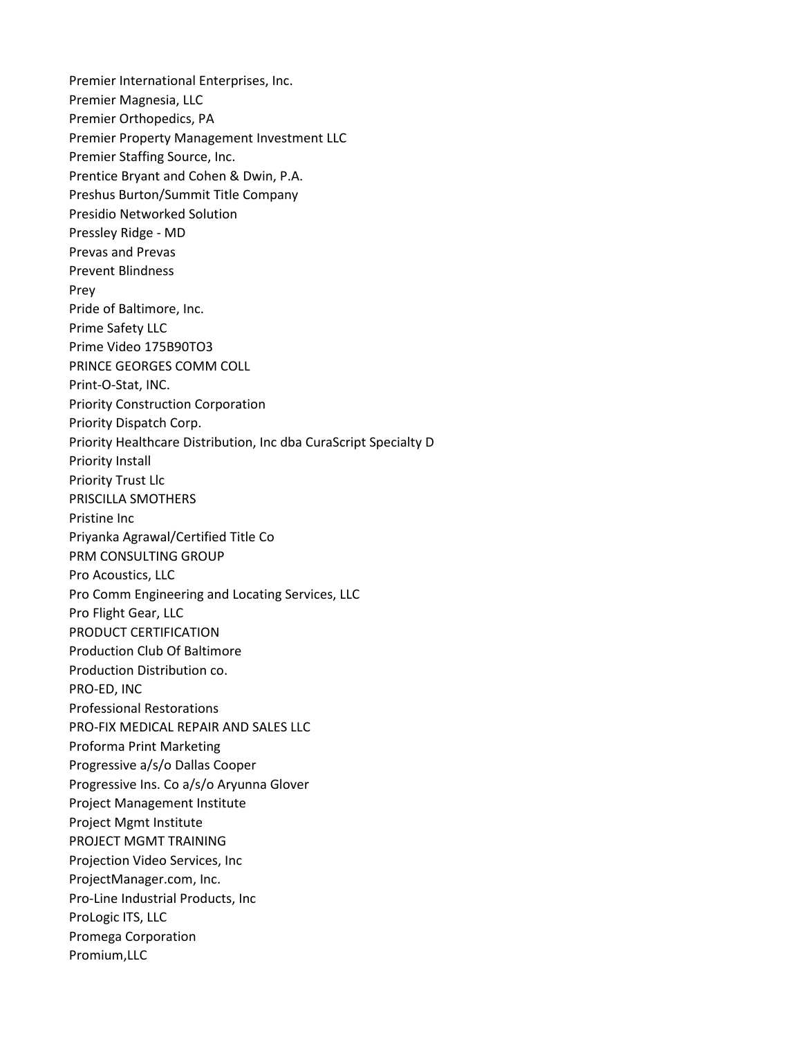Premier International Enterprises, Inc. Premier Magnesia, LLC Premier Orthopedics, PA Premier Property Management Investment LLC Premier Staffing Source, Inc. Prentice Bryant and Cohen & Dwin, P.A. Preshus Burton/Summit Title Company Presidio Networked Solution Pressley Ridge - MD Prevas and Prevas Prevent Blindness Prey Pride of Baltimore, Inc. Prime Safety LLC Prime Video 175B90TO3 PRINCE GEORGES COMM COLL Print-O-Stat, INC. Priority Construction Corporation Priority Dispatch Corp. Priority Healthcare Distribution, Inc dba CuraScript Specialty D Priority Install Priority Trust Llc PRISCILLA SMOTHERS Pristine Inc Priyanka Agrawal/Certified Title Co PRM CONSULTING GROUP Pro Acoustics, LLC Pro Comm Engineering and Locating Services, LLC Pro Flight Gear, LLC PRODUCT CERTIFICATION Production Club Of Baltimore Production Distribution co. PRO-ED, INC Professional Restorations PRO-FIX MEDICAL REPAIR AND SALES LLC Proforma Print Marketing Progressive a/s/o Dallas Cooper Progressive Ins. Co a/s/o Aryunna Glover Project Management Institute Project Mgmt Institute PROJECT MGMT TRAINING Projection Video Services, Inc ProjectManager.com, Inc. Pro-Line Industrial Products, Inc ProLogic ITS, LLC Promega Corporation Promium,LLC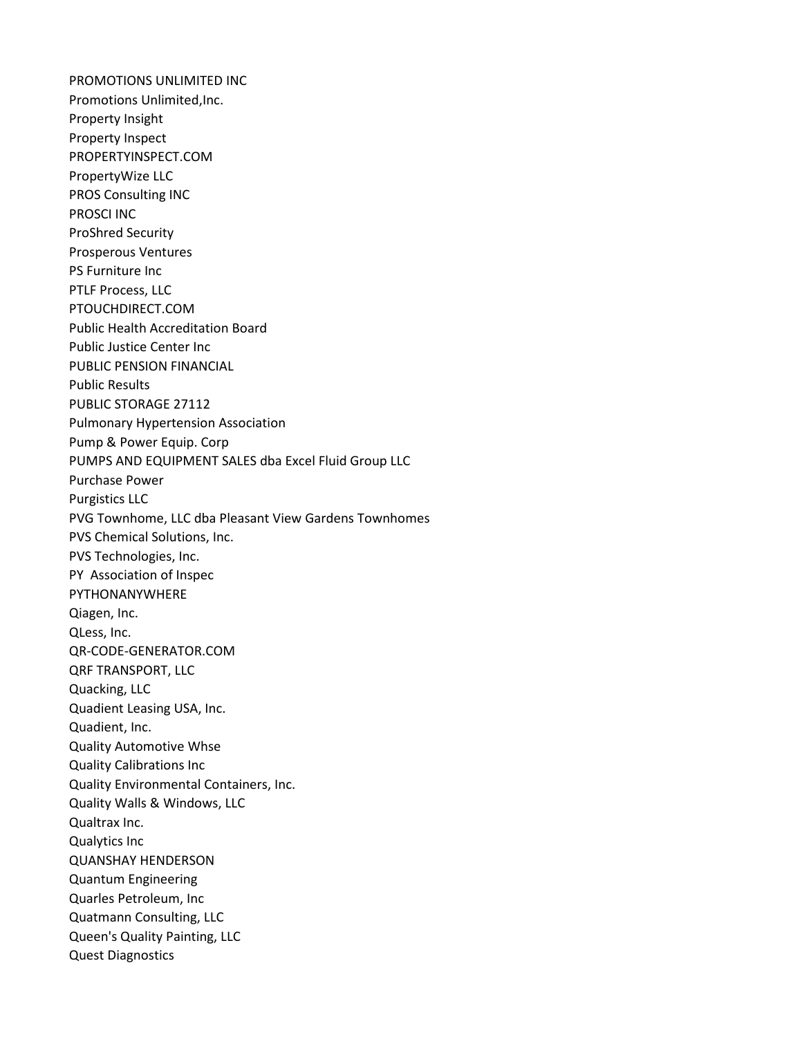PROMOTIONS UNLIMITED INC Promotions Unlimited,Inc. Property Insight Property Inspect PROPERTYINSPECT.COM PropertyWize LLC PROS Consulting INC PROSCI INC ProShred Security Prosperous Ventures PS Furniture Inc PTLF Process, LLC PTOUCHDIRECT.COM Public Health Accreditation Board Public Justice Center Inc PUBLIC PENSION FINANCIAL Public Results PUBLIC STORAGE 27112 Pulmonary Hypertension Association Pump & Power Equip. Corp PUMPS AND EQUIPMENT SALES dba Excel Fluid Group LLC Purchase Power Purgistics LLC PVG Townhome, LLC dba Pleasant View Gardens Townhomes PVS Chemical Solutions, Inc. PVS Technologies, Inc. PY Association of Inspec PYTHONANYWHERE Qiagen, Inc. QLess, Inc. QR-CODE-GENERATOR.COM QRF TRANSPORT, LLC Quacking, LLC Quadient Leasing USA, Inc. Quadient, Inc. Quality Automotive Whse Quality Calibrations Inc Quality Environmental Containers, Inc. Quality Walls & Windows, LLC Qualtrax Inc. Qualytics Inc QUANSHAY HENDERSON Quantum Engineering Quarles Petroleum, Inc Quatmann Consulting, LLC Queen's Quality Painting, LLC Quest Diagnostics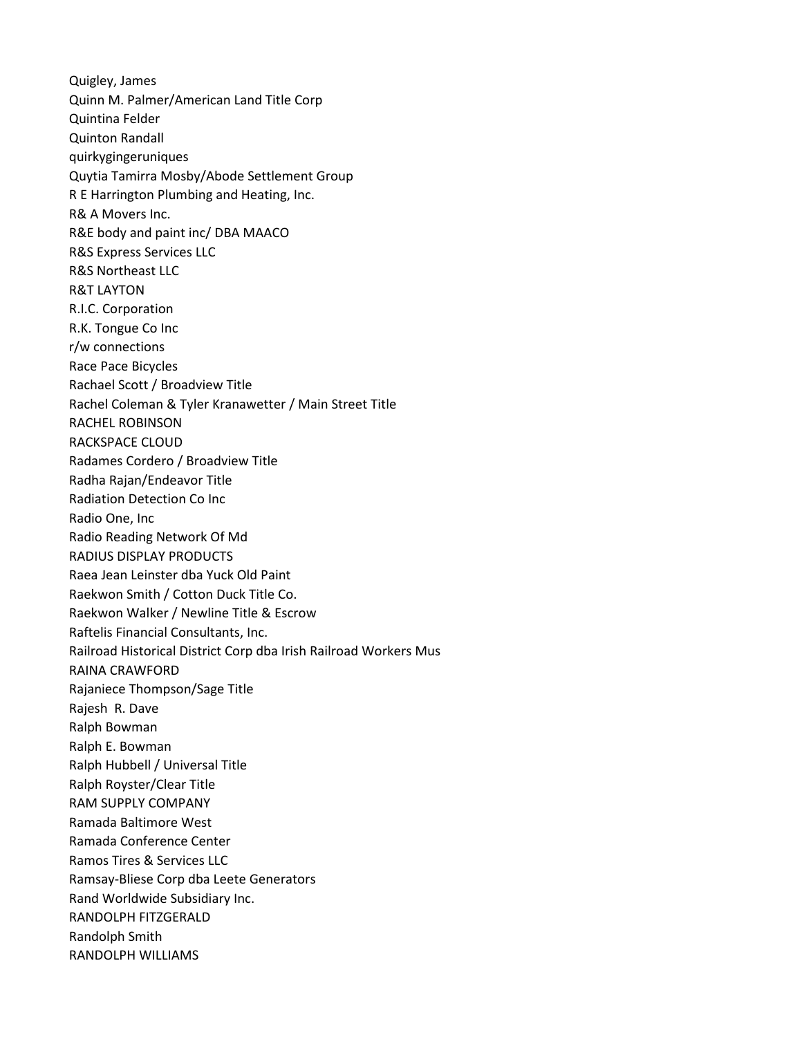Quigley, James Quinn M. Palmer/American Land Title Corp Quintina Felder Quinton Randall quirkygingeruniques Quytia Tamirra Mosby/Abode Settlement Group R E Harrington Plumbing and Heating, Inc. R& A Movers Inc. R&E body and paint inc/ DBA MAACO R&S Express Services LLC R&S Northeast LLC R&T LAYTON R.I.C. Corporation R.K. Tongue Co Inc r/w connections Race Pace Bicycles Rachael Scott / Broadview Title Rachel Coleman & Tyler Kranawetter / Main Street Title RACHEL ROBINSON RACKSPACE CLOUD Radames Cordero / Broadview Title Radha Rajan/Endeavor Title Radiation Detection Co Inc Radio One, Inc Radio Reading Network Of Md RADIUS DISPLAY PRODUCTS Raea Jean Leinster dba Yuck Old Paint Raekwon Smith / Cotton Duck Title Co. Raekwon Walker / Newline Title & Escrow Raftelis Financial Consultants, Inc. Railroad Historical District Corp dba Irish Railroad Workers Mus RAINA CRAWFORD Rajaniece Thompson/Sage Title Rajesh R. Dave Ralph Bowman Ralph E. Bowman Ralph Hubbell / Universal Title Ralph Royster/Clear Title RAM SUPPLY COMPANY Ramada Baltimore West Ramada Conference Center Ramos Tires & Services LLC Ramsay-Bliese Corp dba Leete Generators Rand Worldwide Subsidiary Inc. RANDOLPH FITZGERALD Randolph Smith RANDOLPH WILLIAMS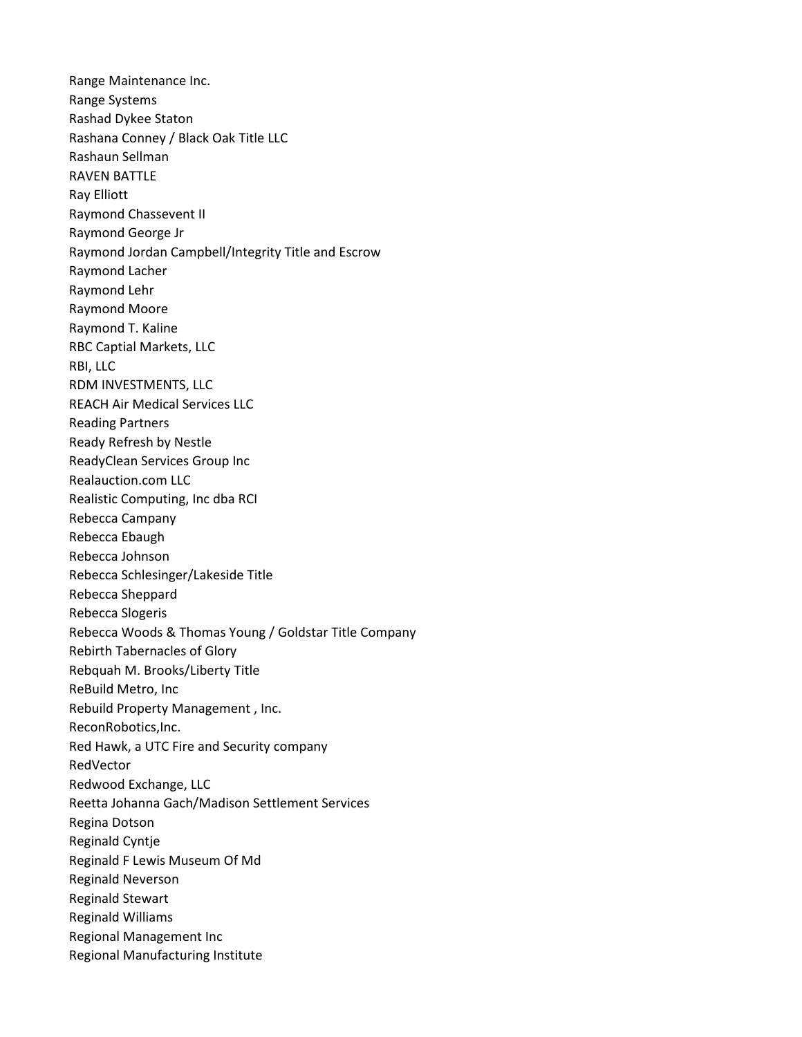Range Maintenance Inc. Range Systems Rashad Dykee Staton Rashana Conney / Black Oak Title LLC Rashaun Sellman RAVEN BATTLE Ray Elliott Raymond Chassevent II Raymond George Jr Raymond Jordan Campbell/Integrity Title and Escrow Raymond Lacher Raymond Lehr Raymond Moore Raymond T. Kaline RBC Captial Markets, LLC RBI, LLC RDM INVESTMENTS, LLC REACH Air Medical Services LLC Reading Partners Ready Refresh by Nestle ReadyClean Services Group Inc Realauction.com LLC Realistic Computing, Inc dba RCI Rebecca Campany Rebecca Ebaugh Rebecca Johnson Rebecca Schlesinger/Lakeside Title Rebecca Sheppard Rebecca Slogeris Rebecca Woods & Thomas Young / Goldstar Title Company Rebirth Tabernacles of Glory Rebquah M. Brooks/Liberty Title ReBuild Metro, Inc Rebuild Property Management , Inc. ReconRobotics,Inc. Red Hawk, a UTC Fire and Security company RedVector Redwood Exchange, LLC Reetta Johanna Gach/Madison Settlement Services Regina Dotson Reginald Cyntje Reginald F Lewis Museum Of Md Reginald Neverson Reginald Stewart Reginald Williams Regional Management Inc Regional Manufacturing Institute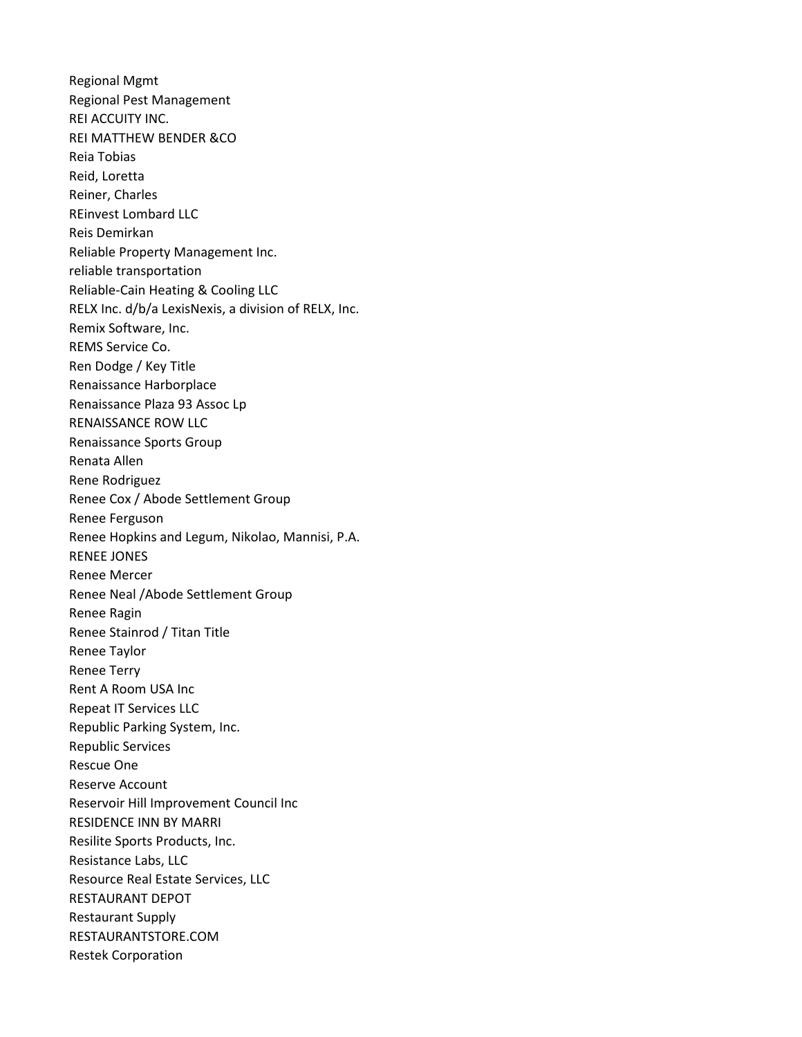Regional Mgmt Regional Pest Management REI ACCUITY INC. REI MATTHEW BENDER &CO Reia Tobias Reid, Loretta Reiner, Charles REinvest Lombard LLC Reis Demirkan Reliable Property Management Inc. reliable transportation Reliable-Cain Heating & Cooling LLC RELX Inc. d/b/a LexisNexis, a division of RELX, Inc. Remix Software, Inc. REMS Service Co. Ren Dodge / Key Title Renaissance Harborplace Renaissance Plaza 93 Assoc Lp RENAISSANCE ROW LLC Renaissance Sports Group Renata Allen Rene Rodriguez Renee Cox / Abode Settlement Group Renee Ferguson Renee Hopkins and Legum, Nikolao, Mannisi, P.A. RENEE JONES Renee Mercer Renee Neal /Abode Settlement Group Renee Ragin Renee Stainrod / Titan Title Renee Taylor Renee Terry Rent A Room USA Inc Repeat IT Services LLC Republic Parking System, Inc. Republic Services Rescue One Reserve Account Reservoir Hill Improvement Council Inc RESIDENCE INN BY MARRI Resilite Sports Products, Inc. Resistance Labs, LLC Resource Real Estate Services, LLC RESTAURANT DEPOT Restaurant Supply RESTAURANTSTORE.COM Restek Corporation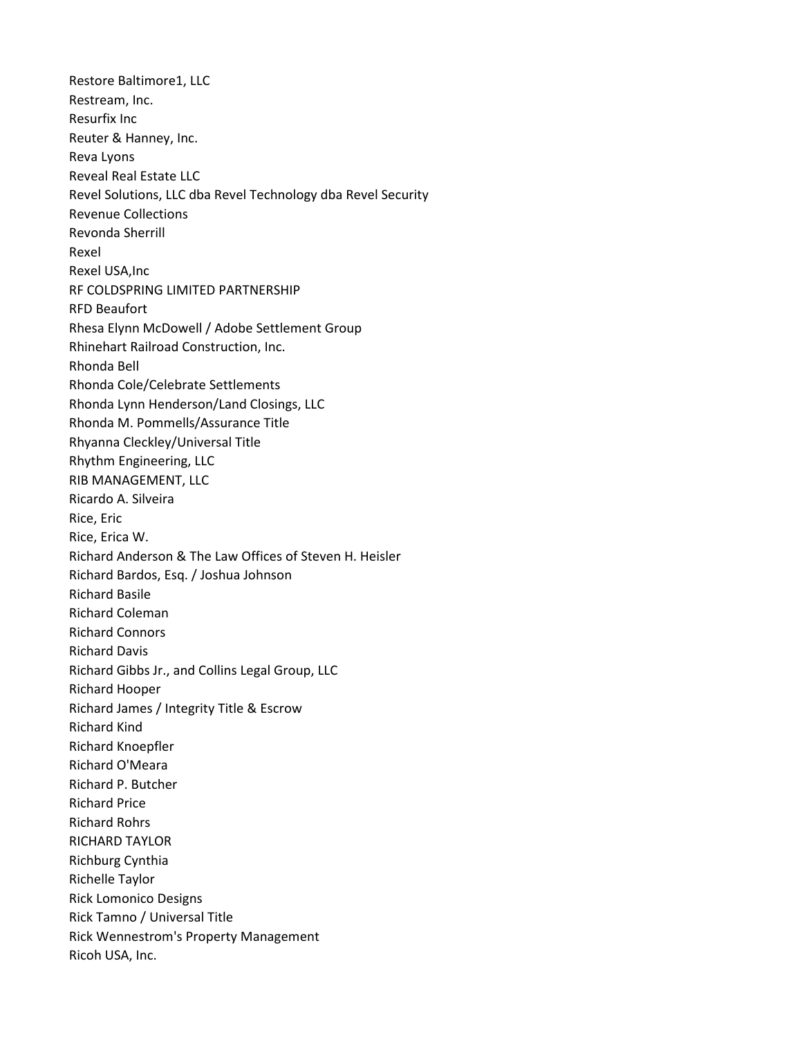Restore Baltimore1, LLC Restream, Inc. Resurfix Inc Reuter & Hanney, Inc. Reva Lyons Reveal Real Estate LLC Revel Solutions, LLC dba Revel Technology dba Revel Security Revenue Collections Revonda Sherrill Rexel Rexel USA,Inc RF COLDSPRING LIMITED PARTNERSHIP RFD Beaufort Rhesa Elynn McDowell / Adobe Settlement Group Rhinehart Railroad Construction, Inc. Rhonda Bell Rhonda Cole/Celebrate Settlements Rhonda Lynn Henderson/Land Closings, LLC Rhonda M. Pommells/Assurance Title Rhyanna Cleckley/Universal Title Rhythm Engineering, LLC RIB MANAGEMENT, LLC Ricardo A. Silveira Rice, Eric Rice, Erica W. Richard Anderson & The Law Offices of Steven H. Heisler Richard Bardos, Esq. / Joshua Johnson Richard Basile Richard Coleman Richard Connors Richard Davis Richard Gibbs Jr., and Collins Legal Group, LLC Richard Hooper Richard James / Integrity Title & Escrow Richard Kind Richard Knoepfler Richard O'Meara Richard P. Butcher Richard Price Richard Rohrs RICHARD TAYLOR Richburg Cynthia Richelle Taylor Rick Lomonico Designs Rick Tamno / Universal Title Rick Wennestrom's Property Management Ricoh USA, Inc.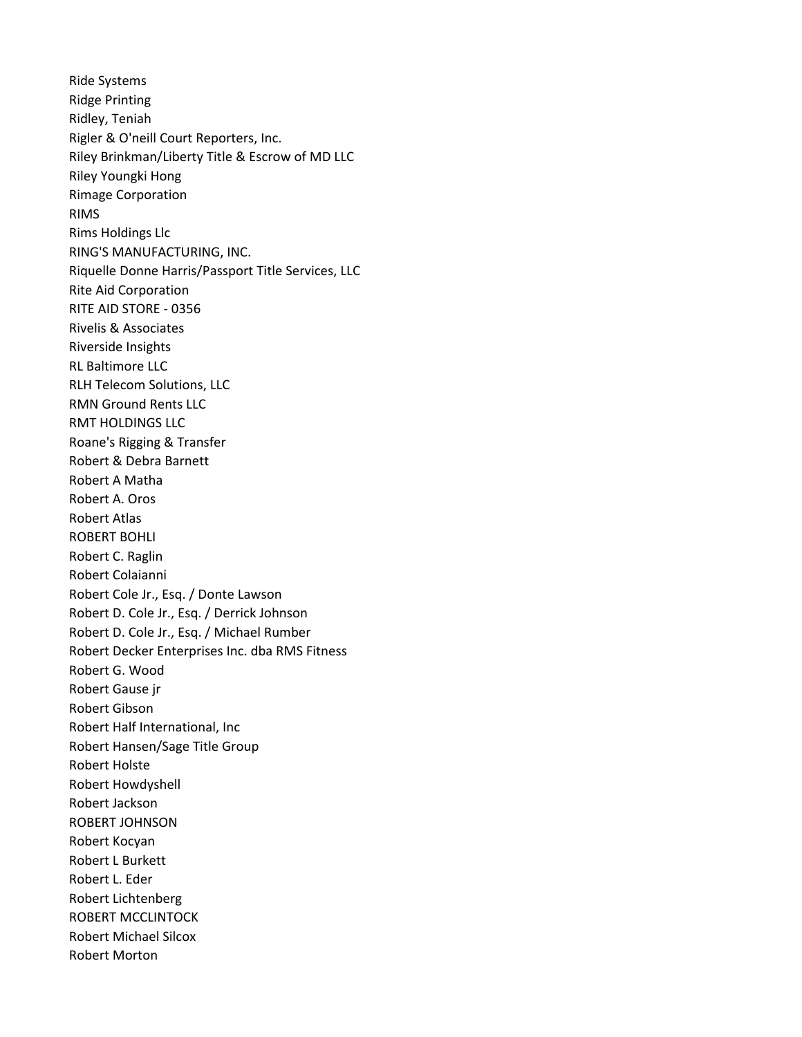Ride Systems Ridge Printing Ridley, Teniah Rigler & O'neill Court Reporters, Inc. Riley Brinkman/Liberty Title & Escrow of MD LLC Riley Youngki Hong Rimage Corporation RIMS Rims Holdings Llc RING'S MANUFACTURING, INC. Riquelle Donne Harris/Passport Title Services, LLC Rite Aid Corporation RITE AID STORE - 0356 Rivelis & Associates Riverside Insights RL Baltimore LLC RLH Telecom Solutions, LLC RMN Ground Rents LLC RMT HOLDINGS LLC Roane's Rigging & Transfer Robert & Debra Barnett Robert A Matha Robert A. Oros Robert Atlas ROBERT BOHLI Robert C. Raglin Robert Colaianni Robert Cole Jr., Esq. / Donte Lawson Robert D. Cole Jr., Esq. / Derrick Johnson Robert D. Cole Jr., Esq. / Michael Rumber Robert Decker Enterprises Inc. dba RMS Fitness Robert G. Wood Robert Gause jr Robert Gibson Robert Half International, Inc Robert Hansen/Sage Title Group Robert Holste Robert Howdyshell Robert Jackson ROBERT JOHNSON Robert Kocyan Robert L Burkett Robert L. Eder Robert Lichtenberg ROBERT MCCLINTOCK Robert Michael Silcox Robert Morton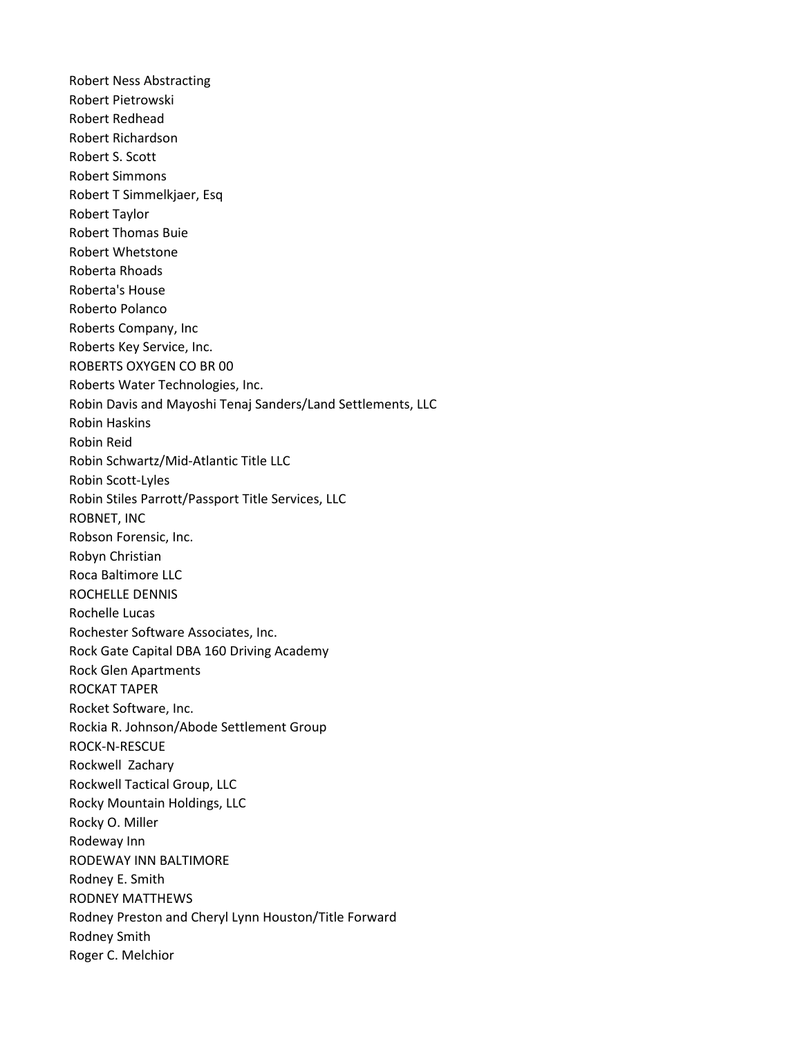Robert Ness Abstracting Robert Pietrowski Robert Redhead Robert Richardson Robert S. Scott Robert Simmons Robert T Simmelkjaer, Esq Robert Taylor Robert Thomas Buie Robert Whetstone Roberta Rhoads Roberta's House Roberto Polanco Roberts Company, Inc Roberts Key Service, Inc. ROBERTS OXYGEN CO BR 00 Roberts Water Technologies, Inc. Robin Davis and Mayoshi Tenaj Sanders/Land Settlements, LLC Robin Haskins Robin Reid Robin Schwartz/Mid-Atlantic Title LLC Robin Scott-Lyles Robin Stiles Parrott/Passport Title Services, LLC ROBNET, INC Robson Forensic, Inc. Robyn Christian Roca Baltimore LLC ROCHELLE DENNIS Rochelle Lucas Rochester Software Associates, Inc. Rock Gate Capital DBA 160 Driving Academy Rock Glen Apartments ROCKAT TAPER Rocket Software, Inc. Rockia R. Johnson/Abode Settlement Group ROCK-N-RESCUE Rockwell Zachary Rockwell Tactical Group, LLC Rocky Mountain Holdings, LLC Rocky O. Miller Rodeway Inn RODEWAY INN BALTIMORE Rodney E. Smith RODNEY MATTHEWS Rodney Preston and Cheryl Lynn Houston/Title Forward Rodney Smith Roger C. Melchior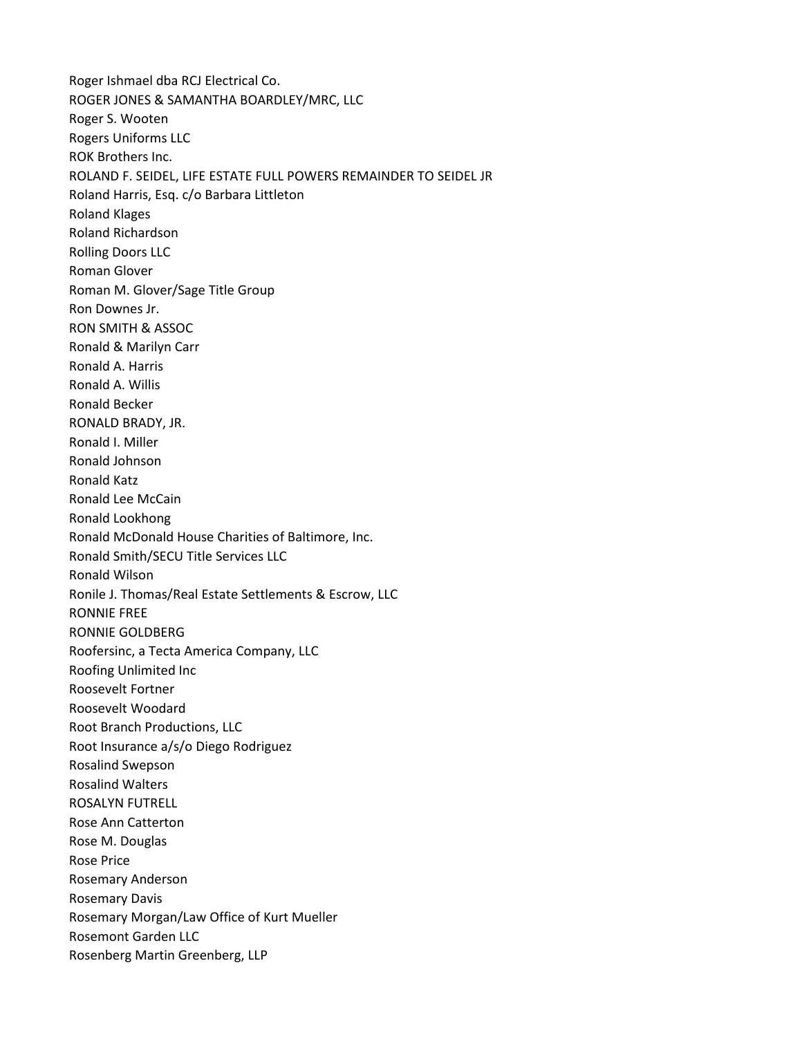Roger Ishmael dba RCJ Electrical Co. ROGER JONES & SAMANTHA BOARDLEY/MRC, LLC Roger S. Wooten Rogers Uniforms LLC ROK Brothers Inc. ROLAND F. SEIDEL, LIFE ESTATE FULL POWERS REMAINDER TO SEIDEL JR Roland Harris, Esq. c/o Barbara Littleton Roland Klages Roland Richardson Rolling Doors LLC Roman Glover Roman M. Glover/Sage Title Group Ron Downes Jr. RON SMITH & ASSOC Ronald & Marilyn Carr Ronald A. Harris Ronald A. Willis Ronald Becker RONALD BRADY, JR. Ronald I. Miller Ronald Johnson Ronald Katz Ronald Lee McCain Ronald Lookhong Ronald McDonald House Charities of Baltimore, Inc. Ronald Smith/SECU Title Services LLC Ronald Wilson Ronile J. Thomas/Real Estate Settlements & Escrow, LLC RONNIE FREE RONNIE GOLDBERG Roofersinc, a Tecta America Company, LLC Roofing Unlimited Inc Roosevelt Fortner Roosevelt Woodard Root Branch Productions, LLC Root Insurance a/s/o Diego Rodriguez Rosalind Swepson Rosalind Walters ROSALYN FUTRELL Rose Ann Catterton Rose M. Douglas Rose Price Rosemary Anderson Rosemary Davis Rosemary Morgan/Law Office of Kurt Mueller Rosemont Garden LLC Rosenberg Martin Greenberg, LLP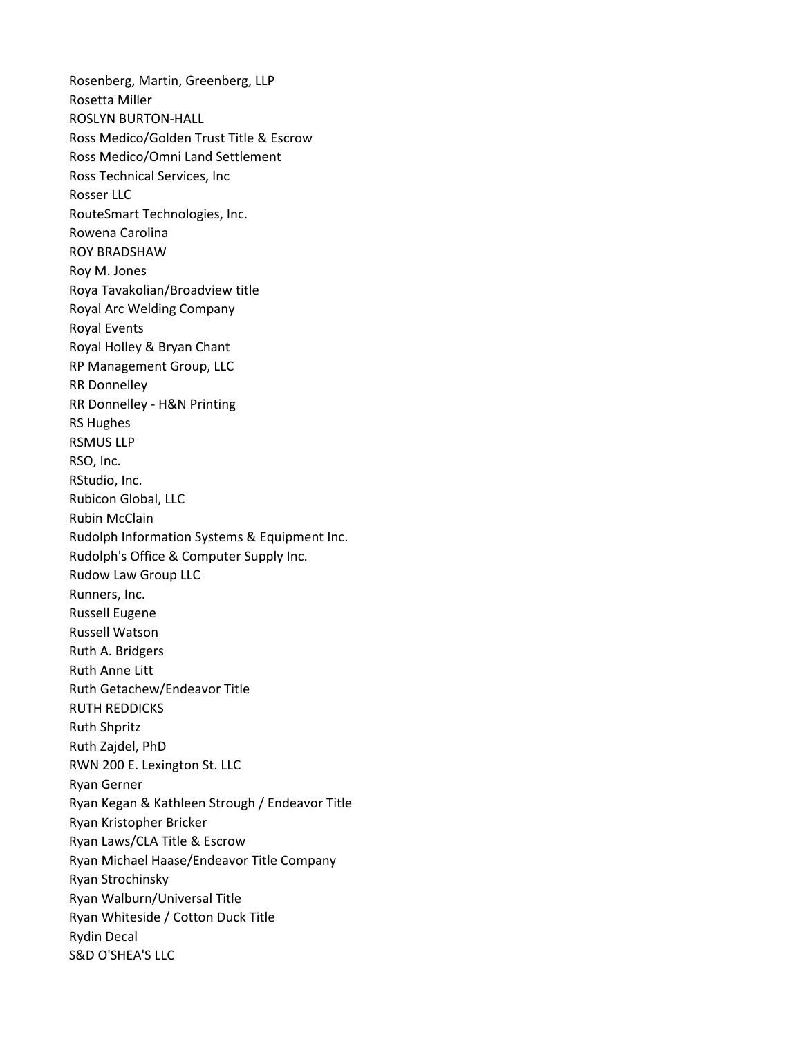Rosenberg, Martin, Greenberg, LLP Rosetta Miller ROSLYN BURTON-HALL Ross Medico/Golden Trust Title & Escrow Ross Medico/Omni Land Settlement Ross Technical Services, Inc Rosser LLC RouteSmart Technologies, Inc. Rowena Carolina ROY BRADSHAW Roy M. Jones Roya Tavakolian/Broadview title Royal Arc Welding Company Royal Events Royal Holley & Bryan Chant RP Management Group, LLC RR Donnelley RR Donnelley - H&N Printing RS Hughes RSMUS LLP RSO, Inc. RStudio, Inc. Rubicon Global, LLC Rubin McClain Rudolph Information Systems & Equipment Inc. Rudolph's Office & Computer Supply Inc. Rudow Law Group LLC Runners, Inc. Russell Eugene Russell Watson Ruth A. Bridgers Ruth Anne Litt Ruth Getachew/Endeavor Title RUTH REDDICKS Ruth Shpritz Ruth Zajdel, PhD RWN 200 E. Lexington St. LLC Ryan Gerner Ryan Kegan & Kathleen Strough / Endeavor Title Ryan Kristopher Bricker Ryan Laws/CLA Title & Escrow Ryan Michael Haase/Endeavor Title Company Ryan Strochinsky Ryan Walburn/Universal Title Ryan Whiteside / Cotton Duck Title Rydin Decal S&D O'SHEA'S LLC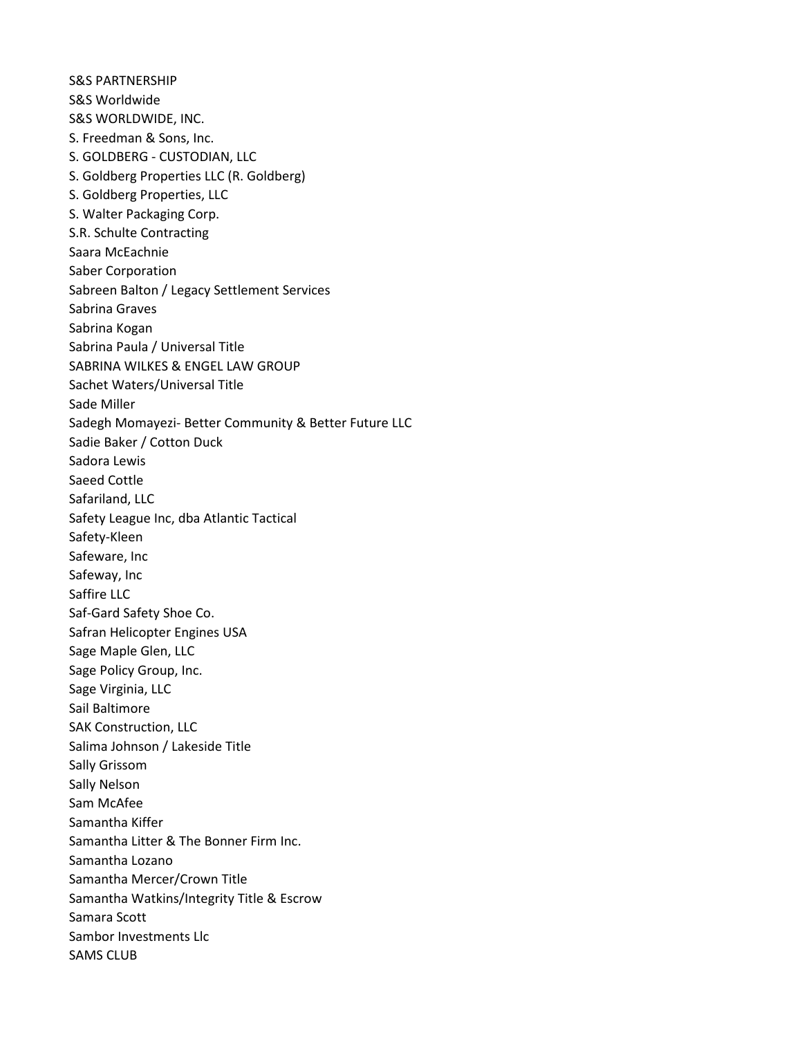S&S PARTNERSHIP S&S Worldwide S&S WORLDWIDE, INC. S. Freedman & Sons, Inc. S. GOLDBERG - CUSTODIAN, LLC S. Goldberg Properties LLC (R. Goldberg) S. Goldberg Properties, LLC S. Walter Packaging Corp. S.R. Schulte Contracting Saara McEachnie Saber Corporation Sabreen Balton / Legacy Settlement Services Sabrina Graves Sabrina Kogan Sabrina Paula / Universal Title SABRINA WILKES & ENGEL LAW GROUP Sachet Waters/Universal Title Sade Miller Sadegh Momayezi- Better Community & Better Future LLC Sadie Baker / Cotton Duck Sadora Lewis Saeed Cottle Safariland, LLC Safety League Inc, dba Atlantic Tactical Safety-Kleen Safeware, Inc Safeway, Inc Saffire LLC Saf-Gard Safety Shoe Co. Safran Helicopter Engines USA Sage Maple Glen, LLC Sage Policy Group, Inc. Sage Virginia, LLC Sail Baltimore SAK Construction, LLC Salima Johnson / Lakeside Title Sally Grissom Sally Nelson Sam McAfee Samantha Kiffer Samantha Litter & The Bonner Firm Inc. Samantha Lozano Samantha Mercer/Crown Title Samantha Watkins/Integrity Title & Escrow Samara Scott Sambor Investments Llc SAMS CLUB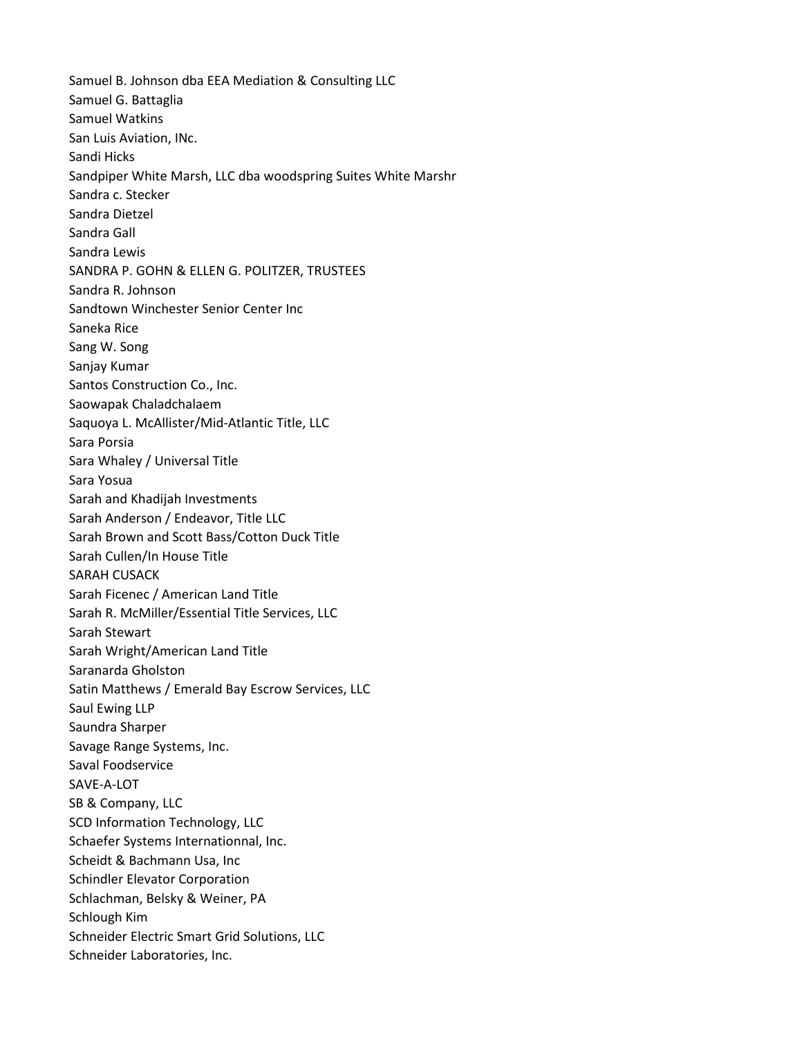Samuel B. Johnson dba EEA Mediation & Consulting LLC Samuel G. Battaglia Samuel Watkins San Luis Aviation, INc. Sandi Hicks Sandpiper White Marsh, LLC dba woodspring Suites White Marshr Sandra c. Stecker Sandra Dietzel Sandra Gall Sandra Lewis SANDRA P. GOHN & ELLEN G. POLITZER, TRUSTEES Sandra R. Johnson Sandtown Winchester Senior Center Inc Saneka Rice Sang W. Song Sanjay Kumar Santos Construction Co., Inc. Saowapak Chaladchalaem Saquoya L. McAllister/Mid-Atlantic Title, LLC Sara Porsia Sara Whaley / Universal Title Sara Yosua Sarah and Khadijah Investments Sarah Anderson / Endeavor, Title LLC Sarah Brown and Scott Bass/Cotton Duck Title Sarah Cullen/In House Title SARAH CUSACK Sarah Ficenec / American Land Title Sarah R. McMiller/Essential Title Services, LLC Sarah Stewart Sarah Wright/American Land Title Saranarda Gholston Satin Matthews / Emerald Bay Escrow Services, LLC Saul Ewing LLP Saundra Sharper Savage Range Systems, Inc. Saval Foodservice SAVE-A-LOT SB & Company, LLC SCD Information Technology, LLC Schaefer Systems Internationnal, Inc. Scheidt & Bachmann Usa, Inc Schindler Elevator Corporation Schlachman, Belsky & Weiner, PA Schlough Kim Schneider Electric Smart Grid Solutions, LLC Schneider Laboratories, Inc.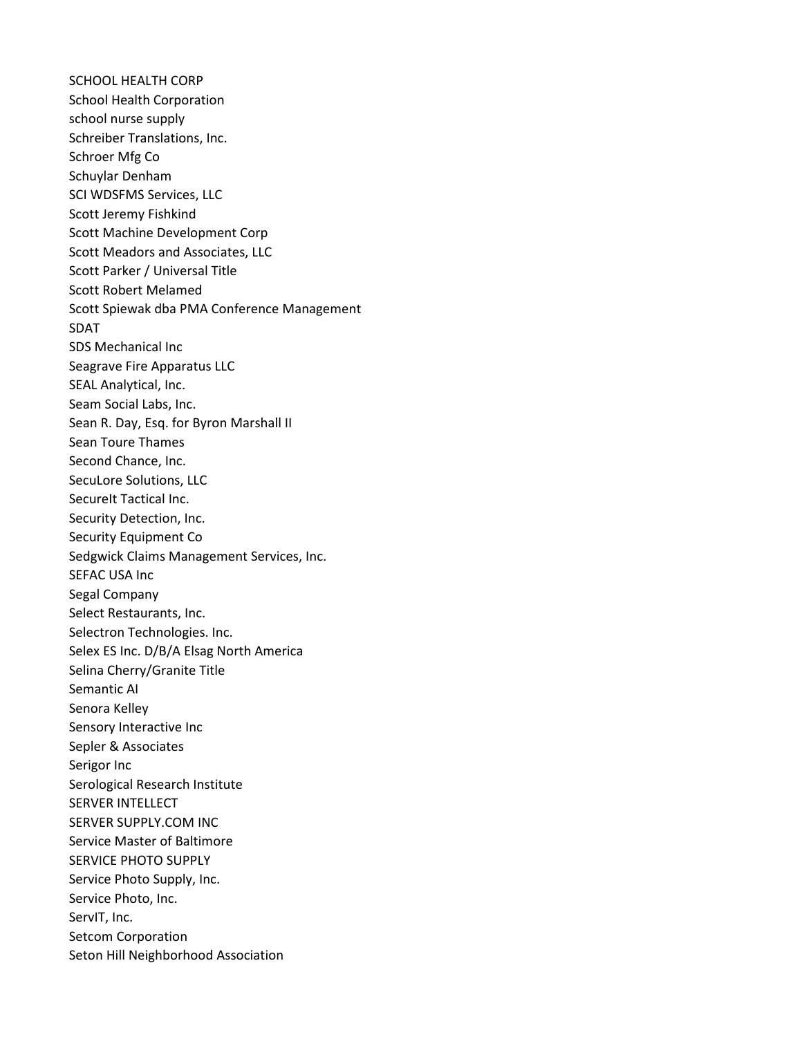SCHOOL HEALTH CORP School Health Corporation school nurse supply Schreiber Translations, Inc. Schroer Mfg Co Schuylar Denham SCI WDSFMS Services, LLC Scott Jeremy Fishkind Scott Machine Development Corp Scott Meadors and Associates, LLC Scott Parker / Universal Title Scott Robert Melamed Scott Spiewak dba PMA Conference Management SDAT SDS Mechanical Inc Seagrave Fire Apparatus LLC SEAL Analytical, Inc. Seam Social Labs, Inc. Sean R. Day, Esq. for Byron Marshall II Sean Toure Thames Second Chance, Inc. SecuLore Solutions, LLC SecureIt Tactical Inc. Security Detection, Inc. Security Equipment Co Sedgwick Claims Management Services, Inc. SEFAC USA Inc Segal Company Select Restaurants, Inc. Selectron Technologies. Inc. Selex ES Inc. D/B/A Elsag North America Selina Cherry/Granite Title Semantic AI Senora Kelley Sensory Interactive Inc Sepler & Associates Serigor Inc Serological Research Institute SERVER INTELLECT SERVER SUPPLY.COM INC Service Master of Baltimore SERVICE PHOTO SUPPLY Service Photo Supply, Inc. Service Photo, Inc. ServIT, Inc. Setcom Corporation Seton Hill Neighborhood Association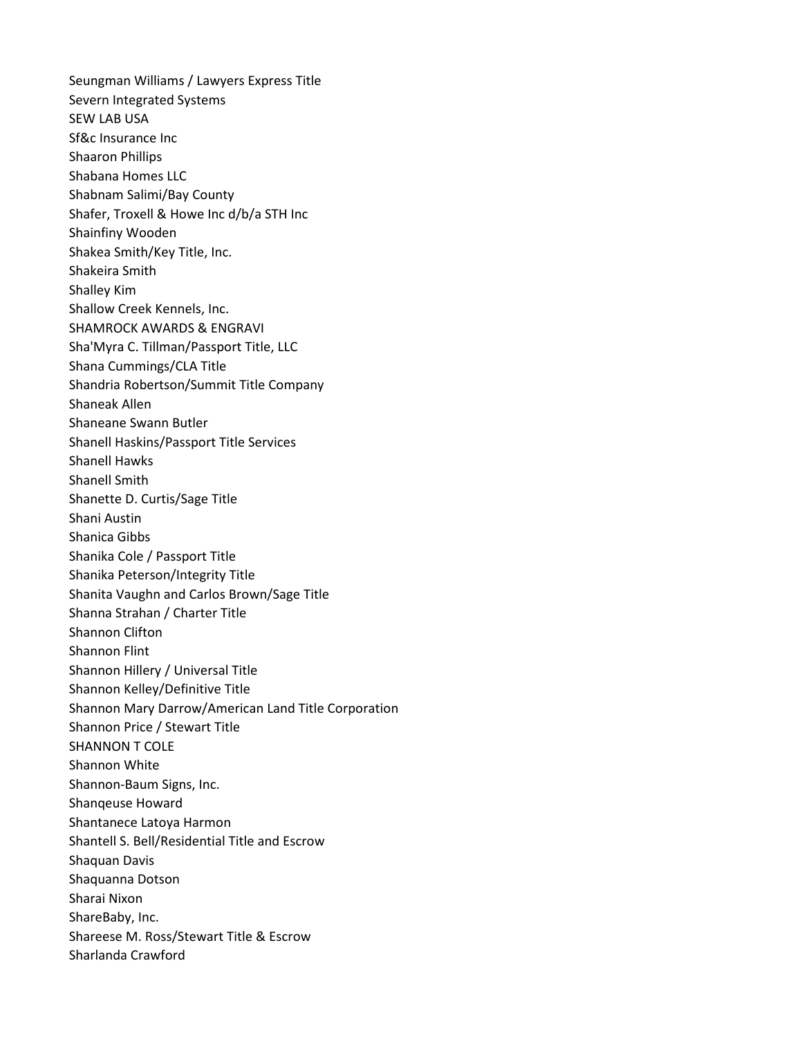Seungman Williams / Lawyers Express Title Severn Integrated Systems SEW LAB USA Sf&c Insurance Inc Shaaron Phillips Shabana Homes LLC Shabnam Salimi/Bay County Shafer, Troxell & Howe Inc d/b/a STH Inc Shainfiny Wooden Shakea Smith/Key Title, Inc. Shakeira Smith Shalley Kim Shallow Creek Kennels, Inc. SHAMROCK AWARDS & ENGRAVI Sha'Myra C. Tillman/Passport Title, LLC Shana Cummings/CLA Title Shandria Robertson/Summit Title Company Shaneak Allen Shaneane Swann Butler Shanell Haskins/Passport Title Services Shanell Hawks Shanell Smith Shanette D. Curtis/Sage Title Shani Austin Shanica Gibbs Shanika Cole / Passport Title Shanika Peterson/Integrity Title Shanita Vaughn and Carlos Brown/Sage Title Shanna Strahan / Charter Title Shannon Clifton Shannon Flint Shannon Hillery / Universal Title Shannon Kelley/Definitive Title Shannon Mary Darrow/American Land Title Corporation Shannon Price / Stewart Title SHANNON T COLE Shannon White Shannon-Baum Signs, Inc. Shanqeuse Howard Shantanece Latoya Harmon Shantell S. Bell/Residential Title and Escrow Shaquan Davis Shaquanna Dotson Sharai Nixon ShareBaby, Inc. Shareese M. Ross/Stewart Title & Escrow Sharlanda Crawford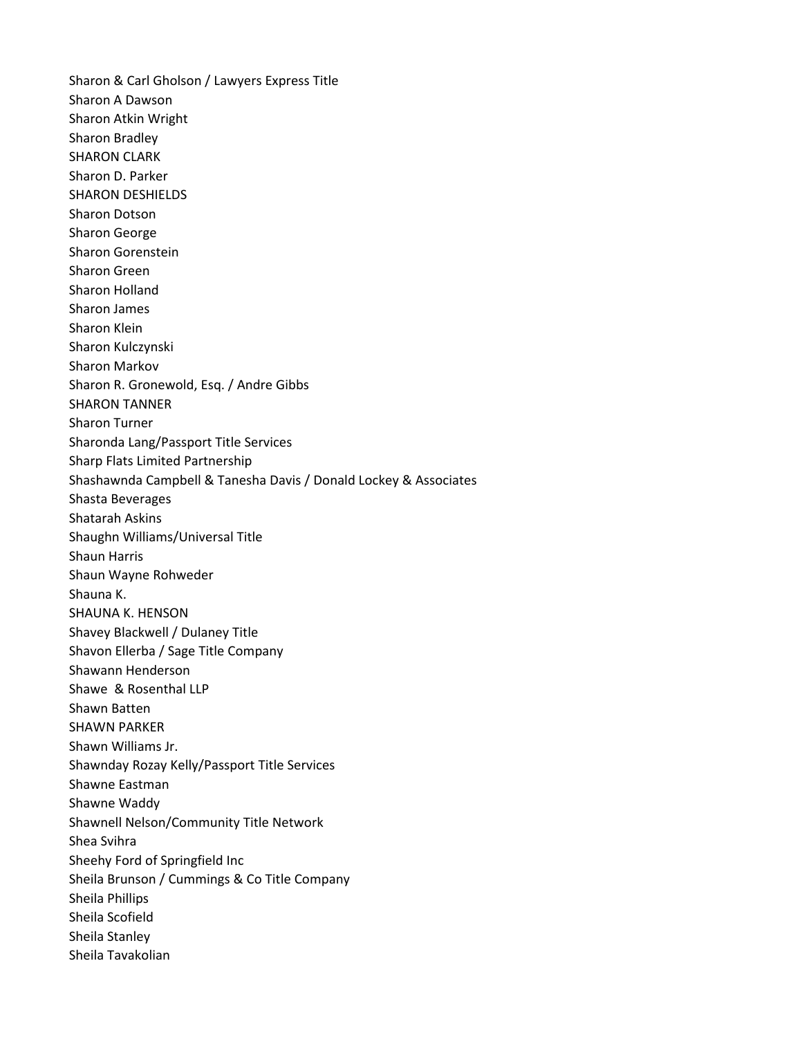Sharon & Carl Gholson / Lawyers Express Title Sharon A Dawson Sharon Atkin Wright Sharon Bradley SHARON CLARK Sharon D. Parker SHARON DESHIELDS Sharon Dotson Sharon George Sharon Gorenstein Sharon Green Sharon Holland Sharon James Sharon Klein Sharon Kulczynski Sharon Markov Sharon R. Gronewold, Esq. / Andre Gibbs SHARON TANNER Sharon Turner Sharonda Lang/Passport Title Services Sharp Flats Limited Partnership Shashawnda Campbell & Tanesha Davis / Donald Lockey & Associates Shasta Beverages Shatarah Askins Shaughn Williams/Universal Title Shaun Harris Shaun Wayne Rohweder Shauna K. SHAUNA K. HENSON Shavey Blackwell / Dulaney Title Shavon Ellerba / Sage Title Company Shawann Henderson Shawe & Rosenthal LLP Shawn Batten SHAWN PARKER Shawn Williams Jr. Shawnday Rozay Kelly/Passport Title Services Shawne Eastman Shawne Waddy Shawnell Nelson/Community Title Network Shea Svihra Sheehy Ford of Springfield Inc Sheila Brunson / Cummings & Co Title Company Sheila Phillips Sheila Scofield Sheila Stanley Sheila Tavakolian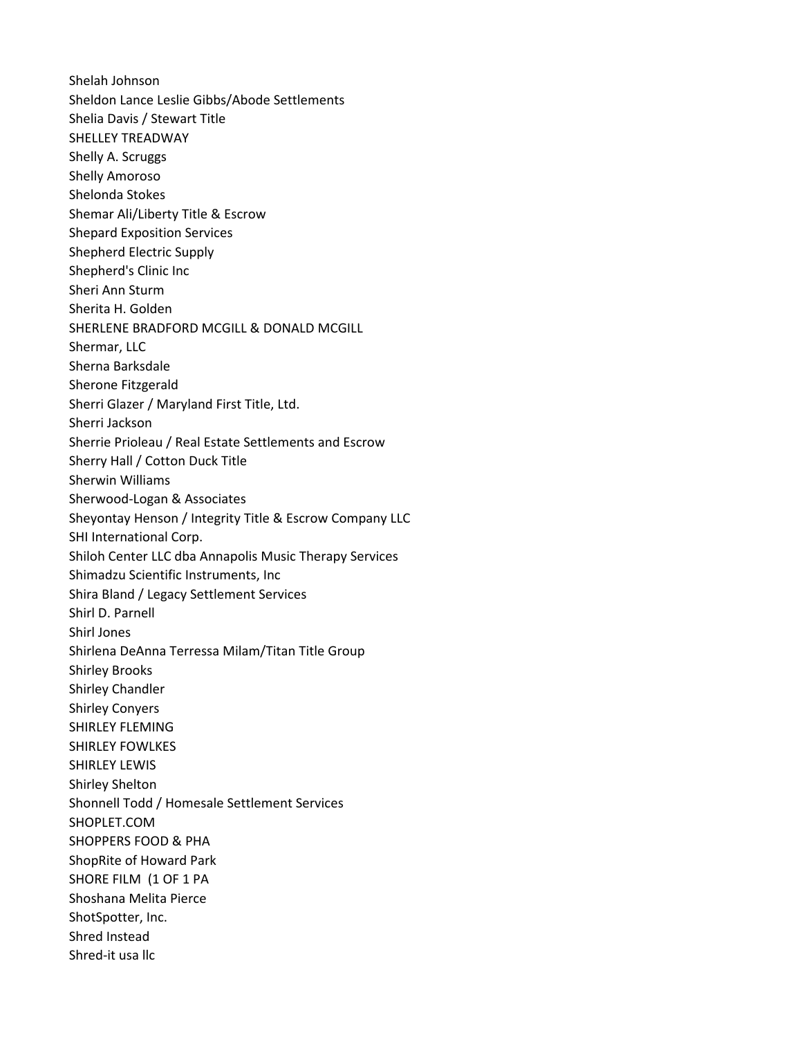Shelah Johnson Sheldon Lance Leslie Gibbs/Abode Settlements Shelia Davis / Stewart Title SHELLEY TREADWAY Shelly A. Scruggs Shelly Amoroso Shelonda Stokes Shemar Ali/Liberty Title & Escrow Shepard Exposition Services Shepherd Electric Supply Shepherd's Clinic Inc Sheri Ann Sturm Sherita H. Golden SHERLENE BRADFORD MCGILL & DONALD MCGILL Shermar, LLC Sherna Barksdale Sherone Fitzgerald Sherri Glazer / Maryland First Title, Ltd. Sherri Jackson Sherrie Prioleau / Real Estate Settlements and Escrow Sherry Hall / Cotton Duck Title Sherwin Williams Sherwood-Logan & Associates Sheyontay Henson / Integrity Title & Escrow Company LLC SHI International Corp. Shiloh Center LLC dba Annapolis Music Therapy Services Shimadzu Scientific Instruments, Inc Shira Bland / Legacy Settlement Services Shirl D. Parnell Shirl Jones Shirlena DeAnna Terressa Milam/Titan Title Group Shirley Brooks Shirley Chandler Shirley Conyers SHIRLEY FLEMING SHIRLEY FOWLKES SHIRLEY LEWIS Shirley Shelton Shonnell Todd / Homesale Settlement Services SHOPLET.COM SHOPPERS FOOD & PHA ShopRite of Howard Park SHORE FILM (1 OF 1 PA Shoshana Melita Pierce ShotSpotter, Inc. Shred Instead Shred-it usa llc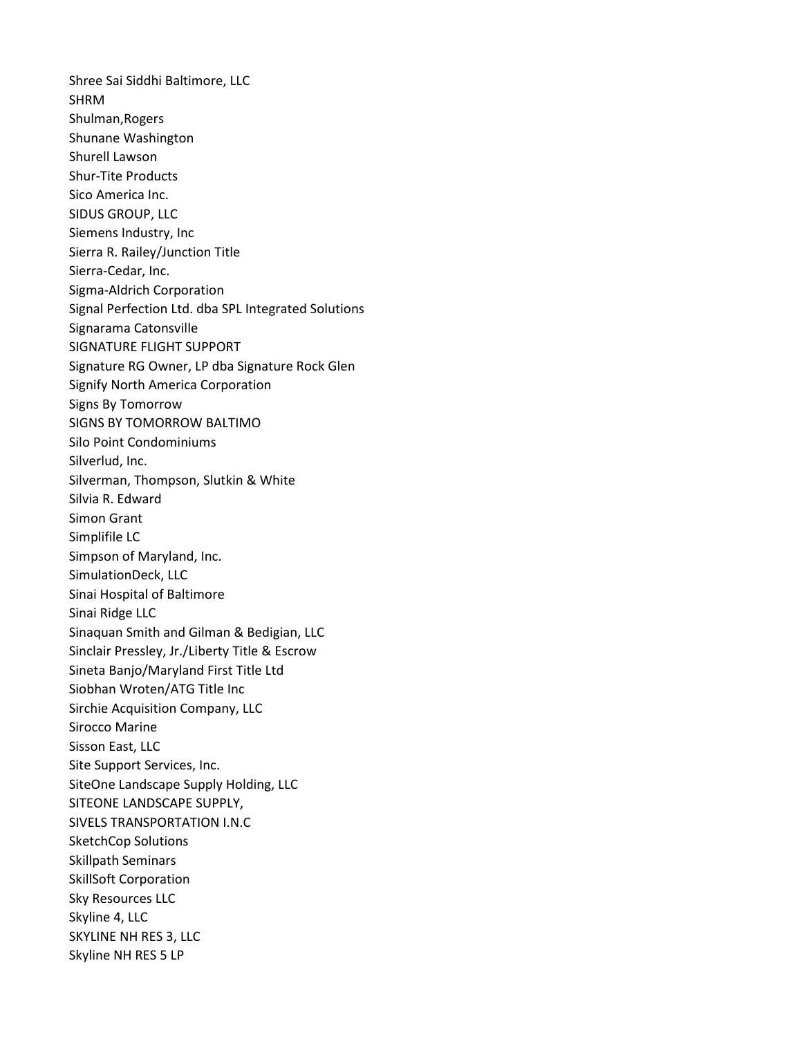Shree Sai Siddhi Baltimore, LLC SHRM Shulman,Rogers Shunane Washington Shurell Lawson Shur-Tite Products Sico America Inc. SIDUS GROUP, LLC Siemens Industry, Inc Sierra R. Railey/Junction Title Sierra-Cedar, Inc. Sigma-Aldrich Corporation Signal Perfection Ltd. dba SPL Integrated Solutions Signarama Catonsville SIGNATURE FLIGHT SUPPORT Signature RG Owner, LP dba Signature Rock Glen Signify North America Corporation Signs By Tomorrow SIGNS BY TOMORROW BALTIMO Silo Point Condominiums Silverlud, Inc. Silverman, Thompson, Slutkin & White Silvia R. Edward Simon Grant Simplifile LC Simpson of Maryland, Inc. SimulationDeck, LLC Sinai Hospital of Baltimore Sinai Ridge LLC Sinaquan Smith and Gilman & Bedigian, LLC Sinclair Pressley, Jr./Liberty Title & Escrow Sineta Banjo/Maryland First Title Ltd Siobhan Wroten/ATG Title Inc Sirchie Acquisition Company, LLC Sirocco Marine Sisson East, LLC Site Support Services, Inc. SiteOne Landscape Supply Holding, LLC SITEONE LANDSCAPE SUPPLY, SIVELS TRANSPORTATION I.N.C SketchCop Solutions Skillpath Seminars SkillSoft Corporation Sky Resources LLC Skyline 4, LLC SKYLINE NH RES 3, LLC Skyline NH RES 5 LP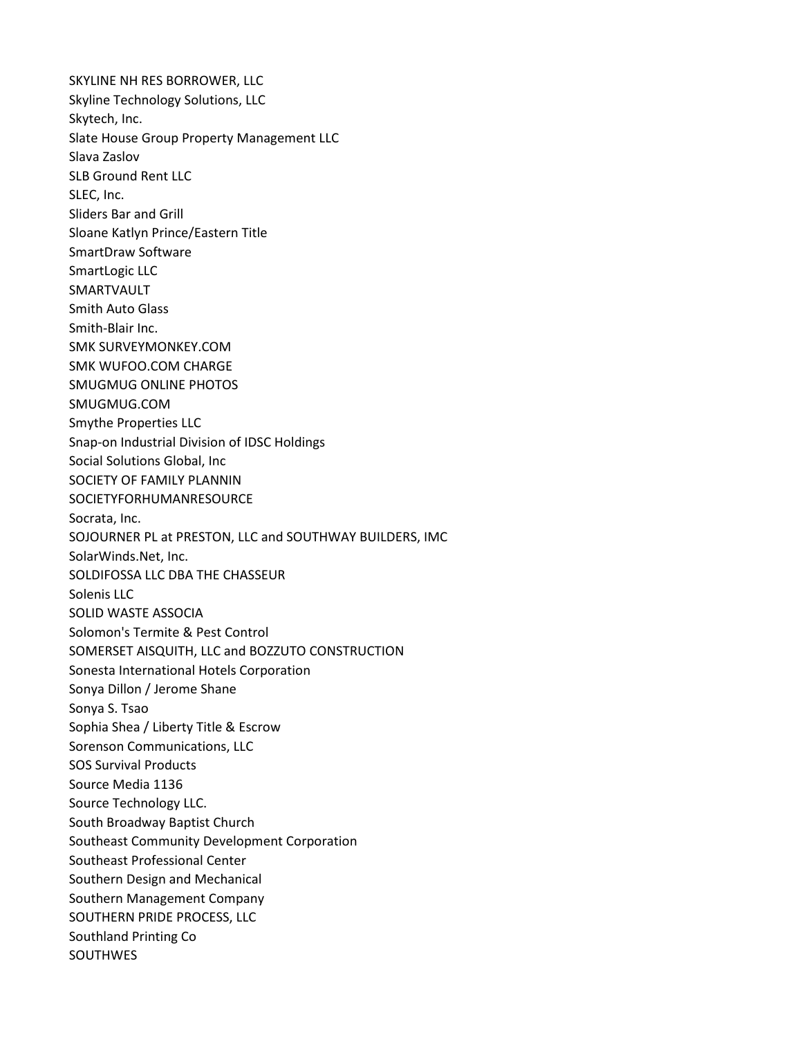SKYLINE NH RES BORROWER, LLC Skyline Technology Solutions, LLC Skytech, Inc. Slate House Group Property Management LLC Slava Zaslov SLB Ground Rent LLC SLEC, Inc. Sliders Bar and Grill Sloane Katlyn Prince/Eastern Title SmartDraw Software SmartLogic LLC SMARTVAULT Smith Auto Glass Smith-Blair Inc. SMK SURVEYMONKEY.COM SMK WUFOO.COM CHARGE SMUGMUG ONLINE PHOTOS SMUGMUG.COM Smythe Properties LLC Snap-on Industrial Division of IDSC Holdings Social Solutions Global, Inc SOCIETY OF FAMILY PLANNIN SOCIETYFORHUMANRESOURCE Socrata, Inc. SOJOURNER PL at PRESTON, LLC and SOUTHWAY BUILDERS, IMC SolarWinds.Net, Inc. SOLDIFOSSA LLC DBA THE CHASSEUR Solenis LLC SOLID WASTE ASSOCIA Solomon's Termite & Pest Control SOMERSET AISQUITH, LLC and BOZZUTO CONSTRUCTION Sonesta International Hotels Corporation Sonya Dillon / Jerome Shane Sonya S. Tsao Sophia Shea / Liberty Title & Escrow Sorenson Communications, LLC SOS Survival Products Source Media 1136 Source Technology LLC. South Broadway Baptist Church Southeast Community Development Corporation Southeast Professional Center Southern Design and Mechanical Southern Management Company SOUTHERN PRIDE PROCESS, LLC Southland Printing Co SOUTHWES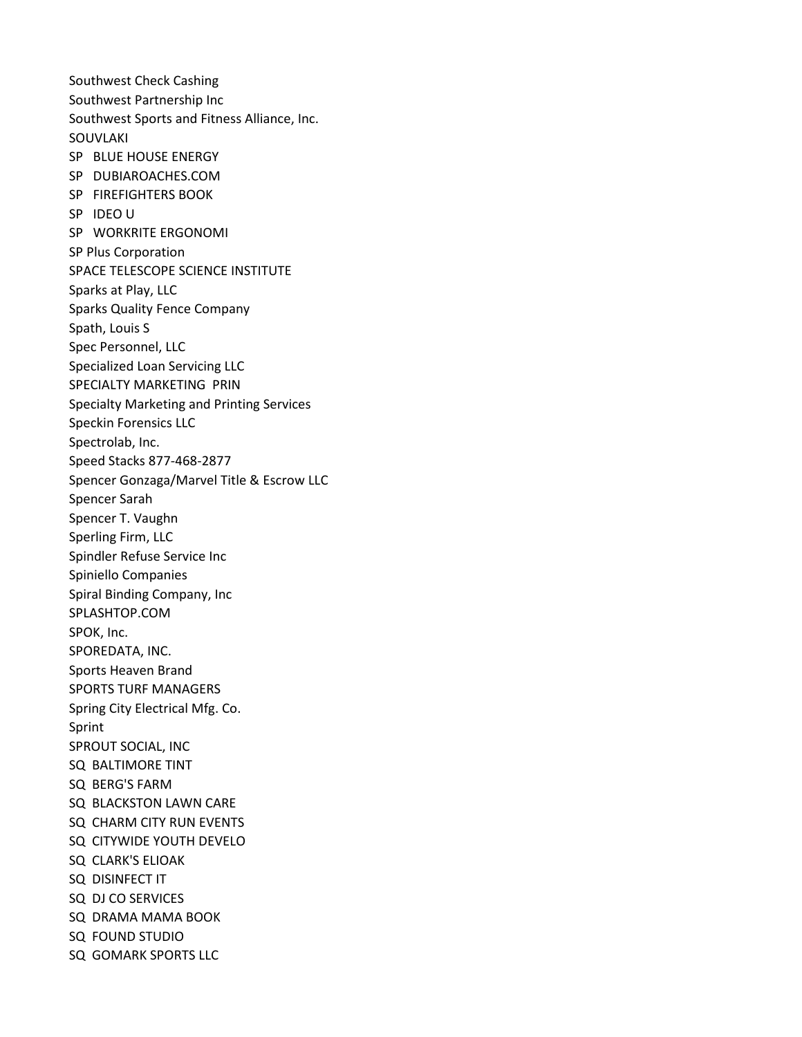Southwest Check Cashing Southwest Partnership Inc Southwest Sports and Fitness Alliance, Inc. SOUVLAKI SP BLUE HOUSE ENERGY SP DUBIAROACHES.COM SP FIREFIGHTERS BOOK SP IDEO U SP WORKRITE ERGONOMI SP Plus Corporation SPACE TELESCOPE SCIENCE INSTITUTE Sparks at Play, LLC Sparks Quality Fence Company Spath, Louis S Spec Personnel, LLC Specialized Loan Servicing LLC SPECIALTY MARKETING PRIN Specialty Marketing and Printing Services Speckin Forensics LLC Spectrolab, Inc. Speed Stacks 877-468-2877 Spencer Gonzaga/Marvel Title & Escrow LLC Spencer Sarah Spencer T. Vaughn Sperling Firm, LLC Spindler Refuse Service Inc Spiniello Companies Spiral Binding Company, Inc SPLASHTOP.COM SPOK, Inc. SPOREDATA, INC. Sports Heaven Brand SPORTS TURF MANAGERS Spring City Electrical Mfg. Co. Sprint SPROUT SOCIAL, INC SQ BALTIMORE TINT SQ BERG'S FARM SQ BLACKSTON LAWN CARE SQ CHARM CITY RUN EVENTS SQ CITYWIDE YOUTH DEVELO SQ CLARK'S ELIOAK SQ DISINFECT IT SQ DJ CO SERVICES SQ DRAMA MAMA BOOK SQ FOUND STUDIO SQ GOMARK SPORTS LLC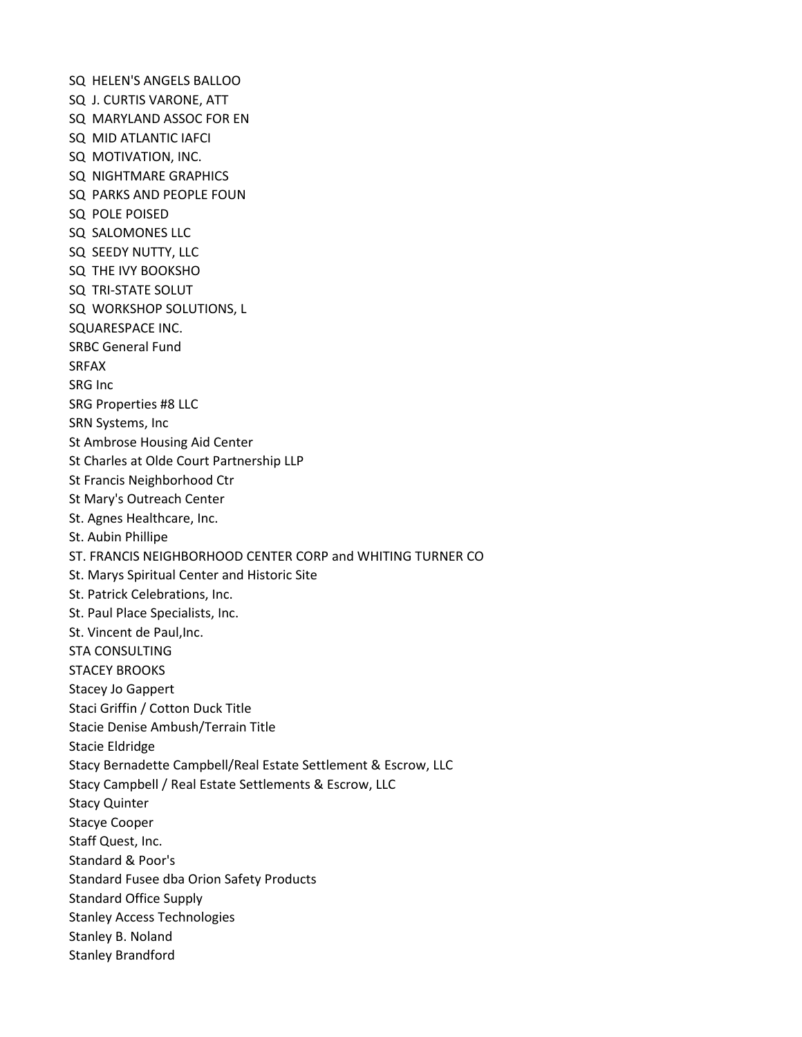SQ HELEN'S ANGELS BALLOO SQ J. CURTIS VARONE, ATT SQ MARYLAND ASSOC FOR EN SQ MID ATLANTIC IAFCI SQ MOTIVATION, INC. SQ NIGHTMARE GRAPHICS SQ PARKS AND PEOPLE FOUN SQ POLE POISED SQ SALOMONES LLC SQ SEEDY NUTTY, LLC SQ THE IVY BOOKSHO SQ TRI-STATE SOLUT SQ WORKSHOP SOLUTIONS, L SQUARESPACE INC. SRBC General Fund SRFAX SRG Inc SRG Properties #8 LLC SRN Systems, Inc St Ambrose Housing Aid Center St Charles at Olde Court Partnership LLP St Francis Neighborhood Ctr St Mary's Outreach Center St. Agnes Healthcare, Inc. St. Aubin Phillipe ST. FRANCIS NEIGHBORHOOD CENTER CORP and WHITING TURNER CO St. Marys Spiritual Center and Historic Site St. Patrick Celebrations, Inc. St. Paul Place Specialists, Inc. St. Vincent de Paul,Inc. STA CONSULTING STACEY BROOKS Stacey Jo Gappert Staci Griffin / Cotton Duck Title Stacie Denise Ambush/Terrain Title Stacie Eldridge Stacy Bernadette Campbell/Real Estate Settlement & Escrow, LLC Stacy Campbell / Real Estate Settlements & Escrow, LLC Stacy Quinter Stacye Cooper Staff Quest, Inc. Standard & Poor's Standard Fusee dba Orion Safety Products Standard Office Supply Stanley Access Technologies Stanley B. Noland Stanley Brandford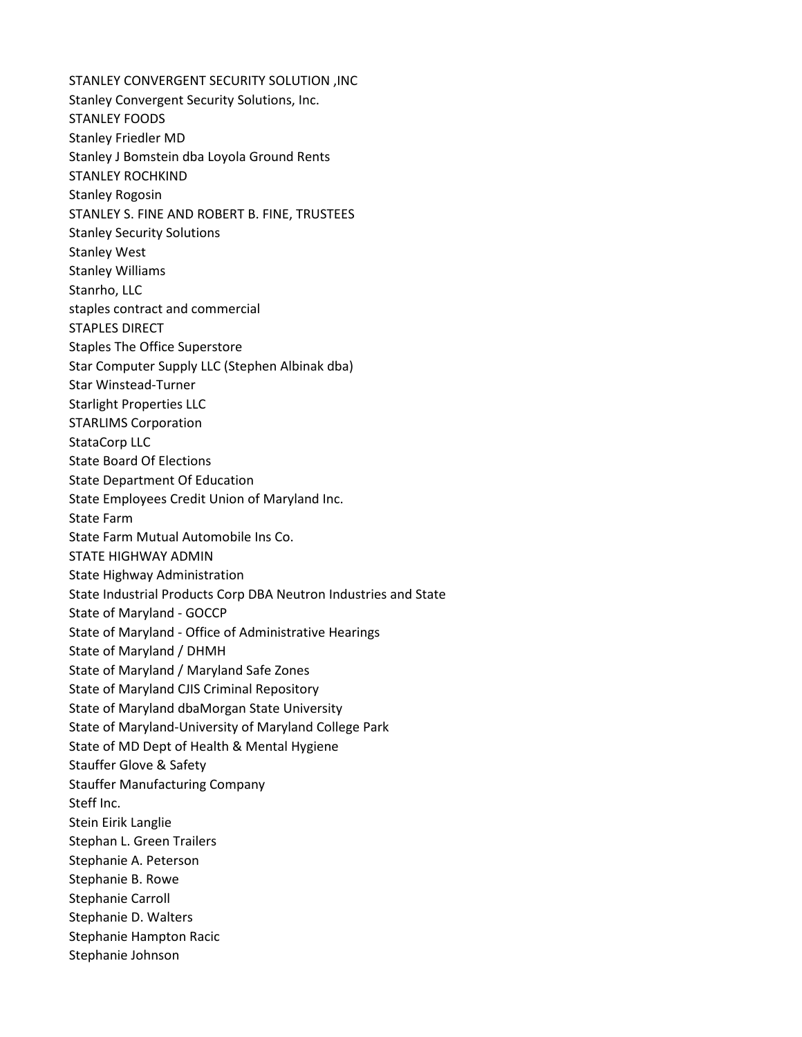STANLEY CONVERGENT SECURITY SOLUTION ,INC Stanley Convergent Security Solutions, Inc. STANLEY FOODS Stanley Friedler MD Stanley J Bomstein dba Loyola Ground Rents STANLEY ROCHKIND Stanley Rogosin STANLEY S. FINE AND ROBERT B. FINE, TRUSTEES Stanley Security Solutions Stanley West Stanley Williams Stanrho, LLC staples contract and commercial STAPLES DIRECT Staples The Office Superstore Star Computer Supply LLC (Stephen Albinak dba) Star Winstead-Turner Starlight Properties LLC STARLIMS Corporation StataCorp LLC State Board Of Elections State Department Of Education State Employees Credit Union of Maryland Inc. State Farm State Farm Mutual Automobile Ins Co. STATE HIGHWAY ADMIN State Highway Administration State Industrial Products Corp DBA Neutron Industries and State State of Maryland - GOCCP State of Maryland - Office of Administrative Hearings State of Maryland / DHMH State of Maryland / Maryland Safe Zones State of Maryland CJIS Criminal Repository State of Maryland dbaMorgan State University State of Maryland-University of Maryland College Park State of MD Dept of Health & Mental Hygiene Stauffer Glove & Safety Stauffer Manufacturing Company Steff Inc. Stein Eirik Langlie Stephan L. Green Trailers Stephanie A. Peterson Stephanie B. Rowe Stephanie Carroll Stephanie D. Walters Stephanie Hampton Racic Stephanie Johnson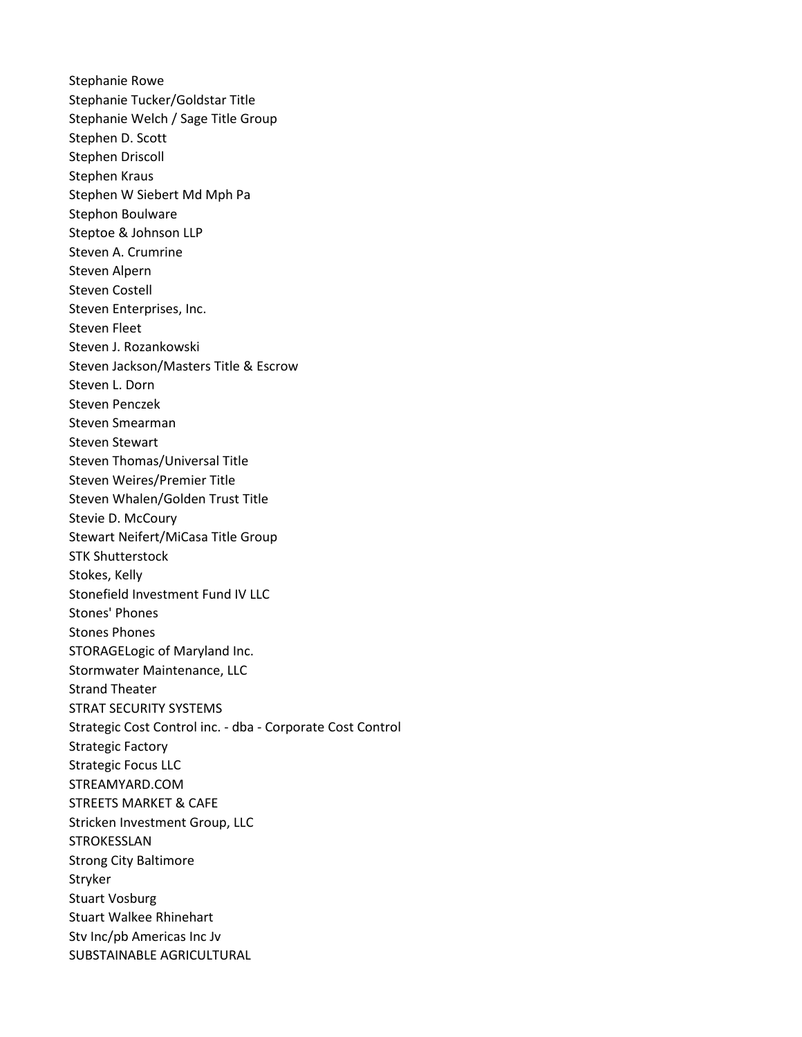Stephanie Rowe Stephanie Tucker/Goldstar Title Stephanie Welch / Sage Title Group Stephen D. Scott Stephen Driscoll Stephen Kraus Stephen W Siebert Md Mph Pa Stephon Boulware Steptoe & Johnson LLP Steven A. Crumrine Steven Alpern Steven Costell Steven Enterprises, Inc. Steven Fleet Steven J. Rozankowski Steven Jackson/Masters Title & Escrow Steven L. Dorn Steven Penczek Steven Smearman Steven Stewart Steven Thomas/Universal Title Steven Weires/Premier Title Steven Whalen/Golden Trust Title Stevie D. McCoury Stewart Neifert/MiCasa Title Group STK Shutterstock Stokes, Kelly Stonefield Investment Fund IV LLC Stones' Phones Stones Phones STORAGELogic of Maryland Inc. Stormwater Maintenance, LLC Strand Theater STRAT SECURITY SYSTEMS Strategic Cost Control inc. - dba - Corporate Cost Control Strategic Factory Strategic Focus LLC STREAMYARD.COM STREETS MARKET & CAFE Stricken Investment Group, LLC STROKESSLAN Strong City Baltimore Stryker Stuart Vosburg Stuart Walkee Rhinehart Stv Inc/pb Americas Inc Jv SUBSTAINABLE AGRICULTURAL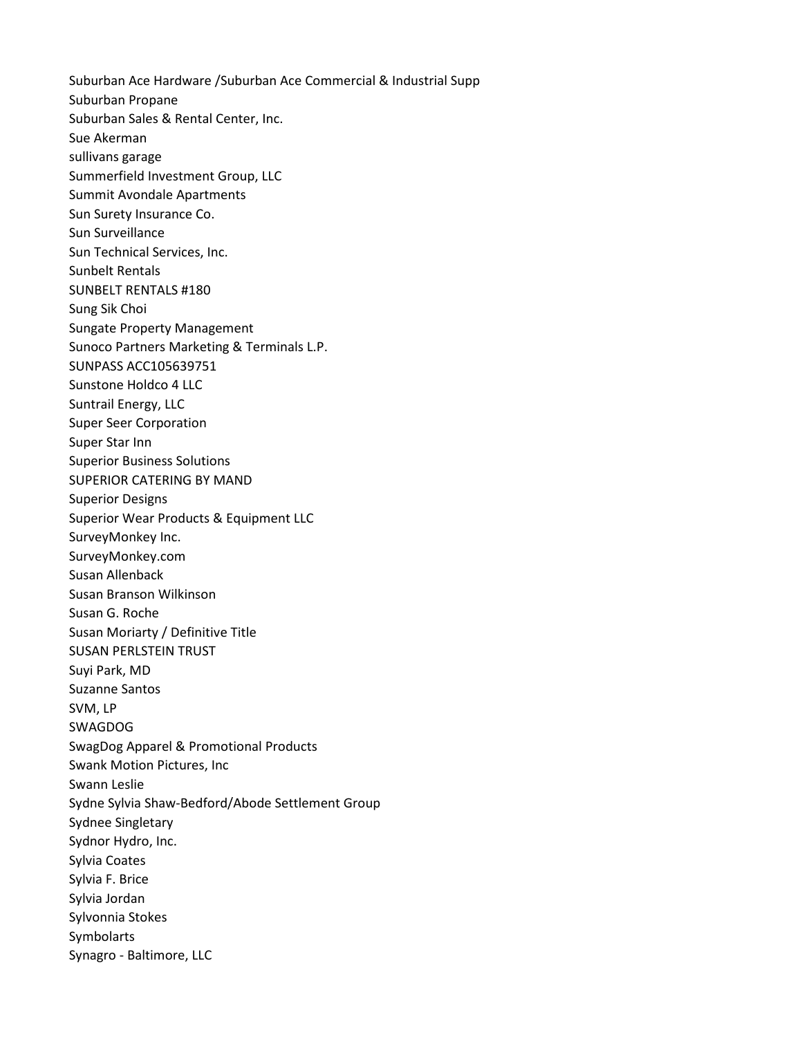Suburban Ace Hardware /Suburban Ace Commercial & Industrial Supp Suburban Propane Suburban Sales & Rental Center, Inc. Sue Akerman sullivans garage Summerfield Investment Group, LLC Summit Avondale Apartments Sun Surety Insurance Co. Sun Surveillance Sun Technical Services, Inc. Sunbelt Rentals SUNBELT RENTALS #180 Sung Sik Choi Sungate Property Management Sunoco Partners Marketing & Terminals L.P. SUNPASS ACC105639751 Sunstone Holdco 4 LLC Suntrail Energy, LLC Super Seer Corporation Super Star Inn Superior Business Solutions SUPERIOR CATERING BY MAND Superior Designs Superior Wear Products & Equipment LLC SurveyMonkey Inc. SurveyMonkey.com Susan Allenback Susan Branson Wilkinson Susan G. Roche Susan Moriarty / Definitive Title SUSAN PERLSTEIN TRUST Suyi Park, MD Suzanne Santos SVM, LP SWAGDOG SwagDog Apparel & Promotional Products Swank Motion Pictures, Inc Swann Leslie Sydne Sylvia Shaw-Bedford/Abode Settlement Group Sydnee Singletary Sydnor Hydro, Inc. Sylvia Coates Sylvia F. Brice Sylvia Jordan Sylvonnia Stokes Symbolarts Synagro - Baltimore, LLC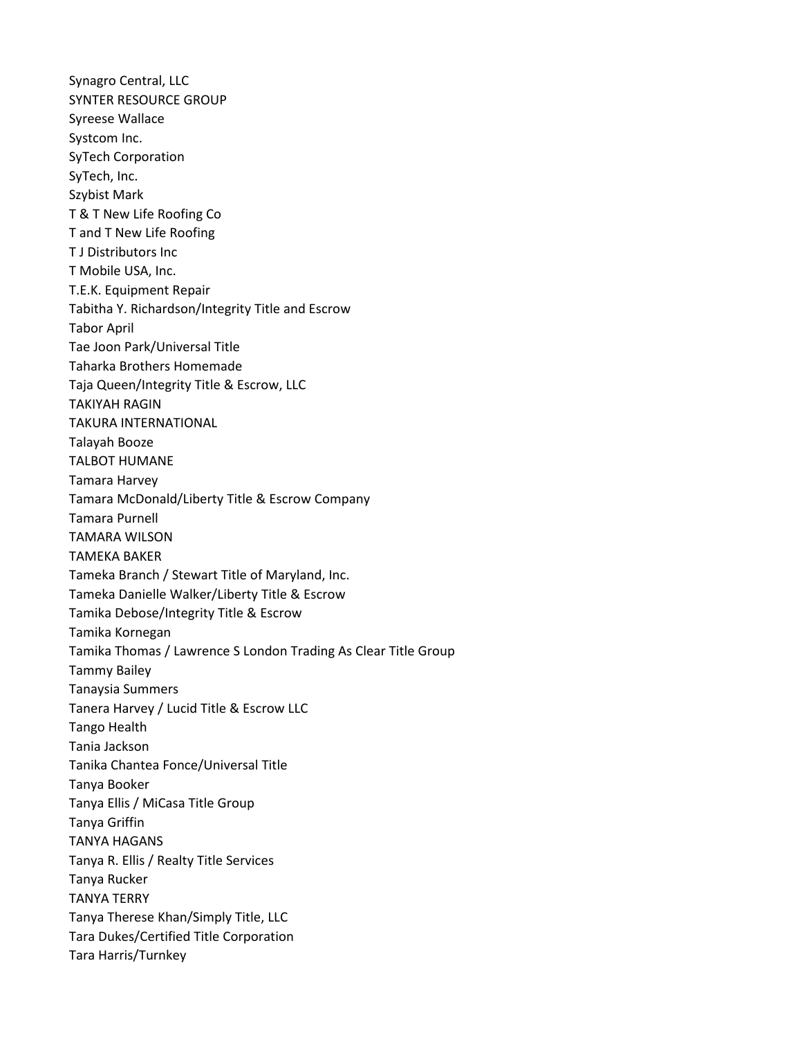Synagro Central, LLC SYNTER RESOURCE GROUP Syreese Wallace Systcom Inc. SyTech Corporation SyTech, Inc. Szybist Mark T & T New Life Roofing Co T and T New Life Roofing T J Distributors Inc T Mobile USA, Inc. T.E.K. Equipment Repair Tabitha Y. Richardson/Integrity Title and Escrow Tabor April Tae Joon Park/Universal Title Taharka Brothers Homemade Taja Queen/Integrity Title & Escrow, LLC TAKIYAH RAGIN TAKURA INTERNATIONAL Talayah Booze TALBOT HUMANE Tamara Harvey Tamara McDonald/Liberty Title & Escrow Company Tamara Purnell TAMARA WILSON TAMEKA BAKER Tameka Branch / Stewart Title of Maryland, Inc. Tameka Danielle Walker/Liberty Title & Escrow Tamika Debose/Integrity Title & Escrow Tamika Kornegan Tamika Thomas / Lawrence S London Trading As Clear Title Group Tammy Bailey Tanaysia Summers Tanera Harvey / Lucid Title & Escrow LLC Tango Health Tania Jackson Tanika Chantea Fonce/Universal Title Tanya Booker Tanya Ellis / MiCasa Title Group Tanya Griffin TANYA HAGANS Tanya R. Ellis / Realty Title Services Tanya Rucker TANYA TERRY Tanya Therese Khan/Simply Title, LLC Tara Dukes/Certified Title Corporation Tara Harris/Turnkey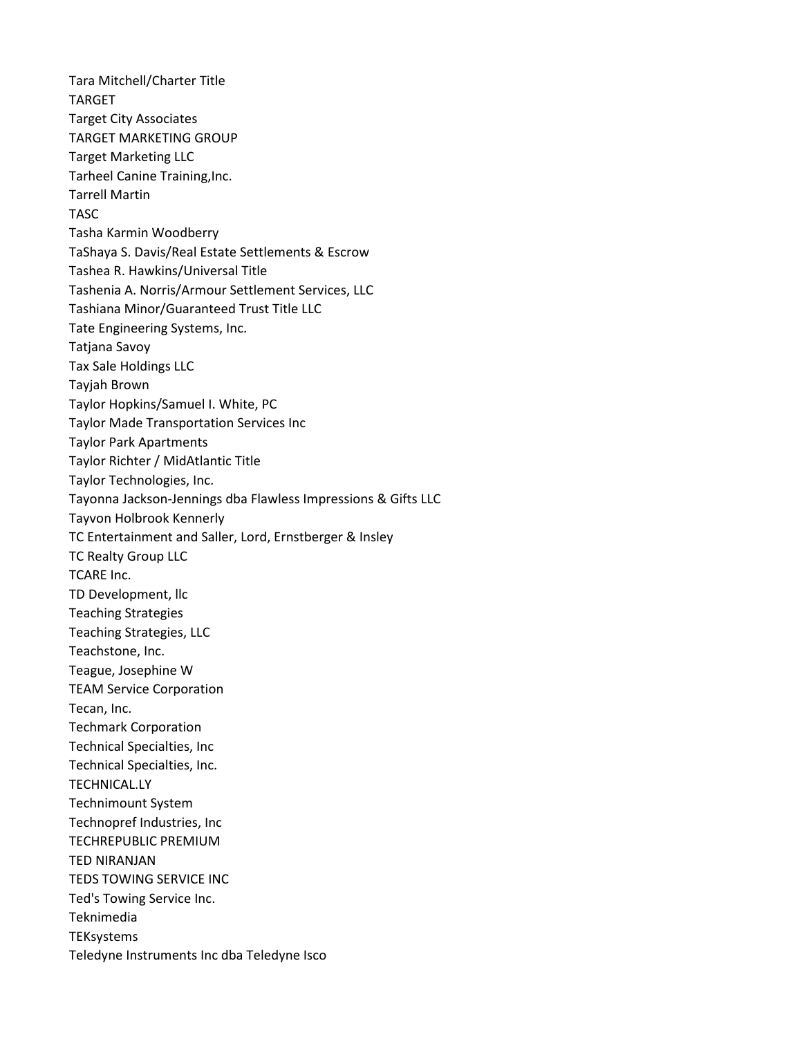Tara Mitchell/Charter Title TARGET Target City Associates TARGET MARKETING GROUP Target Marketing LLC Tarheel Canine Training,Inc. Tarrell Martin TASC Tasha Karmin Woodberry TaShaya S. Davis/Real Estate Settlements & Escrow Tashea R. Hawkins/Universal Title Tashenia A. Norris/Armour Settlement Services, LLC Tashiana Minor/Guaranteed Trust Title LLC Tate Engineering Systems, Inc. Tatjana Savoy Tax Sale Holdings LLC Tayjah Brown Taylor Hopkins/Samuel I. White, PC Taylor Made Transportation Services Inc Taylor Park Apartments Taylor Richter / MidAtlantic Title Taylor Technologies, Inc. Tayonna Jackson-Jennings dba Flawless Impressions & Gifts LLC Tayvon Holbrook Kennerly TC Entertainment and Saller, Lord, Ernstberger & Insley TC Realty Group LLC TCARE Inc. TD Development, llc Teaching Strategies Teaching Strategies, LLC Teachstone, Inc. Teague, Josephine W TEAM Service Corporation Tecan, Inc. Techmark Corporation Technical Specialties, Inc Technical Specialties, Inc. TECHNICAL.LY Technimount System Technopref Industries, Inc TECHREPUBLIC PREMIUM TED NIRANJAN TEDS TOWING SERVICE INC Ted's Towing Service Inc. Teknimedia **TEKsystems** Teledyne Instruments Inc dba Teledyne Isco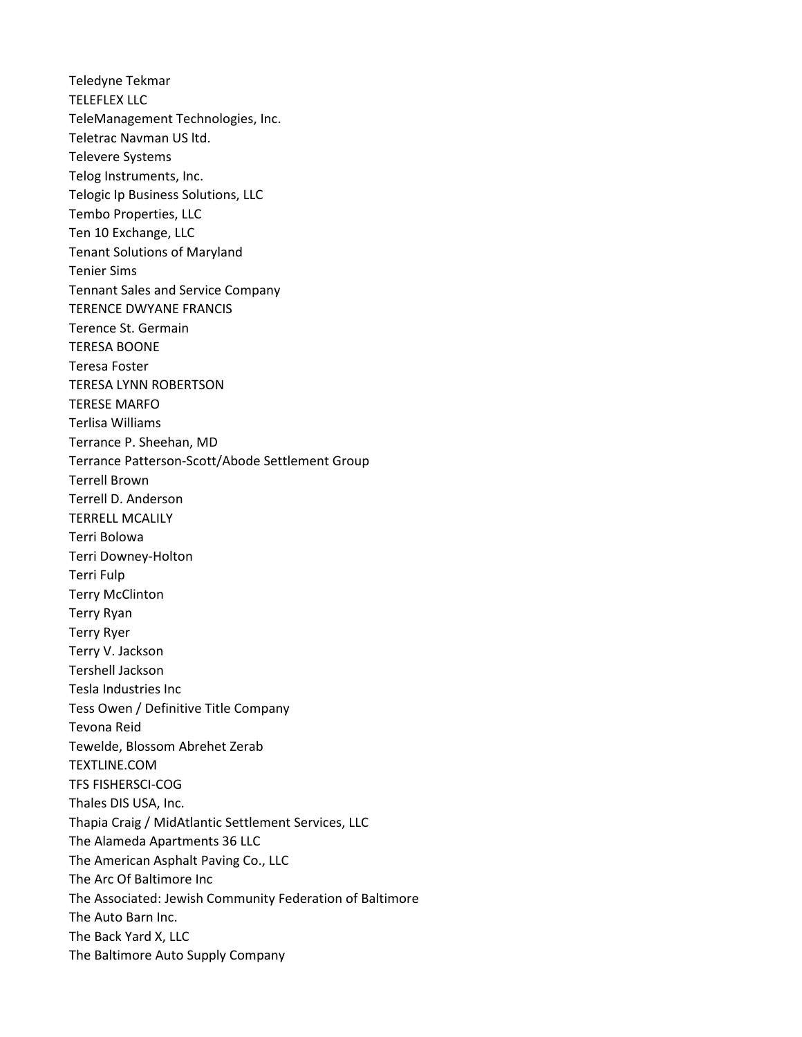Teledyne Tekmar TELEFLEX LLC TeleManagement Technologies, Inc. Teletrac Navman US ltd. Televere Systems Telog Instruments, Inc. Telogic Ip Business Solutions, LLC Tembo Properties, LLC Ten 10 Exchange, LLC Tenant Solutions of Maryland Tenier Sims Tennant Sales and Service Company TERENCE DWYANE FRANCIS Terence St. Germain TERESA BOONE Teresa Foster TERESA LYNN ROBERTSON TERESE MARFO Terlisa Williams Terrance P. Sheehan, MD Terrance Patterson-Scott/Abode Settlement Group Terrell Brown Terrell D. Anderson TERRELL MCALILY Terri Bolowa Terri Downey-Holton Terri Fulp Terry McClinton Terry Ryan Terry Ryer Terry V. Jackson Tershell Jackson Tesla Industries Inc Tess Owen / Definitive Title Company Tevona Reid Tewelde, Blossom Abrehet Zerab TEXTLINE.COM TFS FISHERSCI-COG Thales DIS USA, Inc. Thapia Craig / MidAtlantic Settlement Services, LLC The Alameda Apartments 36 LLC The American Asphalt Paving Co., LLC The Arc Of Baltimore Inc The Associated: Jewish Community Federation of Baltimore The Auto Barn Inc. The Back Yard X, LLC The Baltimore Auto Supply Company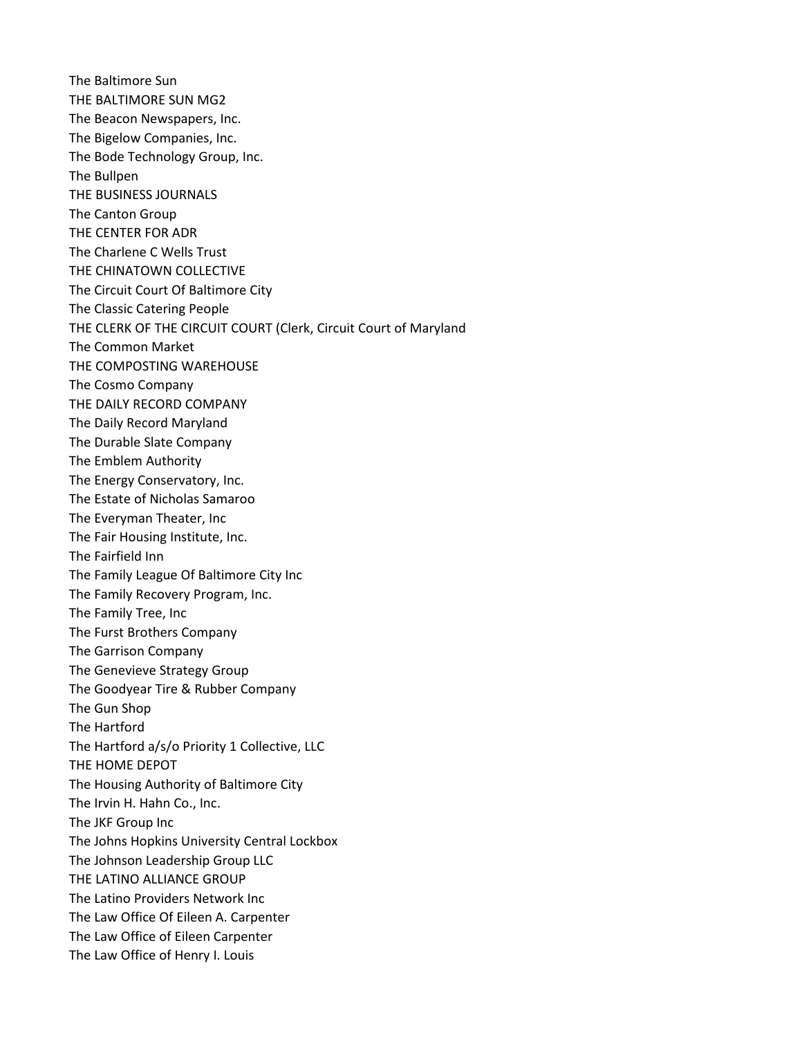The Baltimore Sun THE BALTIMORE SUN MG2 The Beacon Newspapers, Inc. The Bigelow Companies, Inc. The Bode Technology Group, Inc. The Bullpen THE BUSINESS JOURNALS The Canton Group THE CENTER FOR ADR The Charlene C Wells Trust THE CHINATOWN COLLECTIVE The Circuit Court Of Baltimore City The Classic Catering People THE CLERK OF THE CIRCUIT COURT (Clerk, Circuit Court of Maryland The Common Market THE COMPOSTING WAREHOUSE The Cosmo Company THE DAILY RECORD COMPANY The Daily Record Maryland The Durable Slate Company The Emblem Authority The Energy Conservatory, Inc. The Estate of Nicholas Samaroo The Everyman Theater, Inc The Fair Housing Institute, Inc. The Fairfield Inn The Family League Of Baltimore City Inc The Family Recovery Program, Inc. The Family Tree, Inc The Furst Brothers Company The Garrison Company The Genevieve Strategy Group The Goodyear Tire & Rubber Company The Gun Shop The Hartford The Hartford a/s/o Priority 1 Collective, LLC THE HOME DEPOT The Housing Authority of Baltimore City The Irvin H. Hahn Co., Inc. The JKF Group Inc The Johns Hopkins University Central Lockbox The Johnson Leadership Group LLC THE LATINO ALLIANCE GROUP The Latino Providers Network Inc The Law Office Of Eileen A. Carpenter The Law Office of Eileen Carpenter The Law Office of Henry I. Louis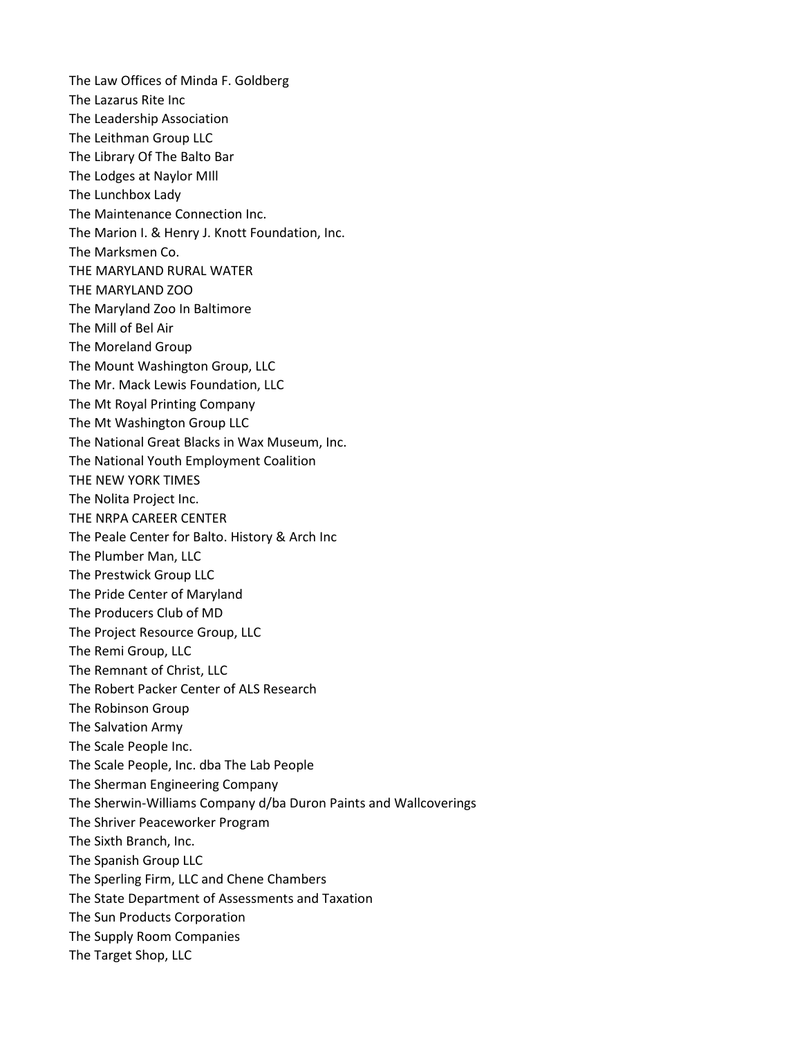The Law Offices of Minda F. Goldberg The Lazarus Rite Inc The Leadership Association The Leithman Group LLC The Library Of The Balto Bar The Lodges at Naylor MIll The Lunchbox Lady The Maintenance Connection Inc. The Marion I. & Henry J. Knott Foundation, Inc. The Marksmen Co. THE MARYLAND RURAL WATER THE MARYLAND ZOO The Maryland Zoo In Baltimore The Mill of Bel Air The Moreland Group The Mount Washington Group, LLC The Mr. Mack Lewis Foundation, LLC The Mt Royal Printing Company The Mt Washington Group LLC The National Great Blacks in Wax Museum, Inc. The National Youth Employment Coalition THE NEW YORK TIMES The Nolita Project Inc. THE NRPA CAREER CENTER The Peale Center for Balto. History & Arch Inc The Plumber Man, LLC The Prestwick Group LLC The Pride Center of Maryland The Producers Club of MD The Project Resource Group, LLC The Remi Group, LLC The Remnant of Christ, LLC The Robert Packer Center of ALS Research The Robinson Group The Salvation Army The Scale People Inc. The Scale People, Inc. dba The Lab People The Sherman Engineering Company The Sherwin-Williams Company d/ba Duron Paints and Wallcoverings The Shriver Peaceworker Program The Sixth Branch, Inc. The Spanish Group LLC The Sperling Firm, LLC and Chene Chambers The State Department of Assessments and Taxation The Sun Products Corporation The Supply Room Companies The Target Shop, LLC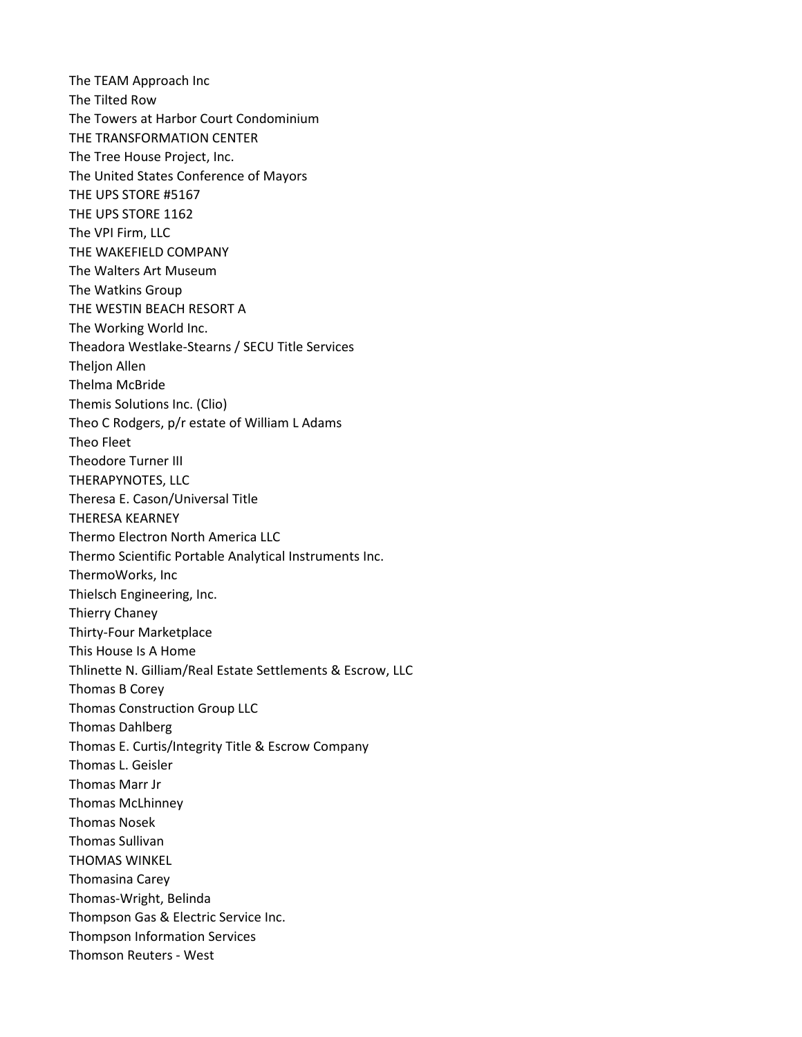The TEAM Approach Inc The Tilted Row The Towers at Harbor Court Condominium THE TRANSFORMATION CENTER The Tree House Project, Inc. The United States Conference of Mayors THE UPS STORE #5167 THE UPS STORE 1162 The VPI Firm, LLC THE WAKEFIELD COMPANY The Walters Art Museum The Watkins Group THE WESTIN BEACH RESORT A The Working World Inc. Theadora Westlake-Stearns / SECU Title Services **Thelion Allen** Thelma McBride Themis Solutions Inc. (Clio) Theo C Rodgers, p/r estate of William L Adams Theo Fleet Theodore Turner III THERAPYNOTES, LLC Theresa E. Cason/Universal Title THERESA KEARNEY Thermo Electron North America LLC Thermo Scientific Portable Analytical Instruments Inc. ThermoWorks, Inc Thielsch Engineering, Inc. Thierry Chaney Thirty-Four Marketplace This House Is A Home Thlinette N. Gilliam/Real Estate Settlements & Escrow, LLC Thomas B Corey Thomas Construction Group LLC Thomas Dahlberg Thomas E. Curtis/Integrity Title & Escrow Company Thomas L. Geisler Thomas Marr Jr Thomas McLhinney Thomas Nosek Thomas Sullivan THOMAS WINKEL Thomasina Carey Thomas-Wright, Belinda Thompson Gas & Electric Service Inc. Thompson Information Services Thomson Reuters - West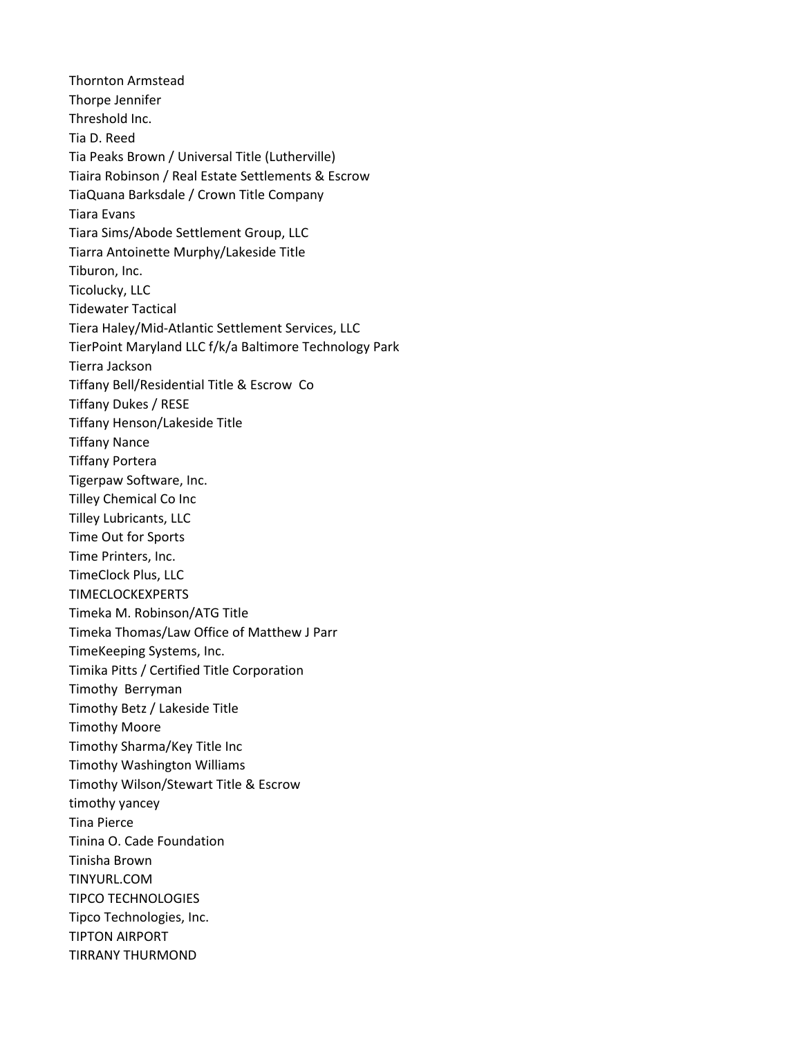Thornton Armstead Thorpe Jennifer Threshold Inc. Tia D. Reed Tia Peaks Brown / Universal Title (Lutherville) Tiaira Robinson / Real Estate Settlements & Escrow TiaQuana Barksdale / Crown Title Company Tiara Evans Tiara Sims/Abode Settlement Group, LLC Tiarra Antoinette Murphy/Lakeside Title Tiburon, Inc. Ticolucky, LLC Tidewater Tactical Tiera Haley/Mid-Atlantic Settlement Services, LLC TierPoint Maryland LLC f/k/a Baltimore Technology Park Tierra Jackson Tiffany Bell/Residential Title & Escrow Co Tiffany Dukes / RESE Tiffany Henson/Lakeside Title Tiffany Nance Tiffany Portera Tigerpaw Software, Inc. Tilley Chemical Co Inc Tilley Lubricants, LLC Time Out for Sports Time Printers, Inc. TimeClock Plus, LLC TIMECLOCKEXPERTS Timeka M. Robinson/ATG Title Timeka Thomas/Law Office of Matthew J Parr TimeKeeping Systems, Inc. Timika Pitts / Certified Title Corporation Timothy Berryman Timothy Betz / Lakeside Title Timothy Moore Timothy Sharma/Key Title Inc Timothy Washington Williams Timothy Wilson/Stewart Title & Escrow timothy yancey Tina Pierce Tinina O. Cade Foundation Tinisha Brown TINYURL.COM TIPCO TECHNOLOGIES Tipco Technologies, Inc. TIPTON AIRPORT TIRRANY THURMOND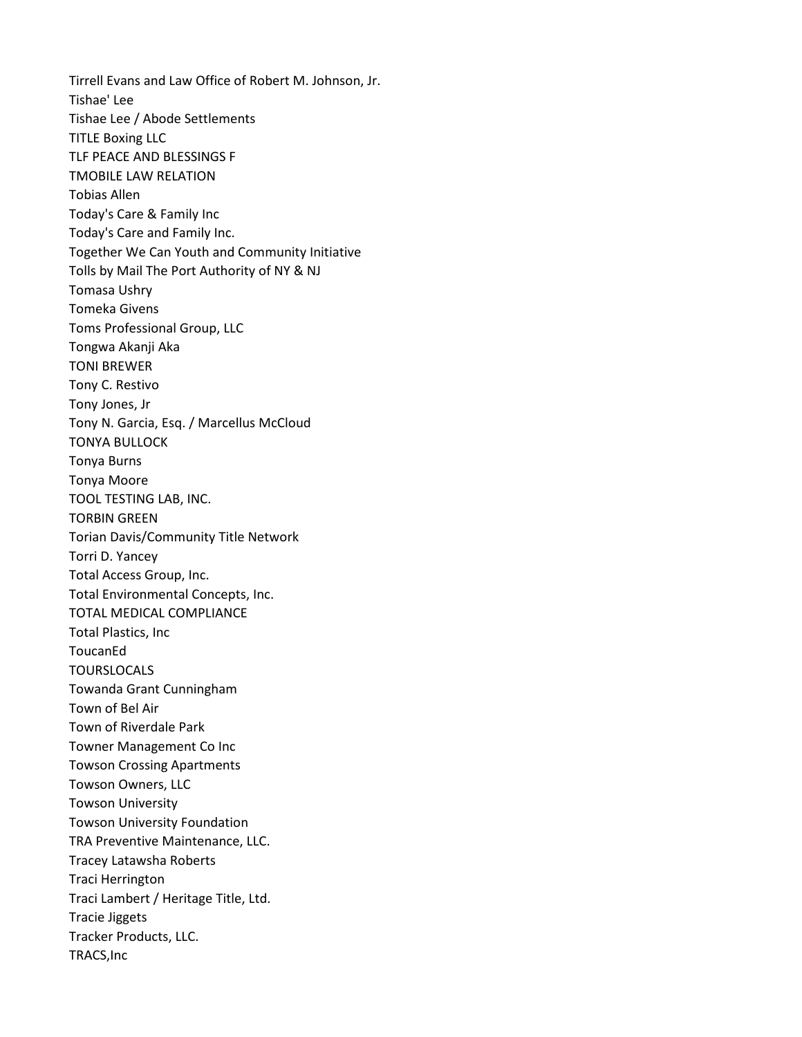Tirrell Evans and Law Office of Robert M. Johnson, Jr. Tishae' Lee Tishae Lee / Abode Settlements TITLE Boxing LLC TLF PEACE AND BLESSINGS F TMOBILE LAW RELATION Tobias Allen Today's Care & Family Inc Today's Care and Family Inc. Together We Can Youth and Community Initiative Tolls by Mail The Port Authority of NY & NJ Tomasa Ushry Tomeka Givens Toms Professional Group, LLC Tongwa Akanji Aka TONI BREWER Tony C. Restivo Tony Jones, Jr Tony N. Garcia, Esq. / Marcellus McCloud TONYA BULLOCK Tonya Burns Tonya Moore TOOL TESTING LAB, INC. TORBIN GREEN Torian Davis/Community Title Network Torri D. Yancey Total Access Group, Inc. Total Environmental Concepts, Inc. TOTAL MEDICAL COMPLIANCE Total Plastics, Inc **ToucanEd** TOURSLOCALS Towanda Grant Cunningham Town of Bel Air Town of Riverdale Park Towner Management Co Inc Towson Crossing Apartments Towson Owners, LLC Towson University Towson University Foundation TRA Preventive Maintenance, LLC. Tracey Latawsha Roberts Traci Herrington Traci Lambert / Heritage Title, Ltd. Tracie Jiggets Tracker Products, LLC. TRACS,Inc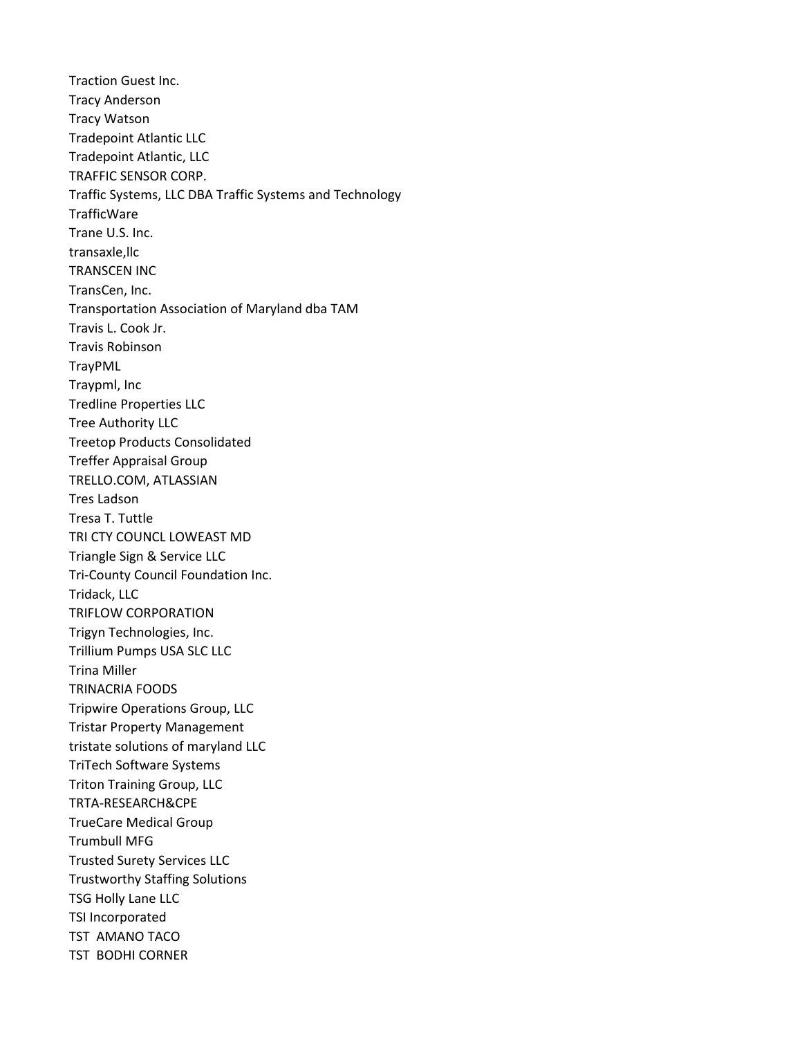Traction Guest Inc. Tracy Anderson Tracy Watson Tradepoint Atlantic LLC Tradepoint Atlantic, LLC TRAFFIC SENSOR CORP. Traffic Systems, LLC DBA Traffic Systems and Technology **TrafficWare** Trane U.S. Inc. transaxle,llc TRANSCEN INC TransCen, Inc. Transportation Association of Maryland dba TAM Travis L. Cook Jr. Travis Robinson TrayPML Traypml, Inc Tredline Properties LLC Tree Authority LLC Treetop Products Consolidated Treffer Appraisal Group TRELLO.COM, ATLASSIAN Tres Ladson Tresa T. Tuttle TRI CTY COUNCL LOWEAST MD Triangle Sign & Service LLC Tri-County Council Foundation Inc. Tridack, LLC TRIFLOW CORPORATION Trigyn Technologies, Inc. Trillium Pumps USA SLC LLC Trina Miller TRINACRIA FOODS Tripwire Operations Group, LLC Tristar Property Management tristate solutions of maryland LLC TriTech Software Systems Triton Training Group, LLC TRTA-RESEARCH&CPE TrueCare Medical Group Trumbull MFG Trusted Surety Services LLC Trustworthy Staffing Solutions TSG Holly Lane LLC TSI Incorporated TST AMANO TACO TST BODHI CORNER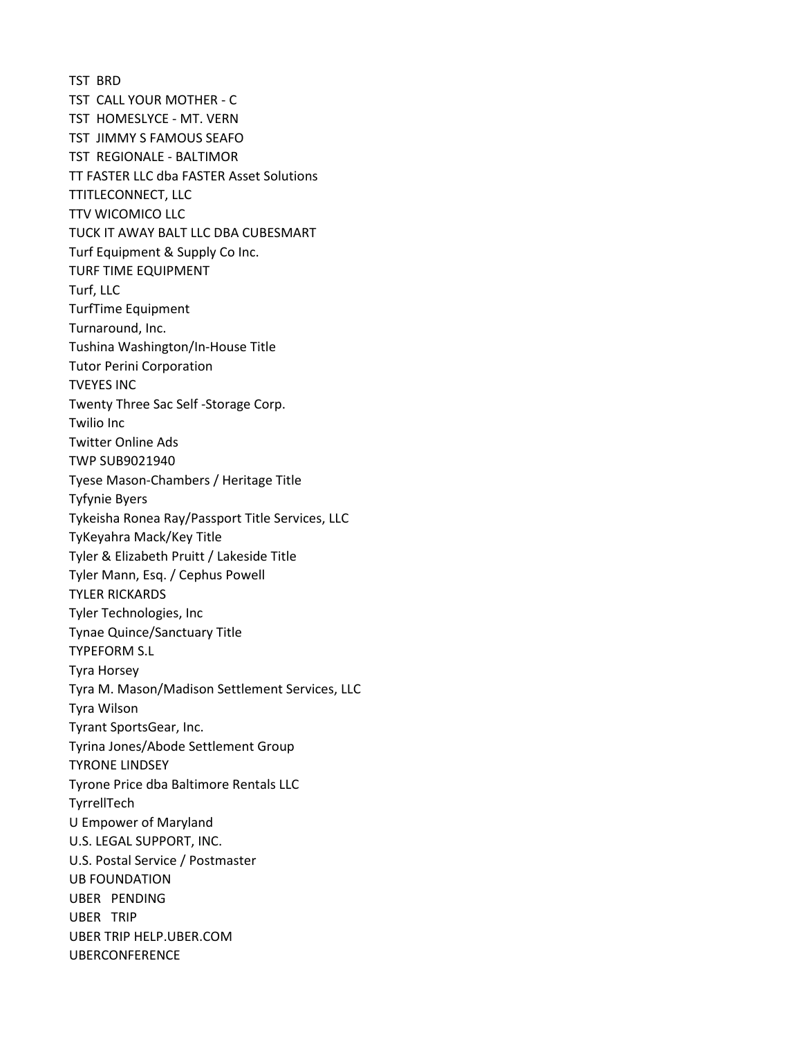TST BRD TST CALL YOUR MOTHER - C TST HOMESLYCE - MT. VERN TST JIMMY S FAMOUS SEAFO TST REGIONALE - BALTIMOR TT FASTER LLC dba FASTER Asset Solutions TTITLECONNECT, LLC TTV WICOMICO LLC TUCK IT AWAY BALT LLC DBA CUBESMART Turf Equipment & Supply Co Inc. TURF TIME EQUIPMENT Turf, LLC TurfTime Equipment Turnaround, Inc. Tushina Washington/In-House Title Tutor Perini Corporation TVEYES INC Twenty Three Sac Self -Storage Corp. Twilio Inc Twitter Online Ads TWP SUB9021940 Tyese Mason-Chambers / Heritage Title Tyfynie Byers Tykeisha Ronea Ray/Passport Title Services, LLC TyKeyahra Mack/Key Title Tyler & Elizabeth Pruitt / Lakeside Title Tyler Mann, Esq. / Cephus Powell TYLER RICKARDS Tyler Technologies, Inc Tynae Quince/Sanctuary Title TYPEFORM S.L Tyra Horsey Tyra M. Mason/Madison Settlement Services, LLC Tyra Wilson Tyrant SportsGear, Inc. Tyrina Jones/Abode Settlement Group TYRONE LINDSEY Tyrone Price dba Baltimore Rentals LLC TyrrellTech U Empower of Maryland U.S. LEGAL SUPPORT, INC. U.S. Postal Service / Postmaster UB FOUNDATION UBER PENDING UBER TRIP UBER TRIP HELP.UBER.COM UBERCONFERENCE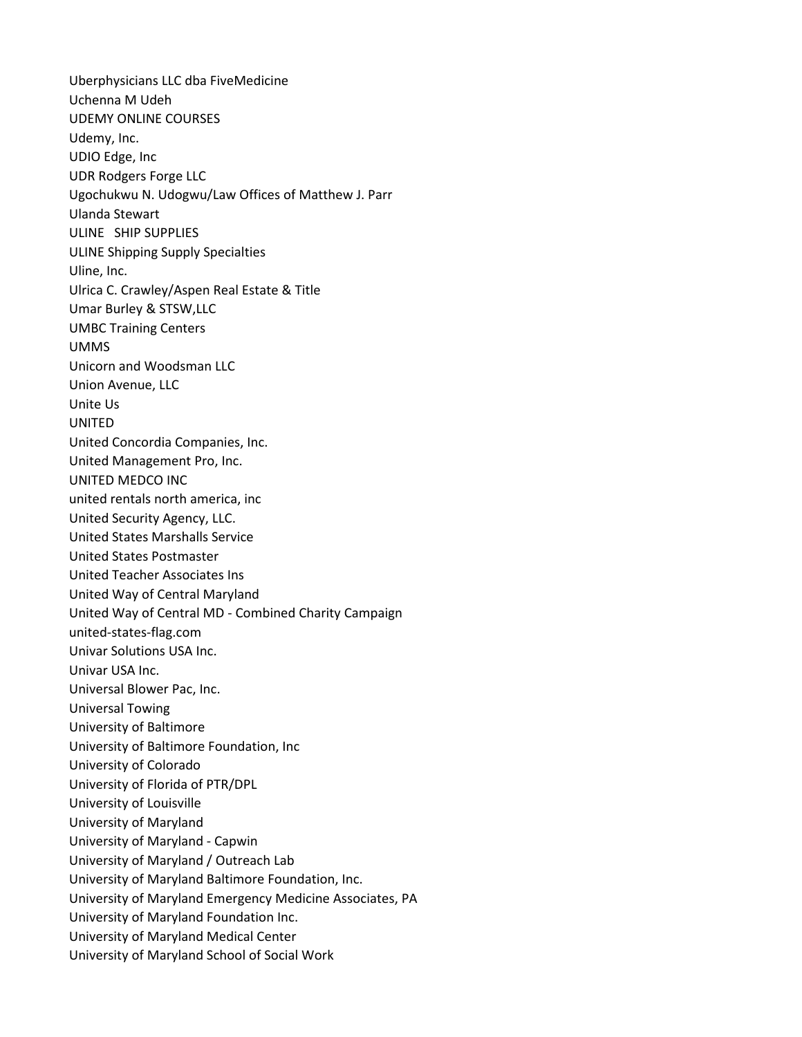Uberphysicians LLC dba FiveMedicine Uchenna M Udeh UDEMY ONLINE COURSES Udemy, Inc. UDIO Edge, Inc UDR Rodgers Forge LLC Ugochukwu N. Udogwu/Law Offices of Matthew J. Parr Ulanda Stewart ULINE SHIP SUPPLIES ULINE Shipping Supply Specialties Uline, Inc. Ulrica C. Crawley/Aspen Real Estate & Title Umar Burley & STSW,LLC UMBC Training Centers UMMS Unicorn and Woodsman LLC Union Avenue, LLC Unite Us UNITED United Concordia Companies, Inc. United Management Pro, Inc. UNITED MEDCO INC united rentals north america, inc United Security Agency, LLC. United States Marshalls Service United States Postmaster United Teacher Associates Ins United Way of Central Maryland United Way of Central MD - Combined Charity Campaign united-states-flag.com Univar Solutions USA Inc. Univar USA Inc. Universal Blower Pac, Inc. Universal Towing University of Baltimore University of Baltimore Foundation, Inc University of Colorado University of Florida of PTR/DPL University of Louisville University of Maryland University of Maryland - Capwin University of Maryland / Outreach Lab University of Maryland Baltimore Foundation, Inc. University of Maryland Emergency Medicine Associates, PA University of Maryland Foundation Inc. University of Maryland Medical Center University of Maryland School of Social Work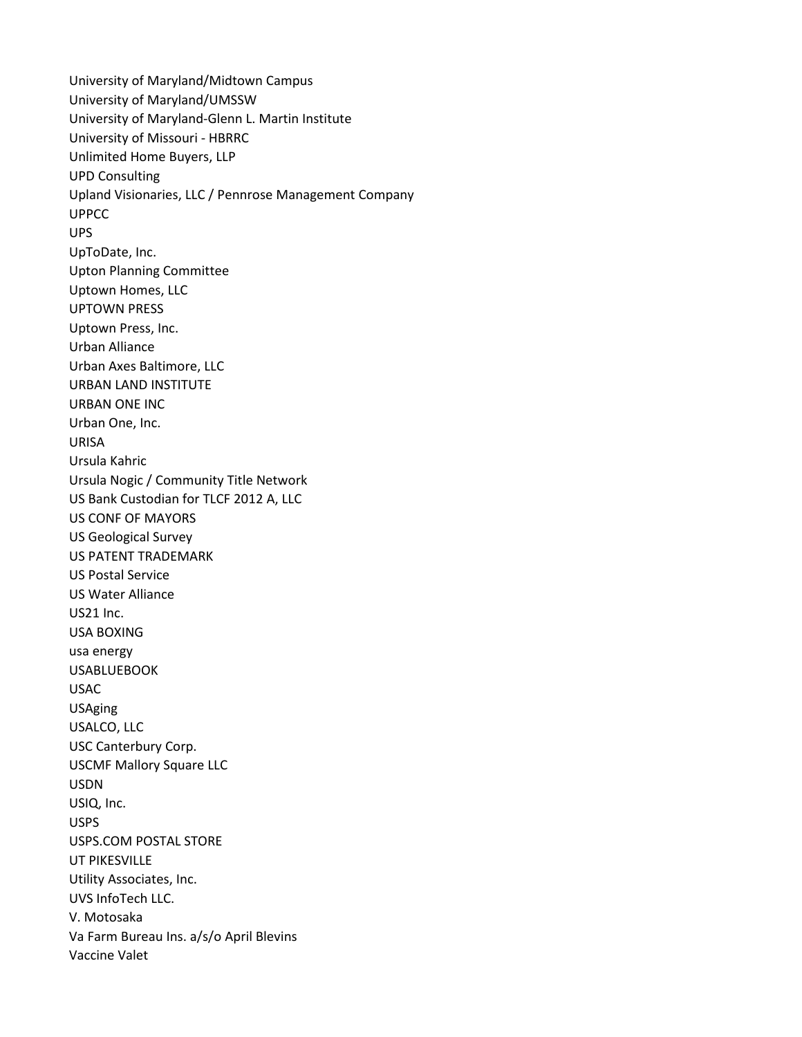University of Maryland/Midtown Campus University of Maryland/UMSSW University of Maryland-Glenn L. Martin Institute University of Missouri - HBRRC Unlimited Home Buyers, LLP UPD Consulting Upland Visionaries, LLC / Pennrose Management Company UPPCC UPS UpToDate, Inc. Upton Planning Committee Uptown Homes, LLC UPTOWN PRESS Uptown Press, Inc. Urban Alliance Urban Axes Baltimore, LLC URBAN LAND INSTITUTE URBAN ONE INC Urban One, Inc. URISA Ursula Kahric Ursula Nogic / Community Title Network US Bank Custodian for TLCF 2012 A, LLC US CONF OF MAYORS US Geological Survey US PATENT TRADEMARK US Postal Service US Water Alliance US21 Inc. USA BOXING usa energy USABLUEBOOK USAC USAging USALCO, LLC USC Canterbury Corp. USCMF Mallory Square LLC USDN USIQ, Inc. USPS USPS.COM POSTAL STORE UT PIKESVILLE Utility Associates, Inc. UVS InfoTech LLC. V. Motosaka Va Farm Bureau Ins. a/s/o April Blevins Vaccine Valet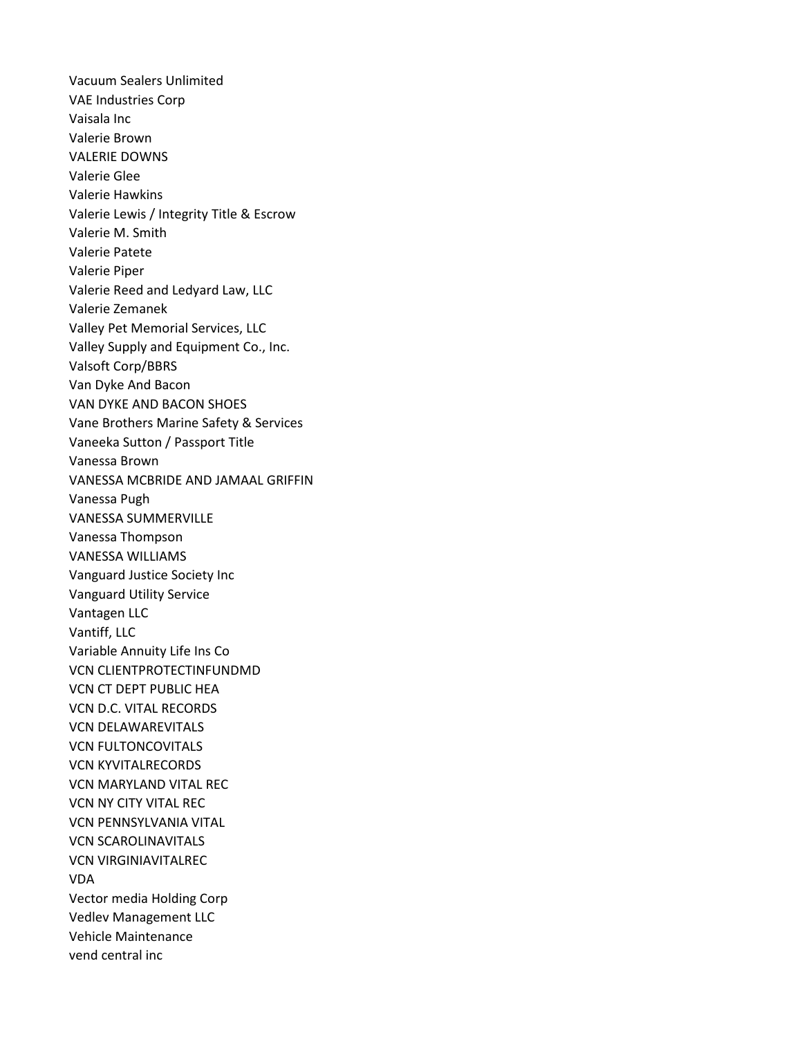Vacuum Sealers Unlimited VAE Industries Corp Vaisala Inc Valerie Brown VALERIE DOWNS Valerie Glee Valerie Hawkins Valerie Lewis / Integrity Title & Escrow Valerie M. Smith Valerie Patete Valerie Piper Valerie Reed and Ledyard Law, LLC Valerie Zemanek Valley Pet Memorial Services, LLC Valley Supply and Equipment Co., Inc. Valsoft Corp/BBRS Van Dyke And Bacon VAN DYKE AND BACON SHOES Vane Brothers Marine Safety & Services Vaneeka Sutton / Passport Title Vanessa Brown VANESSA MCBRIDE AND JAMAAL GRIFFIN Vanessa Pugh VANESSA SUMMERVILLE Vanessa Thompson VANESSA WILLIAMS Vanguard Justice Society Inc Vanguard Utility Service Vantagen LLC Vantiff, LLC Variable Annuity Life Ins Co VCN CLIENTPROTECTINFUNDMD VCN CT DEPT PUBLIC HEA VCN D.C. VITAL RECORDS VCN DELAWAREVITALS VCN FULTONCOVITALS VCN KYVITALRECORDS VCN MARYLAND VITAL REC VCN NY CITY VITAL REC VCN PENNSYLVANIA VITAL VCN SCAROLINAVITALS VCN VIRGINIAVITALREC VDA Vector media Holding Corp Vedlev Management LLC Vehicle Maintenance vend central inc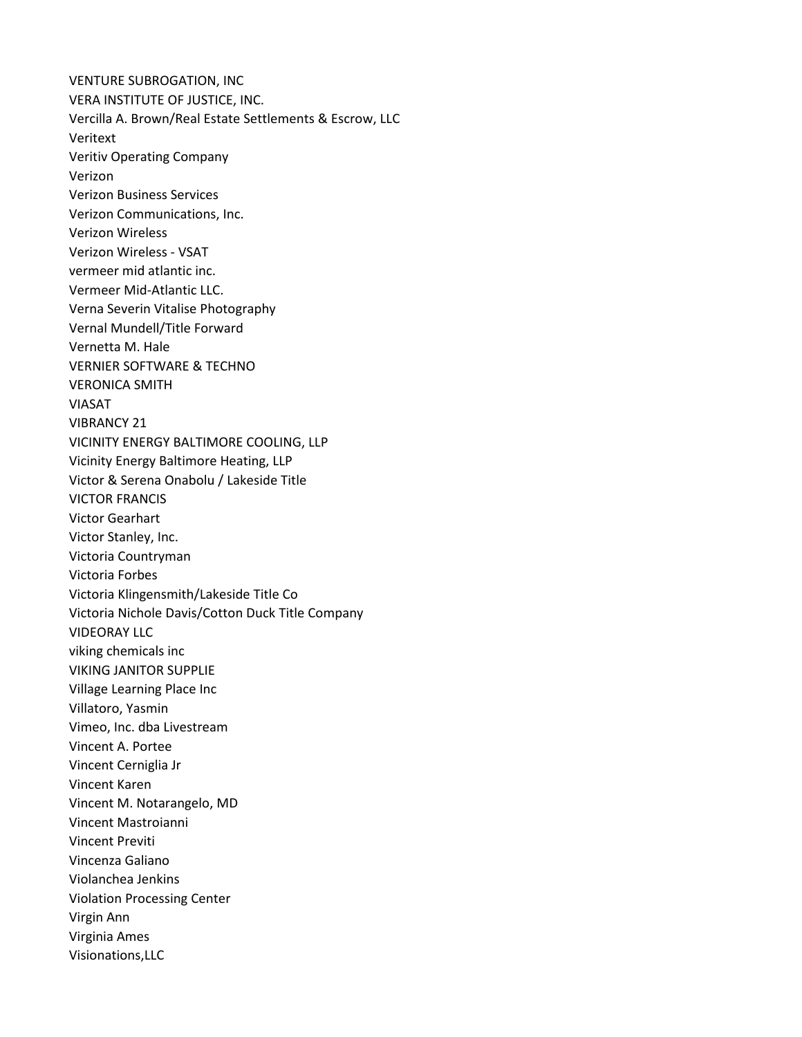VENTURE SUBROGATION, INC VERA INSTITUTE OF JUSTICE, INC. Vercilla A. Brown/Real Estate Settlements & Escrow, LLC Veritext Veritiv Operating Company Verizon Verizon Business Services Verizon Communications, Inc. Verizon Wireless Verizon Wireless - VSAT vermeer mid atlantic inc. Vermeer Mid-Atlantic LLC. Verna Severin Vitalise Photography Vernal Mundell/Title Forward Vernetta M. Hale VERNIER SOFTWARE & TECHNO VERONICA SMITH VIASAT VIBRANCY 21 VICINITY ENERGY BALTIMORE COOLING, LLP Vicinity Energy Baltimore Heating, LLP Victor & Serena Onabolu / Lakeside Title VICTOR FRANCIS Victor Gearhart Victor Stanley, Inc. Victoria Countryman Victoria Forbes Victoria Klingensmith/Lakeside Title Co Victoria Nichole Davis/Cotton Duck Title Company VIDEORAY LLC viking chemicals inc VIKING JANITOR SUPPLIE Village Learning Place Inc Villatoro, Yasmin Vimeo, Inc. dba Livestream Vincent A. Portee Vincent Cerniglia Jr Vincent Karen Vincent M. Notarangelo, MD Vincent Mastroianni Vincent Previti Vincenza Galiano Violanchea Jenkins Violation Processing Center Virgin Ann Virginia Ames Visionations,LLC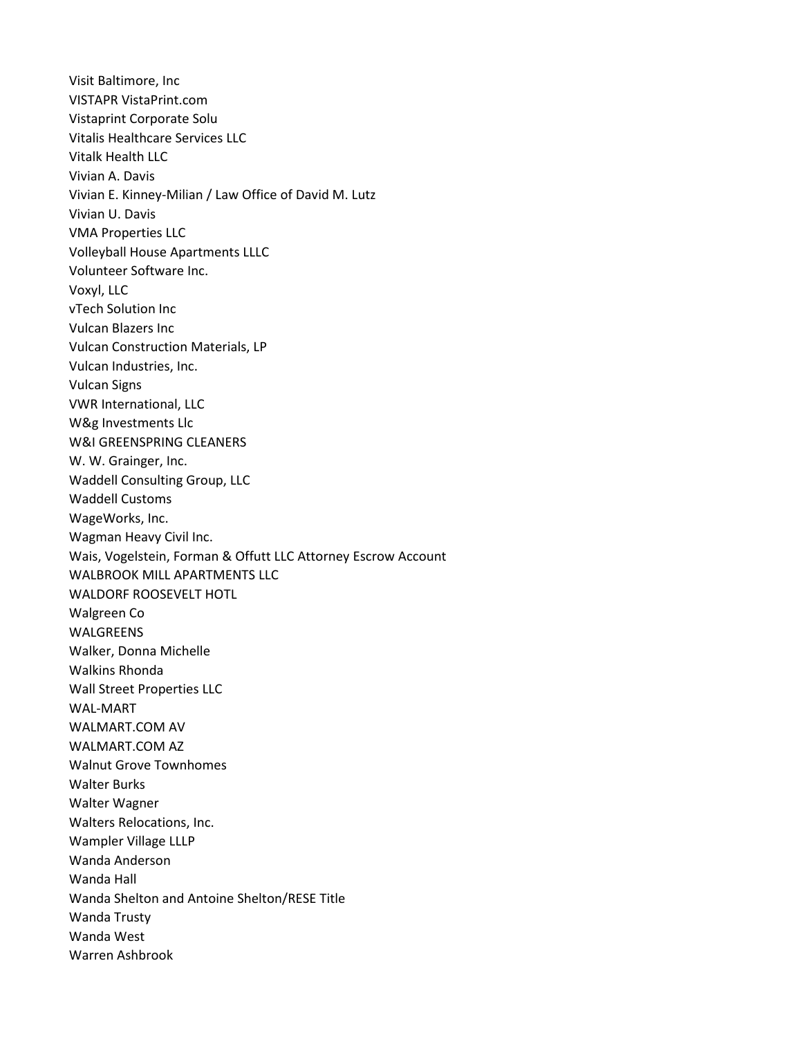Visit Baltimore, Inc VISTAPR VistaPrint.com Vistaprint Corporate Solu Vitalis Healthcare Services LLC Vitalk Health LLC Vivian A. Davis Vivian E. Kinney-Milian / Law Office of David M. Lutz Vivian U. Davis VMA Properties LLC Volleyball House Apartments LLLC Volunteer Software Inc. Voxyl, LLC vTech Solution Inc Vulcan Blazers Inc Vulcan Construction Materials, LP Vulcan Industries, Inc. Vulcan Signs VWR International, LLC W&g Investments Llc W&I GREENSPRING CLEANERS W. W. Grainger, Inc. Waddell Consulting Group, LLC Waddell Customs WageWorks, Inc. Wagman Heavy Civil Inc. Wais, Vogelstein, Forman & Offutt LLC Attorney Escrow Account WALBROOK MILL APARTMENTS LLC WALDORF ROOSEVELT HOTL Walgreen Co WALGREENS Walker, Donna Michelle Walkins Rhonda Wall Street Properties LLC WAL-MART WALMART.COM AV WALMART.COM AZ Walnut Grove Townhomes Walter Burks Walter Wagner Walters Relocations, Inc. Wampler Village LLLP Wanda Anderson Wanda Hall Wanda Shelton and Antoine Shelton/RESE Title Wanda Trusty Wanda West Warren Ashbrook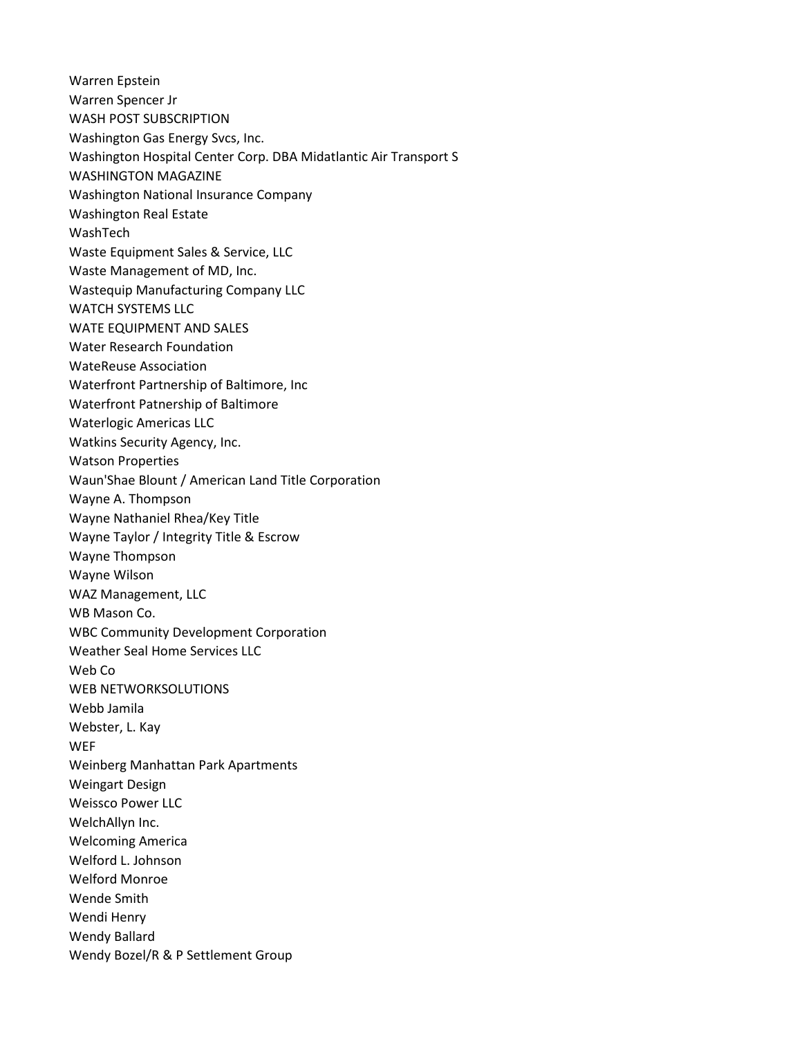Warren Epstein Warren Spencer Jr WASH POST SUBSCRIPTION Washington Gas Energy Svcs, Inc. Washington Hospital Center Corp. DBA Midatlantic Air Transport S WASHINGTON MAGAZINE Washington National Insurance Company Washington Real Estate WashTech Waste Equipment Sales & Service, LLC Waste Management of MD, Inc. Wastequip Manufacturing Company LLC WATCH SYSTEMS LLC WATE EQUIPMENT AND SALES Water Research Foundation WateReuse Association Waterfront Partnership of Baltimore, Inc Waterfront Patnership of Baltimore Waterlogic Americas LLC Watkins Security Agency, Inc. Watson Properties Waun'Shae Blount / American Land Title Corporation Wayne A. Thompson Wayne Nathaniel Rhea/Key Title Wayne Taylor / Integrity Title & Escrow Wayne Thompson Wayne Wilson WAZ Management, LLC WB Mason Co. WBC Community Development Corporation Weather Seal Home Services LLC Web Co WEB NETWORKSOLUTIONS Webb Jamila Webster, L. Kay **WEF** Weinberg Manhattan Park Apartments Weingart Design Weissco Power LLC WelchAllyn Inc. Welcoming America Welford L. Johnson Welford Monroe Wende Smith Wendi Henry Wendy Ballard Wendy Bozel/R & P Settlement Group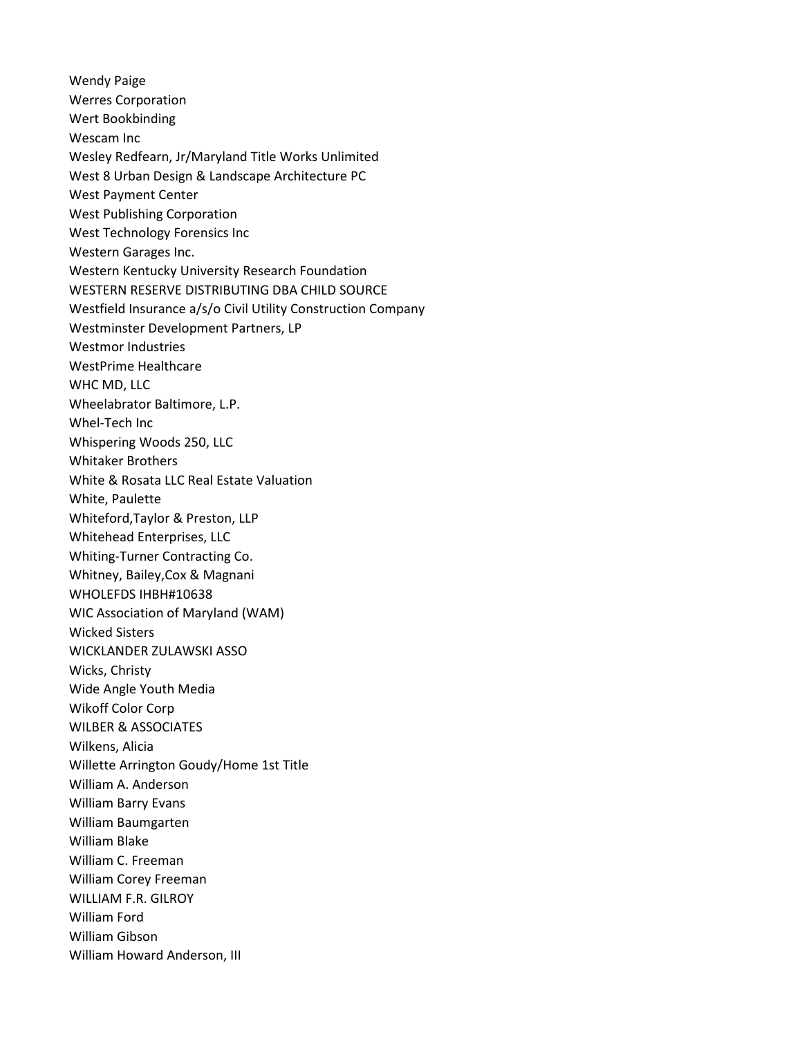Wendy Paige Werres Corporation Wert Bookbinding Wescam Inc Wesley Redfearn, Jr/Maryland Title Works Unlimited West 8 Urban Design & Landscape Architecture PC West Payment Center West Publishing Corporation West Technology Forensics Inc Western Garages Inc. Western Kentucky University Research Foundation WESTERN RESERVE DISTRIBUTING DBA CHILD SOURCE Westfield Insurance a/s/o Civil Utility Construction Company Westminster Development Partners, LP Westmor Industries WestPrime Healthcare WHC MD, LLC Wheelabrator Baltimore, L.P. Whel-Tech Inc Whispering Woods 250, LLC Whitaker Brothers White & Rosata LLC Real Estate Valuation White, Paulette Whiteford,Taylor & Preston, LLP Whitehead Enterprises, LLC Whiting-Turner Contracting Co. Whitney, Bailey,Cox & Magnani WHOLEFDS IHBH#10638 WIC Association of Maryland (WAM) Wicked Sisters WICKLANDER ZULAWSKI ASSO Wicks, Christy Wide Angle Youth Media Wikoff Color Corp WILBER & ASSOCIATES Wilkens, Alicia Willette Arrington Goudy/Home 1st Title William A. Anderson William Barry Evans William Baumgarten William Blake William C. Freeman William Corey Freeman WILLIAM F.R. GILROY William Ford William Gibson William Howard Anderson, III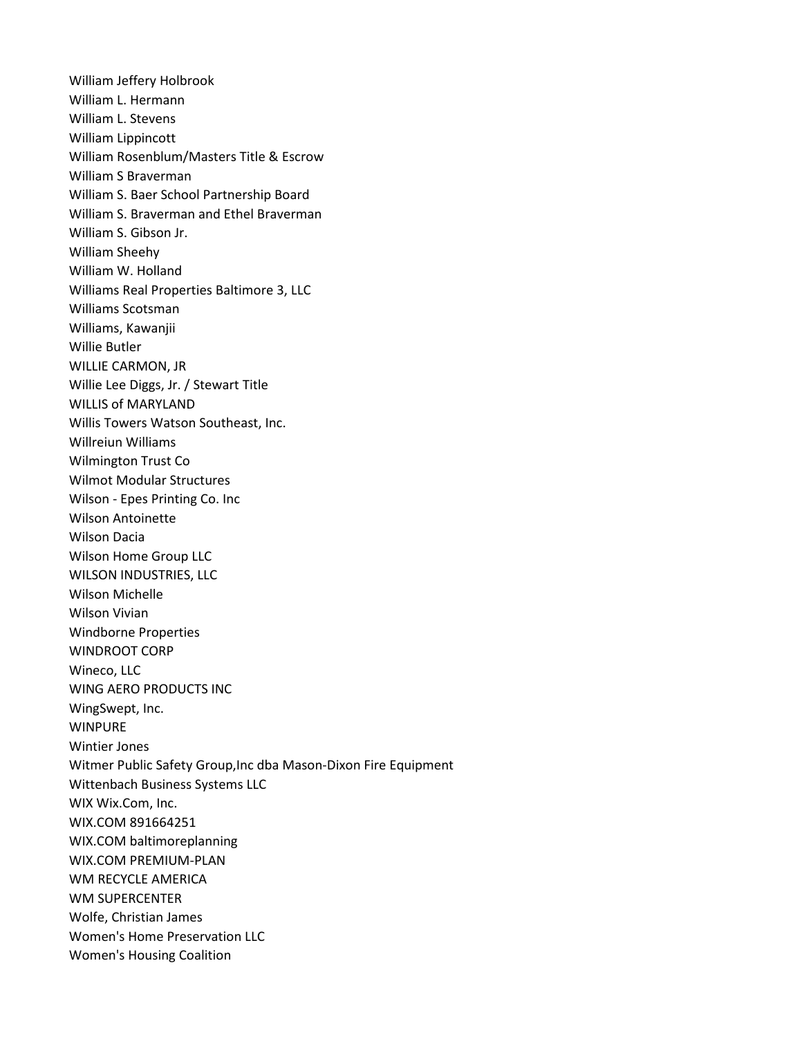William Jeffery Holbrook William L. Hermann William L. Stevens William Lippincott William Rosenblum/Masters Title & Escrow William S Braverman William S. Baer School Partnership Board William S. Braverman and Ethel Braverman William S. Gibson Jr. William Sheehy William W. Holland Williams Real Properties Baltimore 3, LLC Williams Scotsman Williams, Kawanjii Willie Butler WILLIE CARMON, JR Willie Lee Diggs, Jr. / Stewart Title WILLIS of MARYLAND Willis Towers Watson Southeast, Inc. Willreiun Williams Wilmington Trust Co Wilmot Modular Structures Wilson - Epes Printing Co. Inc Wilson Antoinette Wilson Dacia Wilson Home Group LLC WILSON INDUSTRIES, LLC Wilson Michelle Wilson Vivian Windborne Properties WINDROOT CORP Wineco, LLC WING AERO PRODUCTS INC WingSwept, Inc. WINPURE Wintier Jones Witmer Public Safety Group,Inc dba Mason-Dixon Fire Equipment Wittenbach Business Systems LLC WIX Wix.Com, Inc. WIX.COM 891664251 WIX.COM baltimoreplanning WIX.COM PREMIUM-PLAN WM RECYCLE AMERICA WM SUPERCENTER Wolfe, Christian James Women's Home Preservation LLC Women's Housing Coalition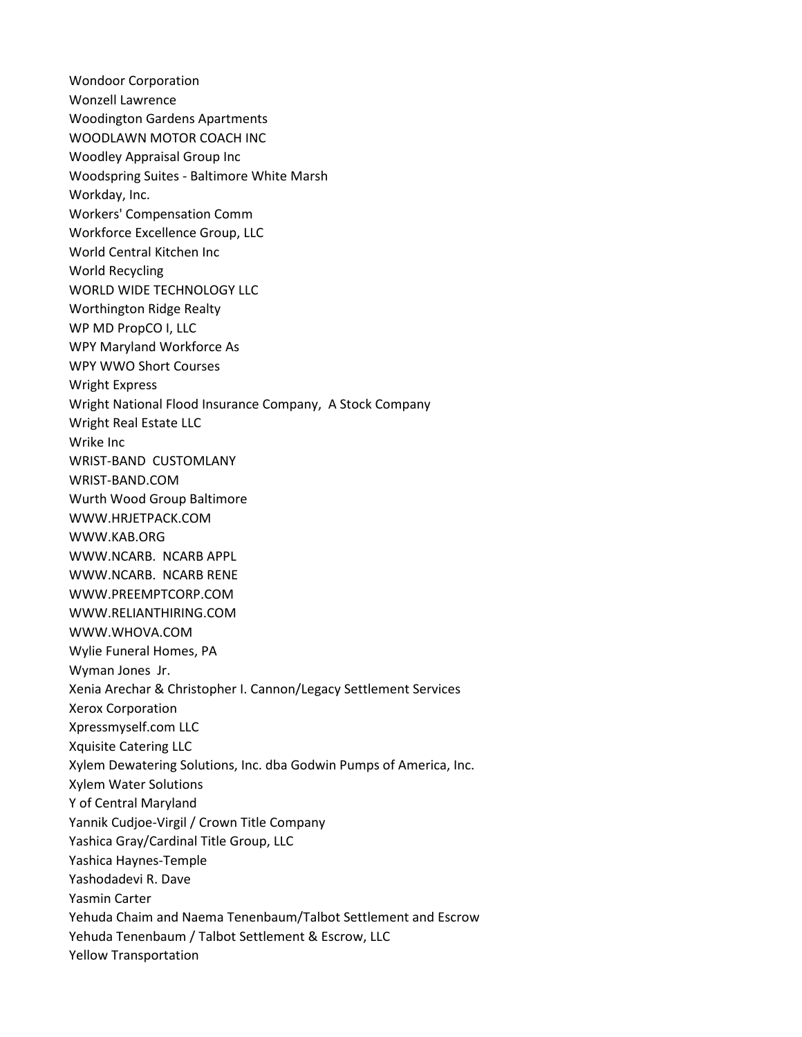Wondoor Corporation Wonzell Lawrence Woodington Gardens Apartments WOODLAWN MOTOR COACH INC Woodley Appraisal Group Inc Woodspring Suites - Baltimore White Marsh Workday, Inc. Workers' Compensation Comm Workforce Excellence Group, LLC World Central Kitchen Inc World Recycling WORLD WIDE TECHNOLOGY LLC Worthington Ridge Realty WP MD PropCO I, LLC WPY Maryland Workforce As WPY WWO Short Courses Wright Express Wright National Flood Insurance Company, A Stock Company Wright Real Estate LLC Wrike Inc WRIST-BAND CUSTOMLANY WRIST-BAND.COM Wurth Wood Group Baltimore WWW.HRJETPACK.COM WWW.KAB.ORG WWW.NCARB. NCARB APPL WWW.NCARB. NCARB RENE WWW.PREEMPTCORP.COM WWW.RELIANTHIRING.COM WWW.WHOVA.COM Wylie Funeral Homes, PA Wyman Jones Jr. Xenia Arechar & Christopher I. Cannon/Legacy Settlement Services Xerox Corporation Xpressmyself.com LLC Xquisite Catering LLC Xylem Dewatering Solutions, Inc. dba Godwin Pumps of America, Inc. Xylem Water Solutions Y of Central Maryland Yannik Cudjoe-Virgil / Crown Title Company Yashica Gray/Cardinal Title Group, LLC Yashica Haynes-Temple Yashodadevi R. Dave Yasmin Carter Yehuda Chaim and Naema Tenenbaum/Talbot Settlement and Escrow Yehuda Tenenbaum / Talbot Settlement & Escrow, LLC Yellow Transportation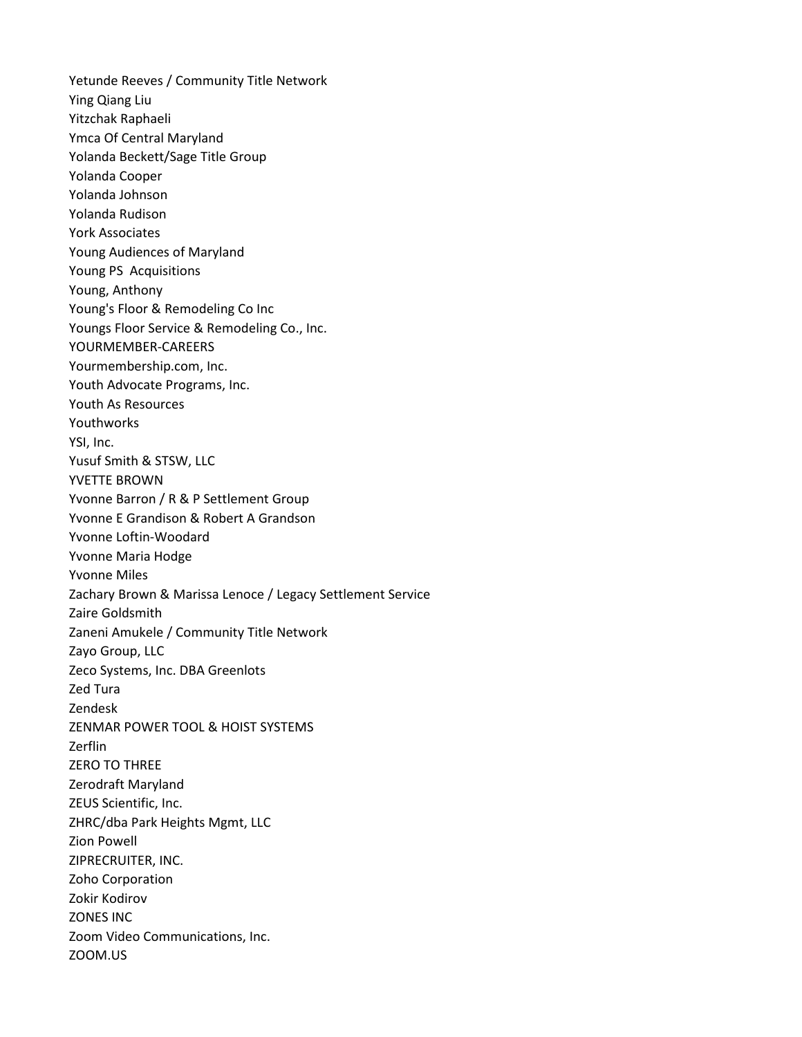Yetunde Reeves / Community Title Network Ying Qiang Liu Yitzchak Raphaeli Ymca Of Central Maryland Yolanda Beckett/Sage Title Group Yolanda Cooper Yolanda Johnson Yolanda Rudison York Associates Young Audiences of Maryland Young PS Acquisitions Young, Anthony Young's Floor & Remodeling Co Inc Youngs Floor Service & Remodeling Co., Inc. YOURMEMBER-CAREERS Yourmembership.com, Inc. Youth Advocate Programs, Inc. Youth As Resources Youthworks YSI, Inc. Yusuf Smith & STSW, LLC YVETTE BROWN Yvonne Barron / R & P Settlement Group Yvonne E Grandison & Robert A Grandson Yvonne Loftin-Woodard Yvonne Maria Hodge Yvonne Miles Zachary Brown & Marissa Lenoce / Legacy Settlement Service Zaire Goldsmith Zaneni Amukele / Community Title Network Zayo Group, LLC Zeco Systems, Inc. DBA Greenlots Zed Tura Zendesk ZENMAR POWER TOOL & HOIST SYSTEMS Zerflin ZERO TO THREE Zerodraft Maryland ZEUS Scientific, Inc. ZHRC/dba Park Heights Mgmt, LLC Zion Powell ZIPRECRUITER, INC. Zoho Corporation Zokir Kodirov ZONES INC Zoom Video Communications, Inc. ZOOM.US